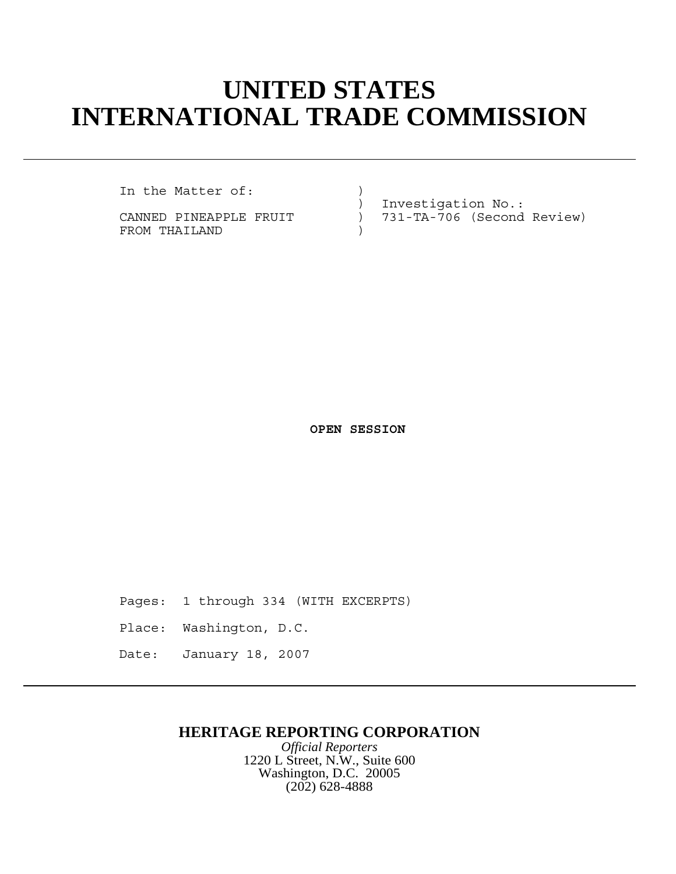# **UNITED STATES INTERNATIONAL TRADE COMMISSION**

In the Matter of:  $\qquad \qquad$  )

FROM THAILAND )

) Investigation No.: CANNED PINEAPPLE FRUIT ) 731-TA-706 (Second Review)

**OPEN SESSION**

Pages: 1 through 334 (WITH EXCERPTS)

Place: Washington, D.C.

Date: January 18, 2007

**HERITAGE REPORTING CORPORATION**

*Official Reporters* 1220 L Street, N.W., Suite 600 Washington, D.C. 20005 (202) 628-4888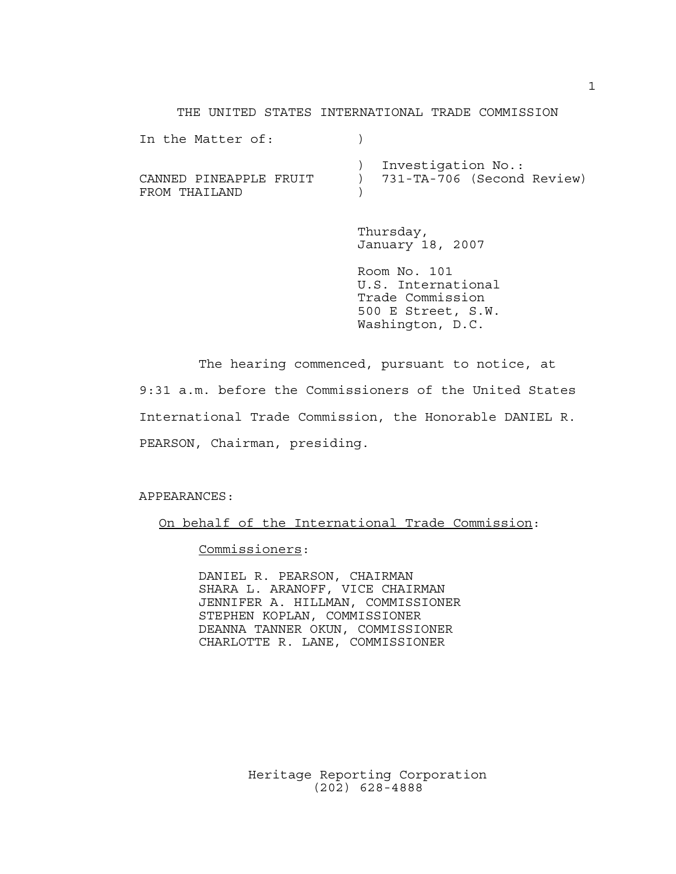#### THE UNITED STATES INTERNATIONAL TRADE COMMISSION

| In the Matter of:                       |                                                      |
|-----------------------------------------|------------------------------------------------------|
| CANNED PINEAPPLE FRUIT<br>FROM THAILAND | ) Investigation No.:<br>) 731-TA-706 (Second Review) |

Thursday, January 18, 2007

Room No. 101 U.S. International Trade Commission 500 E Street, S.W. Washington, D.C.

The hearing commenced, pursuant to notice, at 9:31 a.m. before the Commissioners of the United States International Trade Commission, the Honorable DANIEL R. PEARSON, Chairman, presiding.

#### APPEARANCES:

On behalf of the International Trade Commission:

Commissioners:

DANIEL R. PEARSON, CHAIRMAN SHARA L. ARANOFF, VICE CHAIRMAN JENNIFER A. HILLMAN, COMMISSIONER STEPHEN KOPLAN, COMMISSIONER DEANNA TANNER OKUN, COMMISSIONER CHARLOTTE R. LANE, COMMISSIONER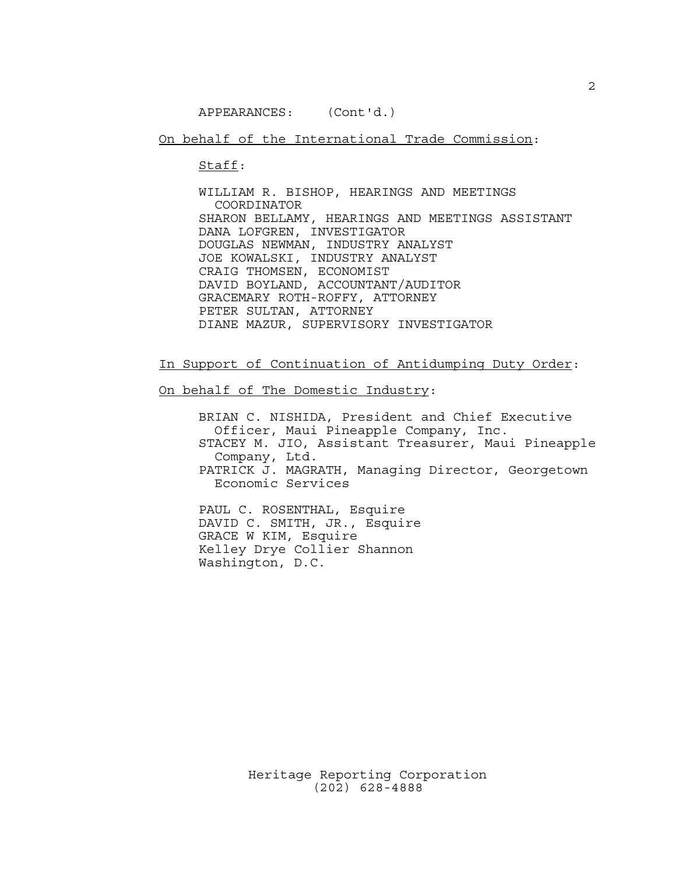APPEARANCES: (Cont'd.)

On behalf of the International Trade Commission:

Staff:

WILLIAM R. BISHOP, HEARINGS AND MEETINGS COORDINATOR SHARON BELLAMY, HEARINGS AND MEETINGS ASSISTANT DANA LOFGREN, INVESTIGATOR DOUGLAS NEWMAN, INDUSTRY ANALYST JOE KOWALSKI, INDUSTRY ANALYST CRAIG THOMSEN, ECONOMIST DAVID BOYLAND, ACCOUNTANT/AUDITOR GRACEMARY ROTH-ROFFY, ATTORNEY PETER SULTAN, ATTORNEY DIANE MAZUR, SUPERVISORY INVESTIGATOR

### In Support of Continuation of Antidumping Duty Order:

On behalf of The Domestic Industry:

BRIAN C. NISHIDA, President and Chief Executive Officer, Maui Pineapple Company, Inc. STACEY M. JIO, Assistant Treasurer, Maui Pineapple Company, Ltd. PATRICK J. MAGRATH, Managing Director, Georgetown Economic Services

PAUL C. ROSENTHAL, Esquire DAVID C. SMITH, JR., Esquire GRACE W KIM, Esquire Kelley Drye Collier Shannon Washington, D.C.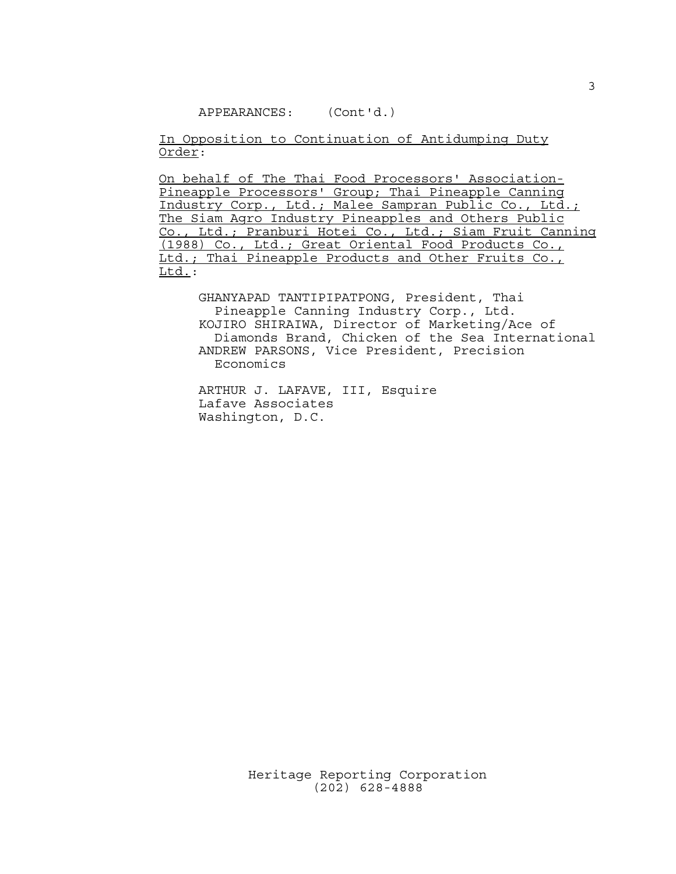APPEARANCES: (Cont'd.)

In Opposition to Continuation of Antidumping Duty Order:

On behalf of The Thai Food Processors' Association-Pineapple Processors' Group; Thai Pineapple Canning Industry Corp., Ltd.; Malee Sampran Public Co., Ltd.; The Siam Agro Industry Pineapples and Others Public Co., Ltd.; Pranburi Hotei Co., Ltd.; Siam Fruit Canning (1988) Co., Ltd.; Great Oriental Food Products Co., Ltd.; Thai Pineapple Products and Other Fruits Co.,  $Ltd.$ :

GHANYAPAD TANTIPIPATPONG, President, Thai Pineapple Canning Industry Corp., Ltd. KOJIRO SHIRAIWA, Director of Marketing/Ace of Diamonds Brand, Chicken of the Sea International ANDREW PARSONS, Vice President, Precision Economics

ARTHUR J. LAFAVE, III, Esquire Lafave Associates Washington, D.C.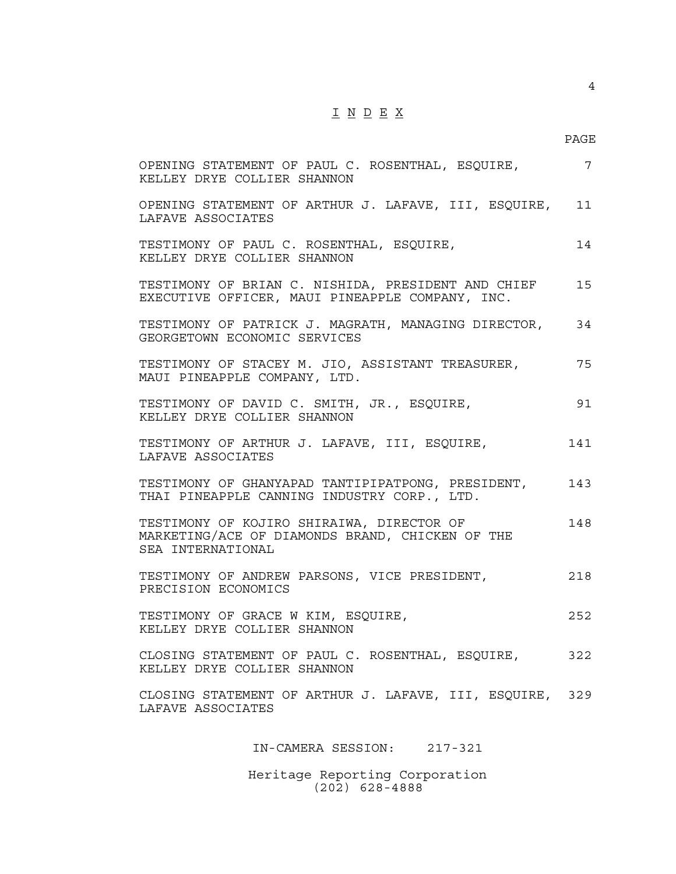## $\underline{\texttt{I}} \underline{\texttt{N}} \underline{\texttt{D}} \underline{\texttt{E}} \underline{\texttt{X}}$

4

| OPENING STATEMENT OF PAUL C. ROSENTHAL, ESQUIRE,<br>KELLEY DRYE COLLIER SHANNON                                   | 7   |
|-------------------------------------------------------------------------------------------------------------------|-----|
| OPENING STATEMENT OF ARTHUR J. LAFAVE, III, ESQUIRE,<br>LAFAVE ASSOCIATES                                         | 11  |
| TESTIMONY OF PAUL C. ROSENTHAL, ESQUIRE,<br>KELLEY DRYE COLLIER SHANNON                                           | 14  |
| TESTIMONY OF BRIAN C. NISHIDA, PRESIDENT AND CHIEF<br>EXECUTIVE OFFICER, MAUI PINEAPPLE COMPANY, INC.             | 15  |
| TESTIMONY OF PATRICK J. MAGRATH, MANAGING DIRECTOR,<br>GEORGETOWN ECONOMIC SERVICES                               | 34  |
| TESTIMONY OF STACEY M. JIO, ASSISTANT TREASURER,<br>MAUI PINEAPPLE COMPANY, LTD.                                  | 75  |
| TESTIMONY OF DAVID C. SMITH, JR., ESQUIRE,<br>KELLEY DRYE COLLIER SHANNON                                         | 91  |
| TESTIMONY OF ARTHUR J. LAFAVE, III, ESQUIRE,<br>LAFAVE ASSOCIATES                                                 | 141 |
| TESTIMONY OF GHANYAPAD TANTIPIPATPONG, PRESIDENT,<br>THAI PINEAPPLE CANNING INDUSTRY CORP., LTD.                  | 143 |
| TESTIMONY OF KOJIRO SHIRAIWA, DIRECTOR OF<br>MARKETING/ACE OF DIAMONDS BRAND, CHICKEN OF THE<br>SEA INTERNATIONAL | 148 |
| TESTIMONY OF ANDREW PARSONS, VICE PRESIDENT,<br>PRECISION ECONOMICS                                               | 218 |
| TESTIMONY OF GRACE W KIM, ESQUIRE,<br>KELLEY DRYE COLLIER SHANNON                                                 | 252 |
| CLOSING STATEMENT OF PAUL C. ROSENTHAL, ESQUIRE,<br>KELLEY DRYE COLLIER SHANNON                                   | 322 |
| CLOSING STATEMENT OF ARTHUR J. LAFAVE, III, ESQUIRE, 329<br>LAFAVE ASSOCIATES                                     |     |
| IN-CAMERA SESSION: 217-321                                                                                        |     |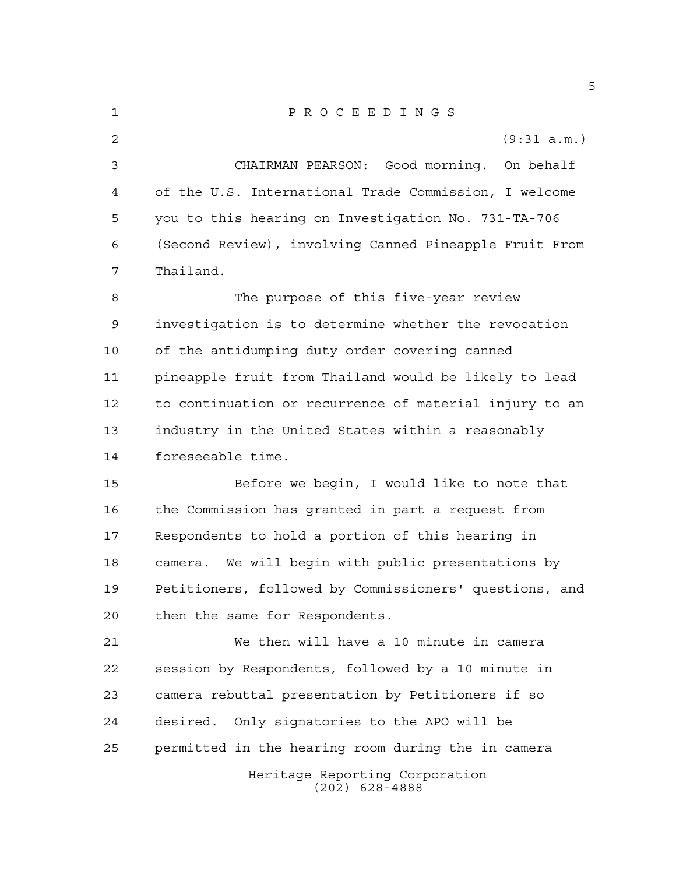| 1               | $\underline{P} \underline{R} \underline{O} \underline{C} \underline{E} \underline{E} \underline{D} \underline{I} \underline{N} \underline{G} \underline{S}$ |
|-----------------|-------------------------------------------------------------------------------------------------------------------------------------------------------------|
| 2               | (9:31 a.m.)                                                                                                                                                 |
| 3               | CHAIRMAN PEARSON: Good morning. On behalf                                                                                                                   |
| 4               | of the U.S. International Trade Commission, I welcome                                                                                                       |
| 5               | you to this hearing on Investigation No. 731-TA-706                                                                                                         |
| 6               | (Second Review), involving Canned Pineapple Fruit From                                                                                                      |
| 7               | Thailand.                                                                                                                                                   |
| 8               | The purpose of this five-year review                                                                                                                        |
| 9               | investigation is to determine whether the revocation                                                                                                        |
| 10              | of the antidumping duty order covering canned                                                                                                               |
| 11              | pineapple fruit from Thailand would be likely to lead                                                                                                       |
| 12              | to continuation or recurrence of material injury to an                                                                                                      |
| 13              | industry in the United States within a reasonably                                                                                                           |
| 14              | foreseeable time.                                                                                                                                           |
| 15              | Before we begin, I would like to note that                                                                                                                  |
| 16              | the Commission has granted in part a request from                                                                                                           |
| 17              | Respondents to hold a portion of this hearing in                                                                                                            |
| 18              | camera. We will begin with public presentations by                                                                                                          |
| 19              | Petitioners, followed by Commissioners' questions, and                                                                                                      |
| 20 <sub>o</sub> | then the same for Respondents.                                                                                                                              |
| 21              | We then will have a 10 minute in camera                                                                                                                     |
| 22              | session by Respondents, followed by a 10 minute in                                                                                                          |
| 23              | camera rebuttal presentation by Petitioners if so                                                                                                           |
| 24              | Only signatories to the APO will be<br>desired.                                                                                                             |
| 25              | permitted in the hearing room during the in camera                                                                                                          |
|                 | Heritage Reporting Corporation<br>$(202)$ 628-4888                                                                                                          |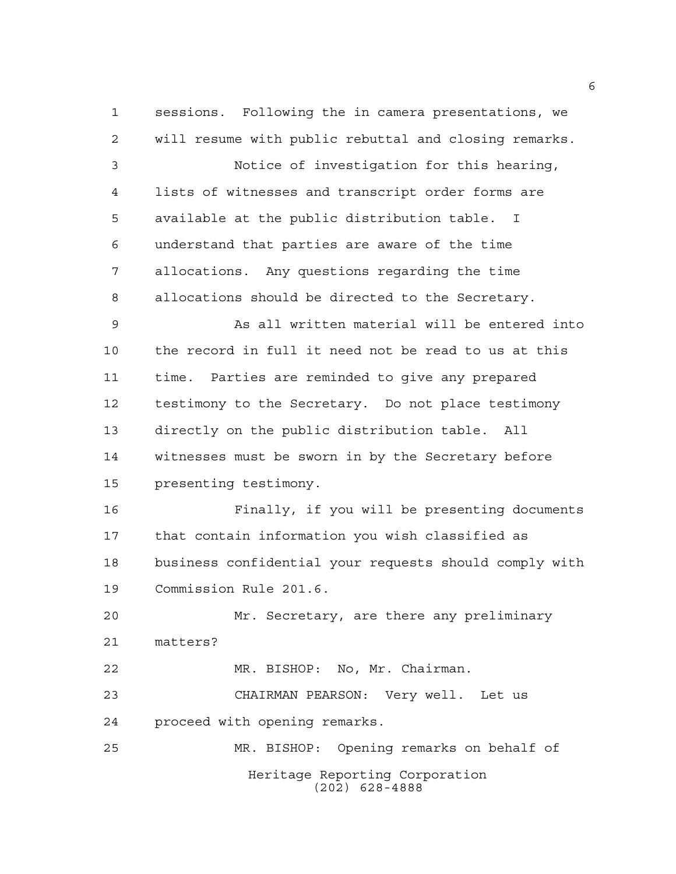Heritage Reporting Corporation (202) 628-4888 sessions. Following the in camera presentations, we will resume with public rebuttal and closing remarks. Notice of investigation for this hearing, lists of witnesses and transcript order forms are available at the public distribution table. I understand that parties are aware of the time allocations. Any questions regarding the time allocations should be directed to the Secretary. As all written material will be entered into the record in full it need not be read to us at this time. Parties are reminded to give any prepared testimony to the Secretary. Do not place testimony directly on the public distribution table. All witnesses must be sworn in by the Secretary before presenting testimony. Finally, if you will be presenting documents that contain information you wish classified as business confidential your requests should comply with Commission Rule 201.6. Mr. Secretary, are there any preliminary matters? MR. BISHOP: No, Mr. Chairman. CHAIRMAN PEARSON: Very well. Let us proceed with opening remarks. MR. BISHOP: Opening remarks on behalf of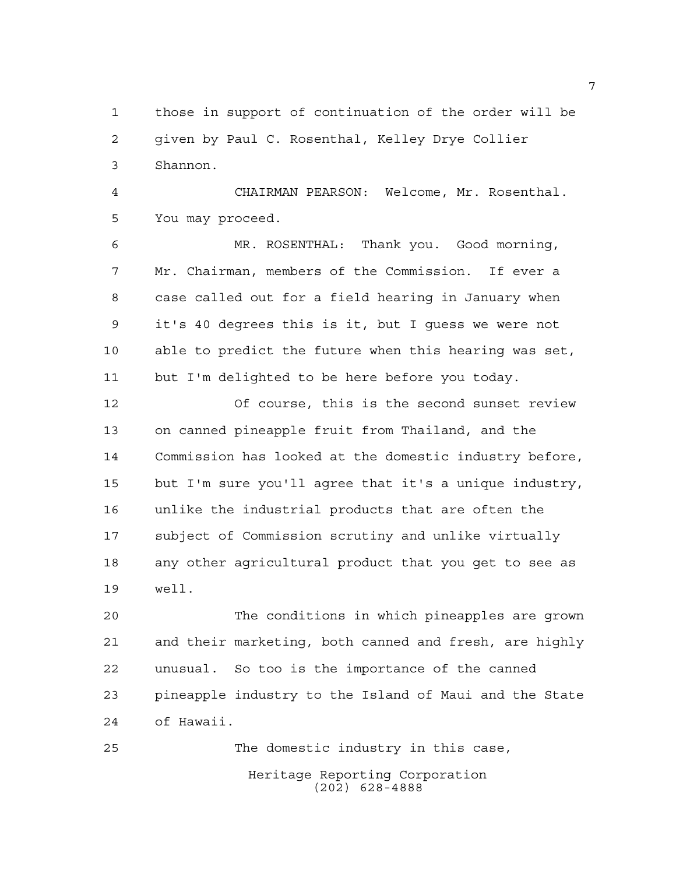those in support of continuation of the order will be given by Paul C. Rosenthal, Kelley Drye Collier Shannon.

 CHAIRMAN PEARSON: Welcome, Mr. Rosenthal. You may proceed.

 MR. ROSENTHAL: Thank you. Good morning, Mr. Chairman, members of the Commission. If ever a case called out for a field hearing in January when it's 40 degrees this is it, but I guess we were not able to predict the future when this hearing was set, but I'm delighted to be here before you today.

 Of course, this is the second sunset review on canned pineapple fruit from Thailand, and the Commission has looked at the domestic industry before, but I'm sure you'll agree that it's a unique industry, unlike the industrial products that are often the subject of Commission scrutiny and unlike virtually any other agricultural product that you get to see as well.

 The conditions in which pineapples are grown and their marketing, both canned and fresh, are highly unusual. So too is the importance of the canned pineapple industry to the Island of Maui and the State of Hawaii.

Heritage Reporting Corporation (202) 628-4888 The domestic industry in this case,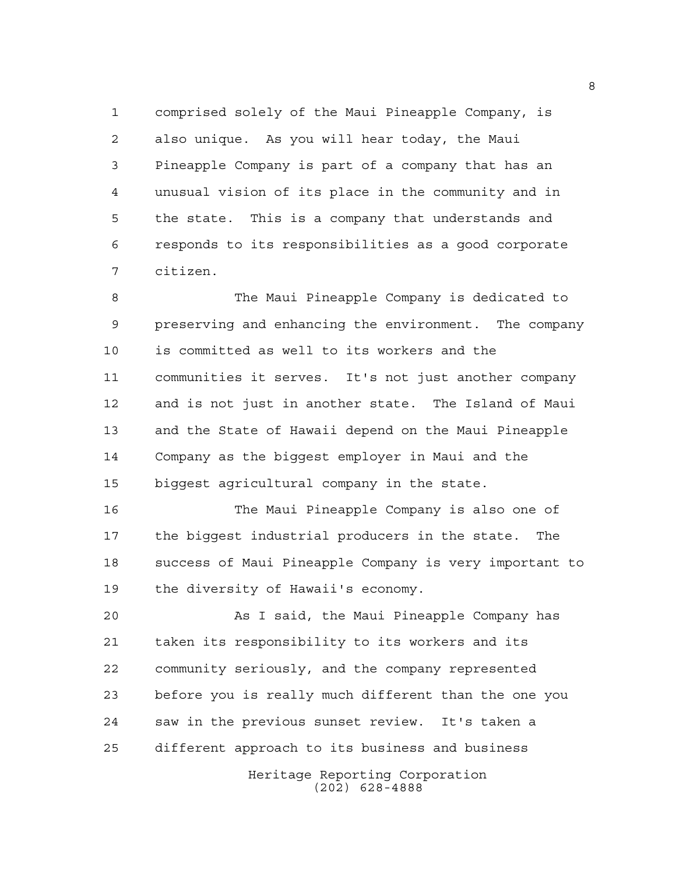comprised solely of the Maui Pineapple Company, is also unique. As you will hear today, the Maui Pineapple Company is part of a company that has an unusual vision of its place in the community and in the state. This is a company that understands and responds to its responsibilities as a good corporate citizen.

 The Maui Pineapple Company is dedicated to preserving and enhancing the environment. The company is committed as well to its workers and the communities it serves. It's not just another company and is not just in another state. The Island of Maui and the State of Hawaii depend on the Maui Pineapple Company as the biggest employer in Maui and the biggest agricultural company in the state.

 The Maui Pineapple Company is also one of the biggest industrial producers in the state. The success of Maui Pineapple Company is very important to the diversity of Hawaii's economy.

 As I said, the Maui Pineapple Company has taken its responsibility to its workers and its community seriously, and the company represented before you is really much different than the one you saw in the previous sunset review. It's taken a different approach to its business and business

> Heritage Reporting Corporation (202) 628-4888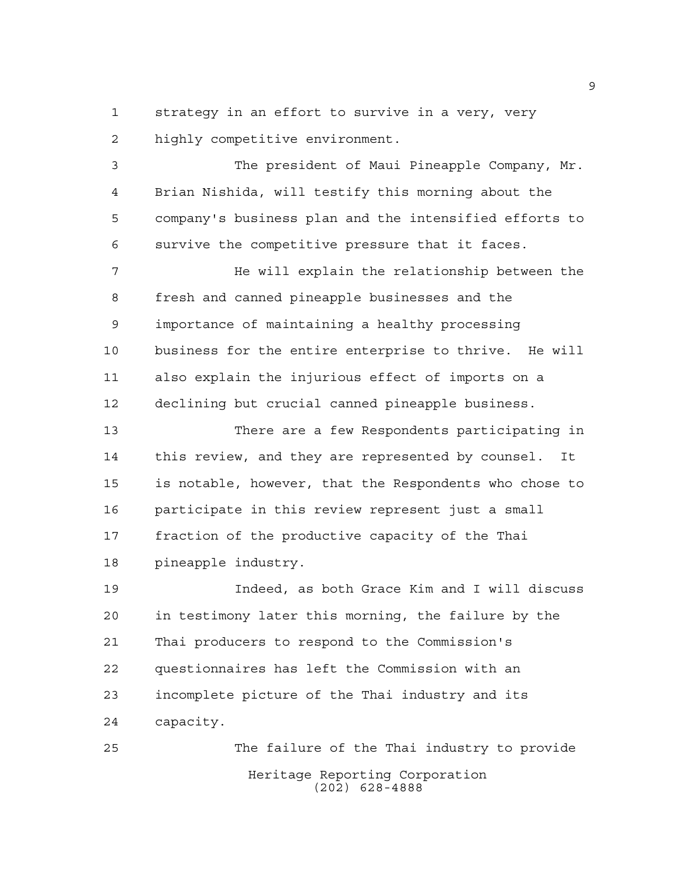strategy in an effort to survive in a very, very highly competitive environment.

 The president of Maui Pineapple Company, Mr. Brian Nishida, will testify this morning about the company's business plan and the intensified efforts to survive the competitive pressure that it faces.

 He will explain the relationship between the fresh and canned pineapple businesses and the importance of maintaining a healthy processing business for the entire enterprise to thrive. He will also explain the injurious effect of imports on a declining but crucial canned pineapple business.

 There are a few Respondents participating in this review, and they are represented by counsel. It is notable, however, that the Respondents who chose to participate in this review represent just a small fraction of the productive capacity of the Thai pineapple industry.

 Indeed, as both Grace Kim and I will discuss in testimony later this morning, the failure by the Thai producers to respond to the Commission's questionnaires has left the Commission with an incomplete picture of the Thai industry and its capacity.

Heritage Reporting Corporation (202) 628-4888 The failure of the Thai industry to provide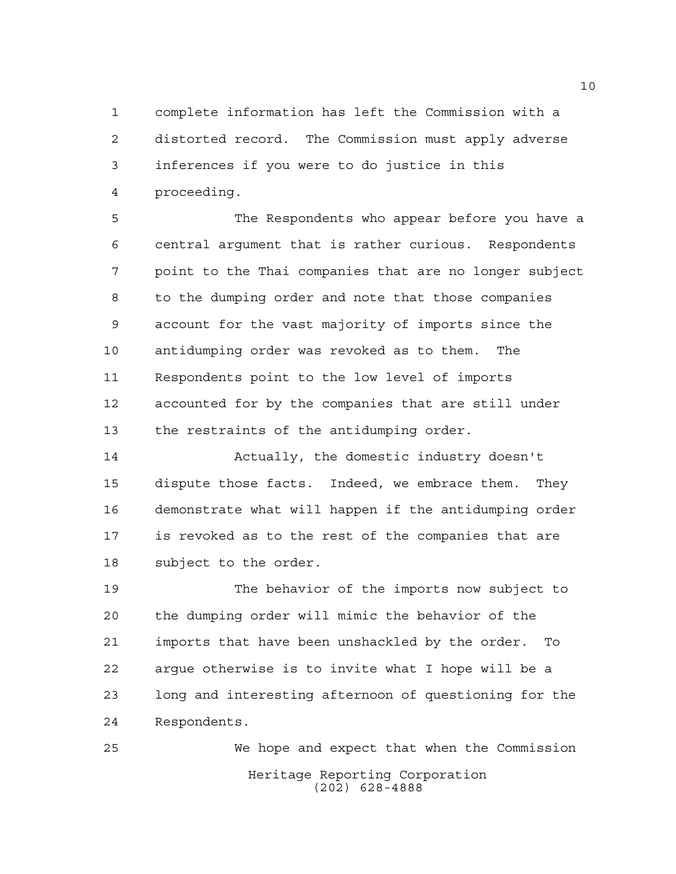complete information has left the Commission with a distorted record. The Commission must apply adverse inferences if you were to do justice in this proceeding.

 The Respondents who appear before you have a central argument that is rather curious. Respondents point to the Thai companies that are no longer subject to the dumping order and note that those companies account for the vast majority of imports since the antidumping order was revoked as to them. The Respondents point to the low level of imports accounted for by the companies that are still under the restraints of the antidumping order.

 Actually, the domestic industry doesn't dispute those facts. Indeed, we embrace them. They demonstrate what will happen if the antidumping order is revoked as to the rest of the companies that are subject to the order.

 The behavior of the imports now subject to the dumping order will mimic the behavior of the imports that have been unshackled by the order. To argue otherwise is to invite what I hope will be a long and interesting afternoon of questioning for the Respondents.

Heritage Reporting Corporation (202) 628-4888 We hope and expect that when the Commission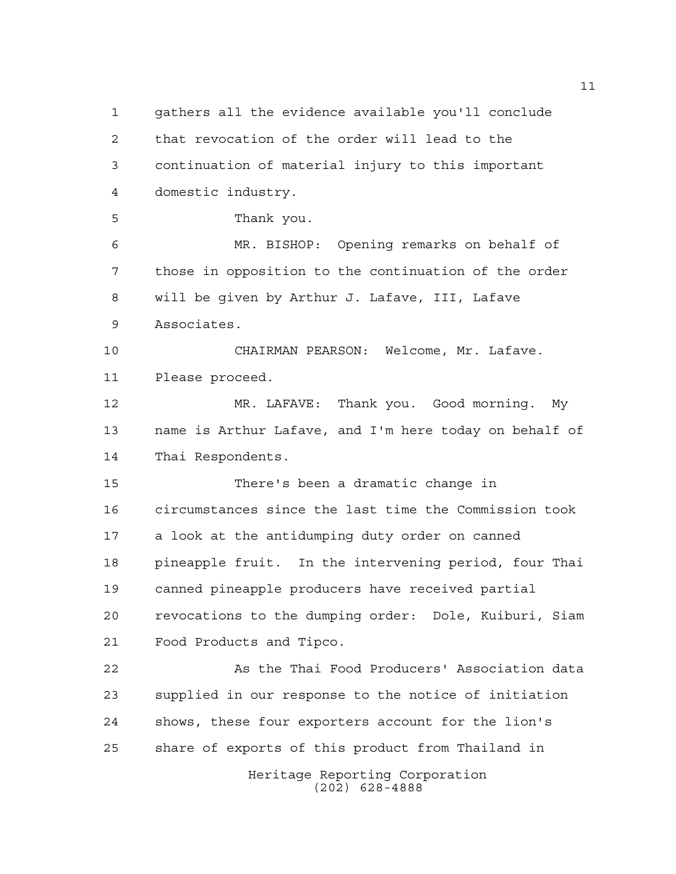Heritage Reporting Corporation (202) 628-4888 gathers all the evidence available you'll conclude that revocation of the order will lead to the continuation of material injury to this important domestic industry. Thank you. MR. BISHOP: Opening remarks on behalf of those in opposition to the continuation of the order will be given by Arthur J. Lafave, III, Lafave Associates. CHAIRMAN PEARSON: Welcome, Mr. Lafave. Please proceed. MR. LAFAVE: Thank you. Good morning. My name is Arthur Lafave, and I'm here today on behalf of Thai Respondents. There's been a dramatic change in circumstances since the last time the Commission took a look at the antidumping duty order on canned pineapple fruit. In the intervening period, four Thai canned pineapple producers have received partial revocations to the dumping order: Dole, Kuiburi, Siam Food Products and Tipco. As the Thai Food Producers' Association data supplied in our response to the notice of initiation shows, these four exporters account for the lion's share of exports of this product from Thailand in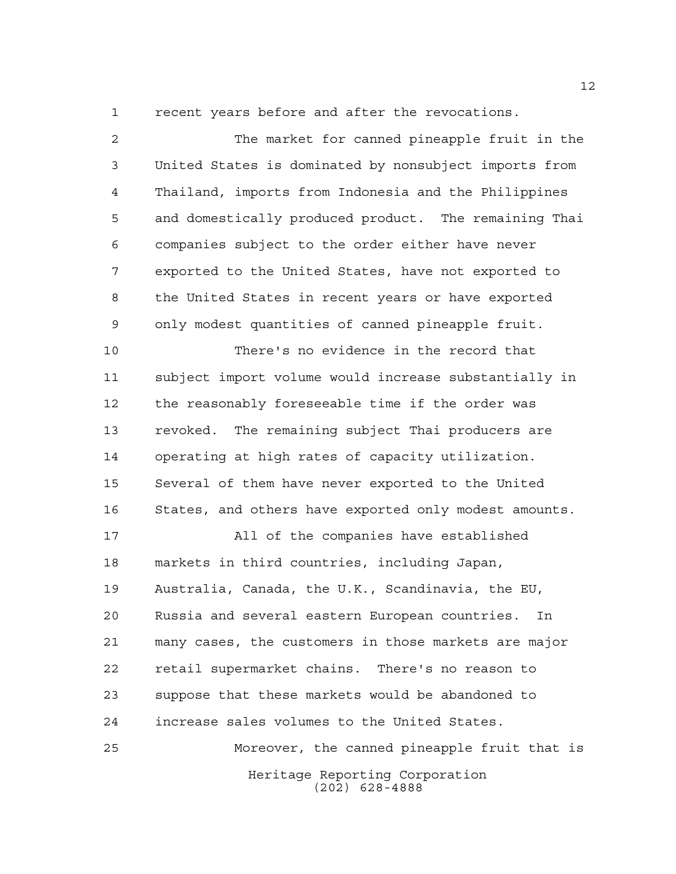recent years before and after the revocations.

Heritage Reporting Corporation (202) 628-4888 The market for canned pineapple fruit in the United States is dominated by nonsubject imports from Thailand, imports from Indonesia and the Philippines and domestically produced product. The remaining Thai companies subject to the order either have never exported to the United States, have not exported to the United States in recent years or have exported only modest quantities of canned pineapple fruit. There's no evidence in the record that subject import volume would increase substantially in the reasonably foreseeable time if the order was revoked. The remaining subject Thai producers are operating at high rates of capacity utilization. Several of them have never exported to the United States, and others have exported only modest amounts. All of the companies have established markets in third countries, including Japan, Australia, Canada, the U.K., Scandinavia, the EU, Russia and several eastern European countries. In many cases, the customers in those markets are major retail supermarket chains. There's no reason to suppose that these markets would be abandoned to increase sales volumes to the United States. Moreover, the canned pineapple fruit that is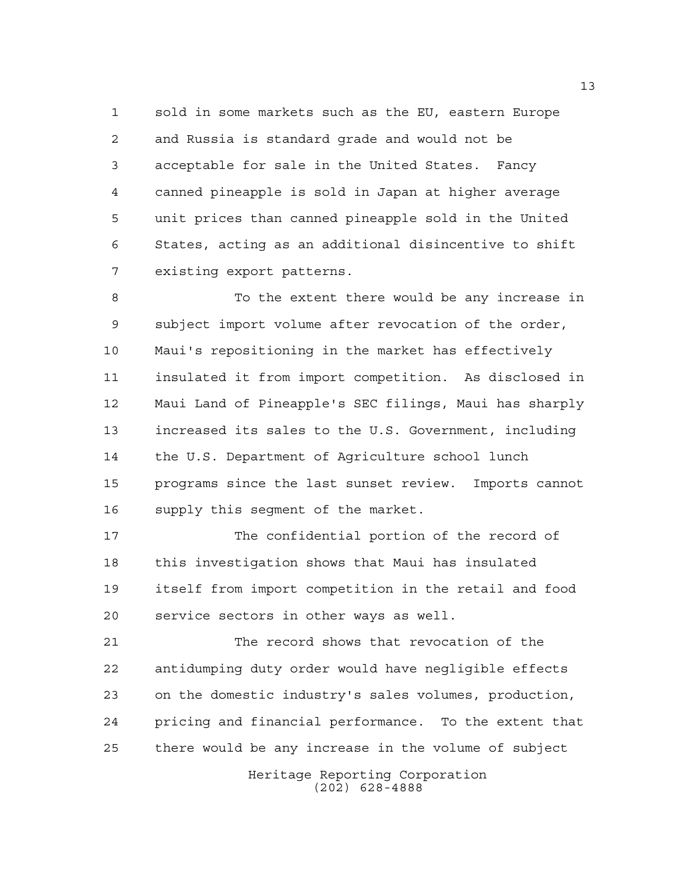sold in some markets such as the EU, eastern Europe and Russia is standard grade and would not be acceptable for sale in the United States. Fancy canned pineapple is sold in Japan at higher average unit prices than canned pineapple sold in the United States, acting as an additional disincentive to shift existing export patterns.

 To the extent there would be any increase in subject import volume after revocation of the order, Maui's repositioning in the market has effectively insulated it from import competition. As disclosed in Maui Land of Pineapple's SEC filings, Maui has sharply increased its sales to the U.S. Government, including the U.S. Department of Agriculture school lunch programs since the last sunset review. Imports cannot supply this segment of the market.

 The confidential portion of the record of this investigation shows that Maui has insulated itself from import competition in the retail and food service sectors in other ways as well.

 The record shows that revocation of the antidumping duty order would have negligible effects on the domestic industry's sales volumes, production, pricing and financial performance. To the extent that there would be any increase in the volume of subject

> Heritage Reporting Corporation (202) 628-4888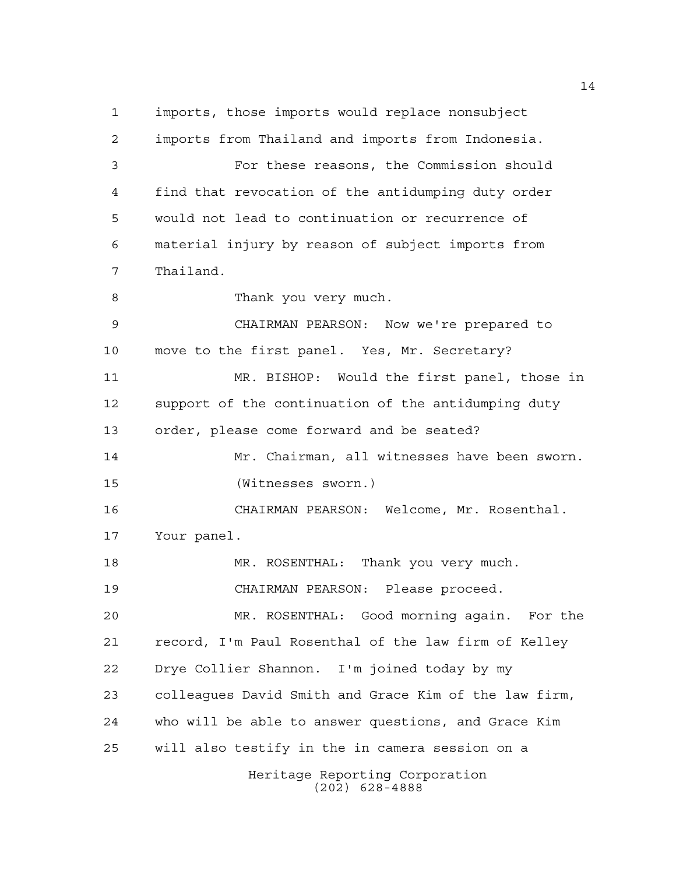Heritage Reporting Corporation (202) 628-4888 imports, those imports would replace nonsubject imports from Thailand and imports from Indonesia. For these reasons, the Commission should find that revocation of the antidumping duty order would not lead to continuation or recurrence of material injury by reason of subject imports from Thailand. Thank you very much. CHAIRMAN PEARSON: Now we're prepared to move to the first panel. Yes, Mr. Secretary? MR. BISHOP: Would the first panel, those in support of the continuation of the antidumping duty order, please come forward and be seated? Mr. Chairman, all witnesses have been sworn. (Witnesses sworn.) CHAIRMAN PEARSON: Welcome, Mr. Rosenthal. Your panel. 18 MR. ROSENTHAL: Thank you very much. CHAIRMAN PEARSON: Please proceed. MR. ROSENTHAL: Good morning again. For the record, I'm Paul Rosenthal of the law firm of Kelley Drye Collier Shannon. I'm joined today by my colleagues David Smith and Grace Kim of the law firm, who will be able to answer questions, and Grace Kim will also testify in the in camera session on a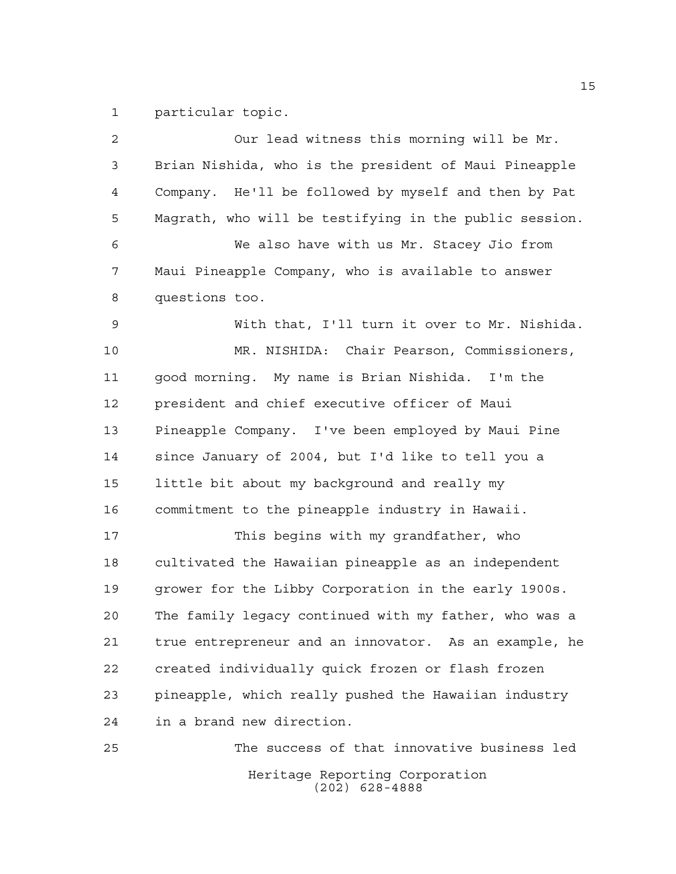particular topic.

| $\overline{2}$ | Our lead witness this morning will be Mr.              |
|----------------|--------------------------------------------------------|
| 3              | Brian Nishida, who is the president of Maui Pineapple  |
| $\overline{4}$ | Company. He'll be followed by myself and then by Pat   |
| 5              | Magrath, who will be testifying in the public session. |
| 6              | We also have with us Mr. Stacey Jio from               |
| 7              | Maui Pineapple Company, who is available to answer     |
| 8              | questions too.                                         |
| 9              | With that, I'll turn it over to Mr. Nishida.           |
| 10             | MR. NISHIDA: Chair Pearson, Commissioners,             |
| 11             | good morning. My name is Brian Nishida. I'm the        |
| 12             | president and chief executive officer of Maui          |
| 13             | Pineapple Company. I've been employed by Maui Pine     |
| 14             | since January of 2004, but I'd like to tell you a      |
| 15             | little bit about my background and really my           |
| 16             | commitment to the pineapple industry in Hawaii.        |
| 17             | This begins with my grandfather, who                   |
| 18             | cultivated the Hawaiian pineapple as an independent    |
| 19             | grower for the Libby Corporation in the early 1900s.   |
| 20             | The family legacy continued with my father, who was a  |
| 21             | true entrepreneur and an innovator. As an example, he  |
| 22             | created individually quick frozen or flash frozen      |
| 23             | pineapple, which really pushed the Hawaiian industry   |
| 24             | in a brand new direction.                              |
| 25             | The success of that innovative business led            |
|                | Heritage Reporting Corporation<br>$(202)$ 628-4888     |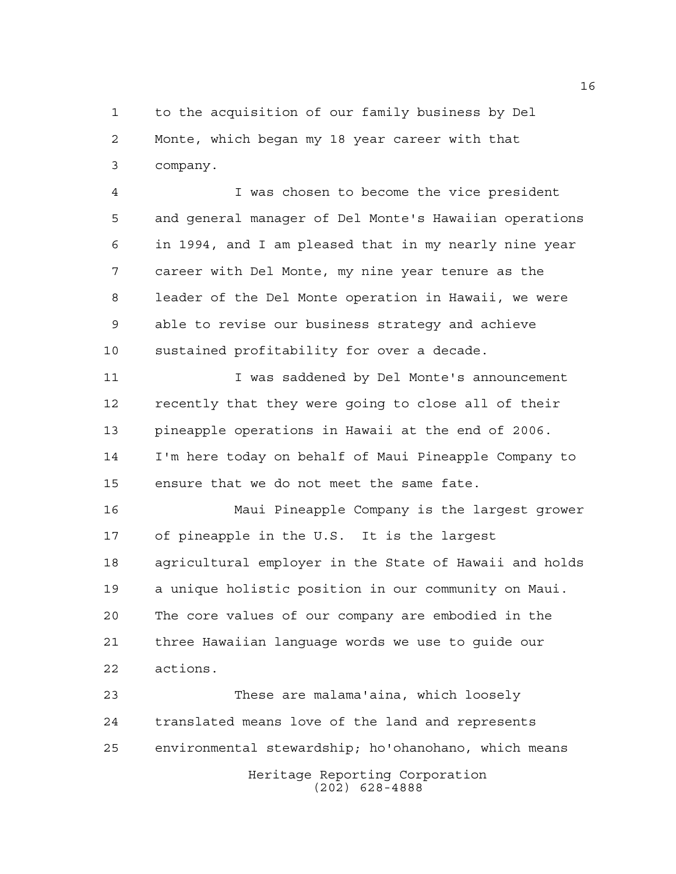to the acquisition of our family business by Del Monte, which began my 18 year career with that company.

 I was chosen to become the vice president and general manager of Del Monte's Hawaiian operations in 1994, and I am pleased that in my nearly nine year career with Del Monte, my nine year tenure as the leader of the Del Monte operation in Hawaii, we were able to revise our business strategy and achieve sustained profitability for over a decade.

 I was saddened by Del Monte's announcement recently that they were going to close all of their pineapple operations in Hawaii at the end of 2006. I'm here today on behalf of Maui Pineapple Company to ensure that we do not meet the same fate.

 Maui Pineapple Company is the largest grower of pineapple in the U.S. It is the largest agricultural employer in the State of Hawaii and holds a unique holistic position in our community on Maui. The core values of our company are embodied in the three Hawaiian language words we use to guide our actions.

Heritage Reporting Corporation (202) 628-4888 These are malama'aina, which loosely translated means love of the land and represents environmental stewardship; ho'ohanohano, which means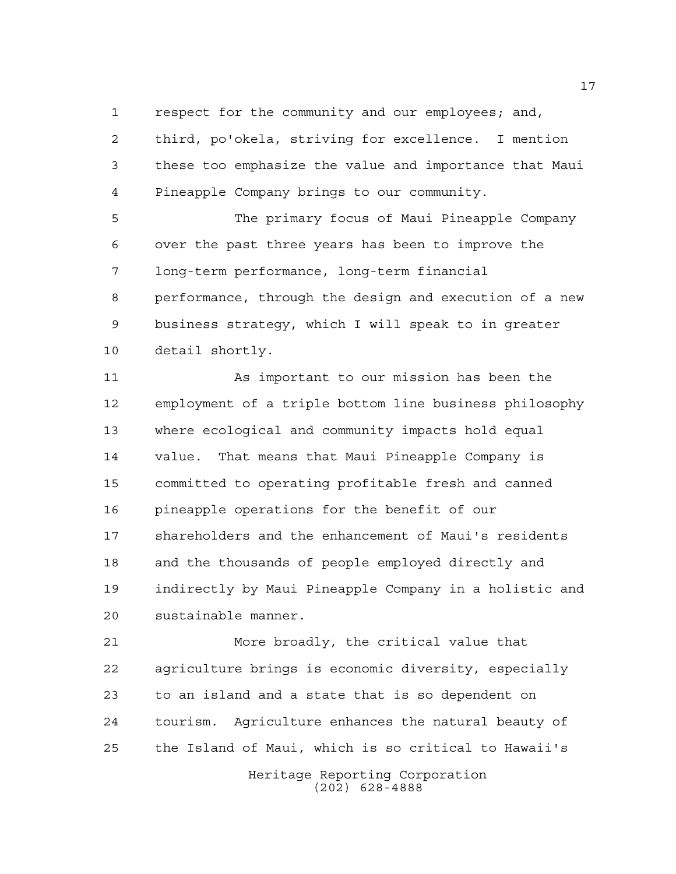respect for the community and our employees; and,

 third, po'okela, striving for excellence. I mention these too emphasize the value and importance that Maui Pineapple Company brings to our community.

 The primary focus of Maui Pineapple Company over the past three years has been to improve the long-term performance, long-term financial performance, through the design and execution of a new business strategy, which I will speak to in greater detail shortly.

 As important to our mission has been the employment of a triple bottom line business philosophy where ecological and community impacts hold equal value. That means that Maui Pineapple Company is committed to operating profitable fresh and canned pineapple operations for the benefit of our shareholders and the enhancement of Maui's residents and the thousands of people employed directly and indirectly by Maui Pineapple Company in a holistic and sustainable manner.

 More broadly, the critical value that agriculture brings is economic diversity, especially to an island and a state that is so dependent on tourism. Agriculture enhances the natural beauty of the Island of Maui, which is so critical to Hawaii's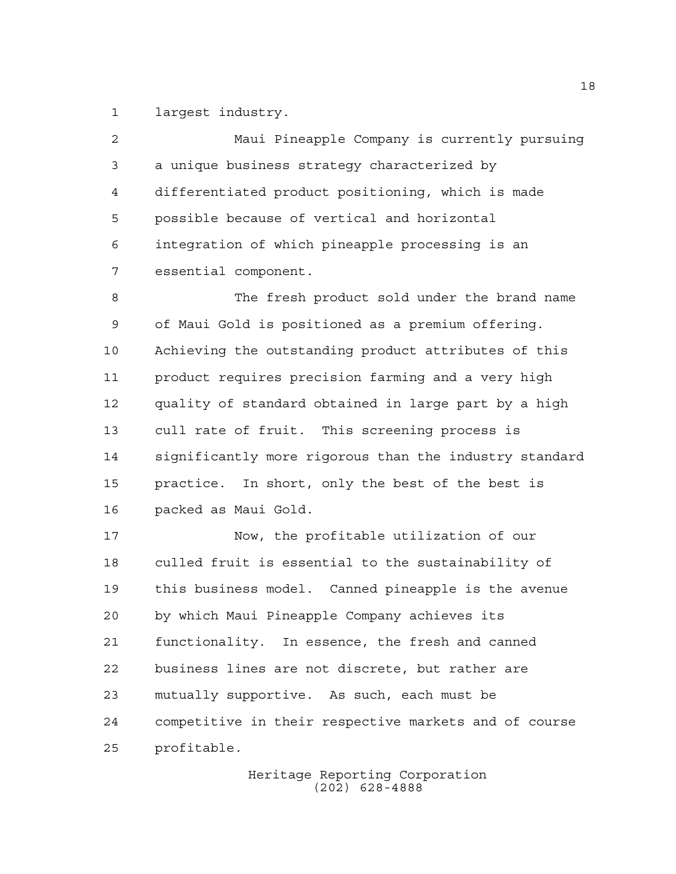largest industry.

 Maui Pineapple Company is currently pursuing a unique business strategy characterized by differentiated product positioning, which is made possible because of vertical and horizontal integration of which pineapple processing is an essential component.

 The fresh product sold under the brand name of Maui Gold is positioned as a premium offering. Achieving the outstanding product attributes of this product requires precision farming and a very high quality of standard obtained in large part by a high cull rate of fruit. This screening process is significantly more rigorous than the industry standard practice. In short, only the best of the best is packed as Maui Gold.

 Now, the profitable utilization of our culled fruit is essential to the sustainability of this business model. Canned pineapple is the avenue by which Maui Pineapple Company achieves its functionality. In essence, the fresh and canned business lines are not discrete, but rather are mutually supportive. As such, each must be competitive in their respective markets and of course profitable.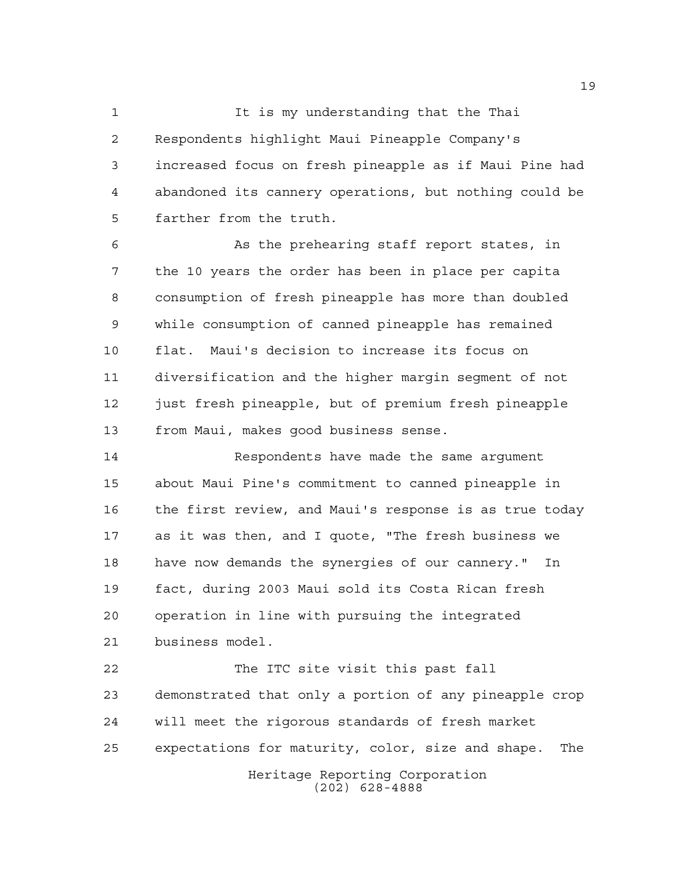1 It is my understanding that the Thai Respondents highlight Maui Pineapple Company's increased focus on fresh pineapple as if Maui Pine had abandoned its cannery operations, but nothing could be farther from the truth.

 As the prehearing staff report states, in the 10 years the order has been in place per capita consumption of fresh pineapple has more than doubled while consumption of canned pineapple has remained flat. Maui's decision to increase its focus on diversification and the higher margin segment of not just fresh pineapple, but of premium fresh pineapple from Maui, makes good business sense.

14 Respondents have made the same argument about Maui Pine's commitment to canned pineapple in the first review, and Maui's response is as true today as it was then, and I quote, "The fresh business we have now demands the synergies of our cannery." In fact, during 2003 Maui sold its Costa Rican fresh operation in line with pursuing the integrated business model.

Heritage Reporting Corporation (202) 628-4888 The ITC site visit this past fall demonstrated that only a portion of any pineapple crop will meet the rigorous standards of fresh market expectations for maturity, color, size and shape. The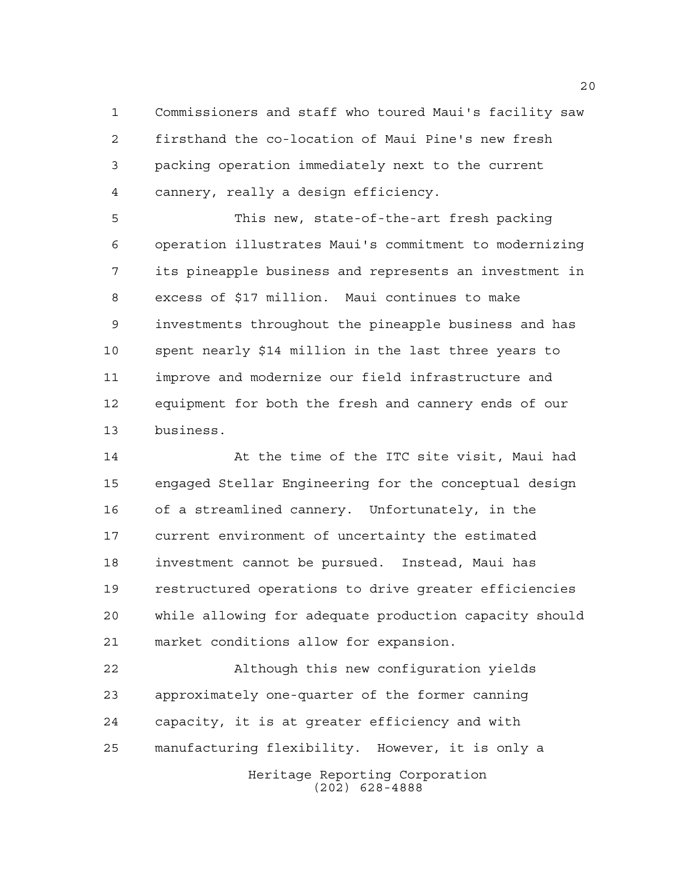Commissioners and staff who toured Maui's facility saw firsthand the co-location of Maui Pine's new fresh packing operation immediately next to the current cannery, really a design efficiency.

 This new, state-of-the-art fresh packing operation illustrates Maui's commitment to modernizing its pineapple business and represents an investment in excess of \$17 million. Maui continues to make investments throughout the pineapple business and has spent nearly \$14 million in the last three years to improve and modernize our field infrastructure and equipment for both the fresh and cannery ends of our business.

14 At the time of the ITC site visit, Maui had engaged Stellar Engineering for the conceptual design of a streamlined cannery. Unfortunately, in the current environment of uncertainty the estimated investment cannot be pursued. Instead, Maui has restructured operations to drive greater efficiencies while allowing for adequate production capacity should market conditions allow for expansion.

Heritage Reporting Corporation (202) 628-4888 Although this new configuration yields approximately one-quarter of the former canning capacity, it is at greater efficiency and with manufacturing flexibility. However, it is only a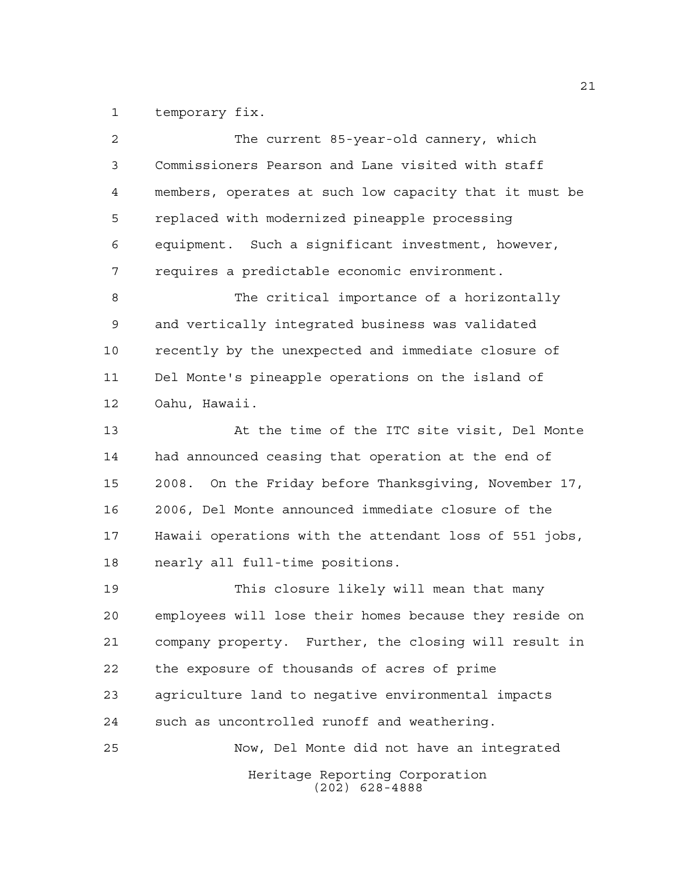temporary fix.

| $\overline{a}$ | The current 85-year-old cannery, which                 |
|----------------|--------------------------------------------------------|
| 3              | Commissioners Pearson and Lane visited with staff      |
| 4              | members, operates at such low capacity that it must be |
| 5              | replaced with modernized pineapple processing          |
| 6              | equipment. Such a significant investment, however,     |
| 7              | requires a predictable economic environment.           |
| 8              | The critical importance of a horizontally              |
| 9              | and vertically integrated business was validated       |
| 10             | recently by the unexpected and immediate closure of    |
| 11             | Del Monte's pineapple operations on the island of      |
| 12             | Oahu, Hawaii.                                          |
| 13             | At the time of the ITC site visit, Del Monte           |
| 14             | had announced ceasing that operation at the end of     |
| 15             | 2008. On the Friday before Thanksgiving, November 17,  |
| 16             | 2006, Del Monte announced immediate closure of the     |
| 17             | Hawaii operations with the attendant loss of 551 jobs, |
| 18             | nearly all full-time positions.                        |
| 19             | This closure likely will mean that many                |
| 20             | employees will lose their homes because they reside on |
| 21             | company property. Further, the closing will result in  |
| 22             | the exposure of thousands of acres of prime            |
| 23             | agriculture land to negative environmental impacts     |
| 24             | such as uncontrolled runoff and weathering.            |
| 25             | Now, Del Monte did not have an integrated              |
|                | Heritage Reporting Corporation<br>$(202)$ 628-4888     |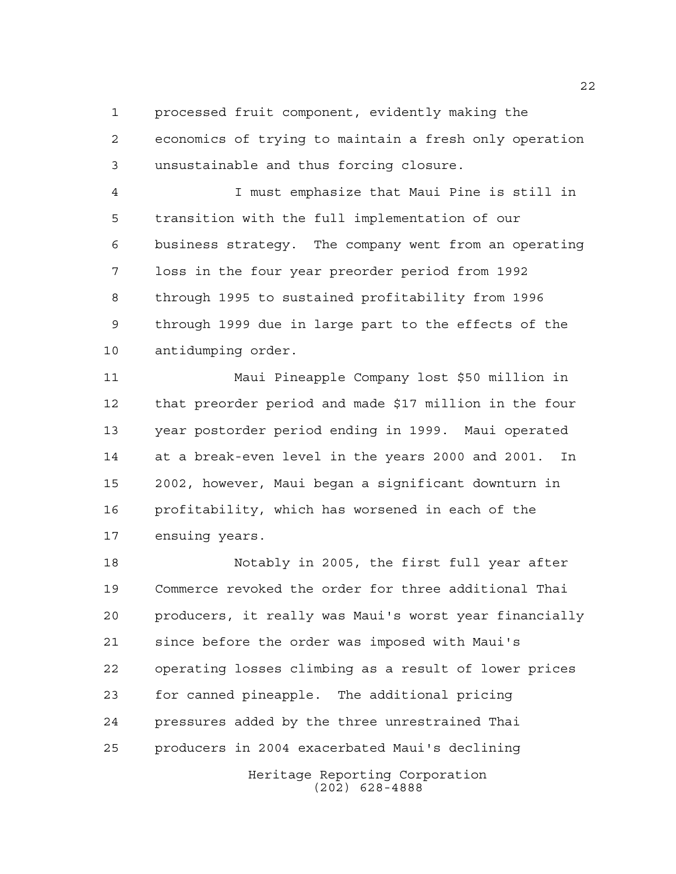processed fruit component, evidently making the

 economics of trying to maintain a fresh only operation unsustainable and thus forcing closure.

 I must emphasize that Maui Pine is still in transition with the full implementation of our business strategy. The company went from an operating loss in the four year preorder period from 1992 through 1995 to sustained profitability from 1996 through 1999 due in large part to the effects of the antidumping order.

 Maui Pineapple Company lost \$50 million in that preorder period and made \$17 million in the four year postorder period ending in 1999. Maui operated at a break-even level in the years 2000 and 2001. In 2002, however, Maui began a significant downturn in profitability, which has worsened in each of the ensuing years.

Heritage Reporting Corporation Notably in 2005, the first full year after Commerce revoked the order for three additional Thai producers, it really was Maui's worst year financially since before the order was imposed with Maui's operating losses climbing as a result of lower prices for canned pineapple. The additional pricing pressures added by the three unrestrained Thai producers in 2004 exacerbated Maui's declining

(202) 628-4888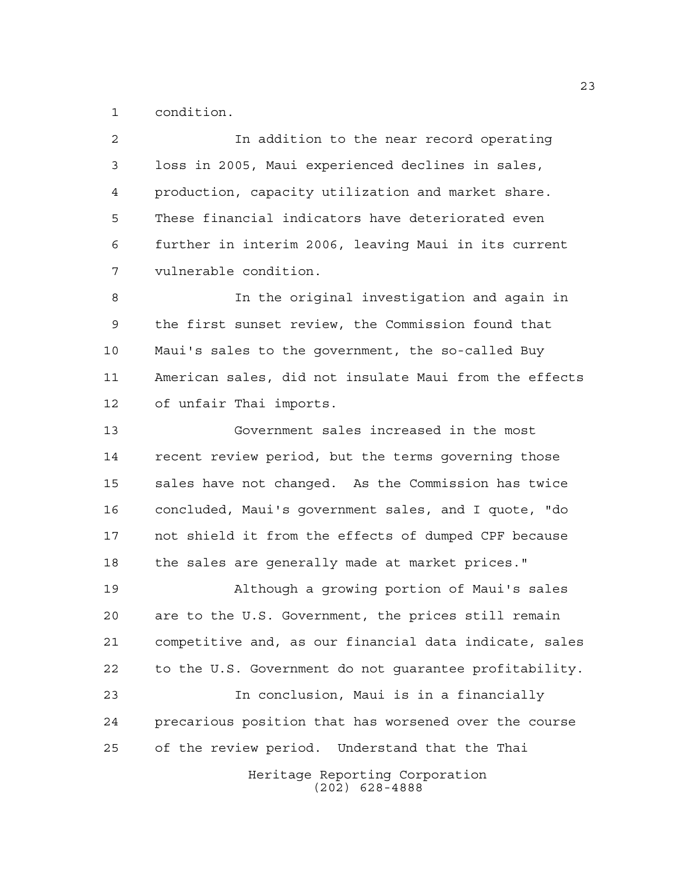condition.

 In addition to the near record operating loss in 2005, Maui experienced declines in sales, production, capacity utilization and market share. These financial indicators have deteriorated even further in interim 2006, leaving Maui in its current vulnerable condition. In the original investigation and again in

 the first sunset review, the Commission found that Maui's sales to the government, the so-called Buy American sales, did not insulate Maui from the effects of unfair Thai imports.

 Government sales increased in the most recent review period, but the terms governing those sales have not changed. As the Commission has twice concluded, Maui's government sales, and I quote, "do not shield it from the effects of dumped CPF because the sales are generally made at market prices."

 Although a growing portion of Maui's sales are to the U.S. Government, the prices still remain competitive and, as our financial data indicate, sales to the U.S. Government do not guarantee profitability.

 In conclusion, Maui is in a financially precarious position that has worsened over the course of the review period. Understand that the Thai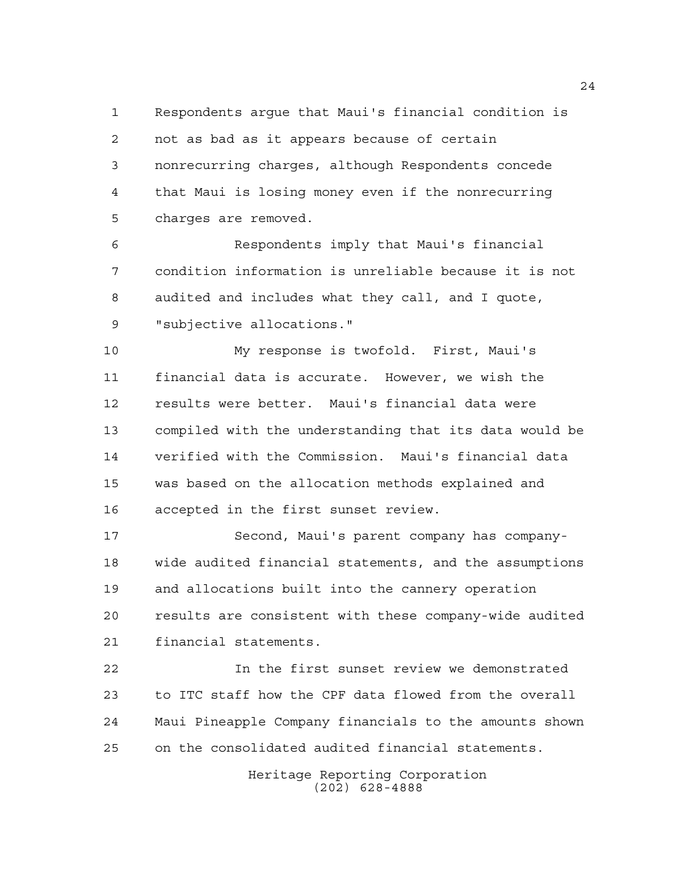Respondents argue that Maui's financial condition is not as bad as it appears because of certain nonrecurring charges, although Respondents concede that Maui is losing money even if the nonrecurring charges are removed.

 Respondents imply that Maui's financial condition information is unreliable because it is not audited and includes what they call, and I quote, "subjective allocations."

 My response is twofold. First, Maui's financial data is accurate. However, we wish the results were better. Maui's financial data were compiled with the understanding that its data would be verified with the Commission. Maui's financial data was based on the allocation methods explained and accepted in the first sunset review.

 Second, Maui's parent company has company- wide audited financial statements, and the assumptions and allocations built into the cannery operation results are consistent with these company-wide audited financial statements.

 In the first sunset review we demonstrated to ITC staff how the CPF data flowed from the overall Maui Pineapple Company financials to the amounts shown on the consolidated audited financial statements.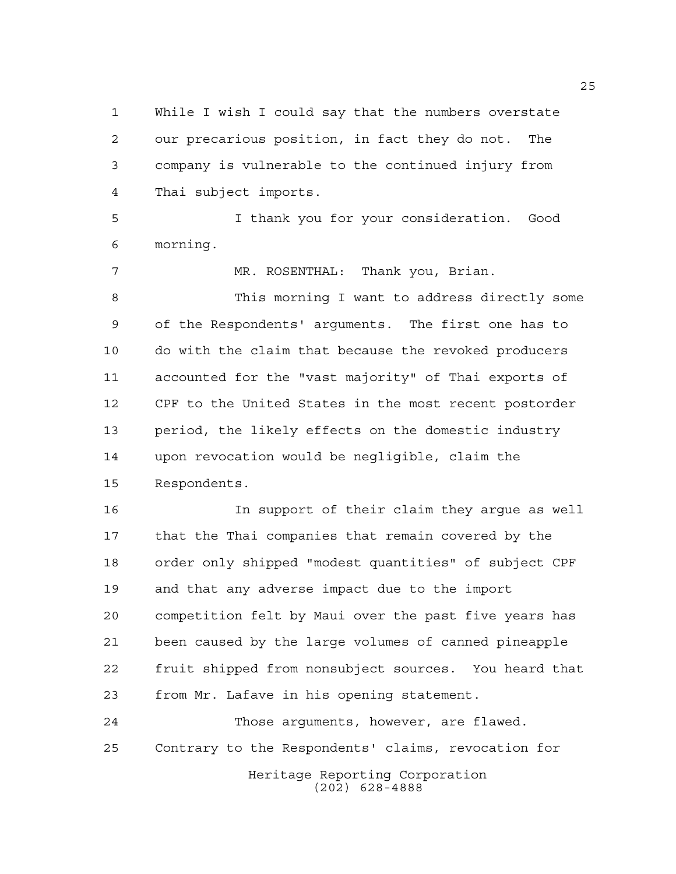While I wish I could say that the numbers overstate our precarious position, in fact they do not. The company is vulnerable to the continued injury from Thai subject imports.

 I thank you for your consideration. Good morning.

 MR. ROSENTHAL: Thank you, Brian. This morning I want to address directly some of the Respondents' arguments. The first one has to do with the claim that because the revoked producers accounted for the "vast majority" of Thai exports of CPF to the United States in the most recent postorder period, the likely effects on the domestic industry upon revocation would be negligible, claim the Respondents.

 In support of their claim they argue as well that the Thai companies that remain covered by the order only shipped "modest quantities" of subject CPF and that any adverse impact due to the import competition felt by Maui over the past five years has been caused by the large volumes of canned pineapple fruit shipped from nonsubject sources. You heard that from Mr. Lafave in his opening statement.

Heritage Reporting Corporation (202) 628-4888 Those arguments, however, are flawed. Contrary to the Respondents' claims, revocation for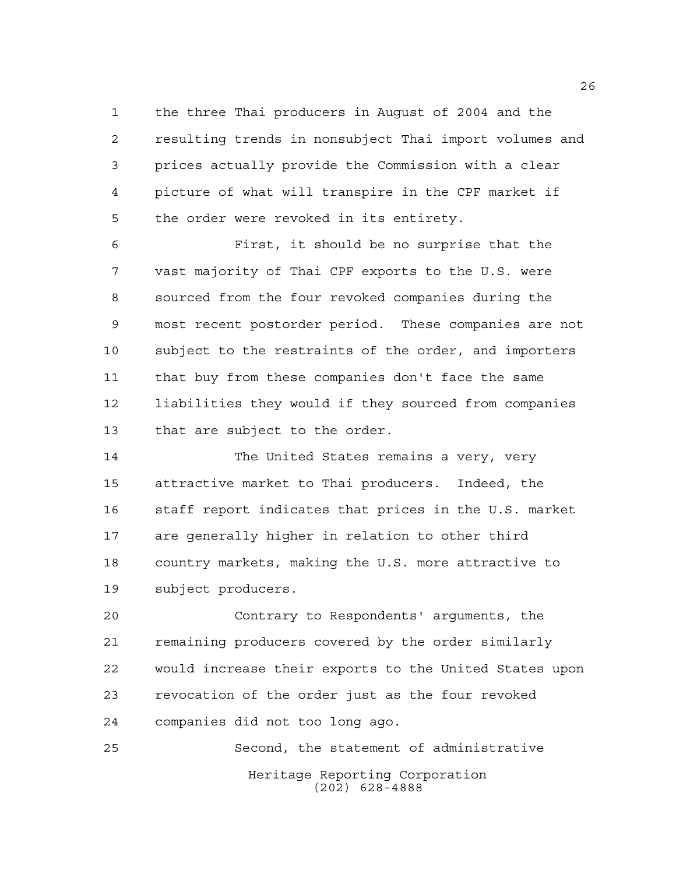the three Thai producers in August of 2004 and the resulting trends in nonsubject Thai import volumes and prices actually provide the Commission with a clear picture of what will transpire in the CPF market if the order were revoked in its entirety.

 First, it should be no surprise that the vast majority of Thai CPF exports to the U.S. were sourced from the four revoked companies during the most recent postorder period. These companies are not subject to the restraints of the order, and importers that buy from these companies don't face the same liabilities they would if they sourced from companies that are subject to the order.

 The United States remains a very, very attractive market to Thai producers. Indeed, the staff report indicates that prices in the U.S. market are generally higher in relation to other third country markets, making the U.S. more attractive to subject producers.

 Contrary to Respondents' arguments, the remaining producers covered by the order similarly would increase their exports to the United States upon revocation of the order just as the four revoked companies did not too long ago.

Heritage Reporting Corporation (202) 628-4888 Second, the statement of administrative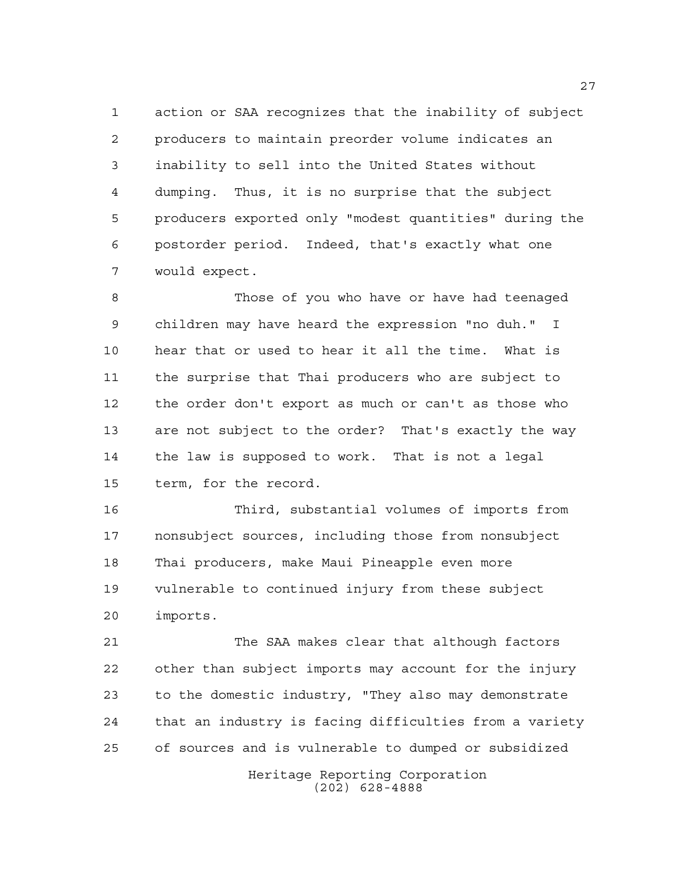action or SAA recognizes that the inability of subject producers to maintain preorder volume indicates an inability to sell into the United States without dumping. Thus, it is no surprise that the subject producers exported only "modest quantities" during the postorder period. Indeed, that's exactly what one would expect.

 Those of you who have or have had teenaged children may have heard the expression "no duh." I hear that or used to hear it all the time. What is the surprise that Thai producers who are subject to the order don't export as much or can't as those who are not subject to the order? That's exactly the way the law is supposed to work. That is not a legal term, for the record.

 Third, substantial volumes of imports from nonsubject sources, including those from nonsubject Thai producers, make Maui Pineapple even more vulnerable to continued injury from these subject imports.

 The SAA makes clear that although factors other than subject imports may account for the injury to the domestic industry, "They also may demonstrate that an industry is facing difficulties from a variety of sources and is vulnerable to dumped or subsidized

> Heritage Reporting Corporation (202) 628-4888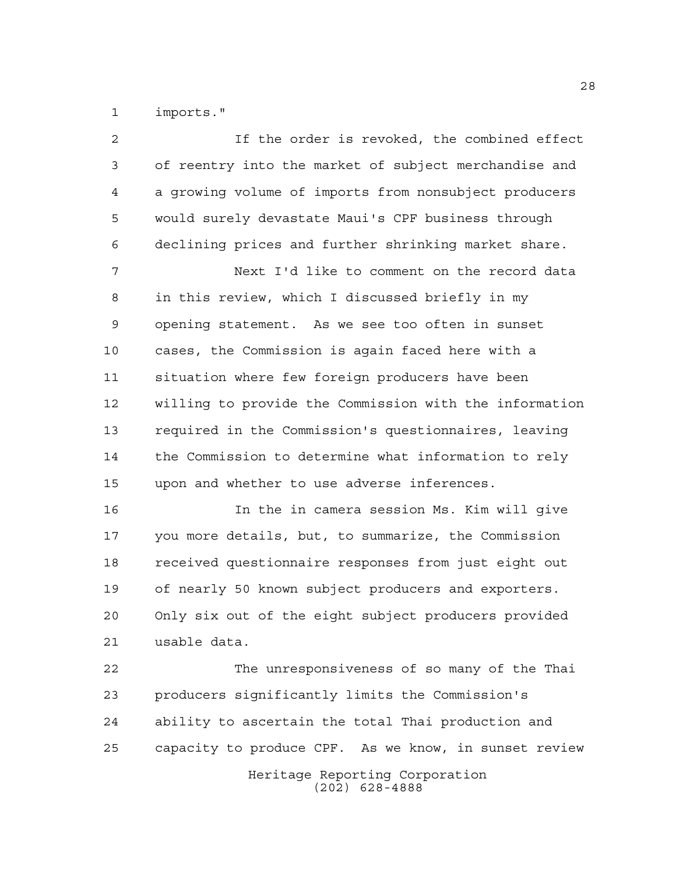imports."

| 2  | If the order is revoked, the combined effect           |
|----|--------------------------------------------------------|
| 3  | of reentry into the market of subject merchandise and  |
| 4  | a growing volume of imports from nonsubject producers  |
| 5  | would surely devastate Maui's CPF business through     |
| 6  | declining prices and further shrinking market share.   |
| 7  | Next I'd like to comment on the record data            |
| 8  | in this review, which I discussed briefly in my        |
| 9  | opening statement. As we see too often in sunset       |
| 10 | cases, the Commission is again faced here with a       |
| 11 | situation where few foreign producers have been        |
| 12 | willing to provide the Commission with the information |
| 13 | required in the Commission's questionnaires, leaving   |
| 14 | the Commission to determine what information to rely   |
| 15 | upon and whether to use adverse inferences.            |
| 16 | In the in camera session Ms. Kim will give             |
| 17 | you more details, but, to summarize, the Commission    |
| 18 | received questionnaire responses from just eight out   |
| 19 | of nearly 50 known subject producers and exporters.    |
| 20 | Only six out of the eight subject producers provided   |
| 21 | usable data.                                           |
| 22 | The unresponsiveness of so many of the Thai            |
| 23 | producers significantly limits the Commission's        |
| 24 | ability to ascertain the total Thai production and     |

capacity to produce CPF. As we know, in sunset review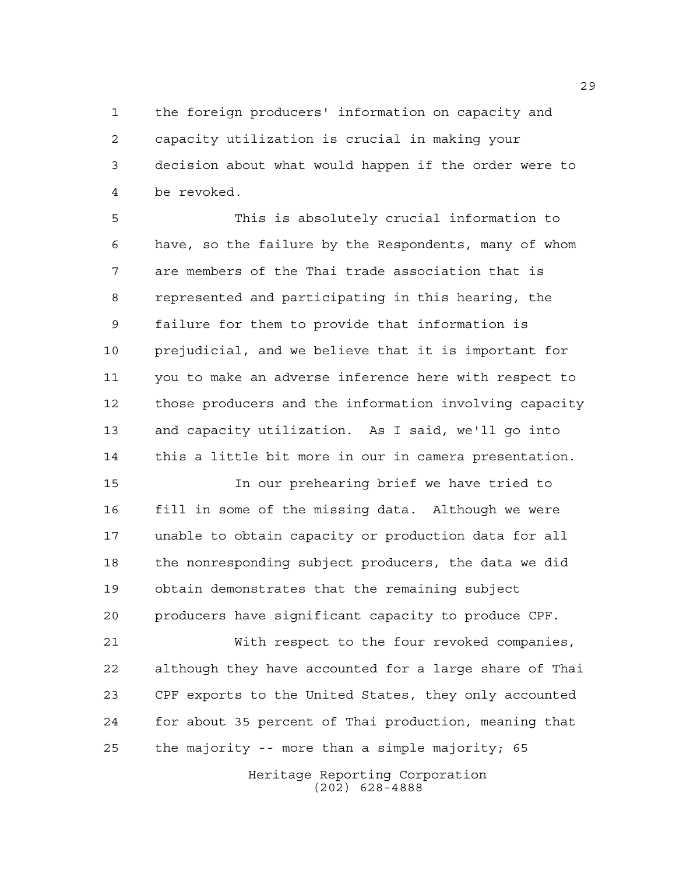the foreign producers' information on capacity and capacity utilization is crucial in making your decision about what would happen if the order were to be revoked.

 This is absolutely crucial information to have, so the failure by the Respondents, many of whom are members of the Thai trade association that is represented and participating in this hearing, the failure for them to provide that information is prejudicial, and we believe that it is important for you to make an adverse inference here with respect to those producers and the information involving capacity and capacity utilization. As I said, we'll go into this a little bit more in our in camera presentation.

 In our prehearing brief we have tried to fill in some of the missing data. Although we were unable to obtain capacity or production data for all the nonresponding subject producers, the data we did obtain demonstrates that the remaining subject producers have significant capacity to produce CPF.

 With respect to the four revoked companies, although they have accounted for a large share of Thai CPF exports to the United States, they only accounted for about 35 percent of Thai production, meaning that the majority -- more than a simple majority; 65

> Heritage Reporting Corporation (202) 628-4888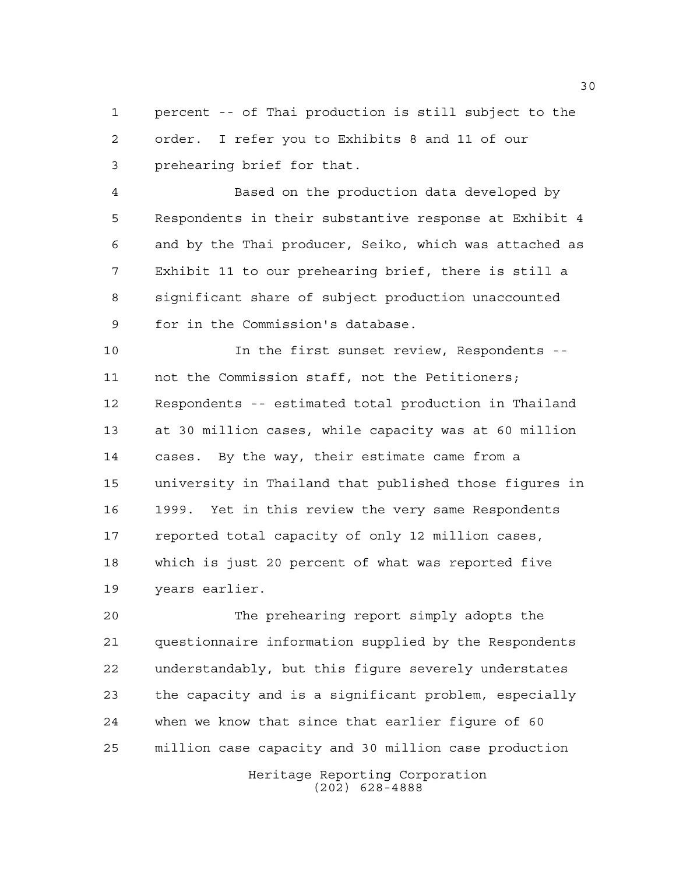percent -- of Thai production is still subject to the order. I refer you to Exhibits 8 and 11 of our prehearing brief for that.

 Based on the production data developed by Respondents in their substantive response at Exhibit 4 and by the Thai producer, Seiko, which was attached as Exhibit 11 to our prehearing brief, there is still a significant share of subject production unaccounted for in the Commission's database.

 In the first sunset review, Respondents -- not the Commission staff, not the Petitioners; Respondents -- estimated total production in Thailand at 30 million cases, while capacity was at 60 million cases. By the way, their estimate came from a university in Thailand that published those figures in 1999. Yet in this review the very same Respondents reported total capacity of only 12 million cases, which is just 20 percent of what was reported five years earlier.

 The prehearing report simply adopts the questionnaire information supplied by the Respondents understandably, but this figure severely understates the capacity and is a significant problem, especially when we know that since that earlier figure of 60 million case capacity and 30 million case production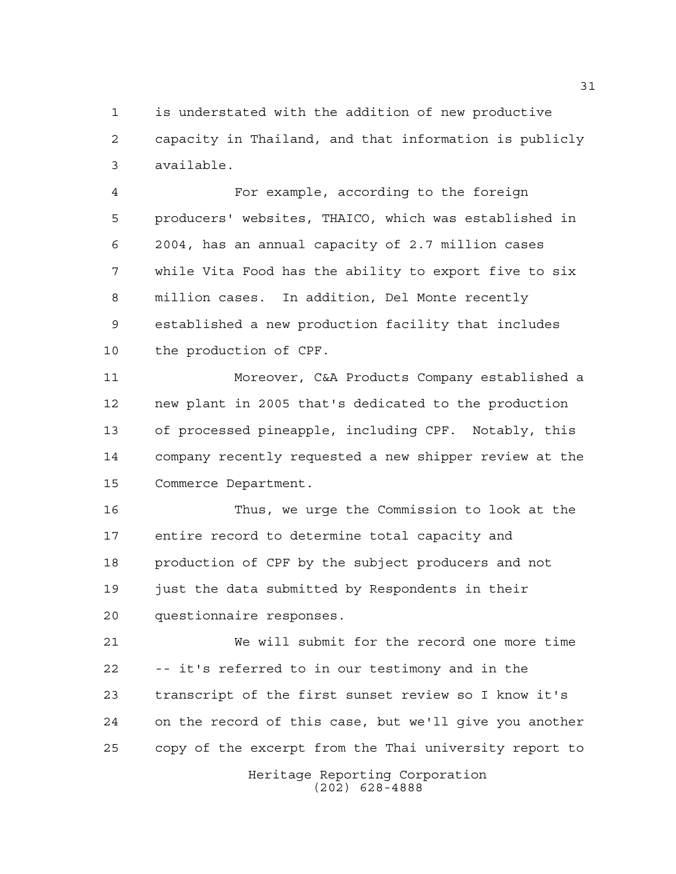is understated with the addition of new productive capacity in Thailand, and that information is publicly available.

 For example, according to the foreign producers' websites, THAICO, which was established in 2004, has an annual capacity of 2.7 million cases while Vita Food has the ability to export five to six million cases. In addition, Del Monte recently established a new production facility that includes the production of CPF.

 Moreover, C&A Products Company established a new plant in 2005 that's dedicated to the production of processed pineapple, including CPF. Notably, this company recently requested a new shipper review at the Commerce Department.

 Thus, we urge the Commission to look at the entire record to determine total capacity and production of CPF by the subject producers and not just the data submitted by Respondents in their questionnaire responses.

 We will submit for the record one more time -- it's referred to in our testimony and in the transcript of the first sunset review so I know it's on the record of this case, but we'll give you another copy of the excerpt from the Thai university report to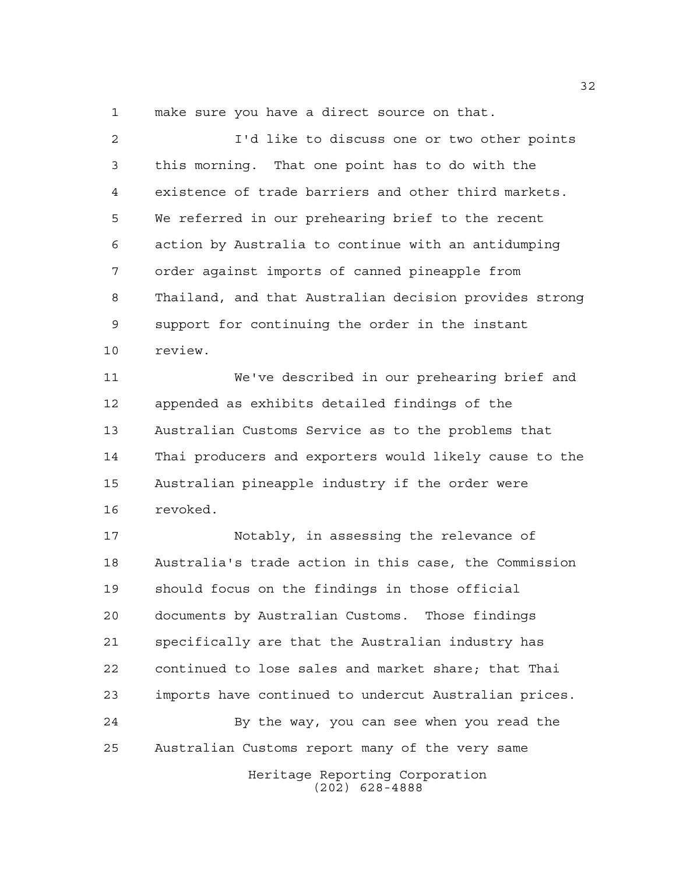make sure you have a direct source on that.

 I'd like to discuss one or two other points this morning. That one point has to do with the existence of trade barriers and other third markets. We referred in our prehearing brief to the recent action by Australia to continue with an antidumping order against imports of canned pineapple from Thailand, and that Australian decision provides strong support for continuing the order in the instant review.

 We've described in our prehearing brief and appended as exhibits detailed findings of the Australian Customs Service as to the problems that Thai producers and exporters would likely cause to the Australian pineapple industry if the order were revoked.

 Notably, in assessing the relevance of Australia's trade action in this case, the Commission should focus on the findings in those official documents by Australian Customs. Those findings specifically are that the Australian industry has continued to lose sales and market share; that Thai imports have continued to undercut Australian prices. By the way, you can see when you read the Australian Customs report many of the very same

> Heritage Reporting Corporation (202) 628-4888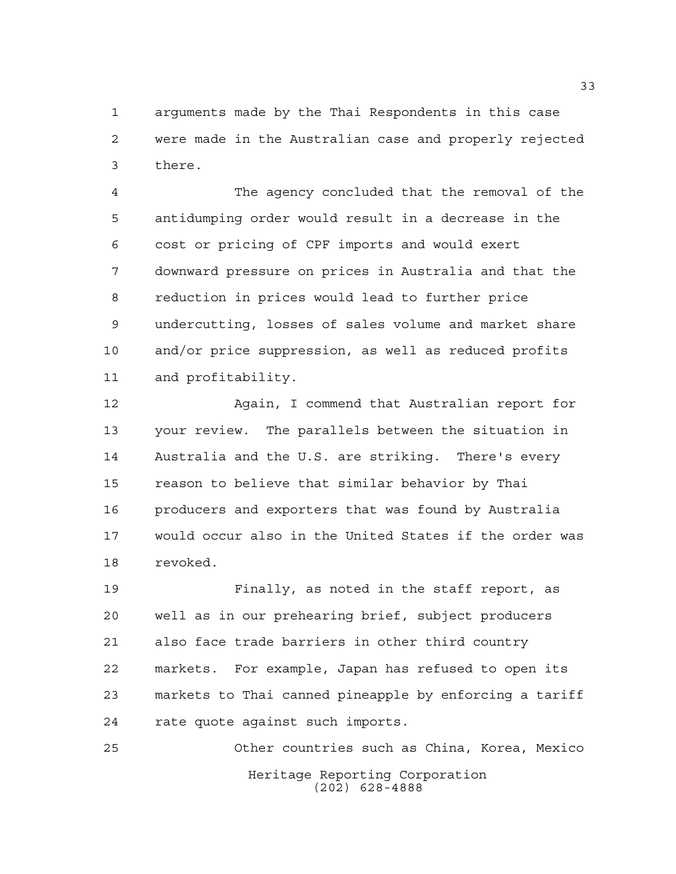arguments made by the Thai Respondents in this case were made in the Australian case and properly rejected there.

 The agency concluded that the removal of the antidumping order would result in a decrease in the cost or pricing of CPF imports and would exert downward pressure on prices in Australia and that the reduction in prices would lead to further price undercutting, losses of sales volume and market share and/or price suppression, as well as reduced profits and profitability.

 Again, I commend that Australian report for your review. The parallels between the situation in Australia and the U.S. are striking. There's every reason to believe that similar behavior by Thai producers and exporters that was found by Australia would occur also in the United States if the order was revoked.

 Finally, as noted in the staff report, as well as in our prehearing brief, subject producers also face trade barriers in other third country markets. For example, Japan has refused to open its markets to Thai canned pineapple by enforcing a tariff rate quote against such imports.

Heritage Reporting Corporation (202) 628-4888 Other countries such as China, Korea, Mexico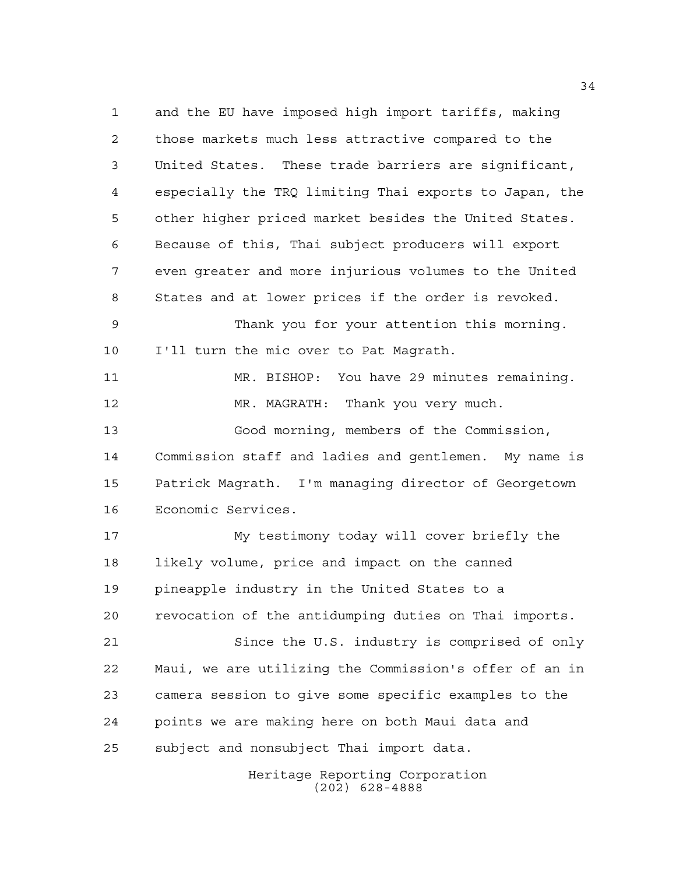and the EU have imposed high import tariffs, making those markets much less attractive compared to the United States. These trade barriers are significant, especially the TRQ limiting Thai exports to Japan, the other higher priced market besides the United States. Because of this, Thai subject producers will export even greater and more injurious volumes to the United States and at lower prices if the order is revoked. Thank you for your attention this morning. I'll turn the mic over to Pat Magrath. MR. BISHOP: You have 29 minutes remaining. MR. MAGRATH: Thank you very much. Good morning, members of the Commission, Commission staff and ladies and gentlemen. My name is Patrick Magrath. I'm managing director of Georgetown Economic Services. My testimony today will cover briefly the likely volume, price and impact on the canned pineapple industry in the United States to a revocation of the antidumping duties on Thai imports. Since the U.S. industry is comprised of only Maui, we are utilizing the Commission's offer of an in camera session to give some specific examples to the points we are making here on both Maui data and subject and nonsubject Thai import data.

Heritage Reporting Corporation (202) 628-4888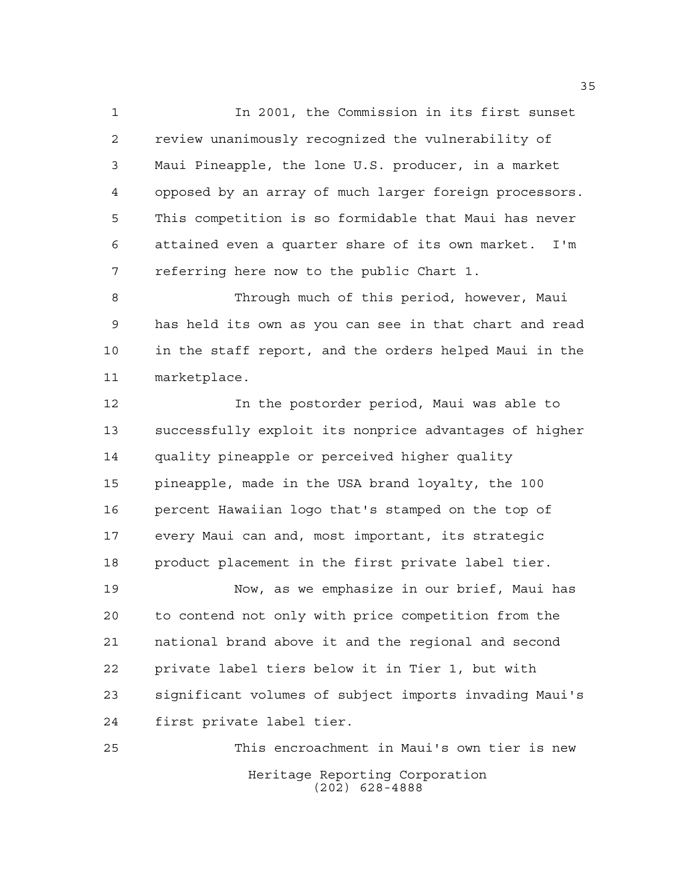In 2001, the Commission in its first sunset review unanimously recognized the vulnerability of Maui Pineapple, the lone U.S. producer, in a market opposed by an array of much larger foreign processors. This competition is so formidable that Maui has never attained even a quarter share of its own market. I'm referring here now to the public Chart 1.

 Through much of this period, however, Maui has held its own as you can see in that chart and read in the staff report, and the orders helped Maui in the marketplace.

 In the postorder period, Maui was able to successfully exploit its nonprice advantages of higher quality pineapple or perceived higher quality pineapple, made in the USA brand loyalty, the 100 percent Hawaiian logo that's stamped on the top of every Maui can and, most important, its strategic product placement in the first private label tier.

 Now, as we emphasize in our brief, Maui has to contend not only with price competition from the national brand above it and the regional and second private label tiers below it in Tier 1, but with significant volumes of subject imports invading Maui's first private label tier.

Heritage Reporting Corporation (202) 628-4888 This encroachment in Maui's own tier is new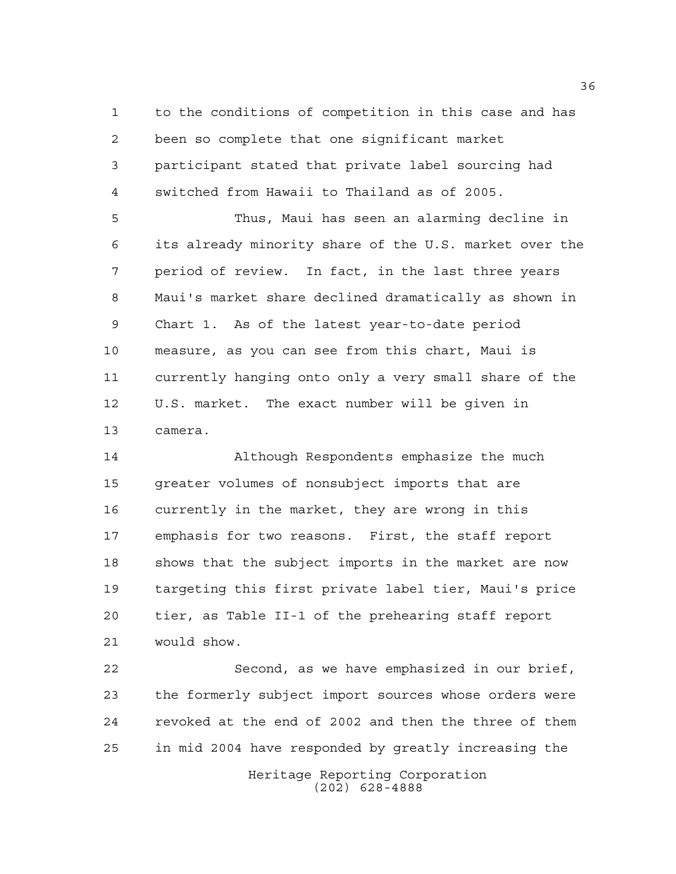to the conditions of competition in this case and has been so complete that one significant market participant stated that private label sourcing had switched from Hawaii to Thailand as of 2005.

 Thus, Maui has seen an alarming decline in its already minority share of the U.S. market over the period of review. In fact, in the last three years Maui's market share declined dramatically as shown in Chart 1. As of the latest year-to-date period measure, as you can see from this chart, Maui is currently hanging onto only a very small share of the U.S. market. The exact number will be given in camera.

 Although Respondents emphasize the much greater volumes of nonsubject imports that are currently in the market, they are wrong in this emphasis for two reasons. First, the staff report shows that the subject imports in the market are now targeting this first private label tier, Maui's price tier, as Table II-1 of the prehearing staff report would show.

 Second, as we have emphasized in our brief, the formerly subject import sources whose orders were revoked at the end of 2002 and then the three of them in mid 2004 have responded by greatly increasing the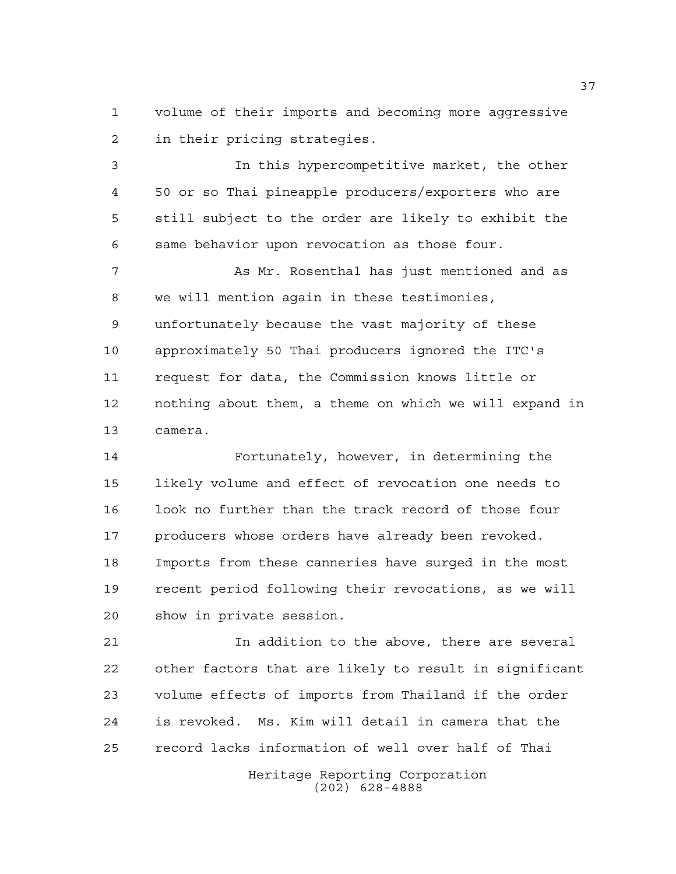volume of their imports and becoming more aggressive in their pricing strategies.

 In this hypercompetitive market, the other 50 or so Thai pineapple producers/exporters who are still subject to the order are likely to exhibit the same behavior upon revocation as those four.

7 As Mr. Rosenthal has just mentioned and as we will mention again in these testimonies, unfortunately because the vast majority of these approximately 50 Thai producers ignored the ITC's request for data, the Commission knows little or nothing about them, a theme on which we will expand in camera.

 Fortunately, however, in determining the likely volume and effect of revocation one needs to look no further than the track record of those four producers whose orders have already been revoked. Imports from these canneries have surged in the most recent period following their revocations, as we will show in private session.

 In addition to the above, there are several other factors that are likely to result in significant volume effects of imports from Thailand if the order is revoked. Ms. Kim will detail in camera that the record lacks information of well over half of Thai

> Heritage Reporting Corporation (202) 628-4888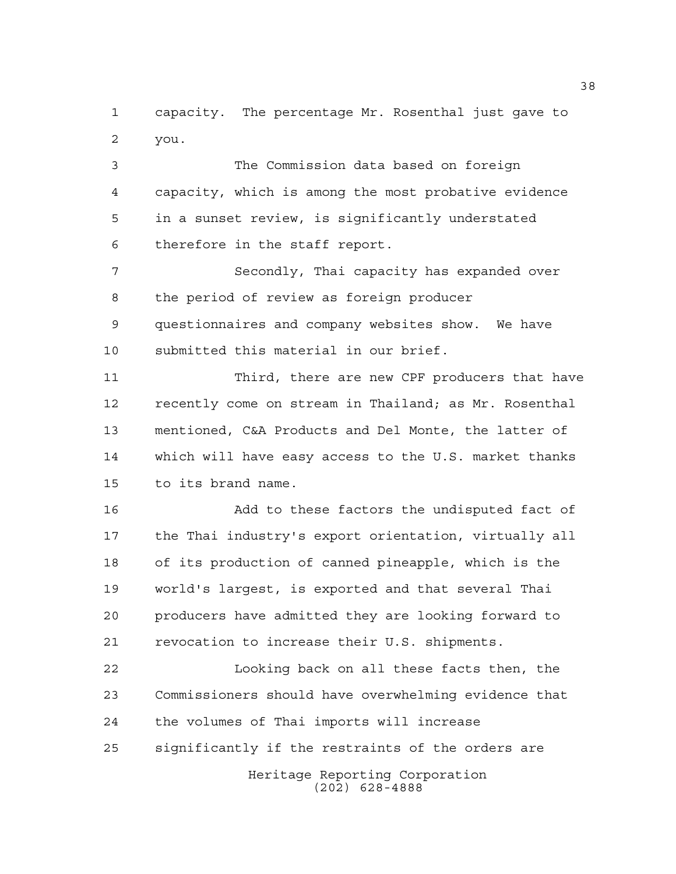capacity. The percentage Mr. Rosenthal just gave to you.

 The Commission data based on foreign capacity, which is among the most probative evidence in a sunset review, is significantly understated therefore in the staff report.

7 Secondly, Thai capacity has expanded over the period of review as foreign producer questionnaires and company websites show. We have submitted this material in our brief.

 Third, there are new CPF producers that have recently come on stream in Thailand; as Mr. Rosenthal mentioned, C&A Products and Del Monte, the latter of which will have easy access to the U.S. market thanks to its brand name.

 Add to these factors the undisputed fact of the Thai industry's export orientation, virtually all of its production of canned pineapple, which is the world's largest, is exported and that several Thai producers have admitted they are looking forward to revocation to increase their U.S. shipments.

 Looking back on all these facts then, the Commissioners should have overwhelming evidence that the volumes of Thai imports will increase significantly if the restraints of the orders are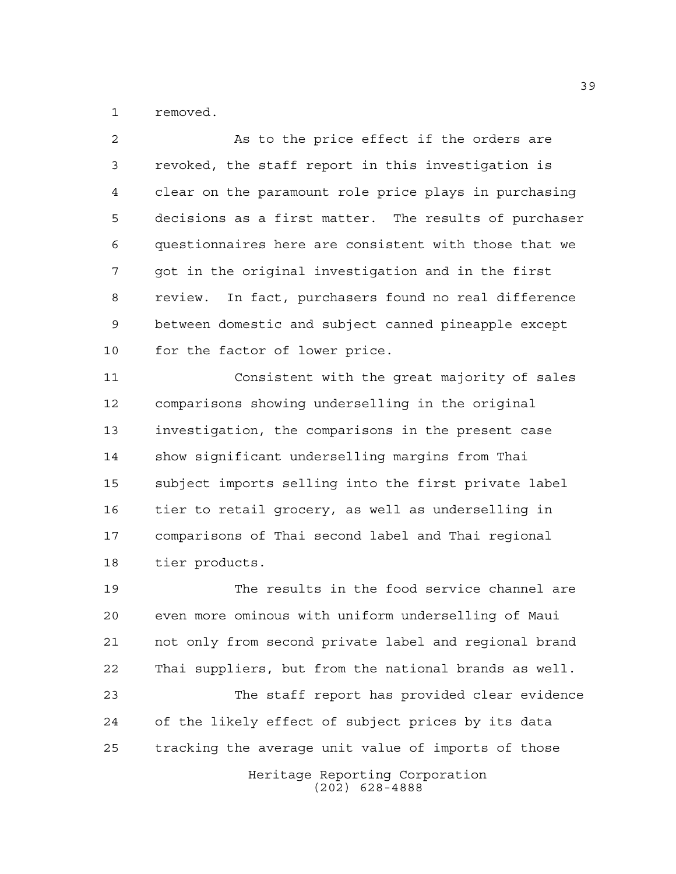removed.

 As to the price effect if the orders are revoked, the staff report in this investigation is clear on the paramount role price plays in purchasing decisions as a first matter. The results of purchaser questionnaires here are consistent with those that we got in the original investigation and in the first review. In fact, purchasers found no real difference between domestic and subject canned pineapple except for the factor of lower price.

 Consistent with the great majority of sales comparisons showing underselling in the original investigation, the comparisons in the present case show significant underselling margins from Thai subject imports selling into the first private label tier to retail grocery, as well as underselling in comparisons of Thai second label and Thai regional tier products.

 The results in the food service channel are even more ominous with uniform underselling of Maui not only from second private label and regional brand Thai suppliers, but from the national brands as well.

 The staff report has provided clear evidence of the likely effect of subject prices by its data tracking the average unit value of imports of those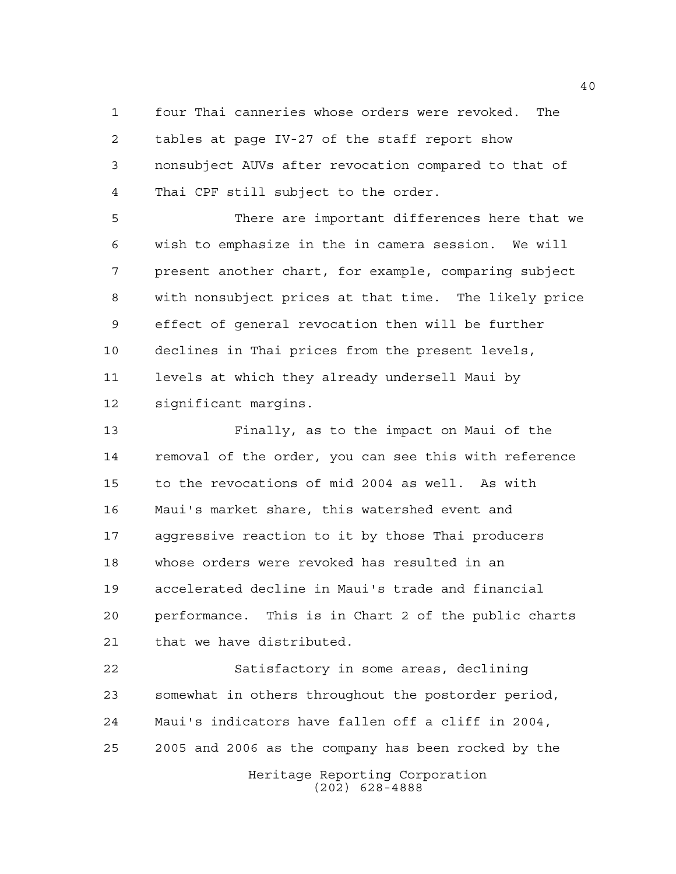four Thai canneries whose orders were revoked. The tables at page IV-27 of the staff report show nonsubject AUVs after revocation compared to that of Thai CPF still subject to the order.

 There are important differences here that we wish to emphasize in the in camera session. We will present another chart, for example, comparing subject with nonsubject prices at that time. The likely price effect of general revocation then will be further declines in Thai prices from the present levels, levels at which they already undersell Maui by significant margins.

 Finally, as to the impact on Maui of the removal of the order, you can see this with reference to the revocations of mid 2004 as well. As with Maui's market share, this watershed event and aggressive reaction to it by those Thai producers whose orders were revoked has resulted in an accelerated decline in Maui's trade and financial performance. This is in Chart 2 of the public charts that we have distributed.

 Satisfactory in some areas, declining somewhat in others throughout the postorder period, Maui's indicators have fallen off a cliff in 2004, 2005 and 2006 as the company has been rocked by the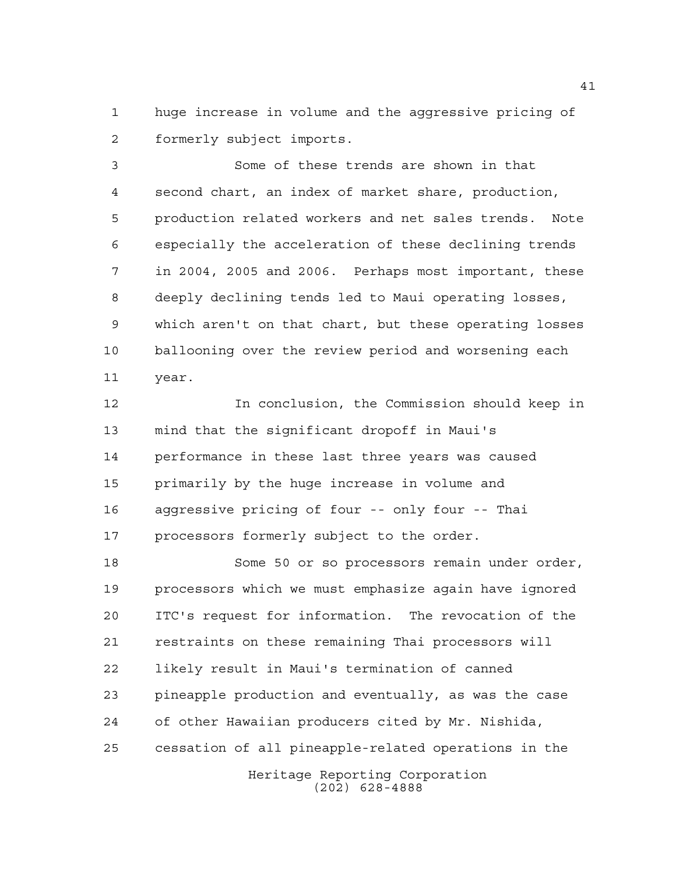huge increase in volume and the aggressive pricing of formerly subject imports.

 Some of these trends are shown in that second chart, an index of market share, production, production related workers and net sales trends. Note especially the acceleration of these declining trends in 2004, 2005 and 2006. Perhaps most important, these deeply declining tends led to Maui operating losses, which aren't on that chart, but these operating losses ballooning over the review period and worsening each year.

 In conclusion, the Commission should keep in mind that the significant dropoff in Maui's performance in these last three years was caused primarily by the huge increase in volume and aggressive pricing of four -- only four -- Thai processors formerly subject to the order.

18 Some 50 or so processors remain under order, processors which we must emphasize again have ignored ITC's request for information. The revocation of the restraints on these remaining Thai processors will likely result in Maui's termination of canned pineapple production and eventually, as was the case of other Hawaiian producers cited by Mr. Nishida, cessation of all pineapple-related operations in the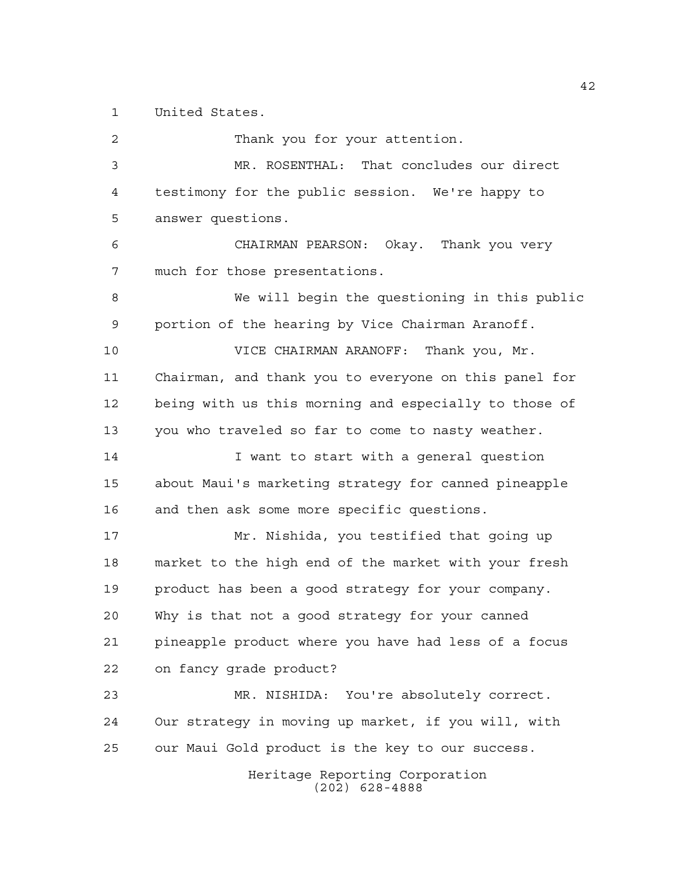United States.

Heritage Reporting Corporation (202) 628-4888 Thank you for your attention. MR. ROSENTHAL: That concludes our direct testimony for the public session. We're happy to answer questions. CHAIRMAN PEARSON: Okay. Thank you very much for those presentations. We will begin the questioning in this public portion of the hearing by Vice Chairman Aranoff. VICE CHAIRMAN ARANOFF: Thank you, Mr. Chairman, and thank you to everyone on this panel for being with us this morning and especially to those of you who traveled so far to come to nasty weather. **I** want to start with a general question about Maui's marketing strategy for canned pineapple and then ask some more specific questions. Mr. Nishida, you testified that going up market to the high end of the market with your fresh product has been a good strategy for your company. Why is that not a good strategy for your canned pineapple product where you have had less of a focus on fancy grade product? MR. NISHIDA: You're absolutely correct. Our strategy in moving up market, if you will, with our Maui Gold product is the key to our success.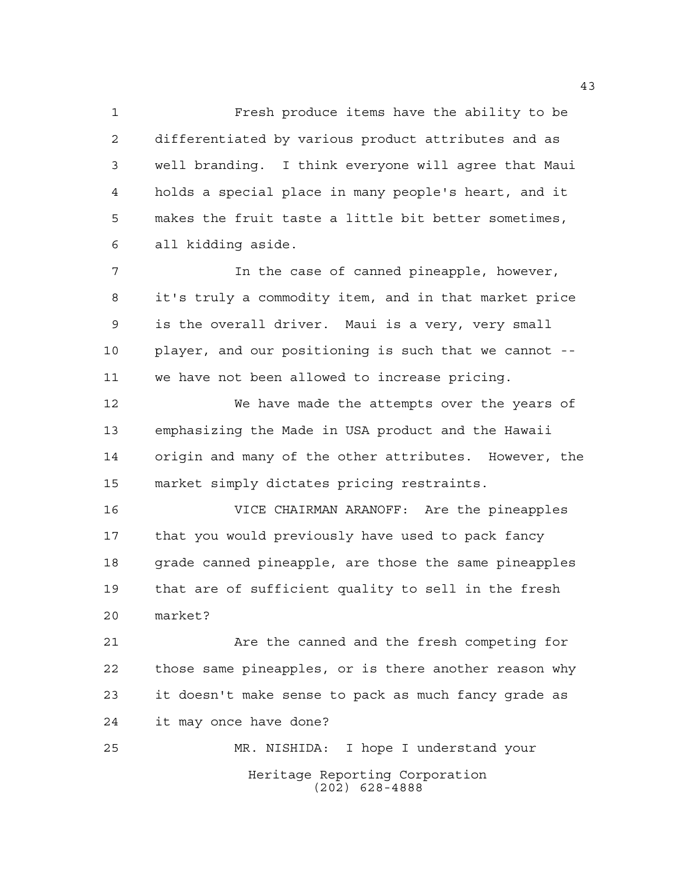Fresh produce items have the ability to be differentiated by various product attributes and as well branding. I think everyone will agree that Maui holds a special place in many people's heart, and it makes the fruit taste a little bit better sometimes, all kidding aside.

7 The case of canned pineapple, however, it's truly a commodity item, and in that market price is the overall driver. Maui is a very, very small player, and our positioning is such that we cannot -- we have not been allowed to increase pricing.

 We have made the attempts over the years of emphasizing the Made in USA product and the Hawaii origin and many of the other attributes. However, the market simply dictates pricing restraints.

 VICE CHAIRMAN ARANOFF: Are the pineapples that you would previously have used to pack fancy grade canned pineapple, are those the same pineapples that are of sufficient quality to sell in the fresh market?

21 Are the canned and the fresh competing for those same pineapples, or is there another reason why it doesn't make sense to pack as much fancy grade as it may once have done?

Heritage Reporting Corporation (202) 628-4888 MR. NISHIDA: I hope I understand your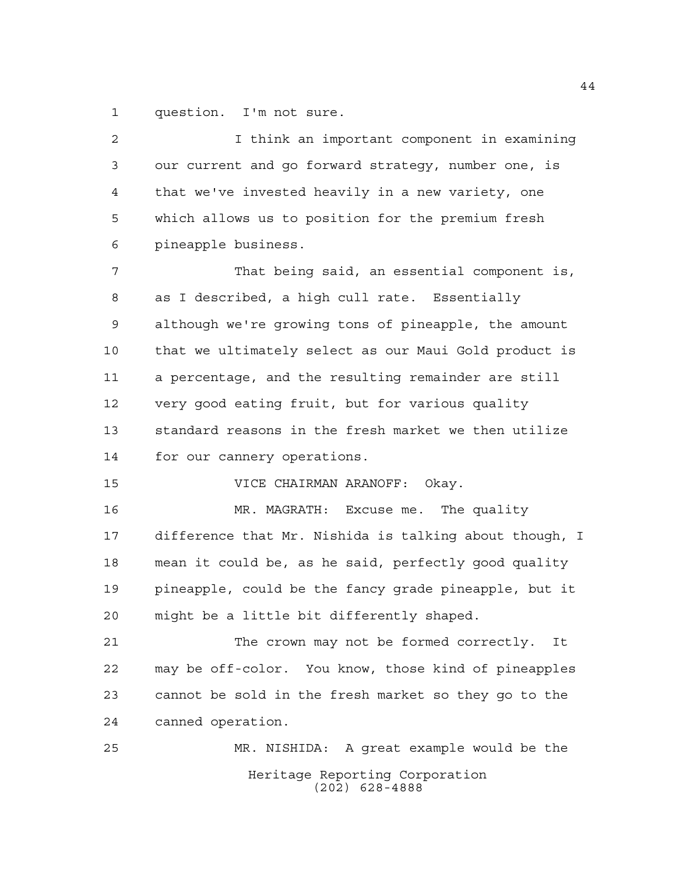question. I'm not sure.

Heritage Reporting Corporation (202) 628-4888 I think an important component in examining our current and go forward strategy, number one, is that we've invested heavily in a new variety, one which allows us to position for the premium fresh pineapple business. That being said, an essential component is, as I described, a high cull rate. Essentially although we're growing tons of pineapple, the amount that we ultimately select as our Maui Gold product is a percentage, and the resulting remainder are still very good eating fruit, but for various quality standard reasons in the fresh market we then utilize for our cannery operations. VICE CHAIRMAN ARANOFF: Okay. MR. MAGRATH: Excuse me. The quality difference that Mr. Nishida is talking about though, I mean it could be, as he said, perfectly good quality pineapple, could be the fancy grade pineapple, but it might be a little bit differently shaped. The crown may not be formed correctly. It may be off-color. You know, those kind of pineapples cannot be sold in the fresh market so they go to the canned operation. MR. NISHIDA: A great example would be the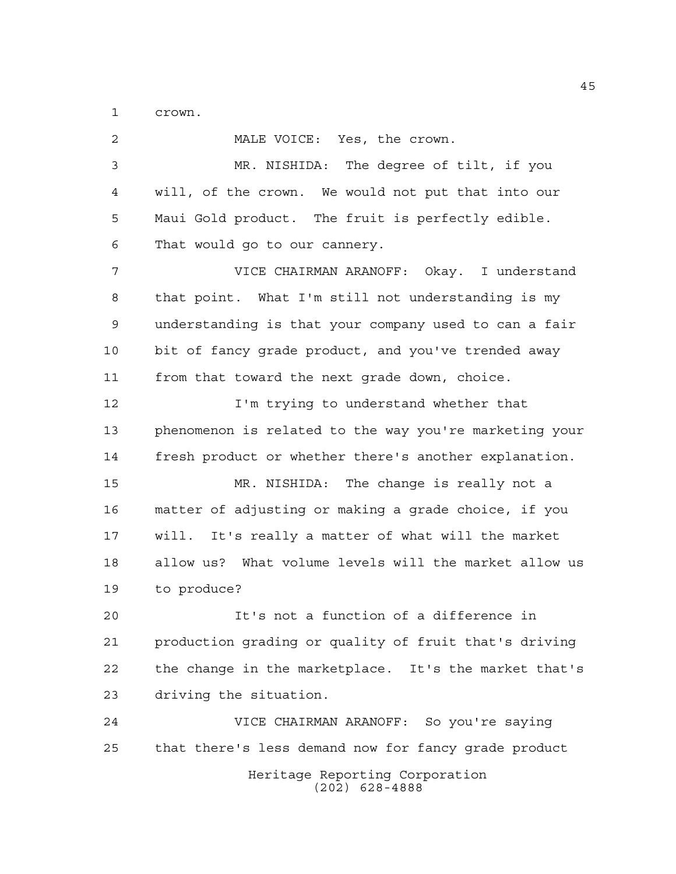crown.

| $\overline{a}$ | MALE VOICE: Yes, the crown.                            |
|----------------|--------------------------------------------------------|
| 3              | MR. NISHIDA: The degree of tilt, if you                |
| 4              | will, of the crown. We would not put that into our     |
| 5              | Maui Gold product. The fruit is perfectly edible.      |
| 6              | That would go to our cannery.                          |
| 7              | VICE CHAIRMAN ARANOFF: Okay. I understand              |
| 8              | that point. What I'm still not understanding is my     |
| 9              | understanding is that your company used to can a fair  |
| 10             | bit of fancy grade product, and you've trended away    |
| 11             | from that toward the next grade down, choice.          |
| 12             | I'm trying to understand whether that                  |
| 13             | phenomenon is related to the way you're marketing your |
| 14             | fresh product or whether there's another explanation.  |
| 15             | MR. NISHIDA: The change is really not a                |
| 16             | matter of adjusting or making a grade choice, if you   |
| 17             | will. It's really a matter of what will the market     |
| 18             | allow us? What volume levels will the market allow us  |
| 19             | to produce?                                            |
| 20             | It's not a function of a difference in                 |
| 21             | production grading or quality of fruit that's driving  |
| 22             | the change in the marketplace. It's the market that's  |
| 23             | driving the situation.                                 |
| 24             | VICE CHAIRMAN ARANOFF: So you're saying                |
| 25             | that there's less demand now for fancy grade product   |
|                | Heritage Reporting Corporation<br>$(202)$ 628-4888     |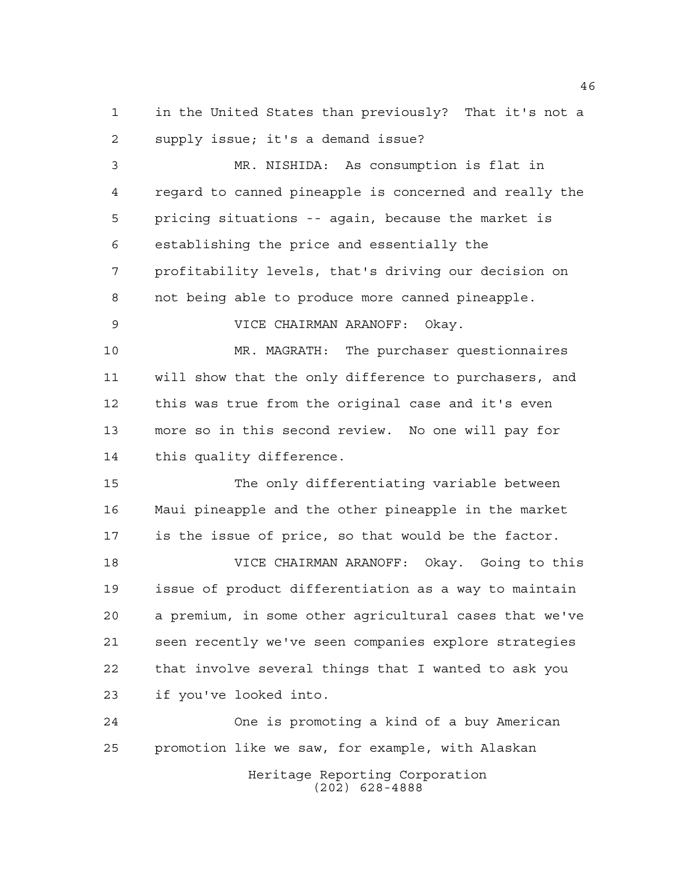in the United States than previously? That it's not a supply issue; it's a demand issue?

 MR. NISHIDA: As consumption is flat in regard to canned pineapple is concerned and really the pricing situations -- again, because the market is establishing the price and essentially the profitability levels, that's driving our decision on not being able to produce more canned pineapple. VICE CHAIRMAN ARANOFF: Okay. MR. MAGRATH: The purchaser questionnaires will show that the only difference to purchasers, and this was true from the original case and it's even more so in this second review. No one will pay for this quality difference. The only differentiating variable between Maui pineapple and the other pineapple in the market is the issue of price, so that would be the factor. VICE CHAIRMAN ARANOFF: Okay. Going to this issue of product differentiation as a way to maintain a premium, in some other agricultural cases that we've seen recently we've seen companies explore strategies that involve several things that I wanted to ask you if you've looked into. One is promoting a kind of a buy American promotion like we saw, for example, with Alaskan

> Heritage Reporting Corporation (202) 628-4888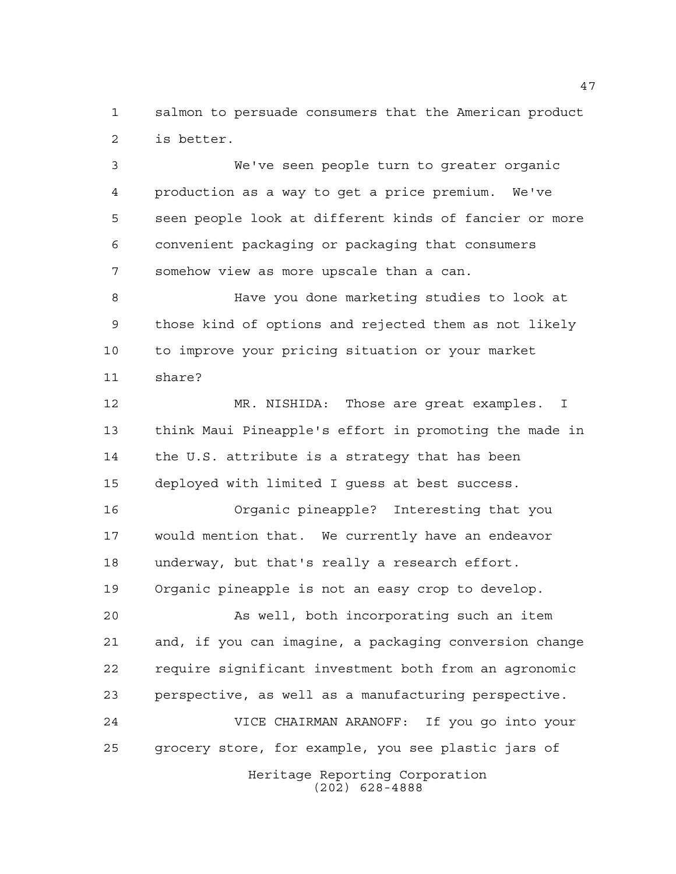salmon to persuade consumers that the American product is better.

 We've seen people turn to greater organic production as a way to get a price premium. We've seen people look at different kinds of fancier or more convenient packaging or packaging that consumers somehow view as more upscale than a can.

 Have you done marketing studies to look at those kind of options and rejected them as not likely to improve your pricing situation or your market share?

 MR. NISHIDA: Those are great examples. I think Maui Pineapple's effort in promoting the made in 14 the U.S. attribute is a strategy that has been deployed with limited I guess at best success.

 Organic pineapple? Interesting that you would mention that. We currently have an endeavor underway, but that's really a research effort. Organic pineapple is not an easy crop to develop.

 As well, both incorporating such an item and, if you can imagine, a packaging conversion change require significant investment both from an agronomic perspective, as well as a manufacturing perspective. VICE CHAIRMAN ARANOFF: If you go into your

Heritage Reporting Corporation (202) 628-4888 grocery store, for example, you see plastic jars of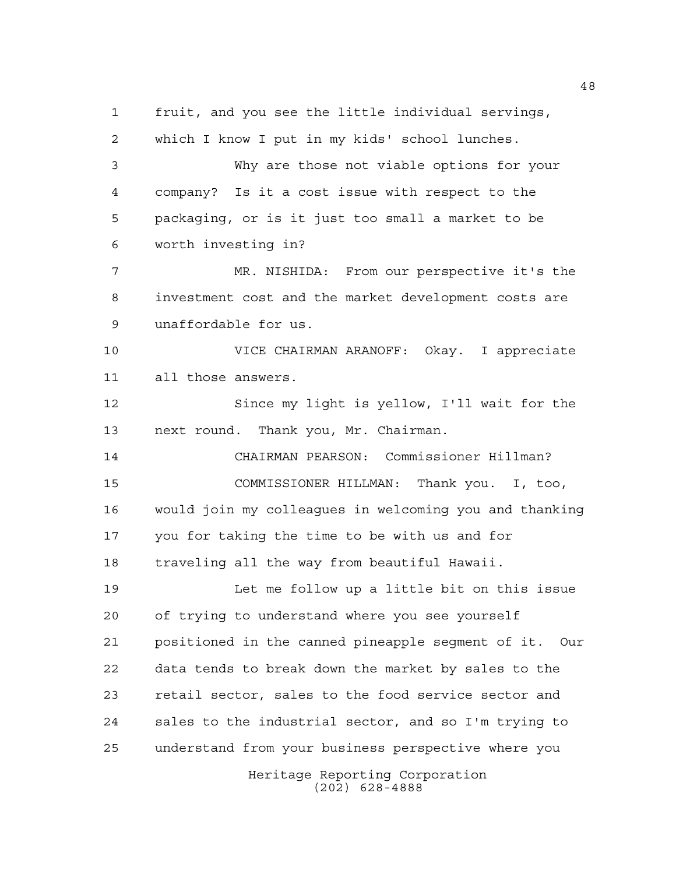Heritage Reporting Corporation (202) 628-4888 fruit, and you see the little individual servings, which I know I put in my kids' school lunches. Why are those not viable options for your company? Is it a cost issue with respect to the packaging, or is it just too small a market to be worth investing in? MR. NISHIDA: From our perspective it's the investment cost and the market development costs are unaffordable for us. VICE CHAIRMAN ARANOFF: Okay. I appreciate all those answers. Since my light is yellow, I'll wait for the next round. Thank you, Mr. Chairman. CHAIRMAN PEARSON: Commissioner Hillman? COMMISSIONER HILLMAN: Thank you. I, too, would join my colleagues in welcoming you and thanking you for taking the time to be with us and for traveling all the way from beautiful Hawaii. Let me follow up a little bit on this issue of trying to understand where you see yourself positioned in the canned pineapple segment of it. Our data tends to break down the market by sales to the retail sector, sales to the food service sector and sales to the industrial sector, and so I'm trying to understand from your business perspective where you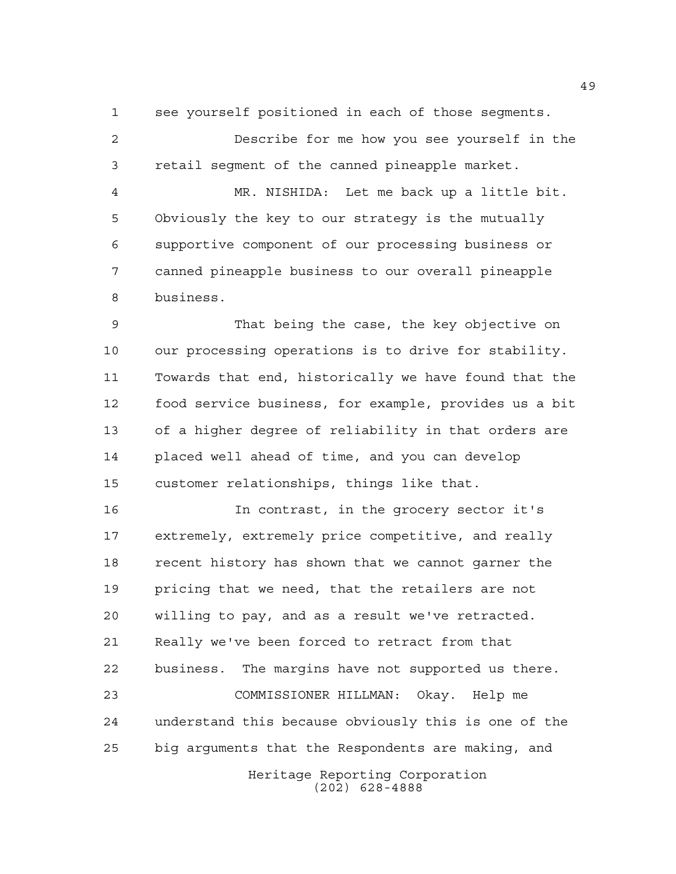see yourself positioned in each of those segments.

 Describe for me how you see yourself in the retail segment of the canned pineapple market.

 MR. NISHIDA: Let me back up a little bit. Obviously the key to our strategy is the mutually supportive component of our processing business or canned pineapple business to our overall pineapple business.

 That being the case, the key objective on our processing operations is to drive for stability. Towards that end, historically we have found that the food service business, for example, provides us a bit of a higher degree of reliability in that orders are placed well ahead of time, and you can develop customer relationships, things like that.

Heritage Reporting Corporation In contrast, in the grocery sector it's extremely, extremely price competitive, and really recent history has shown that we cannot garner the pricing that we need, that the retailers are not willing to pay, and as a result we've retracted. Really we've been forced to retract from that business. The margins have not supported us there. COMMISSIONER HILLMAN: Okay. Help me understand this because obviously this is one of the big arguments that the Respondents are making, and

(202) 628-4888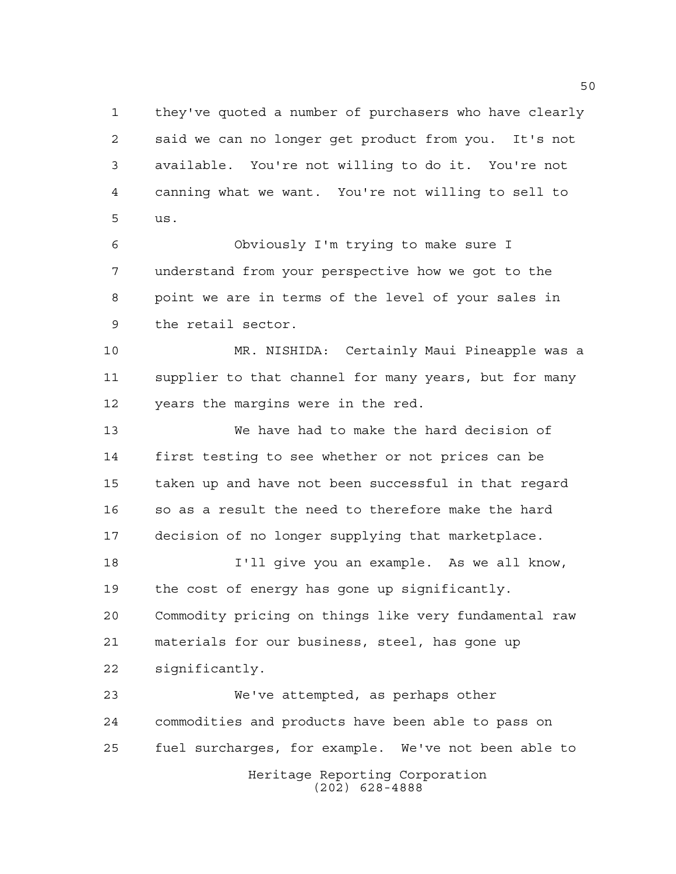they've quoted a number of purchasers who have clearly said we can no longer get product from you. It's not available. You're not willing to do it. You're not canning what we want. You're not willing to sell to us.

 Obviously I'm trying to make sure I understand from your perspective how we got to the point we are in terms of the level of your sales in the retail sector.

 MR. NISHIDA: Certainly Maui Pineapple was a supplier to that channel for many years, but for many years the margins were in the red.

 We have had to make the hard decision of first testing to see whether or not prices can be taken up and have not been successful in that regard 16 so as a result the need to therefore make the hard decision of no longer supplying that marketplace.

 I'll give you an example. As we all know, the cost of energy has gone up significantly. Commodity pricing on things like very fundamental raw materials for our business, steel, has gone up significantly.

Heritage Reporting Corporation (202) 628-4888 We've attempted, as perhaps other commodities and products have been able to pass on fuel surcharges, for example. We've not been able to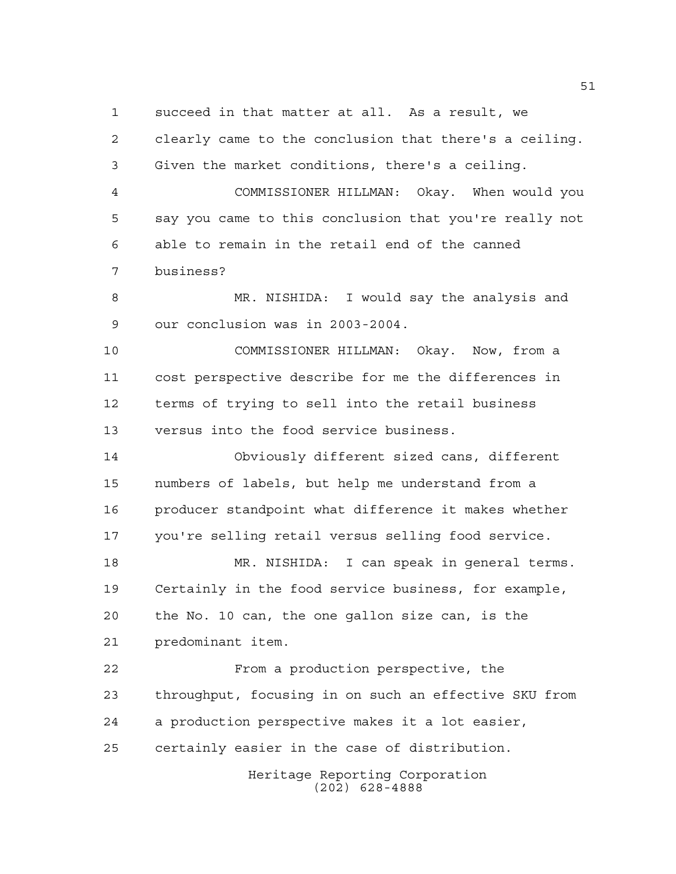succeed in that matter at all. As a result, we

 clearly came to the conclusion that there's a ceiling. Given the market conditions, there's a ceiling. COMMISSIONER HILLMAN: Okay. When would you say you came to this conclusion that you're really not able to remain in the retail end of the canned business? MR. NISHIDA: I would say the analysis and our conclusion was in 2003-2004. COMMISSIONER HILLMAN: Okay. Now, from a cost perspective describe for me the differences in terms of trying to sell into the retail business versus into the food service business. Obviously different sized cans, different numbers of labels, but help me understand from a producer standpoint what difference it makes whether you're selling retail versus selling food service. MR. NISHIDA: I can speak in general terms. Certainly in the food service business, for example, the No. 10 can, the one gallon size can, is the predominant item. From a production perspective, the throughput, focusing in on such an effective SKU from a production perspective makes it a lot easier, certainly easier in the case of distribution.

Heritage Reporting Corporation (202) 628-4888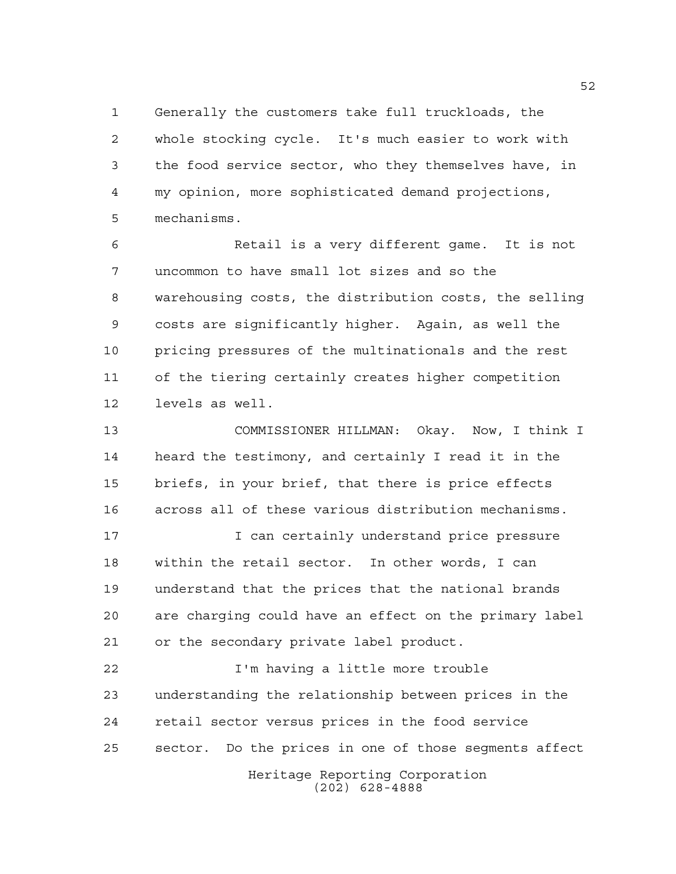Generally the customers take full truckloads, the whole stocking cycle. It's much easier to work with the food service sector, who they themselves have, in my opinion, more sophisticated demand projections, mechanisms.

 Retail is a very different game. It is not uncommon to have small lot sizes and so the warehousing costs, the distribution costs, the selling costs are significantly higher. Again, as well the pricing pressures of the multinationals and the rest of the tiering certainly creates higher competition levels as well.

 COMMISSIONER HILLMAN: Okay. Now, I think I heard the testimony, and certainly I read it in the briefs, in your brief, that there is price effects across all of these various distribution mechanisms.

17 17 I can certainly understand price pressure within the retail sector. In other words, I can understand that the prices that the national brands are charging could have an effect on the primary label or the secondary private label product.

Heritage Reporting Corporation I'm having a little more trouble understanding the relationship between prices in the retail sector versus prices in the food service sector. Do the prices in one of those segments affect

(202) 628-4888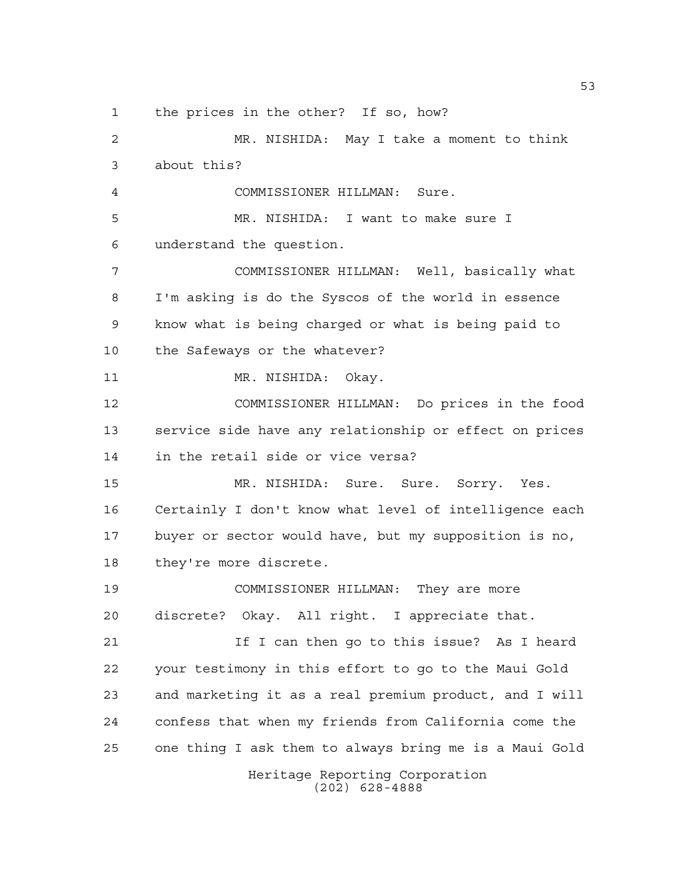the prices in the other? If so, how?

 MR. NISHIDA: May I take a moment to think about this? COMMISSIONER HILLMAN: Sure. MR. NISHIDA: I want to make sure I understand the question. COMMISSIONER HILLMAN: Well, basically what I'm asking is do the Syscos of the world in essence know what is being charged or what is being paid to the Safeways or the whatever? 11 MR. NISHIDA: Okay. COMMISSIONER HILLMAN: Do prices in the food service side have any relationship or effect on prices in the retail side or vice versa? MR. NISHIDA: Sure. Sure. Sorry. Yes. Certainly I don't know what level of intelligence each buyer or sector would have, but my supposition is no, they're more discrete. COMMISSIONER HILLMAN: They are more discrete? Okay. All right. I appreciate that. If I can then go to this issue? As I heard your testimony in this effort to go to the Maui Gold and marketing it as a real premium product, and I will confess that when my friends from California come the one thing I ask them to always bring me is a Maui Gold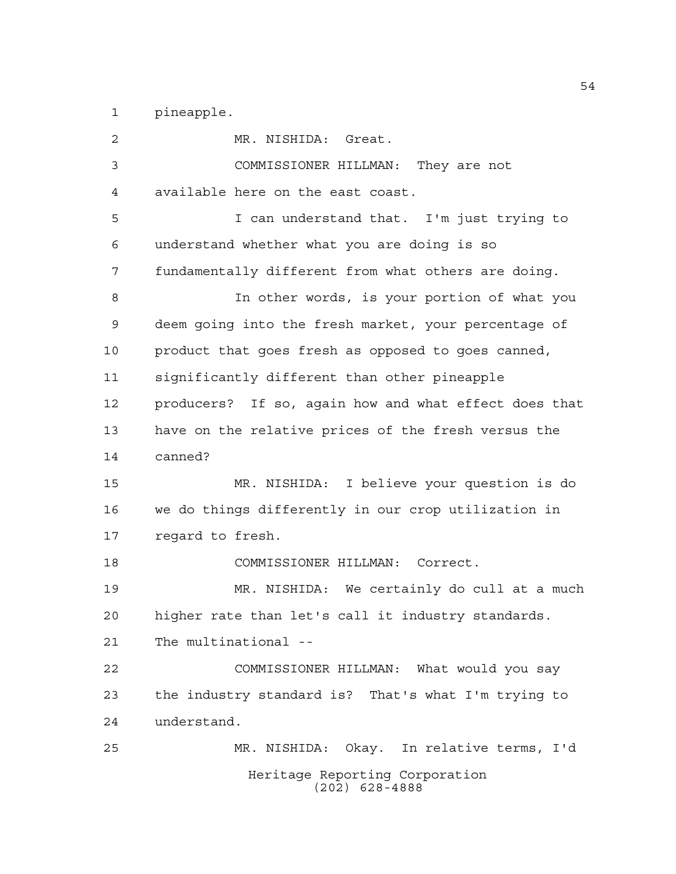pineapple.

Heritage Reporting Corporation (202) 628-4888 MR. NISHIDA: Great. COMMISSIONER HILLMAN: They are not available here on the east coast. I can understand that. I'm just trying to understand whether what you are doing is so fundamentally different from what others are doing. In other words, is your portion of what you deem going into the fresh market, your percentage of product that goes fresh as opposed to goes canned, significantly different than other pineapple producers? If so, again how and what effect does that have on the relative prices of the fresh versus the canned? MR. NISHIDA: I believe your question is do we do things differently in our crop utilization in regard to fresh. COMMISSIONER HILLMAN: Correct. MR. NISHIDA: We certainly do cull at a much higher rate than let's call it industry standards. The multinational -- COMMISSIONER HILLMAN: What would you say the industry standard is? That's what I'm trying to understand. MR. NISHIDA: Okay. In relative terms, I'd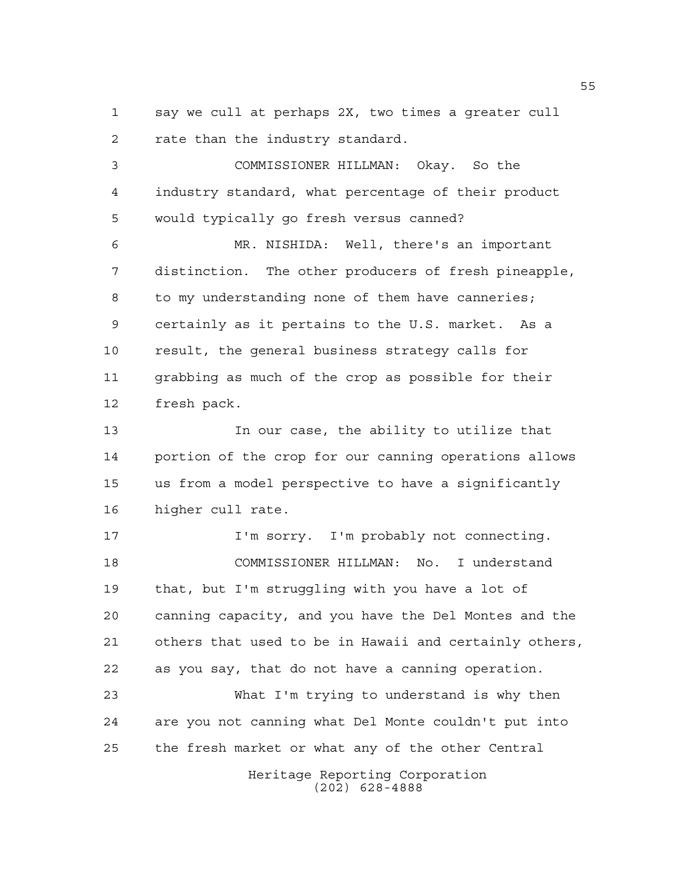say we cull at perhaps 2X, two times a greater cull rate than the industry standard.

 COMMISSIONER HILLMAN: Okay. So the industry standard, what percentage of their product would typically go fresh versus canned?

 MR. NISHIDA: Well, there's an important distinction. The other producers of fresh pineapple, to my understanding none of them have canneries; certainly as it pertains to the U.S. market. As a result, the general business strategy calls for grabbing as much of the crop as possible for their fresh pack.

 In our case, the ability to utilize that portion of the crop for our canning operations allows us from a model perspective to have a significantly higher cull rate.

**I'm sorry.** I'm probably not connecting. COMMISSIONER HILLMAN: No. I understand that, but I'm struggling with you have a lot of canning capacity, and you have the Del Montes and the others that used to be in Hawaii and certainly others, as you say, that do not have a canning operation.

 What I'm trying to understand is why then are you not canning what Del Monte couldn't put into the fresh market or what any of the other Central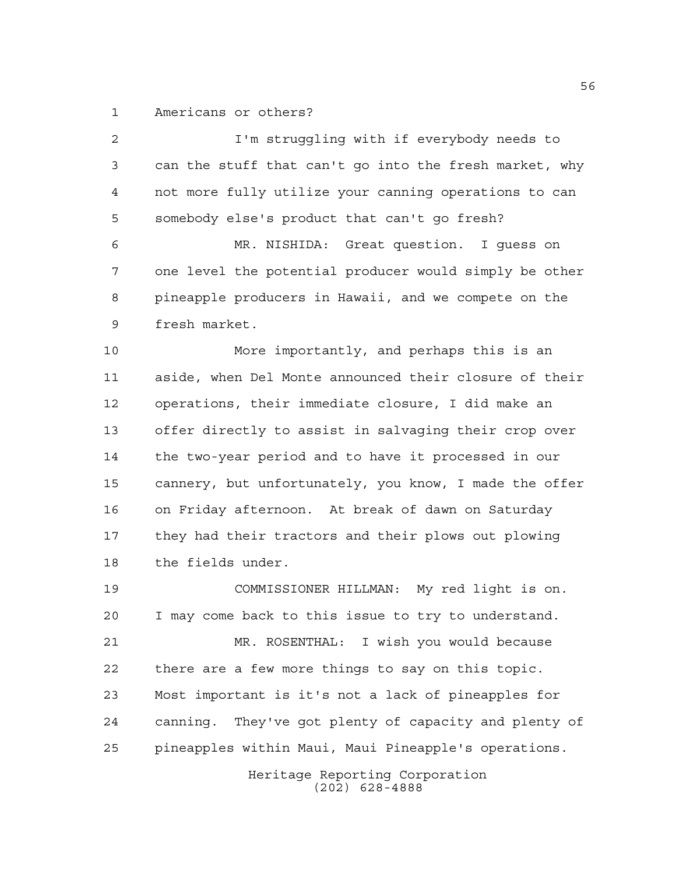Americans or others?

Heritage Reporting Corporation (202) 628-4888 **I'm struggling with if everybody needs to**  can the stuff that can't go into the fresh market, why not more fully utilize your canning operations to can somebody else's product that can't go fresh? MR. NISHIDA: Great question. I guess on one level the potential producer would simply be other pineapple producers in Hawaii, and we compete on the fresh market. More importantly, and perhaps this is an aside, when Del Monte announced their closure of their operations, their immediate closure, I did make an offer directly to assist in salvaging their crop over the two-year period and to have it processed in our cannery, but unfortunately, you know, I made the offer on Friday afternoon. At break of dawn on Saturday they had their tractors and their plows out plowing the fields under. COMMISSIONER HILLMAN: My red light is on. I may come back to this issue to try to understand. MR. ROSENTHAL: I wish you would because there are a few more things to say on this topic. Most important is it's not a lack of pineapples for canning. They've got plenty of capacity and plenty of pineapples within Maui, Maui Pineapple's operations.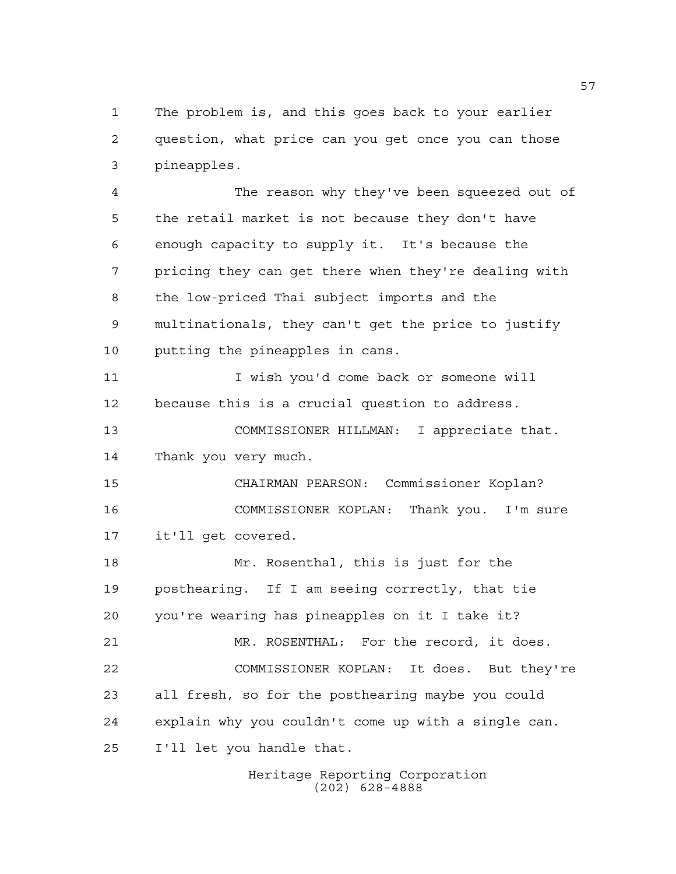The problem is, and this goes back to your earlier question, what price can you get once you can those pineapples.

 The reason why they've been squeezed out of the retail market is not because they don't have enough capacity to supply it. It's because the pricing they can get there when they're dealing with the low-priced Thai subject imports and the multinationals, they can't get the price to justify putting the pineapples in cans.

 I wish you'd come back or someone will because this is a crucial question to address.

 COMMISSIONER HILLMAN: I appreciate that. Thank you very much.

 CHAIRMAN PEARSON: Commissioner Koplan? COMMISSIONER KOPLAN: Thank you. I'm sure it'll get covered.

 Mr. Rosenthal, this is just for the posthearing. If I am seeing correctly, that tie you're wearing has pineapples on it I take it? MR. ROSENTHAL: For the record, it does. COMMISSIONER KOPLAN: It does. But they're all fresh, so for the posthearing maybe you could explain why you couldn't come up with a single can. I'll let you handle that.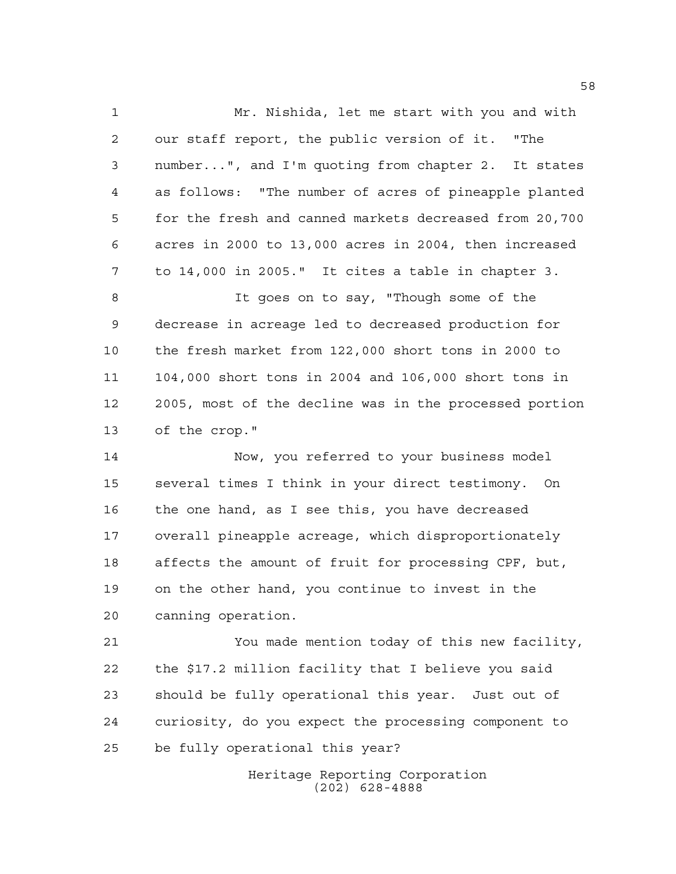Mr. Nishida, let me start with you and with our staff report, the public version of it. "The number...", and I'm quoting from chapter 2. It states as follows: "The number of acres of pineapple planted for the fresh and canned markets decreased from 20,700 acres in 2000 to 13,000 acres in 2004, then increased to 14,000 in 2005." It cites a table in chapter 3.

 It goes on to say, "Though some of the decrease in acreage led to decreased production for the fresh market from 122,000 short tons in 2000 to 104,000 short tons in 2004 and 106,000 short tons in 2005, most of the decline was in the processed portion of the crop."

 Now, you referred to your business model several times I think in your direct testimony. On the one hand, as I see this, you have decreased overall pineapple acreage, which disproportionately affects the amount of fruit for processing CPF, but, on the other hand, you continue to invest in the canning operation.

 You made mention today of this new facility, the \$17.2 million facility that I believe you said should be fully operational this year. Just out of curiosity, do you expect the processing component to be fully operational this year?

> Heritage Reporting Corporation (202) 628-4888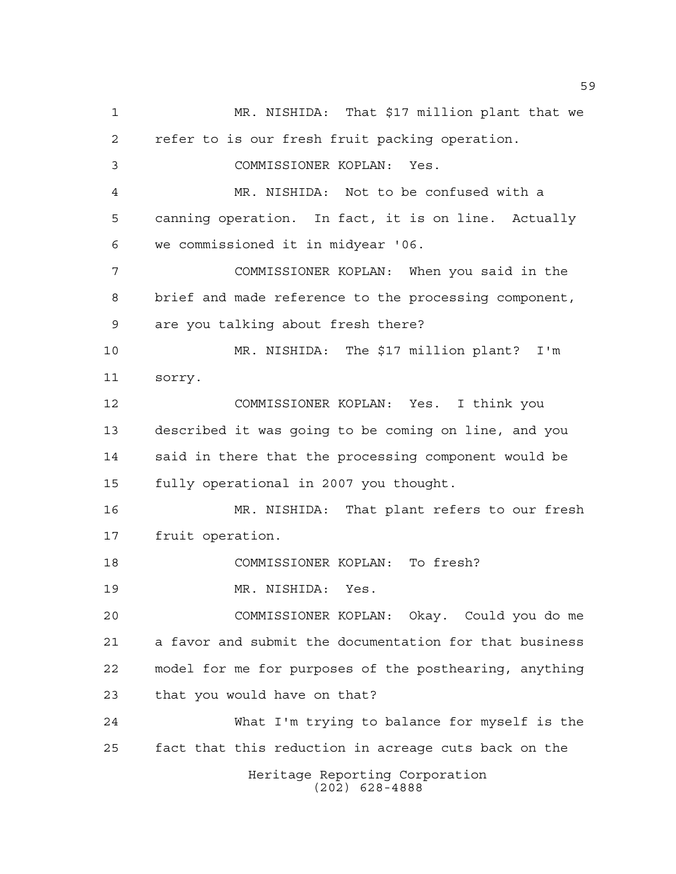Heritage Reporting Corporation (202) 628-4888 MR. NISHIDA: That \$17 million plant that we refer to is our fresh fruit packing operation. COMMISSIONER KOPLAN: Yes. MR. NISHIDA: Not to be confused with a canning operation. In fact, it is on line. Actually we commissioned it in midyear '06. COMMISSIONER KOPLAN: When you said in the brief and made reference to the processing component, are you talking about fresh there? MR. NISHIDA: The \$17 million plant? I'm sorry. COMMISSIONER KOPLAN: Yes. I think you described it was going to be coming on line, and you said in there that the processing component would be fully operational in 2007 you thought. MR. NISHIDA: That plant refers to our fresh fruit operation. COMMISSIONER KOPLAN: To fresh? MR. NISHIDA: Yes. COMMISSIONER KOPLAN: Okay. Could you do me a favor and submit the documentation for that business model for me for purposes of the posthearing, anything that you would have on that? What I'm trying to balance for myself is the fact that this reduction in acreage cuts back on the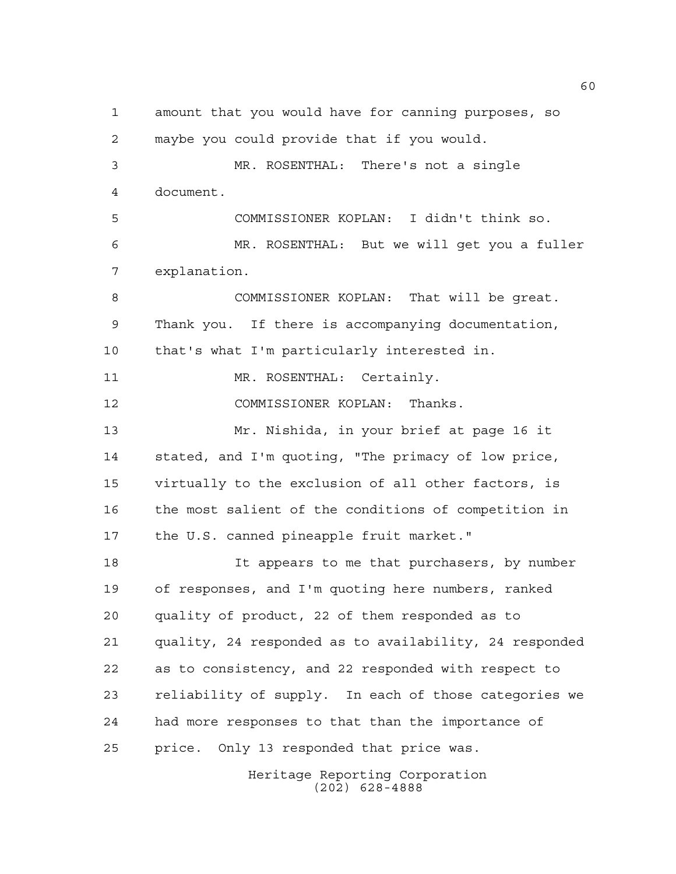amount that you would have for canning purposes, so maybe you could provide that if you would. MR. ROSENTHAL: There's not a single document. COMMISSIONER KOPLAN: I didn't think so. MR. ROSENTHAL: But we will get you a fuller explanation. COMMISSIONER KOPLAN: That will be great. Thank you. If there is accompanying documentation, that's what I'm particularly interested in. 11 MR. ROSENTHAL: Certainly. COMMISSIONER KOPLAN: Thanks. Mr. Nishida, in your brief at page 16 it stated, and I'm quoting, "The primacy of low price, virtually to the exclusion of all other factors, is the most salient of the conditions of competition in the U.S. canned pineapple fruit market." It appears to me that purchasers, by number of responses, and I'm quoting here numbers, ranked quality of product, 22 of them responded as to quality, 24 responded as to availability, 24 responded as to consistency, and 22 responded with respect to reliability of supply. In each of those categories we had more responses to that than the importance of price. Only 13 responded that price was.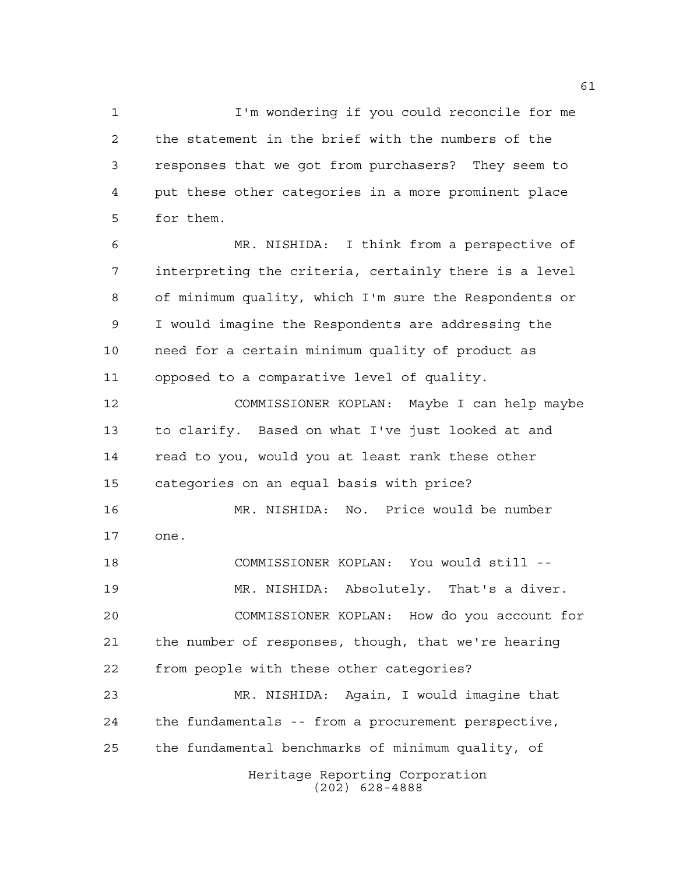I'm wondering if you could reconcile for me the statement in the brief with the numbers of the responses that we got from purchasers? They seem to put these other categories in a more prominent place for them.

 MR. NISHIDA: I think from a perspective of interpreting the criteria, certainly there is a level of minimum quality, which I'm sure the Respondents or I would imagine the Respondents are addressing the need for a certain minimum quality of product as opposed to a comparative level of quality.

 COMMISSIONER KOPLAN: Maybe I can help maybe to clarify. Based on what I've just looked at and read to you, would you at least rank these other categories on an equal basis with price?

 MR. NISHIDA: No. Price would be number one. COMMISSIONER KOPLAN: You would still --

 MR. NISHIDA: Absolutely. That's a diver. COMMISSIONER KOPLAN: How do you account for the number of responses, though, that we're hearing from people with these other categories?

Heritage Reporting Corporation (202) 628-4888 MR. NISHIDA: Again, I would imagine that the fundamentals -- from a procurement perspective, the fundamental benchmarks of minimum quality, of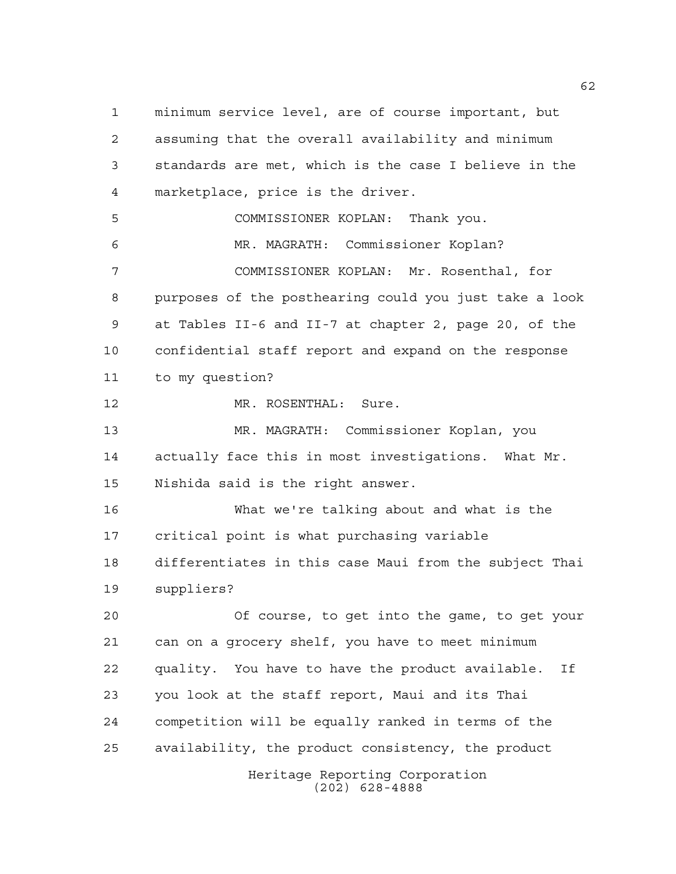Heritage Reporting Corporation (202) 628-4888 minimum service level, are of course important, but assuming that the overall availability and minimum standards are met, which is the case I believe in the marketplace, price is the driver. COMMISSIONER KOPLAN: Thank you. MR. MAGRATH: Commissioner Koplan? COMMISSIONER KOPLAN: Mr. Rosenthal, for purposes of the posthearing could you just take a look at Tables II-6 and II-7 at chapter 2, page 20, of the confidential staff report and expand on the response to my question? 12 MR. ROSENTHAL: Sure. MR. MAGRATH: Commissioner Koplan, you actually face this in most investigations. What Mr. Nishida said is the right answer. What we're talking about and what is the critical point is what purchasing variable differentiates in this case Maui from the subject Thai suppliers? Of course, to get into the game, to get your can on a grocery shelf, you have to meet minimum quality. You have to have the product available. If you look at the staff report, Maui and its Thai competition will be equally ranked in terms of the availability, the product consistency, the product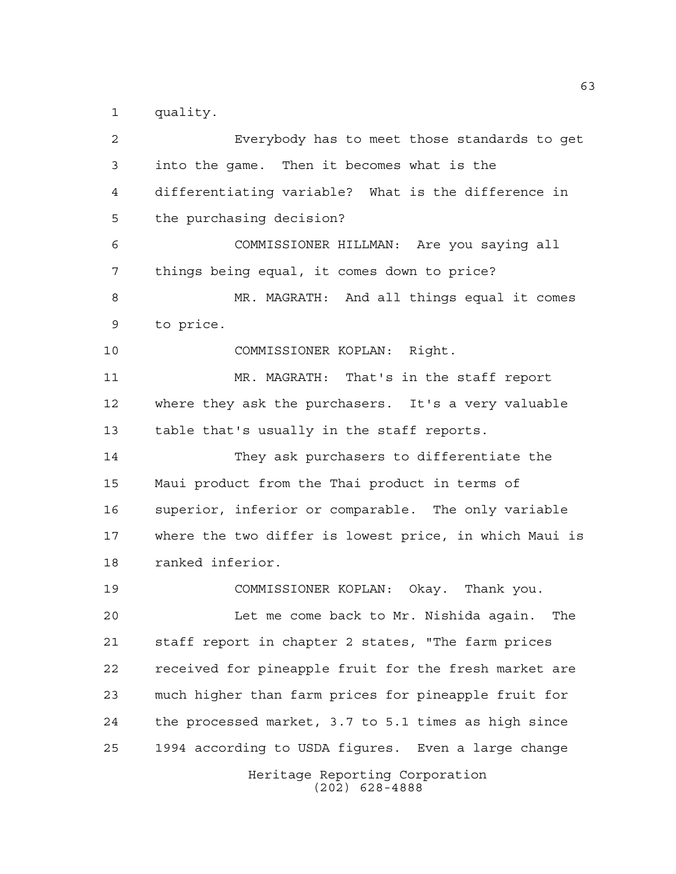quality.

Heritage Reporting Corporation (202) 628-4888 Everybody has to meet those standards to get into the game. Then it becomes what is the differentiating variable? What is the difference in the purchasing decision? COMMISSIONER HILLMAN: Are you saying all things being equal, it comes down to price? MR. MAGRATH: And all things equal it comes to price. COMMISSIONER KOPLAN: Right. MR. MAGRATH: That's in the staff report where they ask the purchasers. It's a very valuable table that's usually in the staff reports. They ask purchasers to differentiate the Maui product from the Thai product in terms of superior, inferior or comparable. The only variable where the two differ is lowest price, in which Maui is ranked inferior. COMMISSIONER KOPLAN: Okay. Thank you. Let me come back to Mr. Nishida again. The staff report in chapter 2 states, "The farm prices received for pineapple fruit for the fresh market are much higher than farm prices for pineapple fruit for the processed market, 3.7 to 5.1 times as high since 1994 according to USDA figures. Even a large change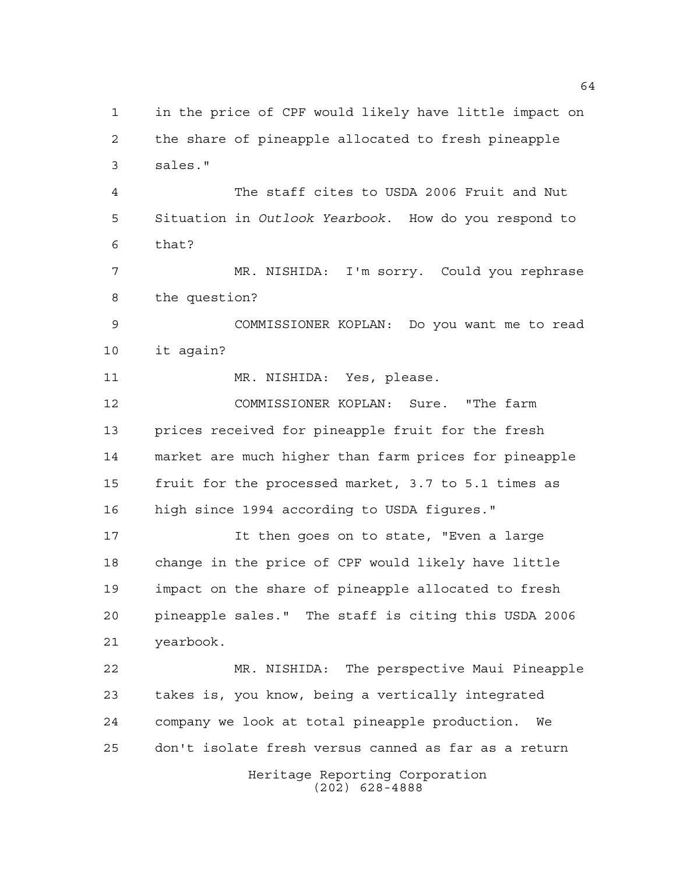Heritage Reporting Corporation (202) 628-4888 in the price of CPF would likely have little impact on the share of pineapple allocated to fresh pineapple sales." The staff cites to USDA 2006 Fruit and Nut Situation in *Outlook Yearbook*. How do you respond to that? MR. NISHIDA: I'm sorry. Could you rephrase the question? COMMISSIONER KOPLAN: Do you want me to read it again? MR. NISHIDA: Yes, please. COMMISSIONER KOPLAN: Sure. "The farm prices received for pineapple fruit for the fresh market are much higher than farm prices for pineapple fruit for the processed market, 3.7 to 5.1 times as high since 1994 according to USDA figures." It then goes on to state, "Even a large change in the price of CPF would likely have little impact on the share of pineapple allocated to fresh pineapple sales." The staff is citing this USDA 2006 yearbook. MR. NISHIDA: The perspective Maui Pineapple takes is, you know, being a vertically integrated company we look at total pineapple production. We don't isolate fresh versus canned as far as a return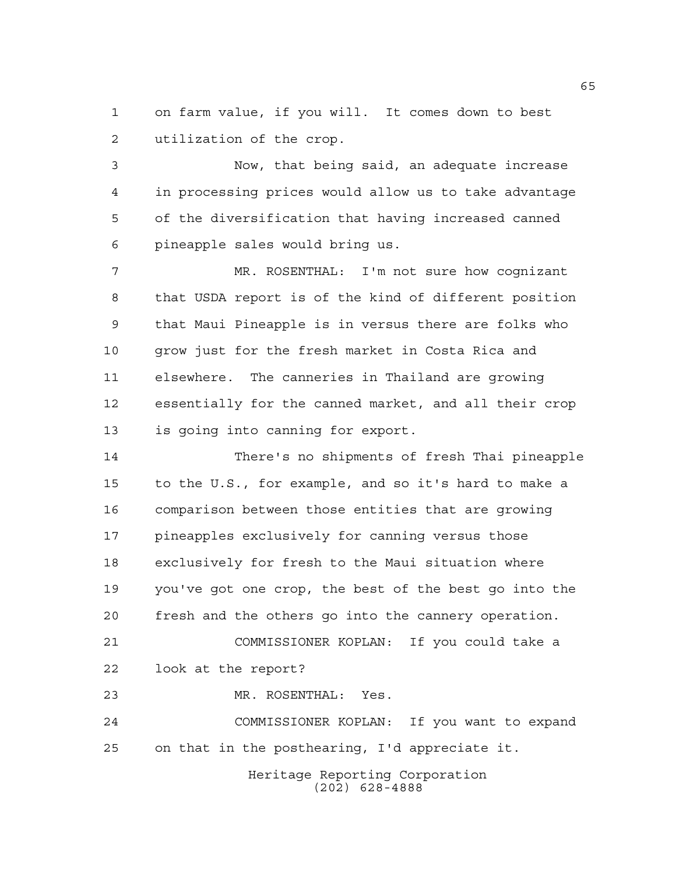on farm value, if you will. It comes down to best utilization of the crop.

 Now, that being said, an adequate increase in processing prices would allow us to take advantage of the diversification that having increased canned pineapple sales would bring us.

 MR. ROSENTHAL: I'm not sure how cognizant that USDA report is of the kind of different position that Maui Pineapple is in versus there are folks who grow just for the fresh market in Costa Rica and elsewhere. The canneries in Thailand are growing essentially for the canned market, and all their crop is going into canning for export.

 There's no shipments of fresh Thai pineapple to the U.S., for example, and so it's hard to make a comparison between those entities that are growing pineapples exclusively for canning versus those exclusively for fresh to the Maui situation where you've got one crop, the best of the best go into the fresh and the others go into the cannery operation. COMMISSIONER KOPLAN: If you could take a look at the report? MR. ROSENTHAL: Yes. COMMISSIONER KOPLAN: If you want to expand on that in the posthearing, I'd appreciate it.

Heritage Reporting Corporation (202) 628-4888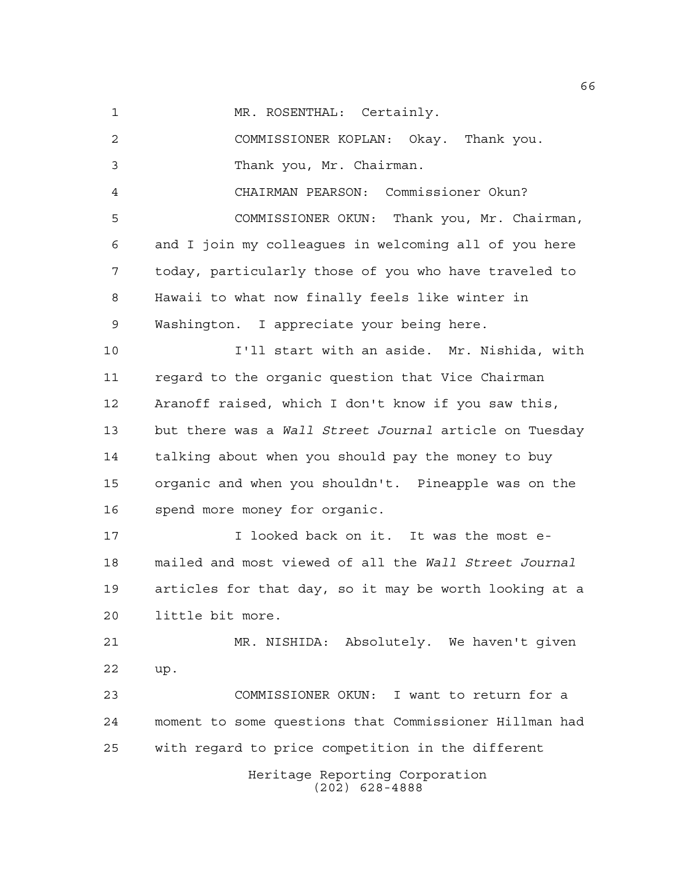1 MR. ROSENTHAL: Certainly.

COMMISSIONER KOPLAN: Okay. Thank you.

Thank you, Mr. Chairman.

CHAIRMAN PEARSON: Commissioner Okun?

 COMMISSIONER OKUN: Thank you, Mr. Chairman, and I join my colleagues in welcoming all of you here today, particularly those of you who have traveled to Hawaii to what now finally feels like winter in Washington. I appreciate your being here.

 I'll start with an aside. Mr. Nishida, with regard to the organic question that Vice Chairman Aranoff raised, which I don't know if you saw this, but there was a *Wall Street Journal* article on Tuesday talking about when you should pay the money to buy organic and when you shouldn't. Pineapple was on the spend more money for organic.

 I looked back on it. It was the most e- mailed and most viewed of all the *Wall Street Journal* articles for that day, so it may be worth looking at a little bit more.

 MR. NISHIDA: Absolutely. We haven't given up.

 COMMISSIONER OKUN: I want to return for a moment to some questions that Commissioner Hillman had with regard to price competition in the different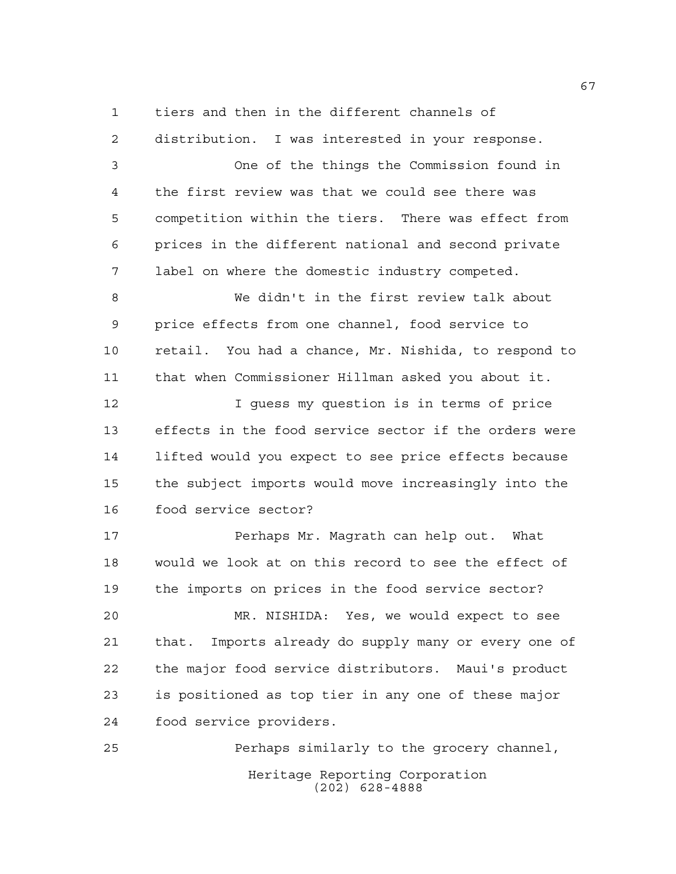tiers and then in the different channels of

 distribution. I was interested in your response. One of the things the Commission found in the first review was that we could see there was competition within the tiers. There was effect from prices in the different national and second private label on where the domestic industry competed. We didn't in the first review talk about price effects from one channel, food service to retail. You had a chance, Mr. Nishida, to respond to that when Commissioner Hillman asked you about it. I guess my question is in terms of price effects in the food service sector if the orders were lifted would you expect to see price effects because the subject imports would move increasingly into the food service sector? **Perhaps Mr. Magrath can help out.** What would we look at on this record to see the effect of the imports on prices in the food service sector? MR. NISHIDA: Yes, we would expect to see that. Imports already do supply many or every one of the major food service distributors. Maui's product is positioned as top tier in any one of these major food service providers. Perhaps similarly to the grocery channel,

Heritage Reporting Corporation (202) 628-4888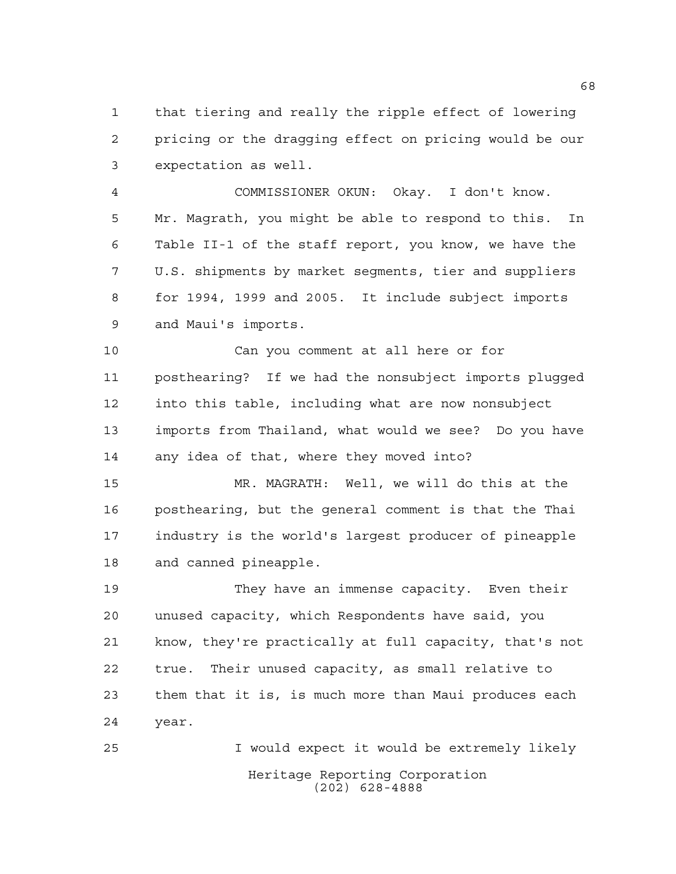that tiering and really the ripple effect of lowering pricing or the dragging effect on pricing would be our expectation as well.

 COMMISSIONER OKUN: Okay. I don't know. Mr. Magrath, you might be able to respond to this. In Table II-1 of the staff report, you know, we have the U.S. shipments by market segments, tier and suppliers for 1994, 1999 and 2005. It include subject imports and Maui's imports.

 Can you comment at all here or for posthearing? If we had the nonsubject imports plugged into this table, including what are now nonsubject imports from Thailand, what would we see? Do you have any idea of that, where they moved into?

 MR. MAGRATH: Well, we will do this at the posthearing, but the general comment is that the Thai industry is the world's largest producer of pineapple and canned pineapple.

 They have an immense capacity. Even their unused capacity, which Respondents have said, you know, they're practically at full capacity, that's not true. Their unused capacity, as small relative to them that it is, is much more than Maui produces each year.

Heritage Reporting Corporation (202) 628-4888 I would expect it would be extremely likely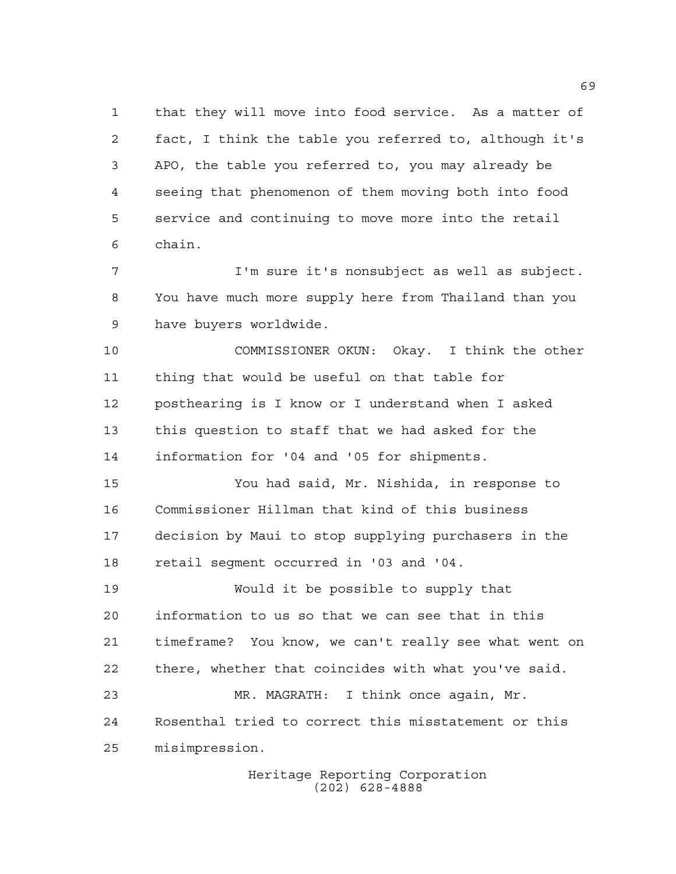that they will move into food service. As a matter of fact, I think the table you referred to, although it's APO, the table you referred to, you may already be seeing that phenomenon of them moving both into food service and continuing to move more into the retail chain.

 I'm sure it's nonsubject as well as subject. You have much more supply here from Thailand than you have buyers worldwide.

 COMMISSIONER OKUN: Okay. I think the other thing that would be useful on that table for posthearing is I know or I understand when I asked this question to staff that we had asked for the information for '04 and '05 for shipments.

 You had said, Mr. Nishida, in response to Commissioner Hillman that kind of this business decision by Maui to stop supplying purchasers in the retail segment occurred in '03 and '04.

 Would it be possible to supply that information to us so that we can see that in this timeframe? You know, we can't really see what went on there, whether that coincides with what you've said. MR. MAGRATH: I think once again, Mr. Rosenthal tried to correct this misstatement or this misimpression.

> Heritage Reporting Corporation (202) 628-4888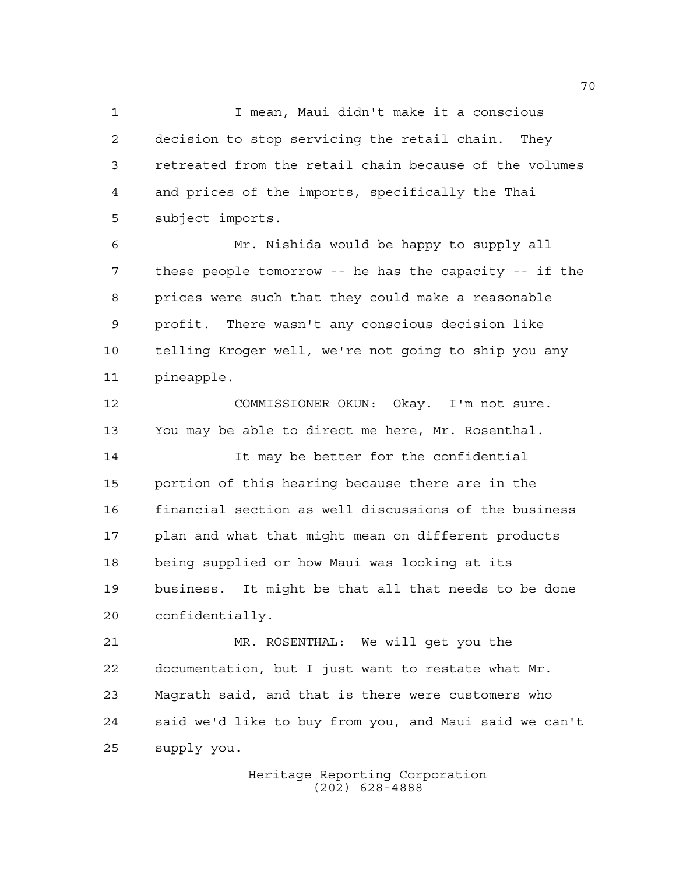I mean, Maui didn't make it a conscious decision to stop servicing the retail chain. They retreated from the retail chain because of the volumes and prices of the imports, specifically the Thai subject imports.

 Mr. Nishida would be happy to supply all these people tomorrow -- he has the capacity -- if the prices were such that they could make a reasonable profit. There wasn't any conscious decision like telling Kroger well, we're not going to ship you any pineapple.

 COMMISSIONER OKUN: Okay. I'm not sure. You may be able to direct me here, Mr. Rosenthal.

 It may be better for the confidential portion of this hearing because there are in the financial section as well discussions of the business plan and what that might mean on different products being supplied or how Maui was looking at its business. It might be that all that needs to be done confidentially.

 MR. ROSENTHAL: We will get you the documentation, but I just want to restate what Mr. Magrath said, and that is there were customers who said we'd like to buy from you, and Maui said we can't supply you.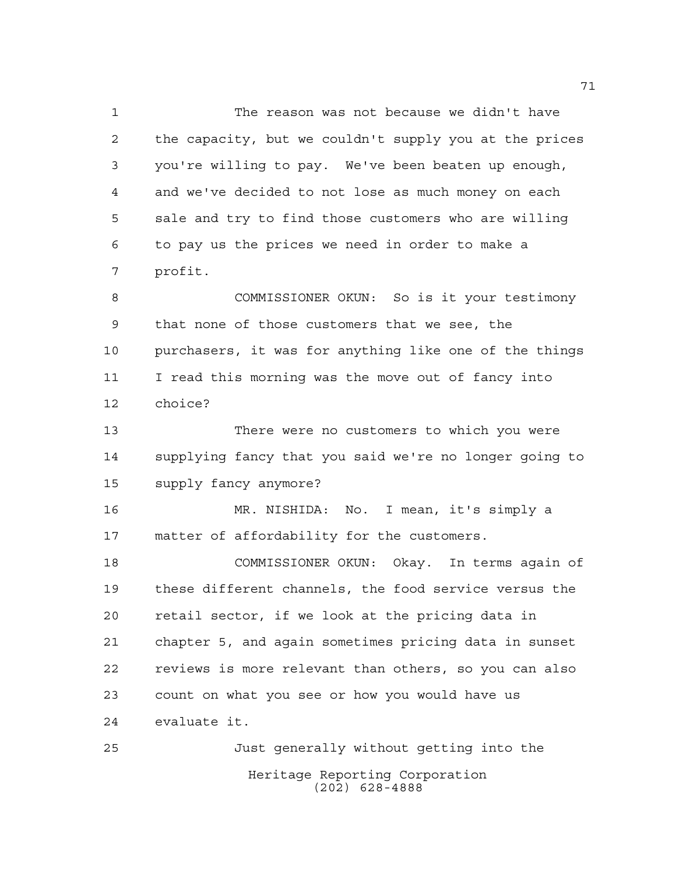The reason was not because we didn't have the capacity, but we couldn't supply you at the prices you're willing to pay. We've been beaten up enough, and we've decided to not lose as much money on each sale and try to find those customers who are willing to pay us the prices we need in order to make a profit.

 COMMISSIONER OKUN: So is it your testimony that none of those customers that we see, the purchasers, it was for anything like one of the things I read this morning was the move out of fancy into choice?

 There were no customers to which you were supplying fancy that you said we're no longer going to supply fancy anymore?

 MR. NISHIDA: No. I mean, it's simply a matter of affordability for the customers.

 COMMISSIONER OKUN: Okay. In terms again of these different channels, the food service versus the retail sector, if we look at the pricing data in chapter 5, and again sometimes pricing data in sunset reviews is more relevant than others, so you can also count on what you see or how you would have us evaluate it.

Heritage Reporting Corporation (202) 628-4888 Just generally without getting into the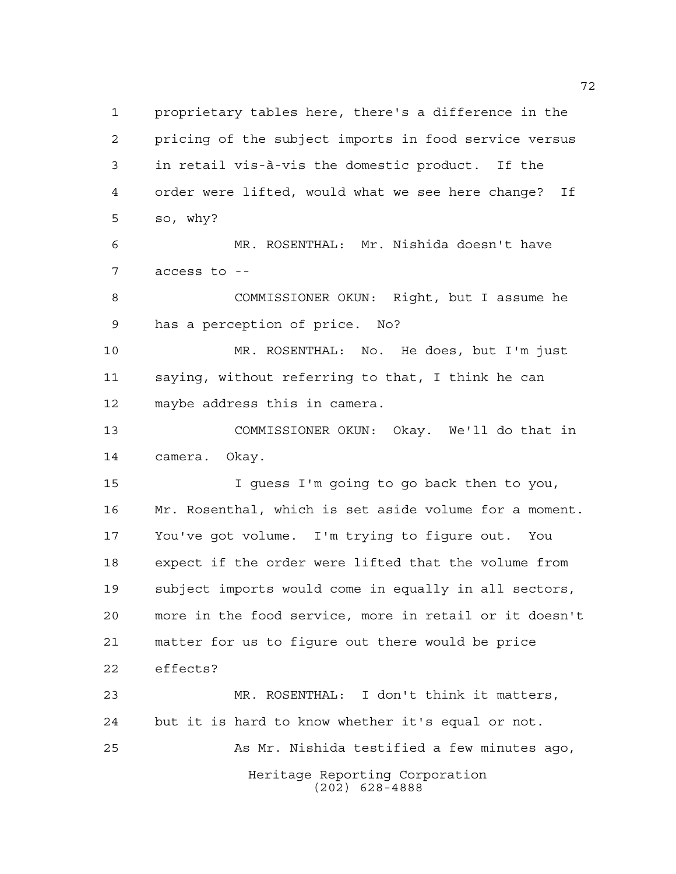Heritage Reporting Corporation (202) 628-4888 proprietary tables here, there's a difference in the pricing of the subject imports in food service versus in retail vis-à-vis the domestic product. If the order were lifted, would what we see here change? If so, why? MR. ROSENTHAL: Mr. Nishida doesn't have access to -- COMMISSIONER OKUN: Right, but I assume he has a perception of price. No? MR. ROSENTHAL: No. He does, but I'm just saying, without referring to that, I think he can maybe address this in camera. COMMISSIONER OKUN: Okay. We'll do that in camera. Okay. I guess I'm going to go back then to you, Mr. Rosenthal, which is set aside volume for a moment. You've got volume. I'm trying to figure out. You expect if the order were lifted that the volume from subject imports would come in equally in all sectors, more in the food service, more in retail or it doesn't matter for us to figure out there would be price effects? MR. ROSENTHAL: I don't think it matters, but it is hard to know whether it's equal or not. As Mr. Nishida testified a few minutes ago,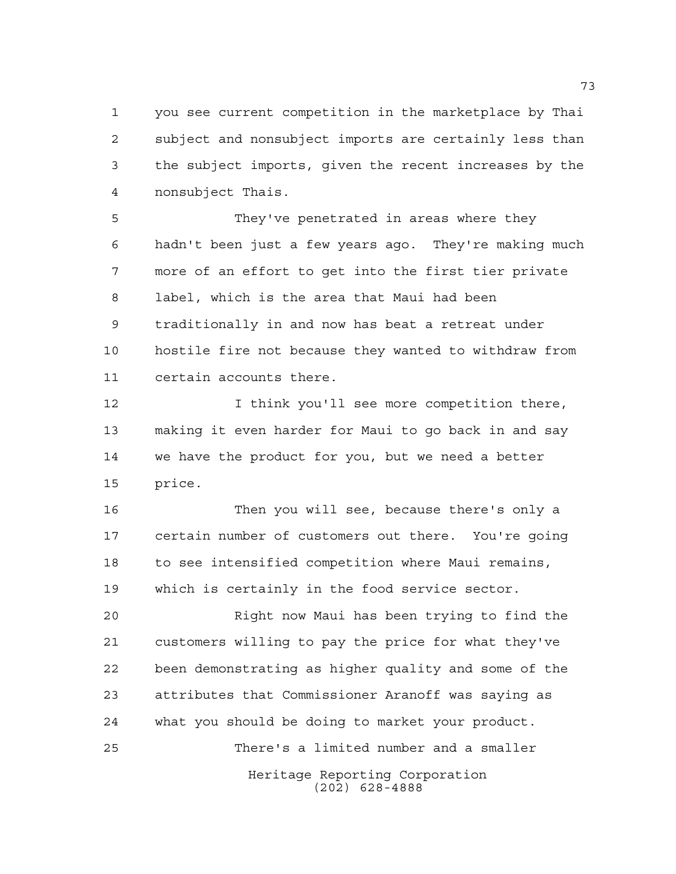you see current competition in the marketplace by Thai subject and nonsubject imports are certainly less than the subject imports, given the recent increases by the nonsubject Thais.

 They've penetrated in areas where they hadn't been just a few years ago. They're making much more of an effort to get into the first tier private label, which is the area that Maui had been traditionally in and now has beat a retreat under hostile fire not because they wanted to withdraw from certain accounts there.

12 12 I think you'll see more competition there, making it even harder for Maui to go back in and say we have the product for you, but we need a better price.

 Then you will see, because there's only a certain number of customers out there. You're going to see intensified competition where Maui remains, which is certainly in the food service sector.

Heritage Reporting Corporation Right now Maui has been trying to find the customers willing to pay the price for what they've been demonstrating as higher quality and some of the attributes that Commissioner Aranoff was saying as what you should be doing to market your product. There's a limited number and a smaller

(202) 628-4888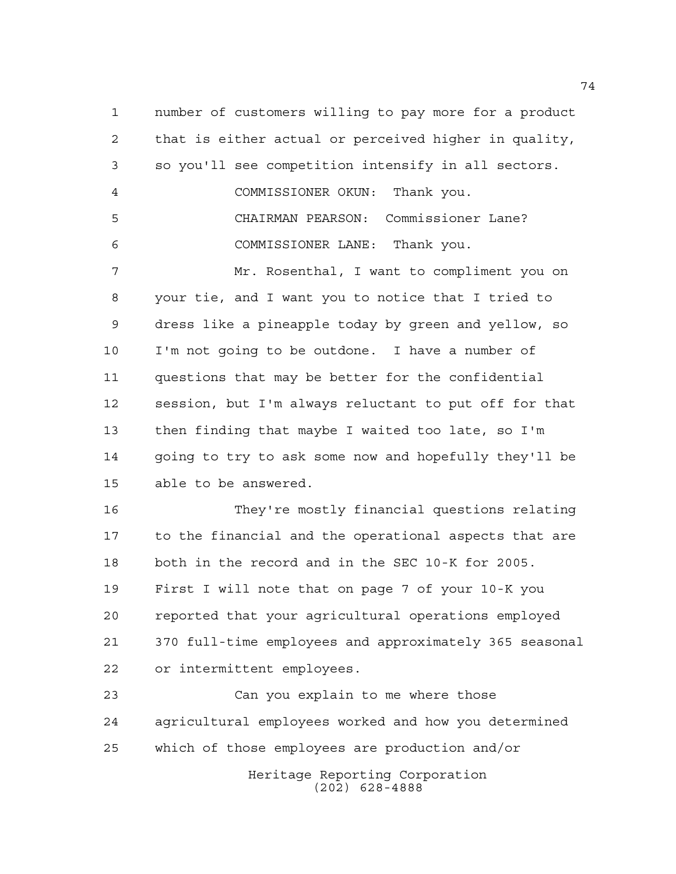number of customers willing to pay more for a product that is either actual or perceived higher in quality, so you'll see competition intensify in all sectors. COMMISSIONER OKUN: Thank you. CHAIRMAN PEARSON: Commissioner Lane? COMMISSIONER LANE: Thank you. Mr. Rosenthal, I want to compliment you on your tie, and I want you to notice that I tried to dress like a pineapple today by green and yellow, so I'm not going to be outdone. I have a number of questions that may be better for the confidential session, but I'm always reluctant to put off for that then finding that maybe I waited too late, so I'm going to try to ask some now and hopefully they'll be able to be answered. They're mostly financial questions relating to the financial and the operational aspects that are both in the record and in the SEC 10-K for 2005. First I will note that on page 7 of your 10-K you reported that your agricultural operations employed 370 full-time employees and approximately 365 seasonal or intermittent employees. Can you explain to me where those agricultural employees worked and how you determined

which of those employees are production and/or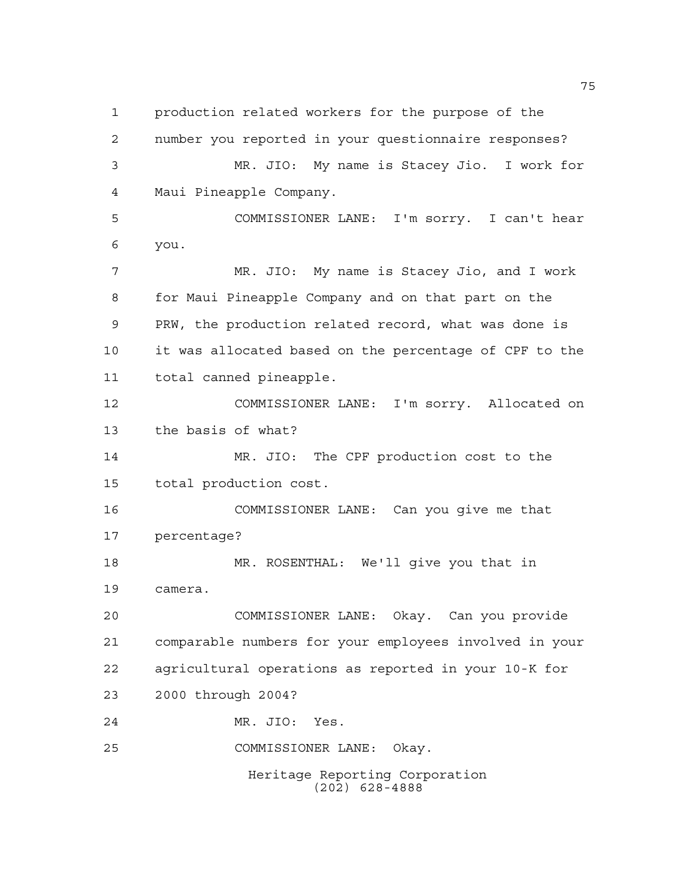Heritage Reporting Corporation (202) 628-4888 production related workers for the purpose of the number you reported in your questionnaire responses? MR. JIO: My name is Stacey Jio. I work for Maui Pineapple Company. COMMISSIONER LANE: I'm sorry. I can't hear you. MR. JIO: My name is Stacey Jio, and I work for Maui Pineapple Company and on that part on the PRW, the production related record, what was done is it was allocated based on the percentage of CPF to the total canned pineapple. COMMISSIONER LANE: I'm sorry. Allocated on the basis of what? MR. JIO: The CPF production cost to the total production cost. COMMISSIONER LANE: Can you give me that percentage? MR. ROSENTHAL: We'll give you that in camera. COMMISSIONER LANE: Okay. Can you provide comparable numbers for your employees involved in your agricultural operations as reported in your 10-K for 2000 through 2004? MR. JIO: Yes. COMMISSIONER LANE: Okay.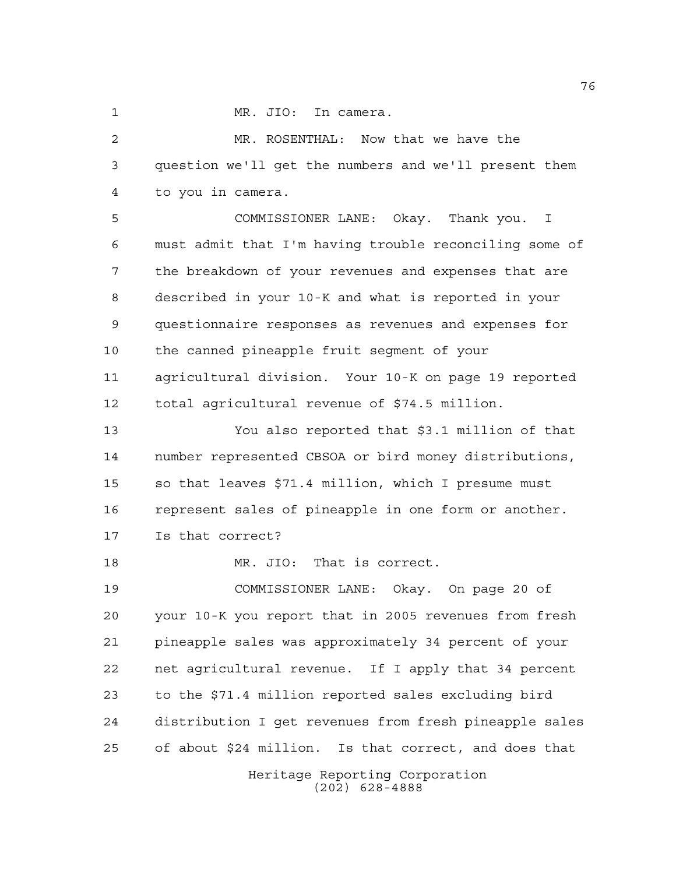MR. JIO: In camera.

 MR. ROSENTHAL: Now that we have the question we'll get the numbers and we'll present them to you in camera.

 COMMISSIONER LANE: Okay. Thank you. I must admit that I'm having trouble reconciling some of the breakdown of your revenues and expenses that are described in your 10-K and what is reported in your questionnaire responses as revenues and expenses for the canned pineapple fruit segment of your agricultural division. Your 10-K on page 19 reported total agricultural revenue of \$74.5 million.

 You also reported that \$3.1 million of that number represented CBSOA or bird money distributions, so that leaves \$71.4 million, which I presume must represent sales of pineapple in one form or another. Is that correct?

MR. JIO: That is correct.

 COMMISSIONER LANE: Okay. On page 20 of your 10-K you report that in 2005 revenues from fresh pineapple sales was approximately 34 percent of your net agricultural revenue. If I apply that 34 percent to the \$71.4 million reported sales excluding bird distribution I get revenues from fresh pineapple sales of about \$24 million. Is that correct, and does that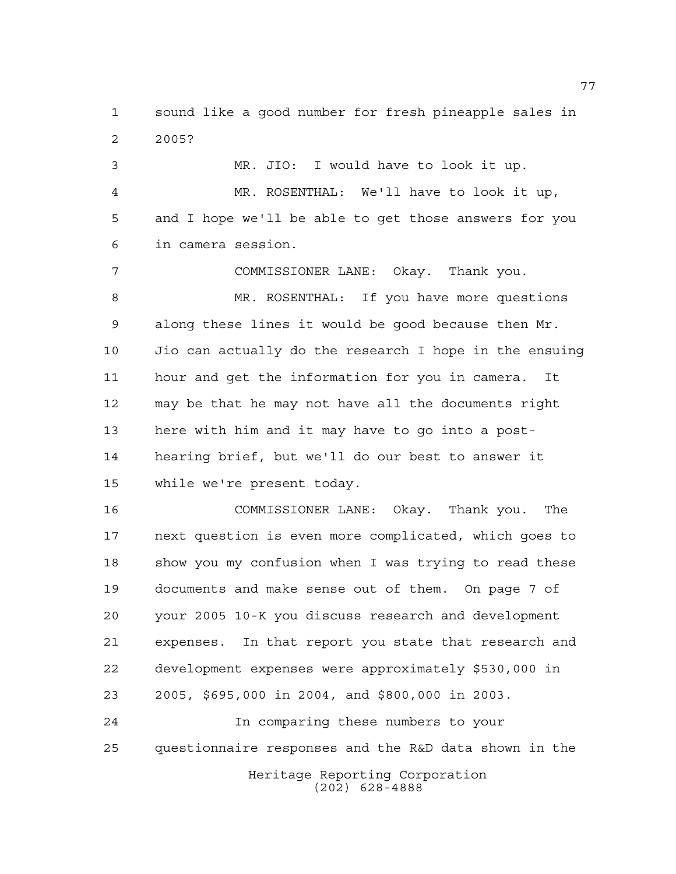sound like a good number for fresh pineapple sales in 2005?

 MR. JIO: I would have to look it up. MR. ROSENTHAL: We'll have to look it up, and I hope we'll be able to get those answers for you in camera session. COMMISSIONER LANE: Okay. Thank you. MR. ROSENTHAL: If you have more questions along these lines it would be good because then Mr. Jio can actually do the research I hope in the ensuing hour and get the information for you in camera. It may be that he may not have all the documents right here with him and it may have to go into a post- hearing brief, but we'll do our best to answer it while we're present today.

 COMMISSIONER LANE: Okay. Thank you. The next question is even more complicated, which goes to show you my confusion when I was trying to read these documents and make sense out of them. On page 7 of your 2005 10-K you discuss research and development expenses. In that report you state that research and development expenses were approximately \$530,000 in 2005, \$695,000 in 2004, and \$800,000 in 2003.

Heritage Reporting Corporation (202) 628-4888 In comparing these numbers to your questionnaire responses and the R&D data shown in the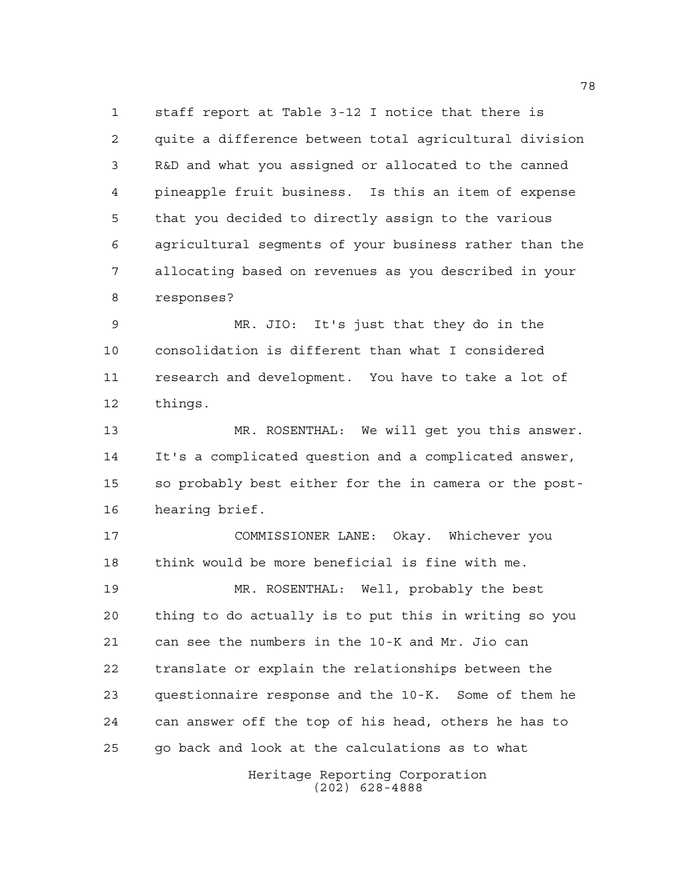staff report at Table 3-12 I notice that there is quite a difference between total agricultural division R&D and what you assigned or allocated to the canned pineapple fruit business. Is this an item of expense that you decided to directly assign to the various agricultural segments of your business rather than the allocating based on revenues as you described in your responses?

 MR. JIO: It's just that they do in the consolidation is different than what I considered research and development. You have to take a lot of things.

 MR. ROSENTHAL: We will get you this answer. It's a complicated question and a complicated answer, so probably best either for the in camera or the post-hearing brief.

 COMMISSIONER LANE: Okay. Whichever you think would be more beneficial is fine with me.

 MR. ROSENTHAL: Well, probably the best thing to do actually is to put this in writing so you can see the numbers in the 10-K and Mr. Jio can translate or explain the relationships between the questionnaire response and the 10-K. Some of them he can answer off the top of his head, others he has to go back and look at the calculations as to what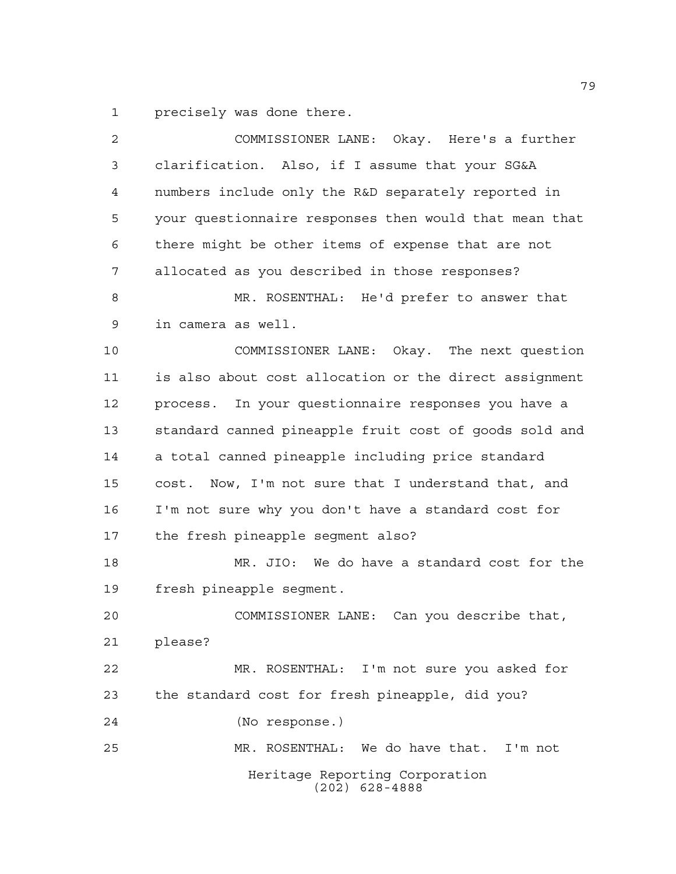precisely was done there.

| 2  | COMMISSIONER LANE: Okay. Here's a further              |
|----|--------------------------------------------------------|
| 3  | clarification. Also, if I assume that your SG&A        |
| 4  | numbers include only the R&D separately reported in    |
| 5  | your questionnaire responses then would that mean that |
| 6  | there might be other items of expense that are not     |
| 7  | allocated as you described in those responses?         |
| 8  | MR. ROSENTHAL: He'd prefer to answer that              |
| 9  | in camera as well.                                     |
| 10 | COMMISSIONER LANE: Okay. The next question             |
| 11 | is also about cost allocation or the direct assignment |
| 12 | process. In your questionnaire responses you have a    |
| 13 | standard canned pineapple fruit cost of goods sold and |
| 14 | a total canned pineapple including price standard      |
| 15 | cost. Now, I'm not sure that I understand that, and    |
| 16 | I'm not sure why you don't have a standard cost for    |
| 17 | the fresh pineapple segment also?                      |
| 18 | MR. JIO: We do have a standard cost for the            |
| 19 | fresh pineapple segment.                               |
| 20 | COMMISSIONER LANE: Can you describe that,              |
| 21 | please?                                                |
| 22 | MR. ROSENTHAL: I'm not sure you asked for              |
| 23 | the standard cost for fresh pineapple, did you?        |
| 24 | (No response.)                                         |
| 25 | MR. ROSENTHAL: We do have that. I'm not                |
|    | Heritage Reporting Corporation<br>$(202)$ 628-4888     |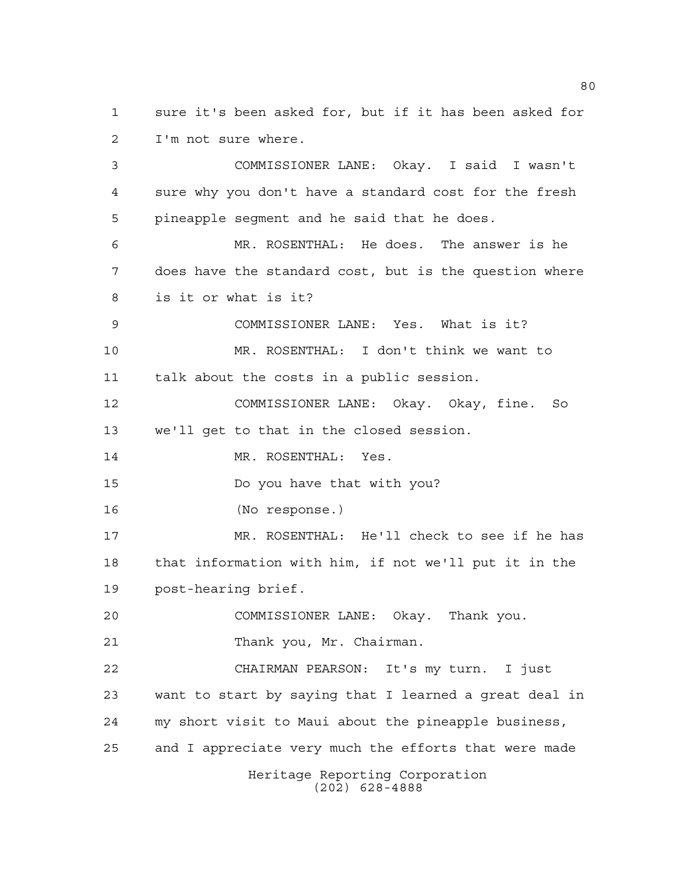sure it's been asked for, but if it has been asked for I'm not sure where.

Heritage Reporting Corporation (202) 628-4888 COMMISSIONER LANE: Okay. I said I wasn't sure why you don't have a standard cost for the fresh pineapple segment and he said that he does. MR. ROSENTHAL: He does. The answer is he does have the standard cost, but is the question where is it or what is it? COMMISSIONER LANE: Yes. What is it? MR. ROSENTHAL: I don't think we want to talk about the costs in a public session. COMMISSIONER LANE: Okay. Okay, fine. So we'll get to that in the closed session. 14 MR. ROSENTHAL: Yes. Do you have that with you? (No response.) MR. ROSENTHAL: He'll check to see if he has that information with him, if not we'll put it in the post-hearing brief. COMMISSIONER LANE: Okay. Thank you. Thank you, Mr. Chairman. CHAIRMAN PEARSON: It's my turn. I just want to start by saying that I learned a great deal in my short visit to Maui about the pineapple business, and I appreciate very much the efforts that were made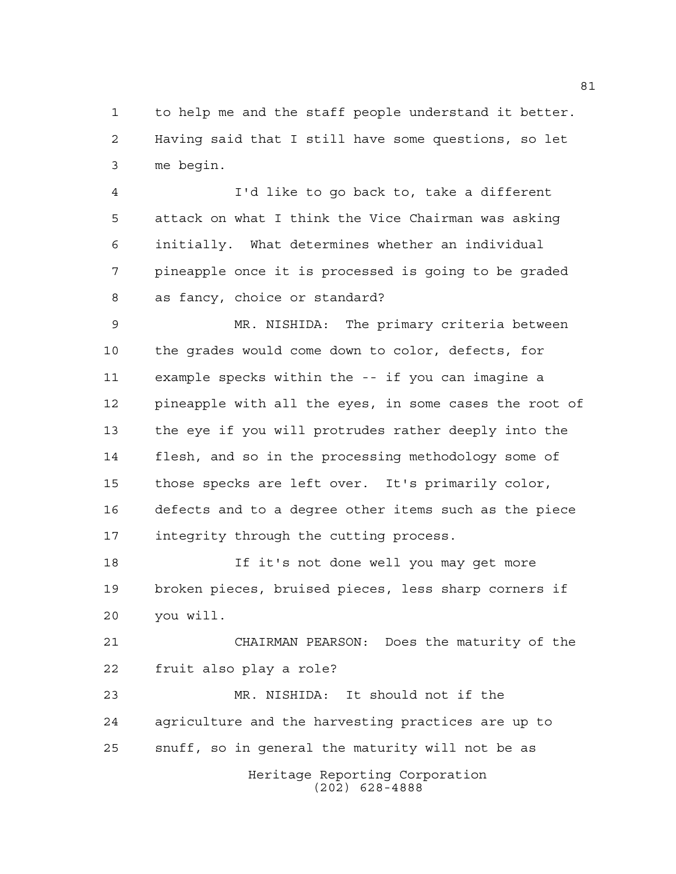to help me and the staff people understand it better. Having said that I still have some questions, so let me begin.

 I'd like to go back to, take a different attack on what I think the Vice Chairman was asking initially. What determines whether an individual pineapple once it is processed is going to be graded as fancy, choice or standard?

 MR. NISHIDA: The primary criteria between the grades would come down to color, defects, for example specks within the -- if you can imagine a pineapple with all the eyes, in some cases the root of the eye if you will protrudes rather deeply into the flesh, and so in the processing methodology some of those specks are left over. It's primarily color, defects and to a degree other items such as the piece integrity through the cutting process.

 If it's not done well you may get more broken pieces, bruised pieces, less sharp corners if you will.

 CHAIRMAN PEARSON: Does the maturity of the fruit also play a role?

 MR. NISHIDA: It should not if the agriculture and the harvesting practices are up to snuff, so in general the maturity will not be as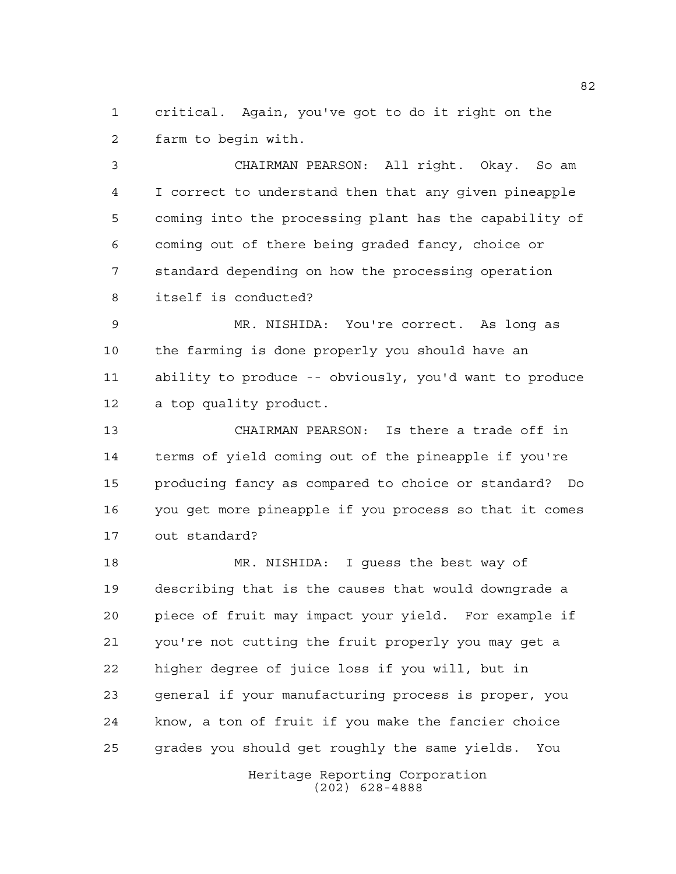critical. Again, you've got to do it right on the farm to begin with.

 CHAIRMAN PEARSON: All right. Okay. So am I correct to understand then that any given pineapple coming into the processing plant has the capability of coming out of there being graded fancy, choice or standard depending on how the processing operation itself is conducted?

 MR. NISHIDA: You're correct. As long as the farming is done properly you should have an ability to produce -- obviously, you'd want to produce a top quality product.

 CHAIRMAN PEARSON: Is there a trade off in terms of yield coming out of the pineapple if you're producing fancy as compared to choice or standard? Do you get more pineapple if you process so that it comes out standard?

 MR. NISHIDA: I guess the best way of describing that is the causes that would downgrade a piece of fruit may impact your yield. For example if you're not cutting the fruit properly you may get a higher degree of juice loss if you will, but in general if your manufacturing process is proper, you know, a ton of fruit if you make the fancier choice grades you should get roughly the same yields. You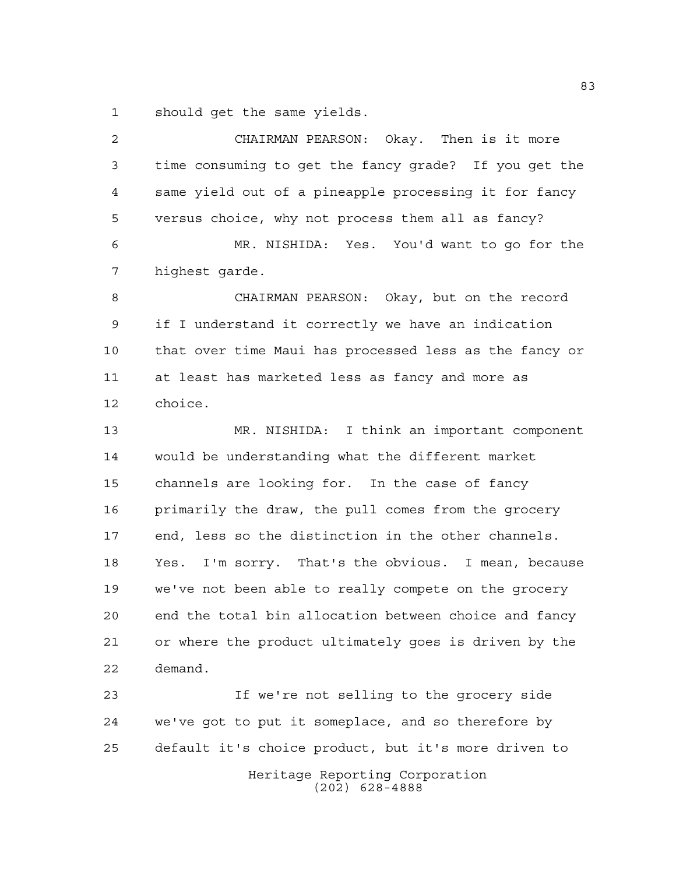should get the same yields.

 CHAIRMAN PEARSON: Okay. Then is it more time consuming to get the fancy grade? If you get the same yield out of a pineapple processing it for fancy versus choice, why not process them all as fancy? MR. NISHIDA: Yes. You'd want to go for the highest garde. CHAIRMAN PEARSON: Okay, but on the record if I understand it correctly we have an indication that over time Maui has processed less as the fancy or at least has marketed less as fancy and more as choice. MR. NISHIDA: I think an important component would be understanding what the different market channels are looking for. In the case of fancy primarily the draw, the pull comes from the grocery end, less so the distinction in the other channels. Yes. I'm sorry. That's the obvious. I mean, because we've not been able to really compete on the grocery end the total bin allocation between choice and fancy or where the product ultimately goes is driven by the demand. If we're not selling to the grocery side we've got to put it someplace, and so therefore by default it's choice product, but it's more driven to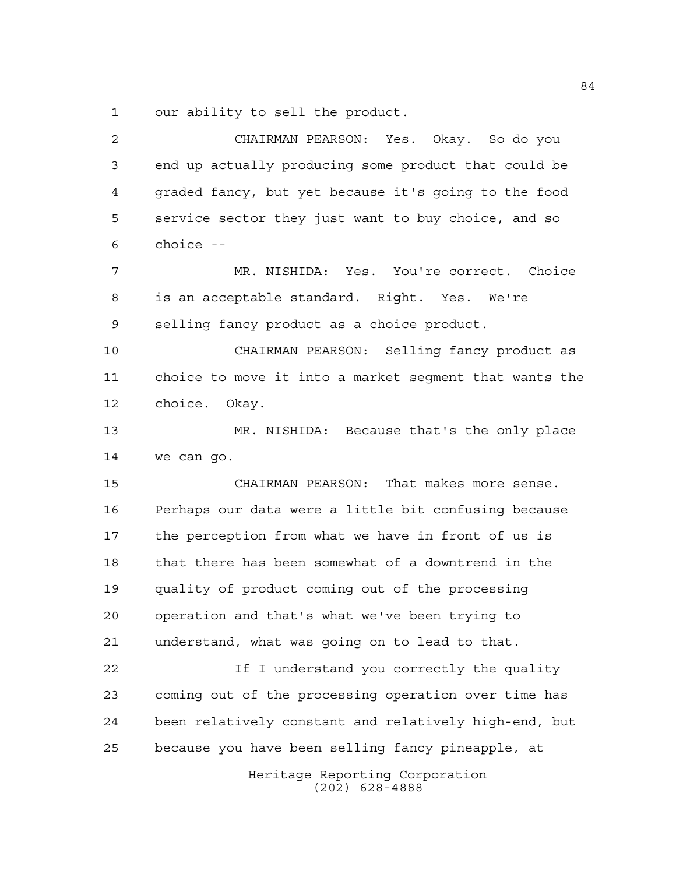our ability to sell the product.

Heritage Reporting Corporation (202) 628-4888 CHAIRMAN PEARSON: Yes. Okay. So do you end up actually producing some product that could be graded fancy, but yet because it's going to the food service sector they just want to buy choice, and so choice -- MR. NISHIDA: Yes. You're correct. Choice is an acceptable standard. Right. Yes. We're selling fancy product as a choice product. CHAIRMAN PEARSON: Selling fancy product as choice to move it into a market segment that wants the choice. Okay. MR. NISHIDA: Because that's the only place we can go. CHAIRMAN PEARSON: That makes more sense. Perhaps our data were a little bit confusing because the perception from what we have in front of us is that there has been somewhat of a downtrend in the quality of product coming out of the processing operation and that's what we've been trying to understand, what was going on to lead to that. If I understand you correctly the quality coming out of the processing operation over time has been relatively constant and relatively high-end, but because you have been selling fancy pineapple, at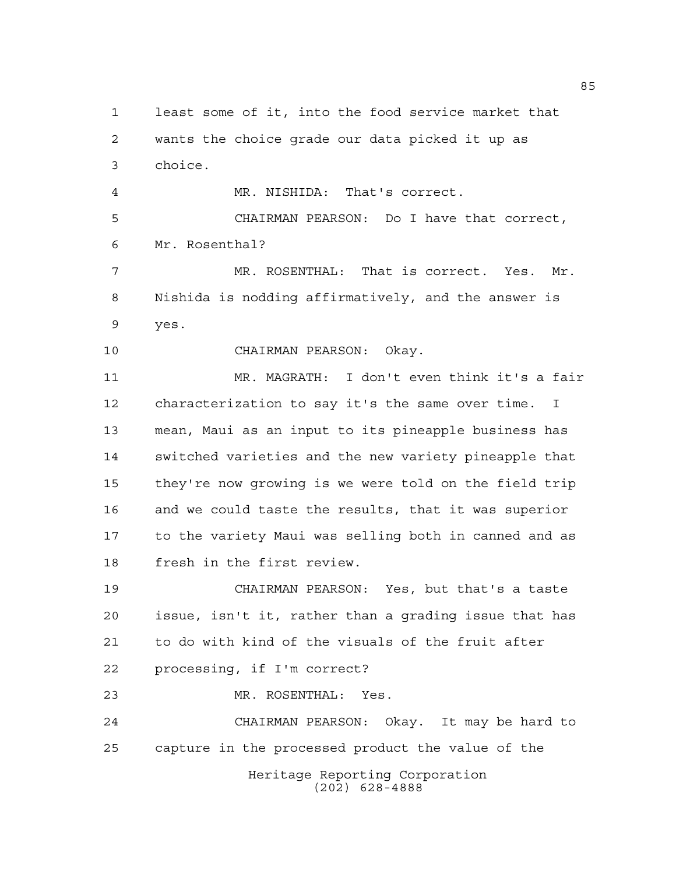Heritage Reporting Corporation (202) 628-4888 least some of it, into the food service market that wants the choice grade our data picked it up as choice. MR. NISHIDA: That's correct. CHAIRMAN PEARSON: Do I have that correct, Mr. Rosenthal? MR. ROSENTHAL: That is correct. Yes. Mr. Nishida is nodding affirmatively, and the answer is yes. CHAIRMAN PEARSON: Okay. MR. MAGRATH: I don't even think it's a fair characterization to say it's the same over time. I mean, Maui as an input to its pineapple business has switched varieties and the new variety pineapple that they're now growing is we were told on the field trip and we could taste the results, that it was superior to the variety Maui was selling both in canned and as fresh in the first review. CHAIRMAN PEARSON: Yes, but that's a taste issue, isn't it, rather than a grading issue that has to do with kind of the visuals of the fruit after processing, if I'm correct? MR. ROSENTHAL: Yes. CHAIRMAN PEARSON: Okay. It may be hard to capture in the processed product the value of the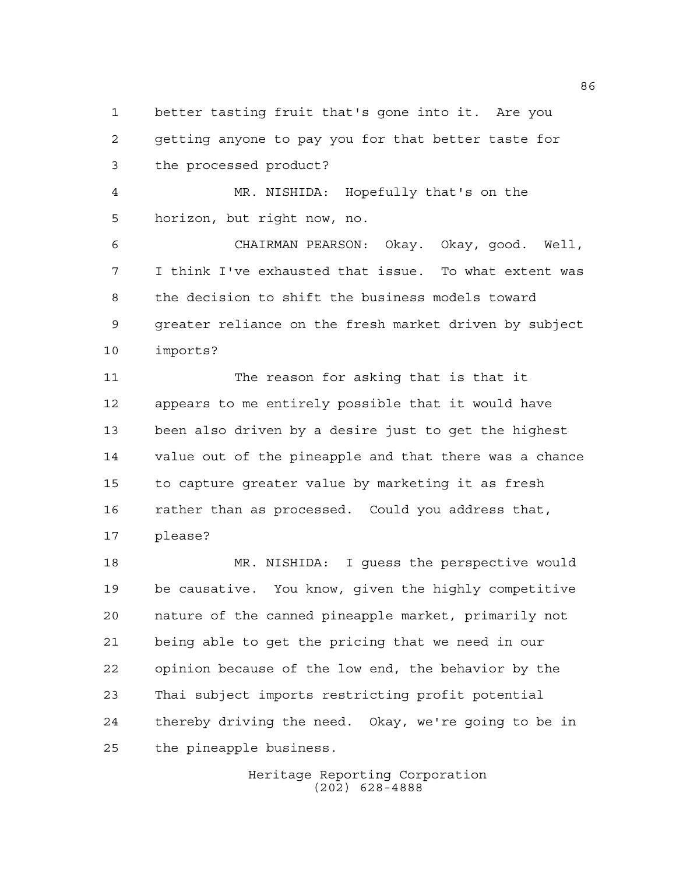better tasting fruit that's gone into it. Are you getting anyone to pay you for that better taste for the processed product?

 MR. NISHIDA: Hopefully that's on the horizon, but right now, no.

 CHAIRMAN PEARSON: Okay. Okay, good. Well, I think I've exhausted that issue. To what extent was the decision to shift the business models toward greater reliance on the fresh market driven by subject imports?

 The reason for asking that is that it appears to me entirely possible that it would have been also driven by a desire just to get the highest value out of the pineapple and that there was a chance to capture greater value by marketing it as fresh rather than as processed. Could you address that, please?

 MR. NISHIDA: I guess the perspective would be causative. You know, given the highly competitive nature of the canned pineapple market, primarily not being able to get the pricing that we need in our opinion because of the low end, the behavior by the Thai subject imports restricting profit potential thereby driving the need. Okay, we're going to be in the pineapple business.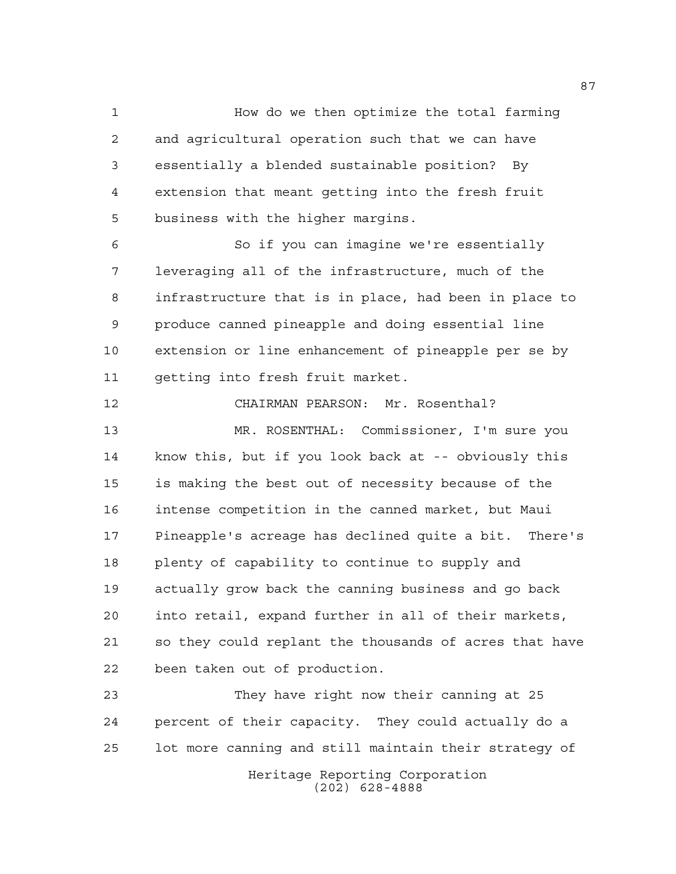How do we then optimize the total farming and agricultural operation such that we can have essentially a blended sustainable position? By extension that meant getting into the fresh fruit business with the higher margins.

 So if you can imagine we're essentially leveraging all of the infrastructure, much of the infrastructure that is in place, had been in place to produce canned pineapple and doing essential line extension or line enhancement of pineapple per se by getting into fresh fruit market.

 CHAIRMAN PEARSON: Mr. Rosenthal? MR. ROSENTHAL: Commissioner, I'm sure you know this, but if you look back at -- obviously this is making the best out of necessity because of the intense competition in the canned market, but Maui Pineapple's acreage has declined quite a bit. There's plenty of capability to continue to supply and actually grow back the canning business and go back into retail, expand further in all of their markets, so they could replant the thousands of acres that have been taken out of production.

Heritage Reporting Corporation (202) 628-4888 They have right now their canning at 25 percent of their capacity. They could actually do a lot more canning and still maintain their strategy of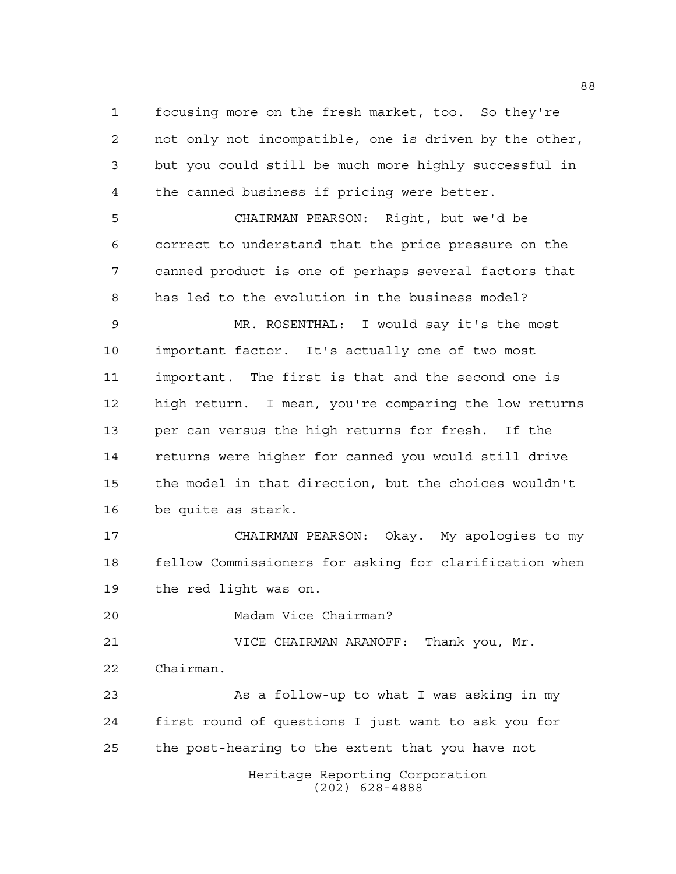focusing more on the fresh market, too. So they're not only not incompatible, one is driven by the other, but you could still be much more highly successful in the canned business if pricing were better.

 CHAIRMAN PEARSON: Right, but we'd be correct to understand that the price pressure on the canned product is one of perhaps several factors that has led to the evolution in the business model?

 MR. ROSENTHAL: I would say it's the most important factor. It's actually one of two most important. The first is that and the second one is high return. I mean, you're comparing the low returns per can versus the high returns for fresh. If the returns were higher for canned you would still drive the model in that direction, but the choices wouldn't be quite as stark.

 CHAIRMAN PEARSON: Okay. My apologies to my fellow Commissioners for asking for clarification when the red light was on.

Madam Vice Chairman?

 VICE CHAIRMAN ARANOFF: Thank you, Mr. Chairman.

 As a follow-up to what I was asking in my first round of questions I just want to ask you for the post-hearing to the extent that you have not

> Heritage Reporting Corporation (202) 628-4888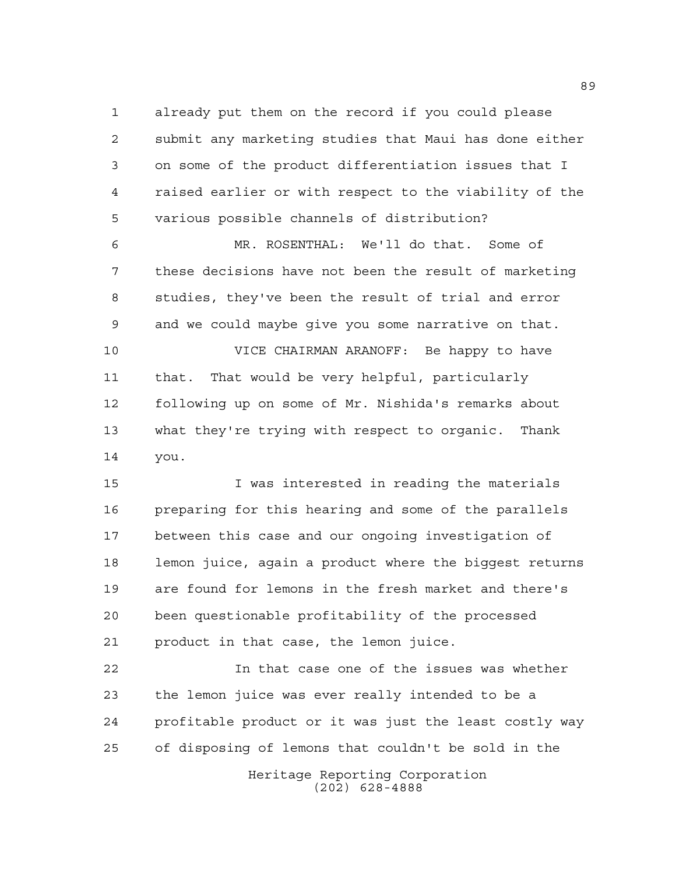already put them on the record if you could please submit any marketing studies that Maui has done either on some of the product differentiation issues that I raised earlier or with respect to the viability of the various possible channels of distribution?

 MR. ROSENTHAL: We'll do that. Some of these decisions have not been the result of marketing studies, they've been the result of trial and error and we could maybe give you some narrative on that.

 VICE CHAIRMAN ARANOFF: Be happy to have that. That would be very helpful, particularly following up on some of Mr. Nishida's remarks about what they're trying with respect to organic. Thank you.

 I was interested in reading the materials preparing for this hearing and some of the parallels between this case and our ongoing investigation of lemon juice, again a product where the biggest returns are found for lemons in the fresh market and there's been questionable profitability of the processed product in that case, the lemon juice.

 In that case one of the issues was whether the lemon juice was ever really intended to be a profitable product or it was just the least costly way of disposing of lemons that couldn't be sold in the

Heritage Reporting Corporation (202) 628-4888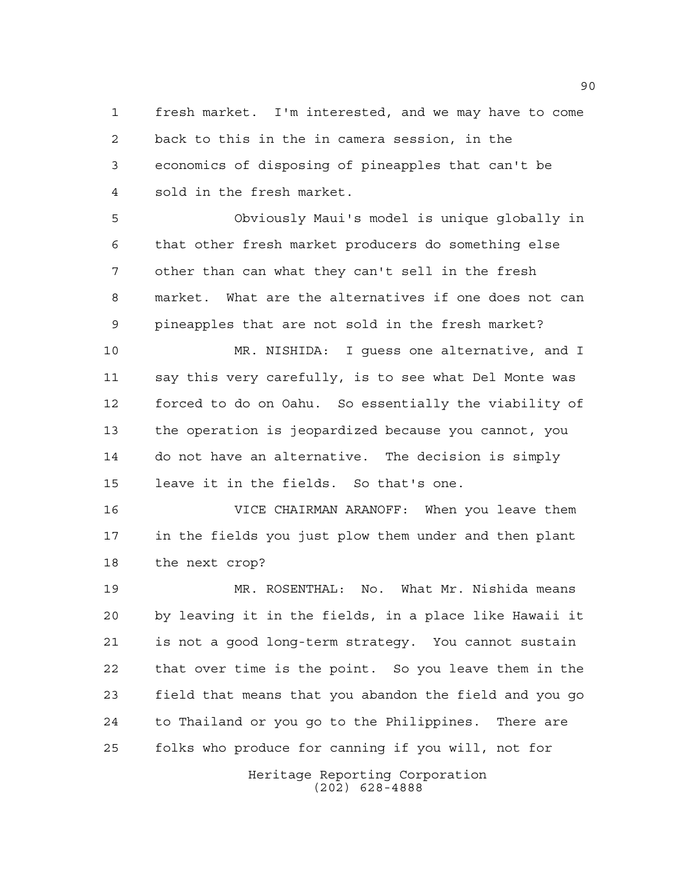fresh market. I'm interested, and we may have to come back to this in the in camera session, in the economics of disposing of pineapples that can't be sold in the fresh market.

 Obviously Maui's model is unique globally in that other fresh market producers do something else other than can what they can't sell in the fresh market. What are the alternatives if one does not can pineapples that are not sold in the fresh market?

 MR. NISHIDA: I guess one alternative, and I say this very carefully, is to see what Del Monte was forced to do on Oahu. So essentially the viability of the operation is jeopardized because you cannot, you do not have an alternative. The decision is simply leave it in the fields. So that's one.

 VICE CHAIRMAN ARANOFF: When you leave them in the fields you just plow them under and then plant the next crop?

 MR. ROSENTHAL: No. What Mr. Nishida means by leaving it in the fields, in a place like Hawaii it is not a good long-term strategy. You cannot sustain that over time is the point. So you leave them in the field that means that you abandon the field and you go to Thailand or you go to the Philippines. There are folks who produce for canning if you will, not for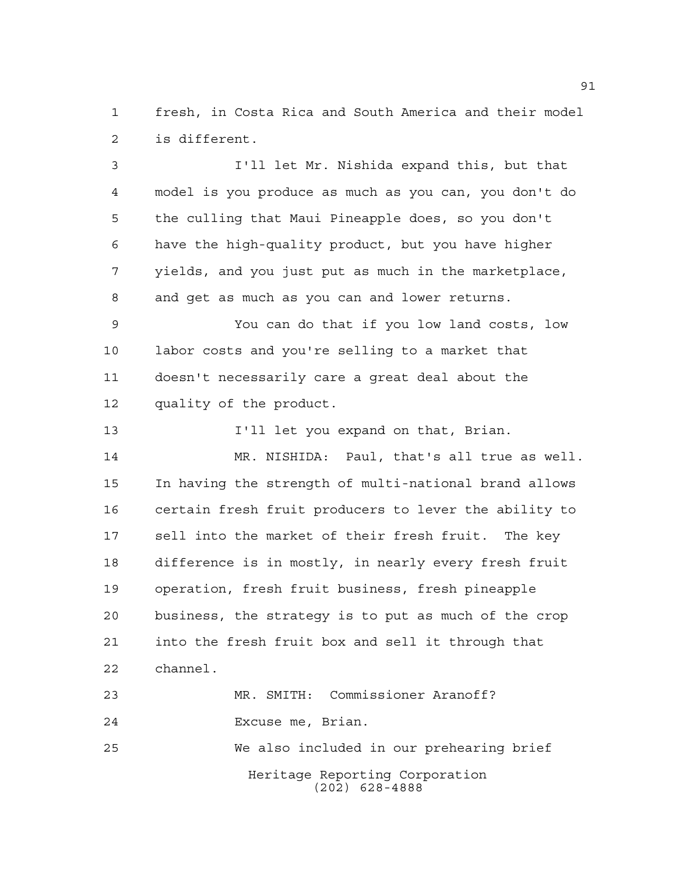fresh, in Costa Rica and South America and their model is different.

 I'll let Mr. Nishida expand this, but that model is you produce as much as you can, you don't do the culling that Maui Pineapple does, so you don't have the high-quality product, but you have higher yields, and you just put as much in the marketplace, and get as much as you can and lower returns.

 You can do that if you low land costs, low labor costs and you're selling to a market that doesn't necessarily care a great deal about the quality of the product.

**I'll let you expand on that, Brian.**  MR. NISHIDA: Paul, that's all true as well. In having the strength of multi-national brand allows certain fresh fruit producers to lever the ability to sell into the market of their fresh fruit. The key difference is in mostly, in nearly every fresh fruit operation, fresh fruit business, fresh pineapple business, the strategy is to put as much of the crop into the fresh fruit box and sell it through that channel. MR. SMITH: Commissioner Aranoff?

Heritage Reporting Corporation (202) 628-4888 Excuse me, Brian. We also included in our prehearing brief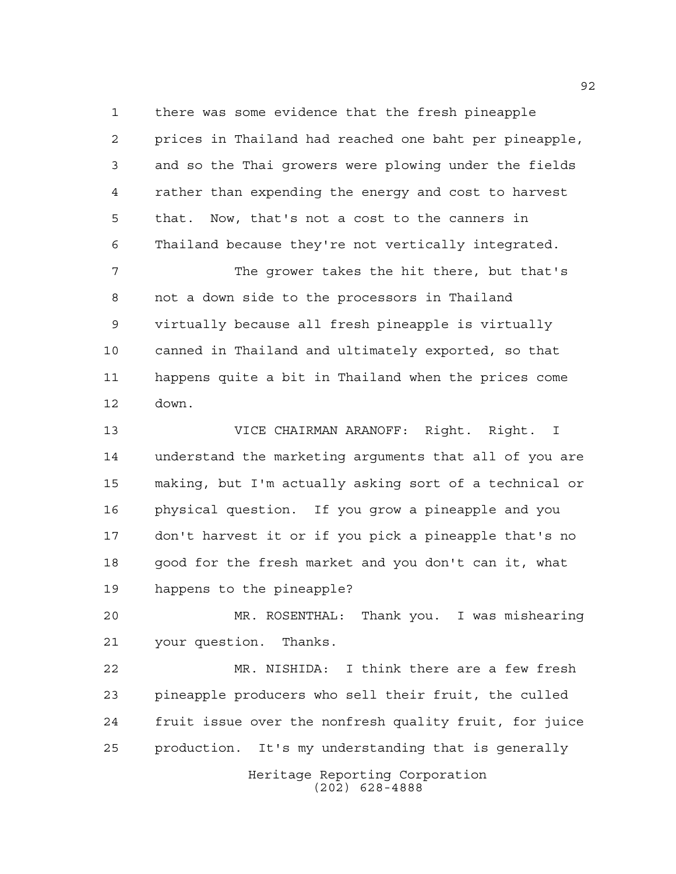there was some evidence that the fresh pineapple prices in Thailand had reached one baht per pineapple, and so the Thai growers were plowing under the fields rather than expending the energy and cost to harvest that. Now, that's not a cost to the canners in Thailand because they're not vertically integrated.

 The grower takes the hit there, but that's not a down side to the processors in Thailand virtually because all fresh pineapple is virtually canned in Thailand and ultimately exported, so that happens quite a bit in Thailand when the prices come down.

 VICE CHAIRMAN ARANOFF: Right. Right. I understand the marketing arguments that all of you are making, but I'm actually asking sort of a technical or physical question. If you grow a pineapple and you don't harvest it or if you pick a pineapple that's no good for the fresh market and you don't can it, what happens to the pineapple?

 MR. ROSENTHAL: Thank you. I was mishearing your question. Thanks.

 MR. NISHIDA: I think there are a few fresh pineapple producers who sell their fruit, the culled fruit issue over the nonfresh quality fruit, for juice production. It's my understanding that is generally

> Heritage Reporting Corporation (202) 628-4888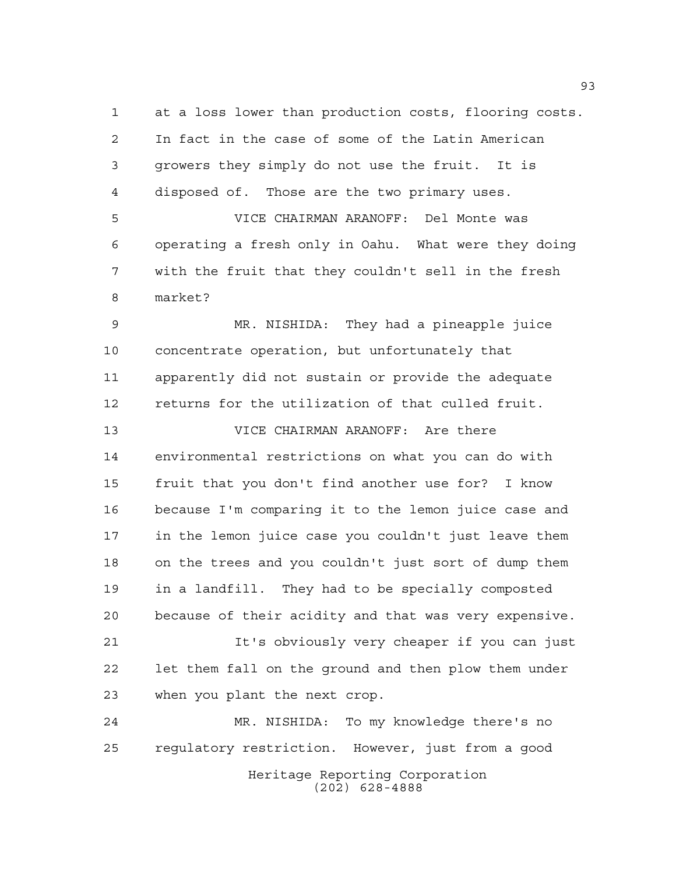at a loss lower than production costs, flooring costs. In fact in the case of some of the Latin American growers they simply do not use the fruit. It is disposed of. Those are the two primary uses.

 VICE CHAIRMAN ARANOFF: Del Monte was operating a fresh only in Oahu. What were they doing with the fruit that they couldn't sell in the fresh market?

 MR. NISHIDA: They had a pineapple juice concentrate operation, but unfortunately that apparently did not sustain or provide the adequate returns for the utilization of that culled fruit.

 VICE CHAIRMAN ARANOFF: Are there environmental restrictions on what you can do with fruit that you don't find another use for? I know because I'm comparing it to the lemon juice case and in the lemon juice case you couldn't just leave them on the trees and you couldn't just sort of dump them in a landfill. They had to be specially composted because of their acidity and that was very expensive.

 It's obviously very cheaper if you can just let them fall on the ground and then plow them under when you plant the next crop.

Heritage Reporting Corporation (202) 628-4888 MR. NISHIDA: To my knowledge there's no regulatory restriction. However, just from a good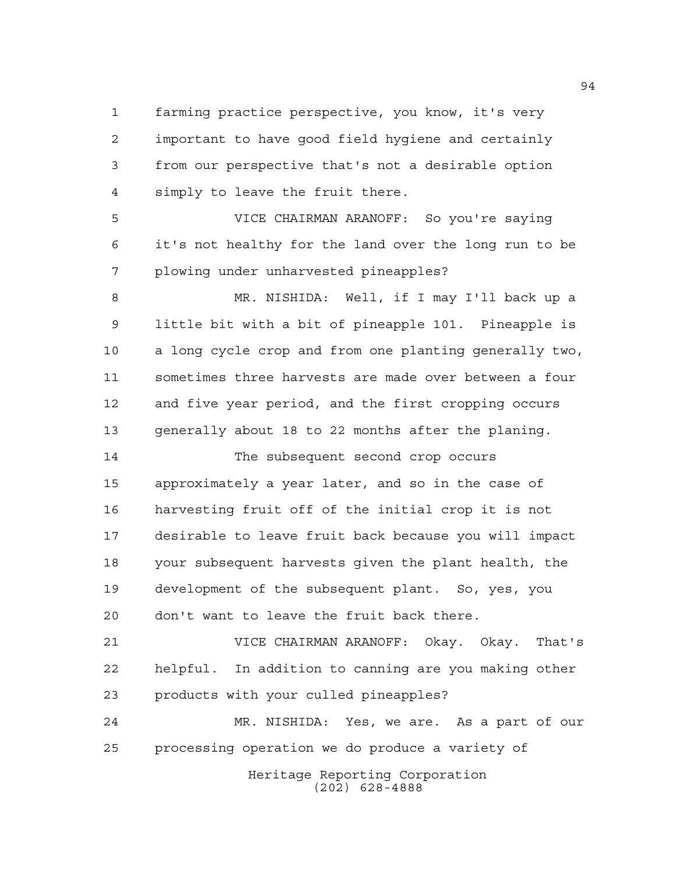farming practice perspective, you know, it's very important to have good field hygiene and certainly from our perspective that's not a desirable option simply to leave the fruit there.

 VICE CHAIRMAN ARANOFF: So you're saying it's not healthy for the land over the long run to be plowing under unharvested pineapples?

 MR. NISHIDA: Well, if I may I'll back up a little bit with a bit of pineapple 101. Pineapple is a long cycle crop and from one planting generally two, sometimes three harvests are made over between a four and five year period, and the first cropping occurs generally about 18 to 22 months after the planing.

 The subsequent second crop occurs approximately a year later, and so in the case of harvesting fruit off of the initial crop it is not desirable to leave fruit back because you will impact your subsequent harvests given the plant health, the development of the subsequent plant. So, yes, you don't want to leave the fruit back there.

 VICE CHAIRMAN ARANOFF: Okay. Okay. That's helpful. In addition to canning are you making other products with your culled pineapples?

Heritage Reporting Corporation MR. NISHIDA: Yes, we are. As a part of our processing operation we do produce a variety of

(202) 628-4888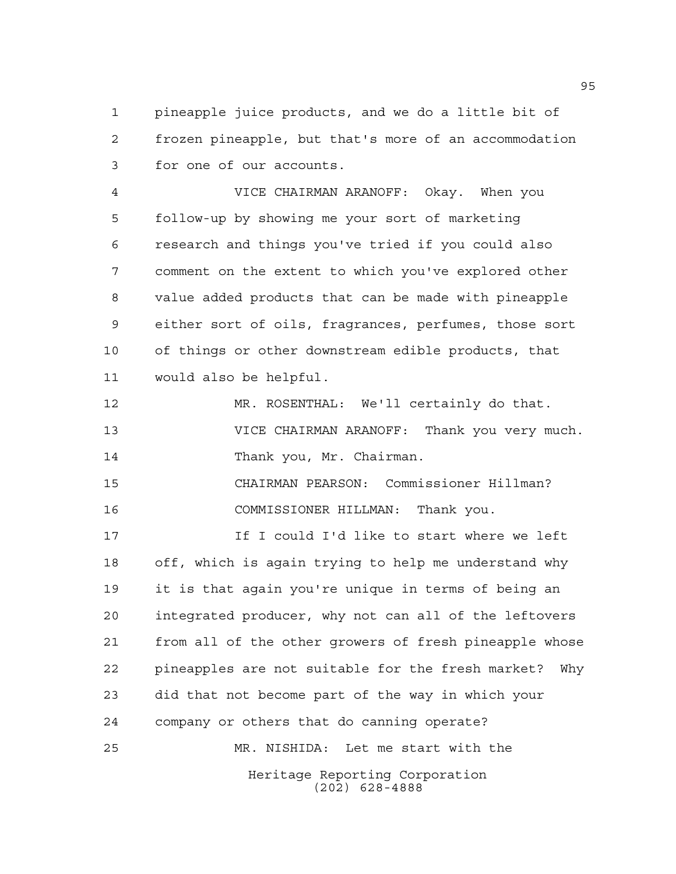pineapple juice products, and we do a little bit of frozen pineapple, but that's more of an accommodation for one of our accounts.

 VICE CHAIRMAN ARANOFF: Okay. When you follow-up by showing me your sort of marketing research and things you've tried if you could also comment on the extent to which you've explored other value added products that can be made with pineapple either sort of oils, fragrances, perfumes, those sort of things or other downstream edible products, that would also be helpful.

 MR. ROSENTHAL: We'll certainly do that. VICE CHAIRMAN ARANOFF: Thank you very much. 14 Thank you, Mr. Chairman.

 CHAIRMAN PEARSON: Commissioner Hillman? COMMISSIONER HILLMAN: Thank you.

 If I could I'd like to start where we left off, which is again trying to help me understand why it is that again you're unique in terms of being an integrated producer, why not can all of the leftovers from all of the other growers of fresh pineapple whose pineapples are not suitable for the fresh market? Why did that not become part of the way in which your company or others that do canning operate? MR. NISHIDA: Let me start with the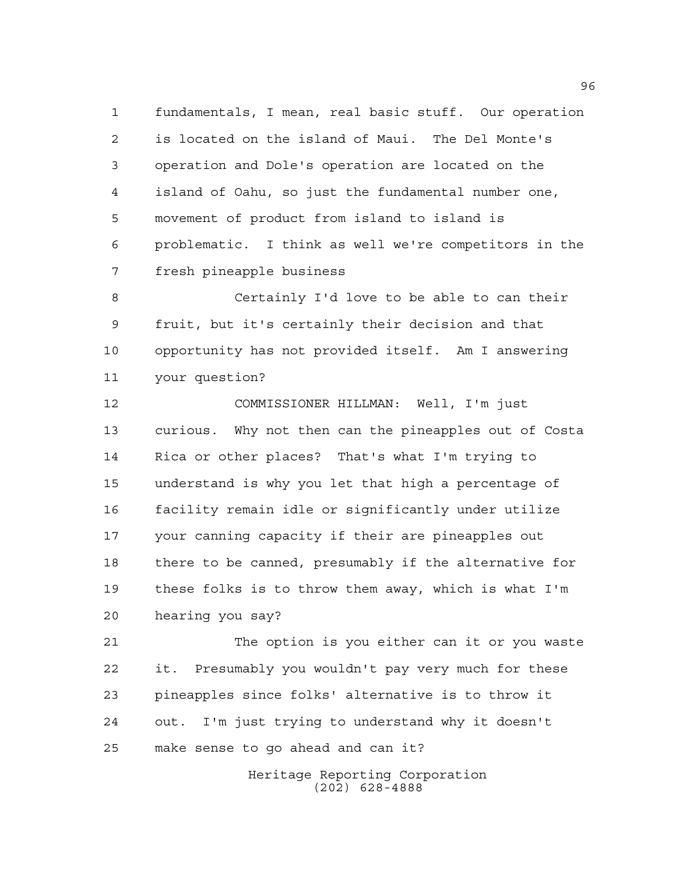fundamentals, I mean, real basic stuff. Our operation is located on the island of Maui. The Del Monte's operation and Dole's operation are located on the island of Oahu, so just the fundamental number one, movement of product from island to island is problematic. I think as well we're competitors in the fresh pineapple business

 Certainly I'd love to be able to can their fruit, but it's certainly their decision and that opportunity has not provided itself. Am I answering your question?

 COMMISSIONER HILLMAN: Well, I'm just curious. Why not then can the pineapples out of Costa Rica or other places? That's what I'm trying to understand is why you let that high a percentage of facility remain idle or significantly under utilize your canning capacity if their are pineapples out there to be canned, presumably if the alternative for these folks is to throw them away, which is what I'm hearing you say?

 The option is you either can it or you waste it. Presumably you wouldn't pay very much for these pineapples since folks' alternative is to throw it out. I'm just trying to understand why it doesn't make sense to go ahead and can it?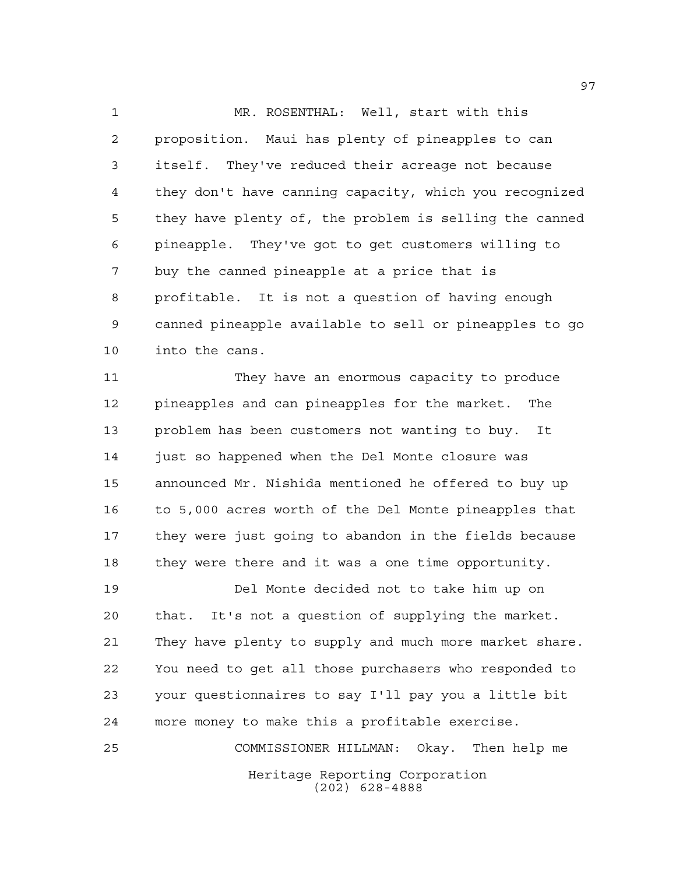MR. ROSENTHAL: Well, start with this proposition. Maui has plenty of pineapples to can itself. They've reduced their acreage not because they don't have canning capacity, which you recognized they have plenty of, the problem is selling the canned pineapple. They've got to get customers willing to buy the canned pineapple at a price that is profitable. It is not a question of having enough canned pineapple available to sell or pineapples to go into the cans.

 They have an enormous capacity to produce pineapples and can pineapples for the market. The problem has been customers not wanting to buy. It 14 just so happened when the Del Monte closure was announced Mr. Nishida mentioned he offered to buy up to 5,000 acres worth of the Del Monte pineapples that they were just going to abandon in the fields because they were there and it was a one time opportunity.

 Del Monte decided not to take him up on that. It's not a question of supplying the market. They have plenty to supply and much more market share. You need to get all those purchasers who responded to your questionnaires to say I'll pay you a little bit more money to make this a profitable exercise. COMMISSIONER HILLMAN: Okay. Then help me

> Heritage Reporting Corporation (202) 628-4888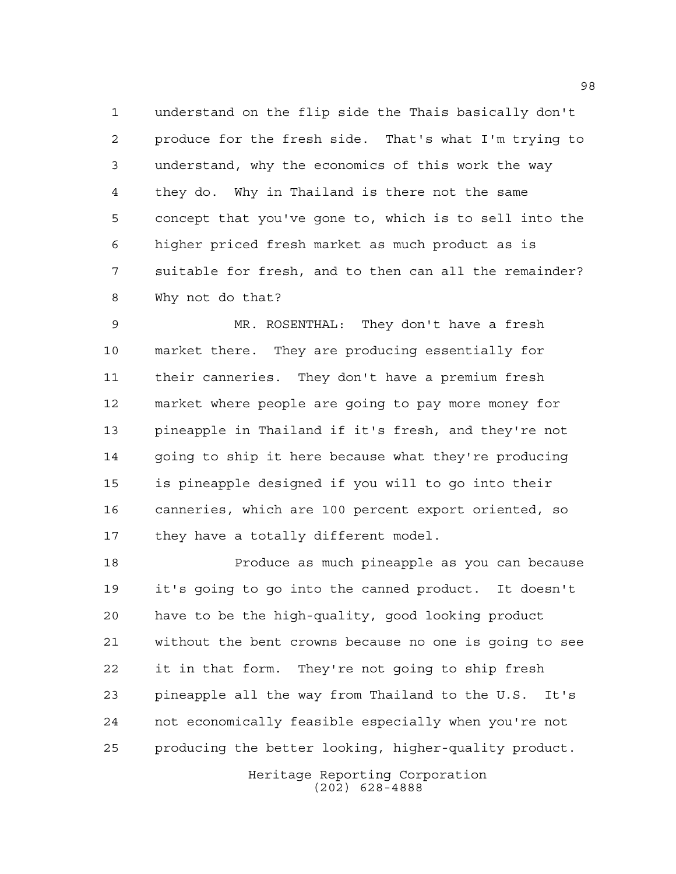understand on the flip side the Thais basically don't produce for the fresh side. That's what I'm trying to understand, why the economics of this work the way they do. Why in Thailand is there not the same concept that you've gone to, which is to sell into the higher priced fresh market as much product as is suitable for fresh, and to then can all the remainder? Why not do that?

 MR. ROSENTHAL: They don't have a fresh market there. They are producing essentially for their canneries. They don't have a premium fresh market where people are going to pay more money for pineapple in Thailand if it's fresh, and they're not going to ship it here because what they're producing is pineapple designed if you will to go into their canneries, which are 100 percent export oriented, so they have a totally different model.

 Produce as much pineapple as you can because it's going to go into the canned product. It doesn't have to be the high-quality, good looking product without the bent crowns because no one is going to see it in that form. They're not going to ship fresh pineapple all the way from Thailand to the U.S. It's not economically feasible especially when you're not producing the better looking, higher-quality product.

> Heritage Reporting Corporation (202) 628-4888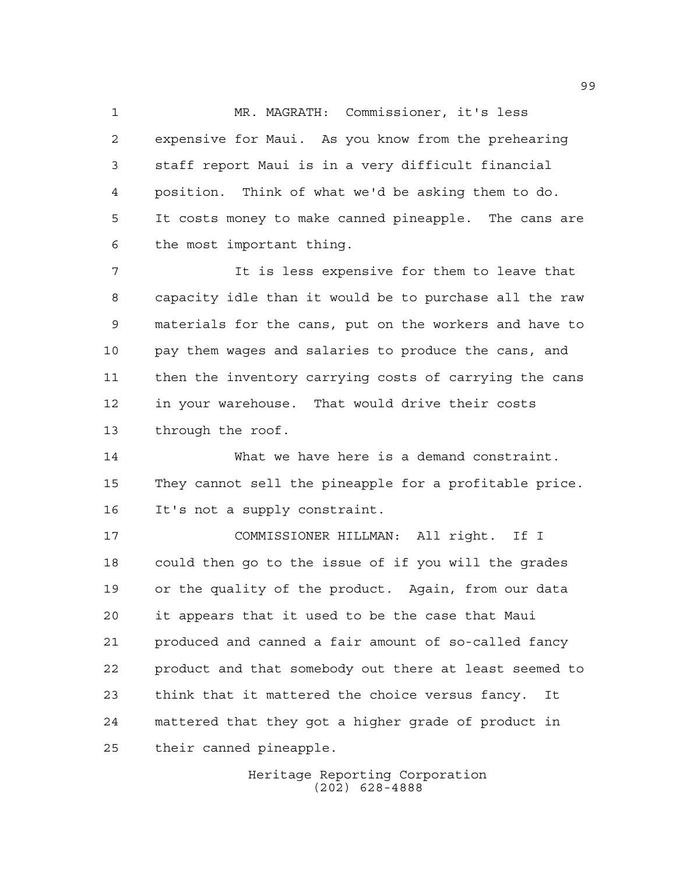MR. MAGRATH: Commissioner, it's less expensive for Maui. As you know from the prehearing staff report Maui is in a very difficult financial position. Think of what we'd be asking them to do. It costs money to make canned pineapple. The cans are the most important thing.

 It is less expensive for them to leave that capacity idle than it would be to purchase all the raw materials for the cans, put on the workers and have to pay them wages and salaries to produce the cans, and then the inventory carrying costs of carrying the cans in your warehouse. That would drive their costs through the roof.

 What we have here is a demand constraint. They cannot sell the pineapple for a profitable price. It's not a supply constraint.

 COMMISSIONER HILLMAN: All right. If I could then go to the issue of if you will the grades or the quality of the product. Again, from our data it appears that it used to be the case that Maui produced and canned a fair amount of so-called fancy product and that somebody out there at least seemed to think that it mattered the choice versus fancy. It mattered that they got a higher grade of product in their canned pineapple.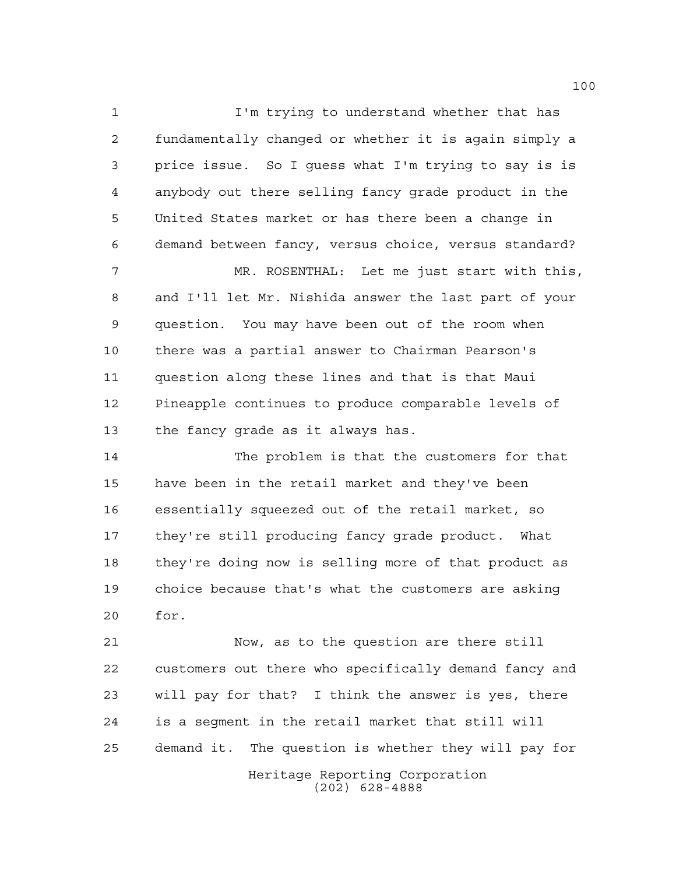I'm trying to understand whether that has fundamentally changed or whether it is again simply a price issue. So I guess what I'm trying to say is is anybody out there selling fancy grade product in the United States market or has there been a change in demand between fancy, versus choice, versus standard?

 MR. ROSENTHAL: Let me just start with this, and I'll let Mr. Nishida answer the last part of your question. You may have been out of the room when there was a partial answer to Chairman Pearson's question along these lines and that is that Maui Pineapple continues to produce comparable levels of the fancy grade as it always has.

 The problem is that the customers for that have been in the retail market and they've been essentially squeezed out of the retail market, so they're still producing fancy grade product. What they're doing now is selling more of that product as choice because that's what the customers are asking for.

 Now, as to the question are there still customers out there who specifically demand fancy and will pay for that? I think the answer is yes, there is a segment in the retail market that still will demand it. The question is whether they will pay for

Heritage Reporting Corporation (202) 628-4888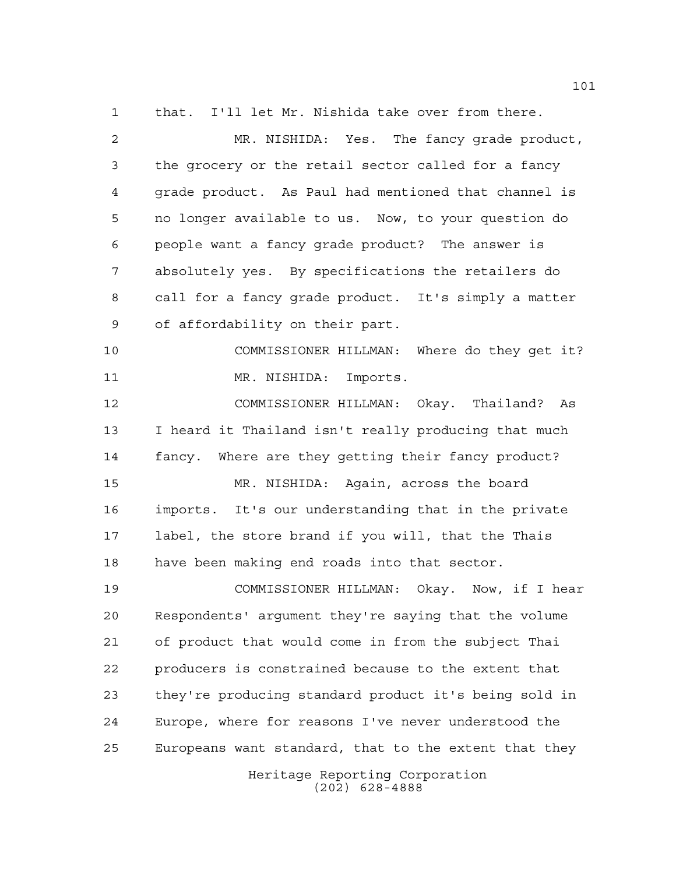that. I'll let Mr. Nishida take over from there.

 MR. NISHIDA: Yes. The fancy grade product, the grocery or the retail sector called for a fancy grade product. As Paul had mentioned that channel is no longer available to us. Now, to your question do people want a fancy grade product? The answer is absolutely yes. By specifications the retailers do call for a fancy grade product. It's simply a matter of affordability on their part. COMMISSIONER HILLMAN: Where do they get it? 11 MR. NISHIDA: Imports. COMMISSIONER HILLMAN: Okay. Thailand? As I heard it Thailand isn't really producing that much fancy. Where are they getting their fancy product? MR. NISHIDA: Again, across the board imports. It's our understanding that in the private label, the store brand if you will, that the Thais have been making end roads into that sector. COMMISSIONER HILLMAN: Okay. Now, if I hear Respondents' argument they're saying that the volume of product that would come in from the subject Thai producers is constrained because to the extent that they're producing standard product it's being sold in Europe, where for reasons I've never understood the Europeans want standard, that to the extent that they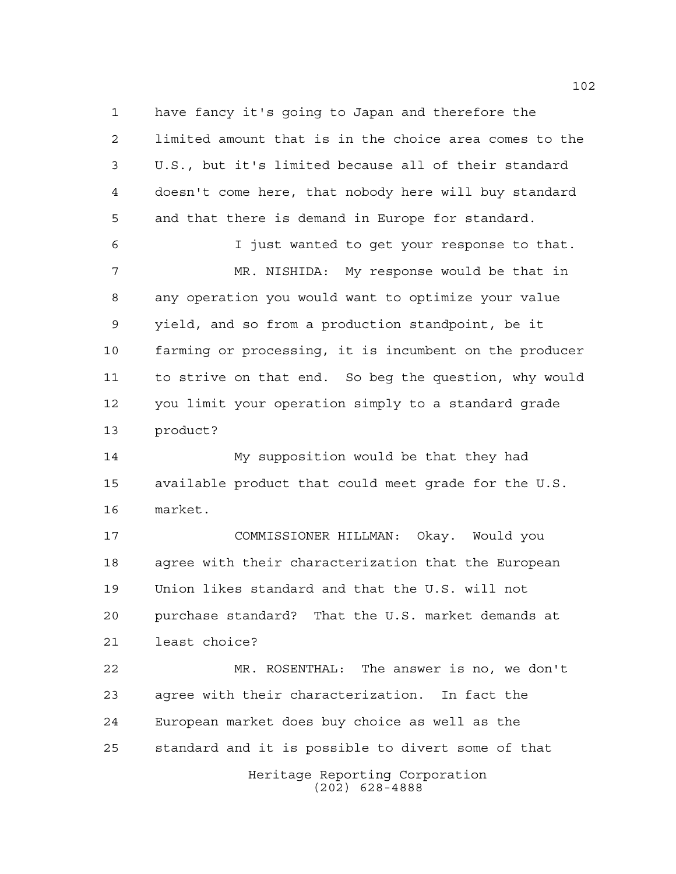have fancy it's going to Japan and therefore the limited amount that is in the choice area comes to the U.S., but it's limited because all of their standard doesn't come here, that nobody here will buy standard and that there is demand in Europe for standard.

 I just wanted to get your response to that. MR. NISHIDA: My response would be that in any operation you would want to optimize your value yield, and so from a production standpoint, be it farming or processing, it is incumbent on the producer to strive on that end. So beg the question, why would you limit your operation simply to a standard grade product?

 My supposition would be that they had available product that could meet grade for the U.S. market.

 COMMISSIONER HILLMAN: Okay. Would you agree with their characterization that the European Union likes standard and that the U.S. will not purchase standard? That the U.S. market demands at least choice?

Heritage Reporting Corporation MR. ROSENTHAL: The answer is no, we don't agree with their characterization. In fact the European market does buy choice as well as the standard and it is possible to divert some of that

(202) 628-4888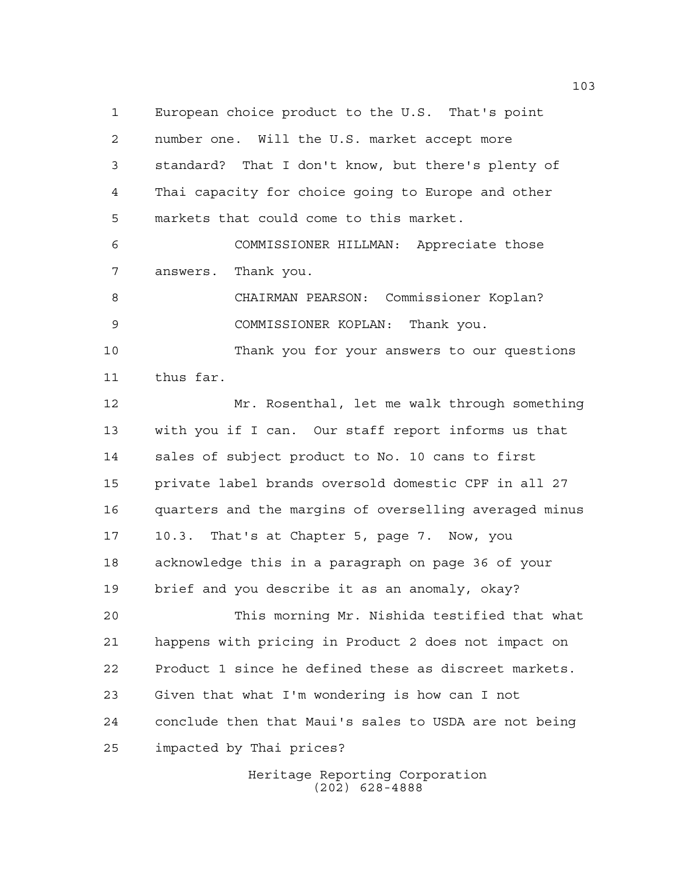European choice product to the U.S. That's point number one. Will the U.S. market accept more standard? That I don't know, but there's plenty of Thai capacity for choice going to Europe and other markets that could come to this market. COMMISSIONER HILLMAN: Appreciate those answers. Thank you. CHAIRMAN PEARSON: Commissioner Koplan? COMMISSIONER KOPLAN: Thank you. Thank you for your answers to our questions thus far. Mr. Rosenthal, let me walk through something

 with you if I can. Our staff report informs us that sales of subject product to No. 10 cans to first private label brands oversold domestic CPF in all 27 quarters and the margins of overselling averaged minus 10.3. That's at Chapter 5, page 7. Now, you acknowledge this in a paragraph on page 36 of your brief and you describe it as an anomaly, okay?

 This morning Mr. Nishida testified that what happens with pricing in Product 2 does not impact on Product 1 since he defined these as discreet markets. Given that what I'm wondering is how can I not conclude then that Maui's sales to USDA are not being impacted by Thai prices?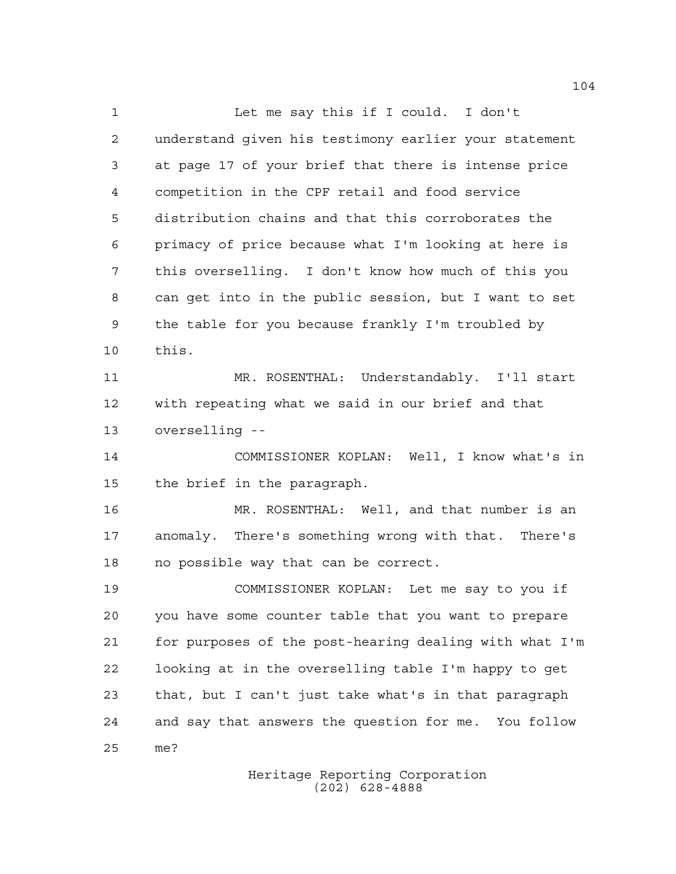1 Let me say this if I could. I don't understand given his testimony earlier your statement at page 17 of your brief that there is intense price competition in the CPF retail and food service distribution chains and that this corroborates the primacy of price because what I'm looking at here is this overselling. I don't know how much of this you can get into in the public session, but I want to set the table for you because frankly I'm troubled by this.

 MR. ROSENTHAL: Understandably. I'll start with repeating what we said in our brief and that overselling --

 COMMISSIONER KOPLAN: Well, I know what's in the brief in the paragraph.

 MR. ROSENTHAL: Well, and that number is an anomaly. There's something wrong with that. There's no possible way that can be correct.

 COMMISSIONER KOPLAN: Let me say to you if you have some counter table that you want to prepare for purposes of the post-hearing dealing with what I'm looking at in the overselling table I'm happy to get that, but I can't just take what's in that paragraph and say that answers the question for me. You follow me?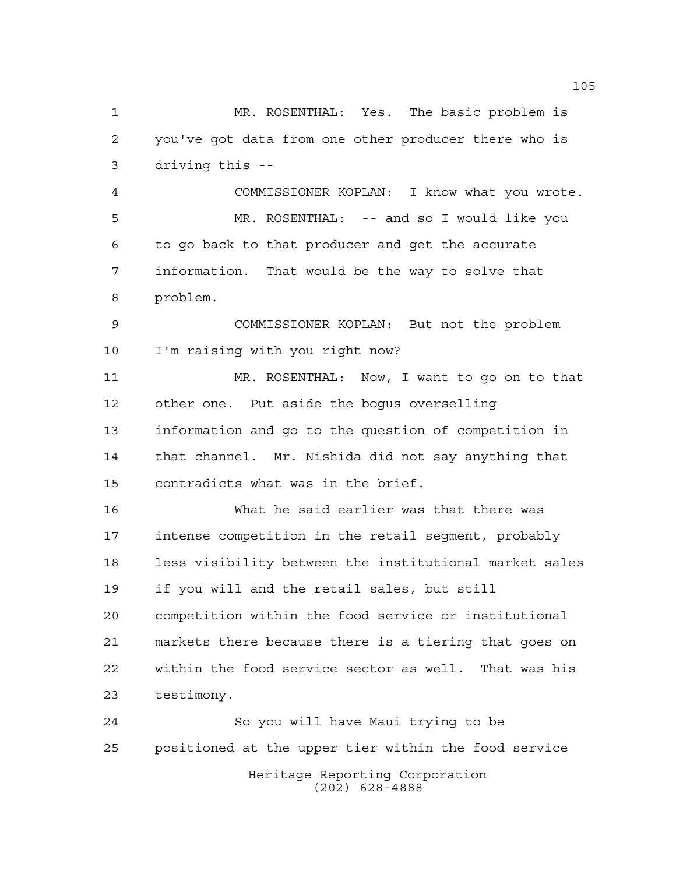MR. ROSENTHAL: Yes. The basic problem is you've got data from one other producer there who is driving this -- COMMISSIONER KOPLAN: I know what you wrote.

 MR. ROSENTHAL: -- and so I would like you to go back to that producer and get the accurate information. That would be the way to solve that problem.

 COMMISSIONER KOPLAN: But not the problem I'm raising with you right now?

 MR. ROSENTHAL: Now, I want to go on to that other one. Put aside the bogus overselling information and go to the question of competition in that channel. Mr. Nishida did not say anything that contradicts what was in the brief.

 What he said earlier was that there was intense competition in the retail segment, probably less visibility between the institutional market sales if you will and the retail sales, but still competition within the food service or institutional markets there because there is a tiering that goes on within the food service sector as well. That was his testimony.

Heritage Reporting Corporation (202) 628-4888 So you will have Maui trying to be positioned at the upper tier within the food service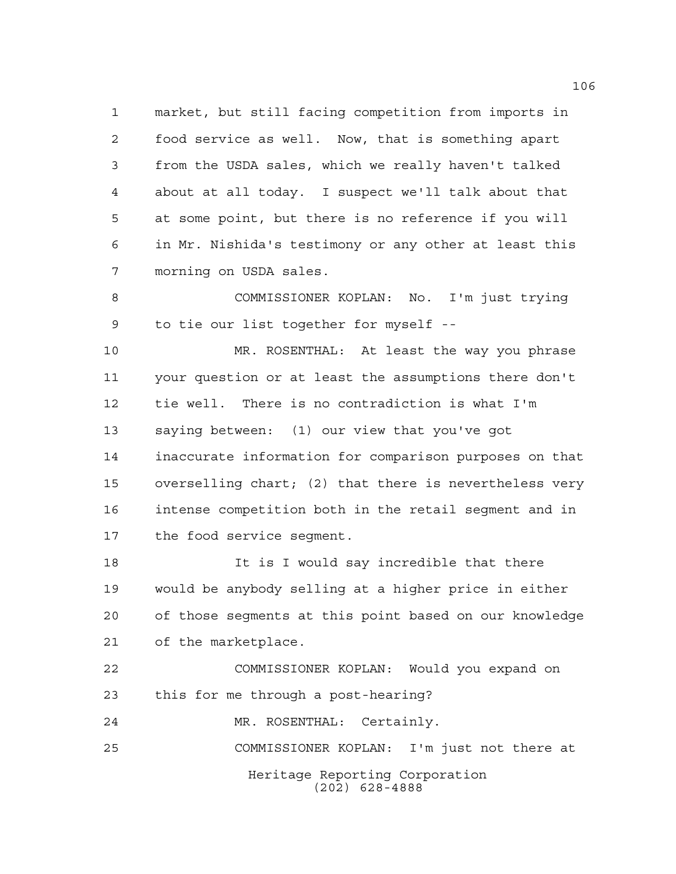market, but still facing competition from imports in food service as well. Now, that is something apart from the USDA sales, which we really haven't talked about at all today. I suspect we'll talk about that at some point, but there is no reference if you will in Mr. Nishida's testimony or any other at least this morning on USDA sales.

 COMMISSIONER KOPLAN: No. I'm just trying to tie our list together for myself --

 MR. ROSENTHAL: At least the way you phrase your question or at least the assumptions there don't tie well. There is no contradiction is what I'm saying between: (1) our view that you've got inaccurate information for comparison purposes on that overselling chart; (2) that there is nevertheless very intense competition both in the retail segment and in the food service segment.

 It is I would say incredible that there would be anybody selling at a higher price in either of those segments at this point based on our knowledge of the marketplace.

 COMMISSIONER KOPLAN: Would you expand on this for me through a post-hearing?

MR. ROSENTHAL: Certainly.

COMMISSIONER KOPLAN: I'm just not there at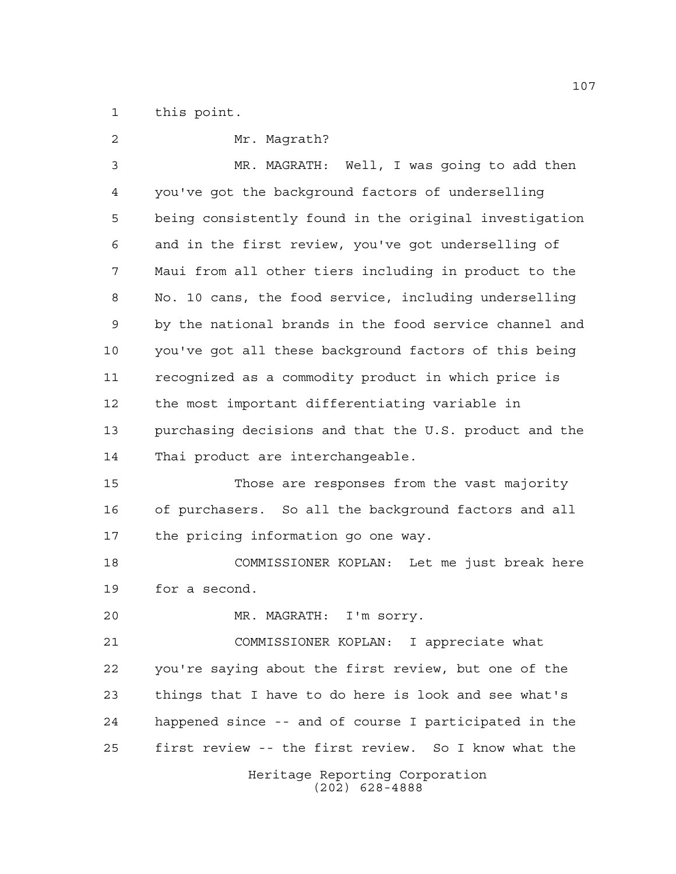this point.

| 2  | Mr. Magrath?                                           |
|----|--------------------------------------------------------|
| 3  | MR. MAGRATH: Well, I was going to add then             |
| 4  | you've got the background factors of underselling      |
| 5  | being consistently found in the original investigation |
| 6  | and in the first review, you've got underselling of    |
| 7  | Maui from all other tiers including in product to the  |
| 8  | No. 10 cans, the food service, including underselling  |
| 9  | by the national brands in the food service channel and |
| 10 | you've got all these background factors of this being  |
| 11 | recognized as a commodity product in which price is    |
| 12 | the most important differentiating variable in         |
| 13 | purchasing decisions and that the U.S. product and the |
| 14 | Thai product are interchangeable.                      |
| 15 | Those are responses from the vast majority             |
| 16 | of purchasers. So all the background factors and all   |
| 17 | the pricing information go one way.                    |
| 18 | COMMISSIONER KOPLAN: Let me just break here            |
| 19 | for a second.                                          |
| 20 | MR. MAGRATH:<br>I'm sorry.                             |
| 21 | COMMISSIONER KOPLAN: I appreciate what                 |
| 22 | you're saying about the first review, but one of the   |
| 23 | things that I have to do here is look and see what's   |
| 24 | happened since -- and of course I participated in the  |
| 25 | first review -- the first review. So I know what the   |
|    | Heritage Reporting Corporation<br>$(202)$ 628-4888     |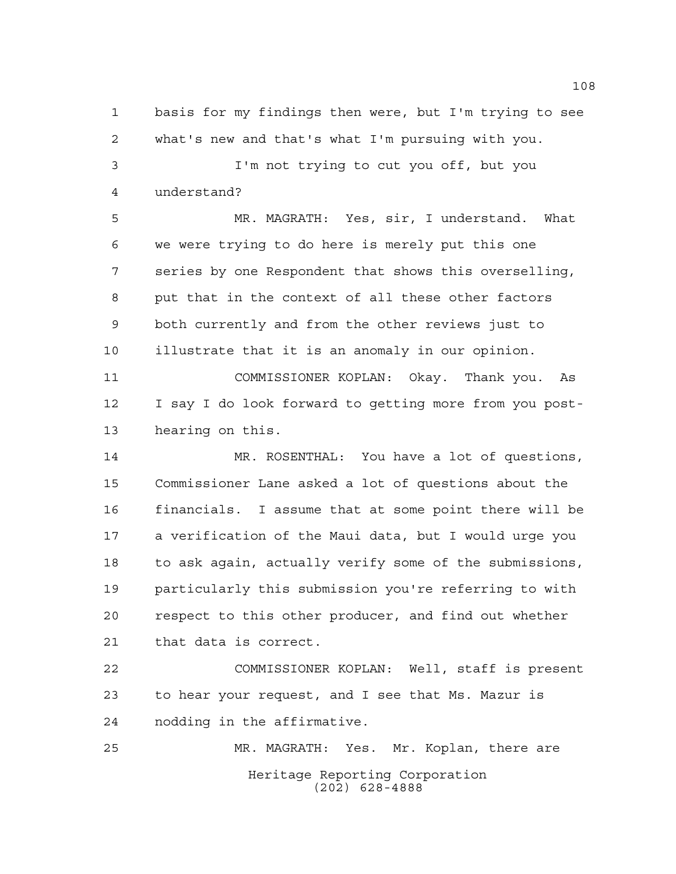basis for my findings then were, but I'm trying to see what's new and that's what I'm pursuing with you.

 I'm not trying to cut you off, but you understand?

 MR. MAGRATH: Yes, sir, I understand. What we were trying to do here is merely put this one series by one Respondent that shows this overselling, put that in the context of all these other factors both currently and from the other reviews just to illustrate that it is an anomaly in our opinion.

 COMMISSIONER KOPLAN: Okay. Thank you. As I say I do look forward to getting more from you post-hearing on this.

 MR. ROSENTHAL: You have a lot of questions, Commissioner Lane asked a lot of questions about the financials. I assume that at some point there will be a verification of the Maui data, but I would urge you to ask again, actually verify some of the submissions, particularly this submission you're referring to with respect to this other producer, and find out whether that data is correct.

 COMMISSIONER KOPLAN: Well, staff is present to hear your request, and I see that Ms. Mazur is nodding in the affirmative.

Heritage Reporting Corporation (202) 628-4888 MR. MAGRATH: Yes. Mr. Koplan, there are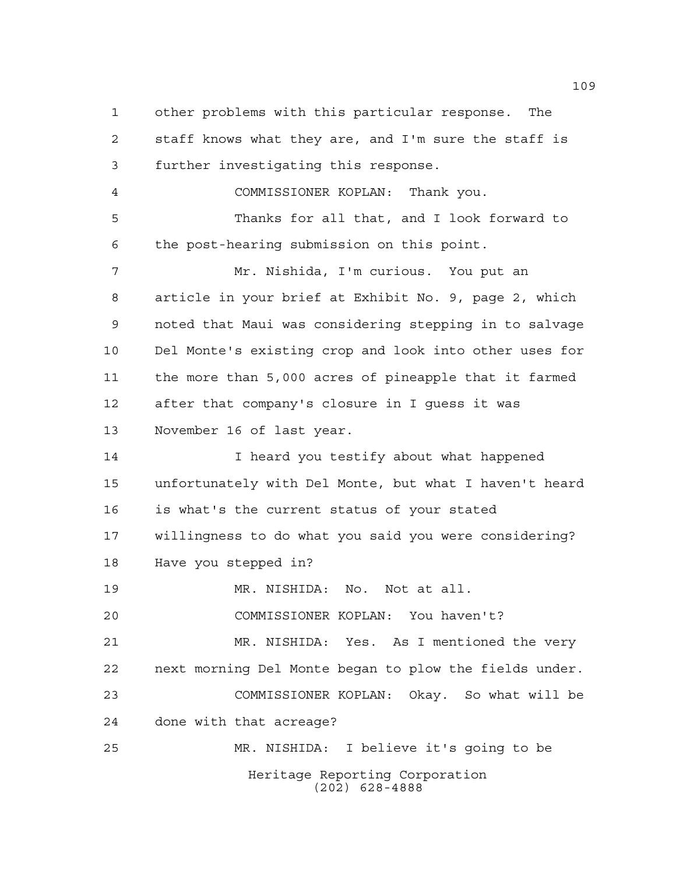Heritage Reporting Corporation (202) 628-4888 other problems with this particular response. The staff knows what they are, and I'm sure the staff is further investigating this response. COMMISSIONER KOPLAN: Thank you. Thanks for all that, and I look forward to the post-hearing submission on this point. Mr. Nishida, I'm curious. You put an article in your brief at Exhibit No. 9, page 2, which noted that Maui was considering stepping in to salvage Del Monte's existing crop and look into other uses for the more than 5,000 acres of pineapple that it farmed after that company's closure in I guess it was November 16 of last year. I heard you testify about what happened unfortunately with Del Monte, but what I haven't heard is what's the current status of your stated willingness to do what you said you were considering? Have you stepped in? MR. NISHIDA: No. Not at all. COMMISSIONER KOPLAN: You haven't? MR. NISHIDA: Yes. As I mentioned the very next morning Del Monte began to plow the fields under. COMMISSIONER KOPLAN: Okay. So what will be done with that acreage? MR. NISHIDA: I believe it's going to be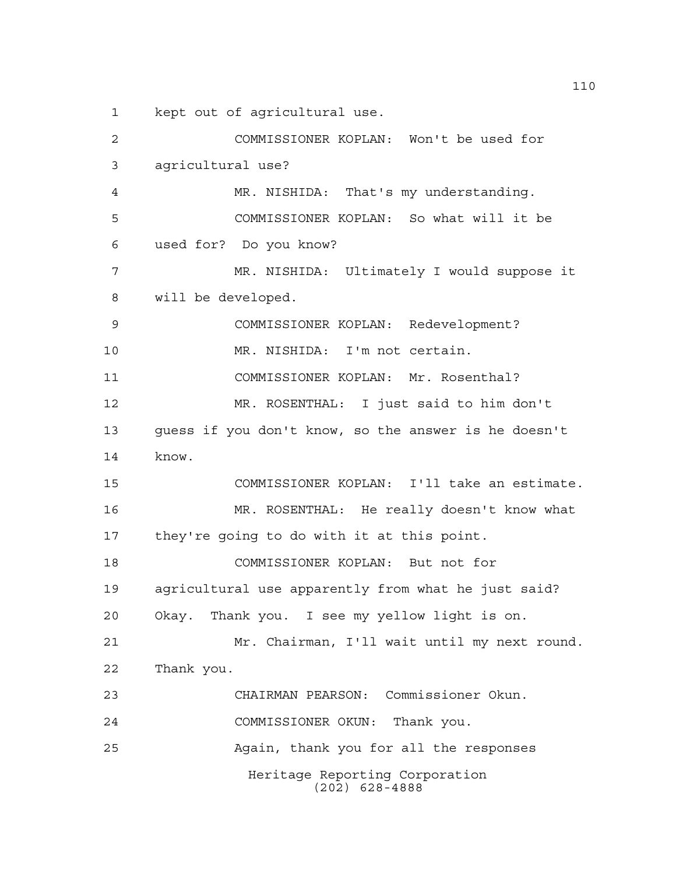kept out of agricultural use.

Heritage Reporting Corporation (202) 628-4888 COMMISSIONER KOPLAN: Won't be used for agricultural use? MR. NISHIDA: That's my understanding. COMMISSIONER KOPLAN: So what will it be used for? Do you know? MR. NISHIDA: Ultimately I would suppose it will be developed. COMMISSIONER KOPLAN: Redevelopment? MR. NISHIDA: I'm not certain. COMMISSIONER KOPLAN: Mr. Rosenthal? MR. ROSENTHAL: I just said to him don't guess if you don't know, so the answer is he doesn't know. COMMISSIONER KOPLAN: I'll take an estimate. MR. ROSENTHAL: He really doesn't know what they're going to do with it at this point. COMMISSIONER KOPLAN: But not for agricultural use apparently from what he just said? Okay. Thank you. I see my yellow light is on. Mr. Chairman, I'll wait until my next round. Thank you. CHAIRMAN PEARSON: Commissioner Okun. COMMISSIONER OKUN: Thank you. Again, thank you for all the responses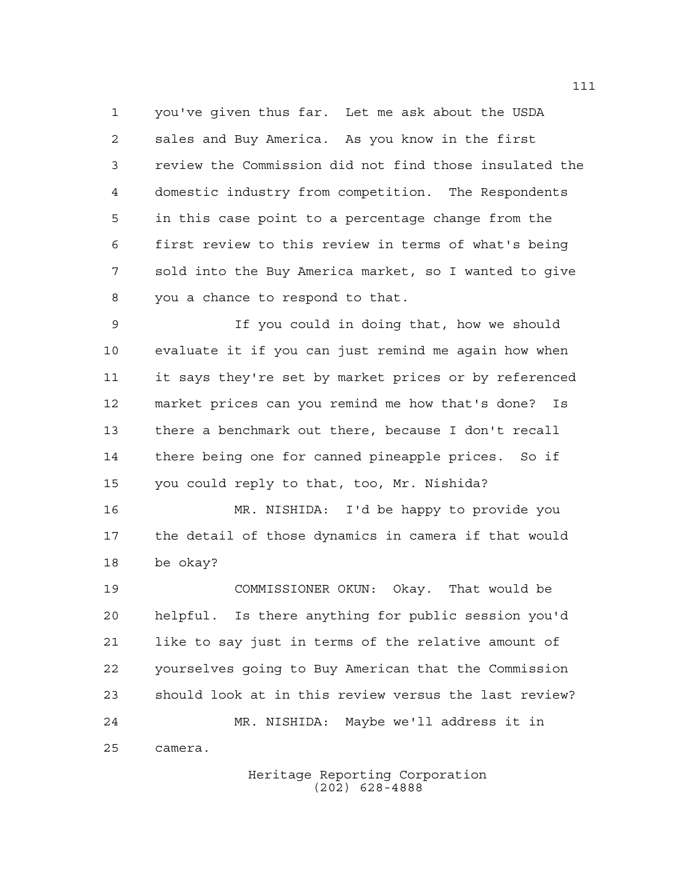you've given thus far. Let me ask about the USDA sales and Buy America. As you know in the first review the Commission did not find those insulated the domestic industry from competition. The Respondents in this case point to a percentage change from the first review to this review in terms of what's being sold into the Buy America market, so I wanted to give you a chance to respond to that.

 If you could in doing that, how we should evaluate it if you can just remind me again how when it says they're set by market prices or by referenced market prices can you remind me how that's done? Is there a benchmark out there, because I don't recall there being one for canned pineapple prices. So if you could reply to that, too, Mr. Nishida?

 MR. NISHIDA: I'd be happy to provide you the detail of those dynamics in camera if that would be okay?

 COMMISSIONER OKUN: Okay. That would be helpful. Is there anything for public session you'd like to say just in terms of the relative amount of yourselves going to Buy American that the Commission should look at in this review versus the last review? MR. NISHIDA: Maybe we'll address it in camera.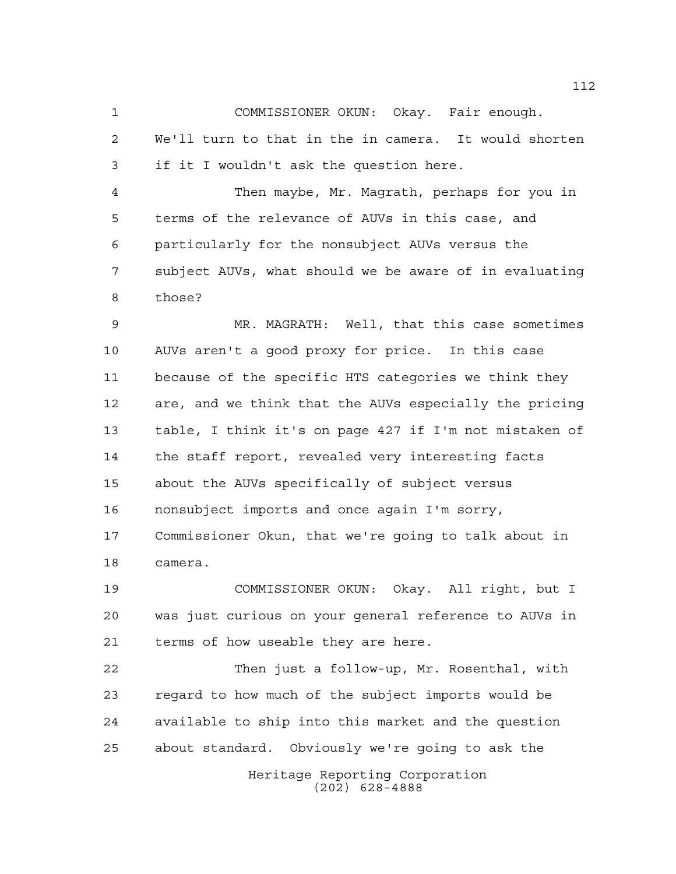COMMISSIONER OKUN: Okay. Fair enough.

 We'll turn to that in the in camera. It would shorten if it I wouldn't ask the question here.

 Then maybe, Mr. Magrath, perhaps for you in terms of the relevance of AUVs in this case, and particularly for the nonsubject AUVs versus the subject AUVs, what should we be aware of in evaluating those?

 MR. MAGRATH: Well, that this case sometimes AUVs aren't a good proxy for price. In this case because of the specific HTS categories we think they are, and we think that the AUVs especially the pricing table, I think it's on page 427 if I'm not mistaken of the staff report, revealed very interesting facts about the AUVs specifically of subject versus nonsubject imports and once again I'm sorry, Commissioner Okun, that we're going to talk about in camera.

 COMMISSIONER OKUN: Okay. All right, but I was just curious on your general reference to AUVs in terms of how useable they are here.

 Then just a follow-up, Mr. Rosenthal, with regard to how much of the subject imports would be available to ship into this market and the question about standard. Obviously we're going to ask the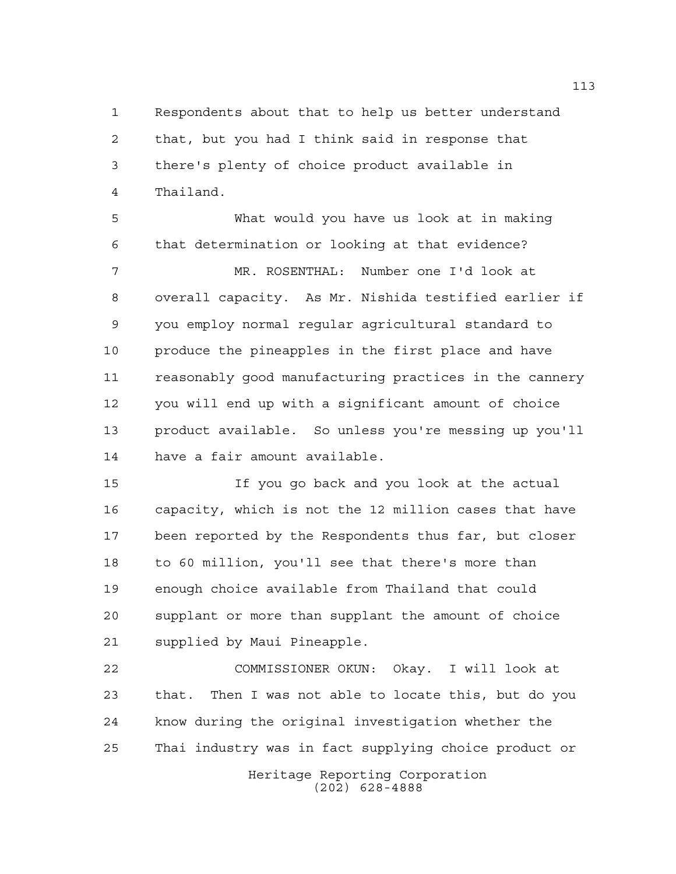Respondents about that to help us better understand that, but you had I think said in response that there's plenty of choice product available in Thailand.

 What would you have us look at in making that determination or looking at that evidence? MR. ROSENTHAL: Number one I'd look at overall capacity. As Mr. Nishida testified earlier if you employ normal regular agricultural standard to produce the pineapples in the first place and have reasonably good manufacturing practices in the cannery you will end up with a significant amount of choice product available. So unless you're messing up you'll have a fair amount available.

 If you go back and you look at the actual capacity, which is not the 12 million cases that have been reported by the Respondents thus far, but closer to 60 million, you'll see that there's more than enough choice available from Thailand that could supplant or more than supplant the amount of choice supplied by Maui Pineapple.

 COMMISSIONER OKUN: Okay. I will look at that. Then I was not able to locate this, but do you know during the original investigation whether the Thai industry was in fact supplying choice product or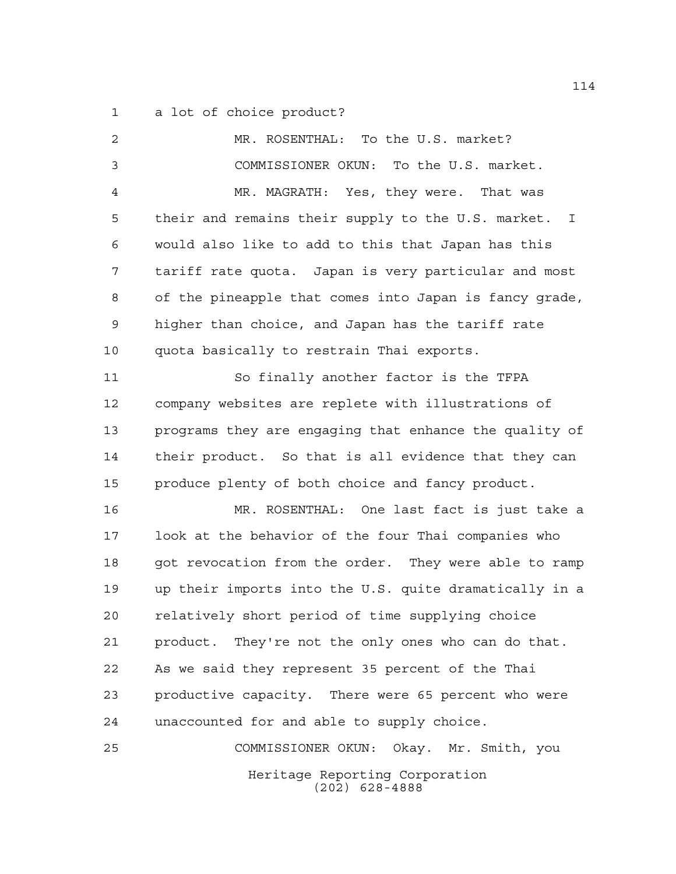a lot of choice product?

Heritage Reporting Corporation MR. ROSENTHAL: To the U.S. market? COMMISSIONER OKUN: To the U.S. market. MR. MAGRATH: Yes, they were. That was their and remains their supply to the U.S. market. I would also like to add to this that Japan has this tariff rate quota. Japan is very particular and most of the pineapple that comes into Japan is fancy grade, higher than choice, and Japan has the tariff rate quota basically to restrain Thai exports. So finally another factor is the TFPA company websites are replete with illustrations of programs they are engaging that enhance the quality of their product. So that is all evidence that they can produce plenty of both choice and fancy product. MR. ROSENTHAL: One last fact is just take a look at the behavior of the four Thai companies who got revocation from the order. They were able to ramp up their imports into the U.S. quite dramatically in a relatively short period of time supplying choice product. They're not the only ones who can do that. As we said they represent 35 percent of the Thai productive capacity. There were 65 percent who were unaccounted for and able to supply choice. COMMISSIONER OKUN: Okay. Mr. Smith, you

(202) 628-4888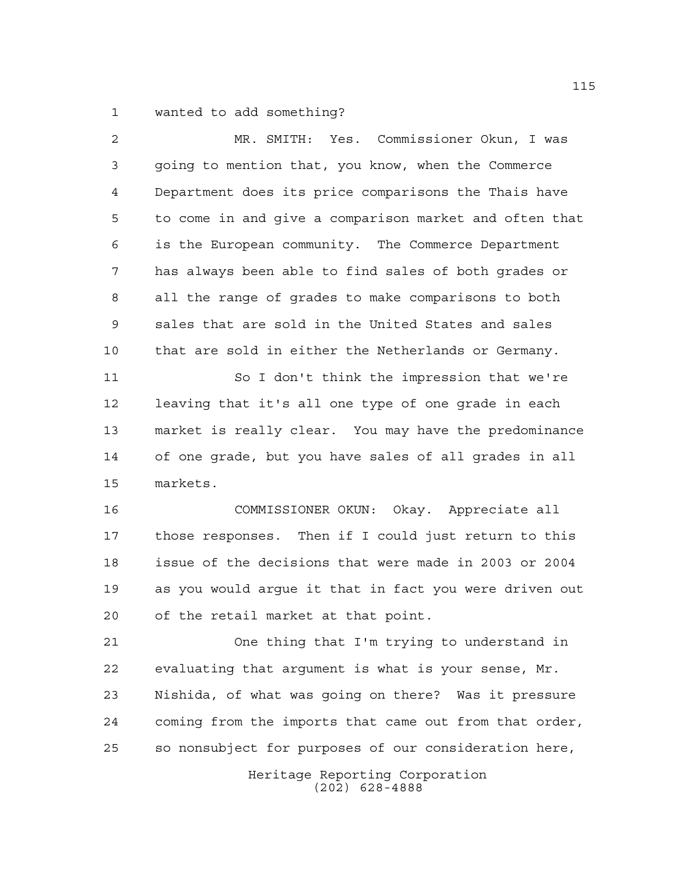wanted to add something?

Heritage Reporting Corporation (202) 628-4888 MR. SMITH: Yes. Commissioner Okun, I was going to mention that, you know, when the Commerce Department does its price comparisons the Thais have to come in and give a comparison market and often that is the European community. The Commerce Department has always been able to find sales of both grades or all the range of grades to make comparisons to both sales that are sold in the United States and sales that are sold in either the Netherlands or Germany. So I don't think the impression that we're leaving that it's all one type of one grade in each market is really clear. You may have the predominance of one grade, but you have sales of all grades in all markets. COMMISSIONER OKUN: Okay. Appreciate all those responses. Then if I could just return to this issue of the decisions that were made in 2003 or 2004 as you would argue it that in fact you were driven out of the retail market at that point. One thing that I'm trying to understand in evaluating that argument is what is your sense, Mr. Nishida, of what was going on there? Was it pressure coming from the imports that came out from that order, so nonsubject for purposes of our consideration here,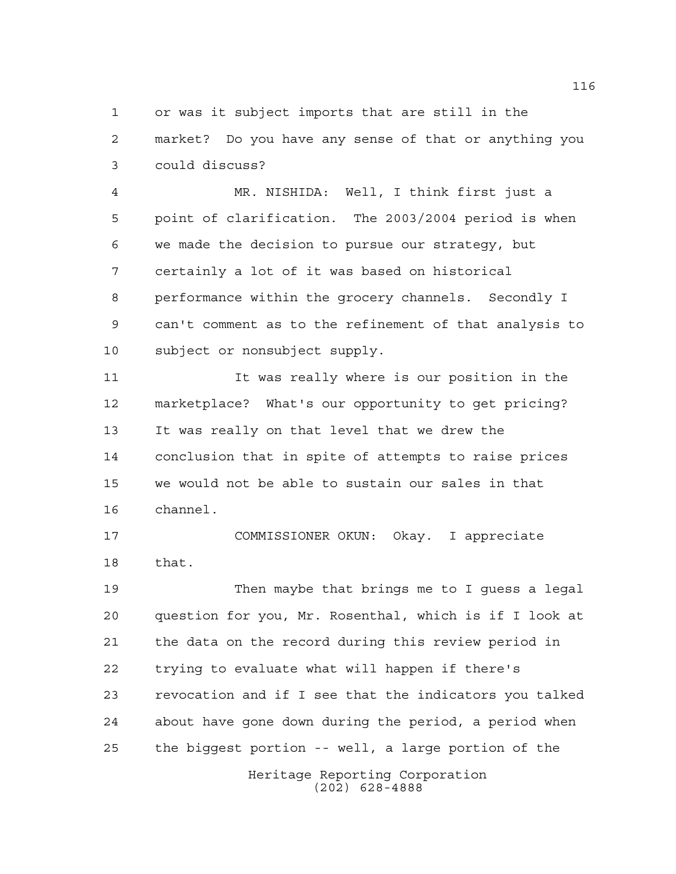or was it subject imports that are still in the

 market? Do you have any sense of that or anything you could discuss?

 MR. NISHIDA: Well, I think first just a point of clarification. The 2003/2004 period is when we made the decision to pursue our strategy, but certainly a lot of it was based on historical performance within the grocery channels. Secondly I can't comment as to the refinement of that analysis to subject or nonsubject supply.

 It was really where is our position in the marketplace? What's our opportunity to get pricing? It was really on that level that we drew the conclusion that in spite of attempts to raise prices we would not be able to sustain our sales in that channel.

 COMMISSIONER OKUN: Okay. I appreciate that.

 Then maybe that brings me to I guess a legal question for you, Mr. Rosenthal, which is if I look at the data on the record during this review period in trying to evaluate what will happen if there's revocation and if I see that the indicators you talked about have gone down during the period, a period when the biggest portion -- well, a large portion of the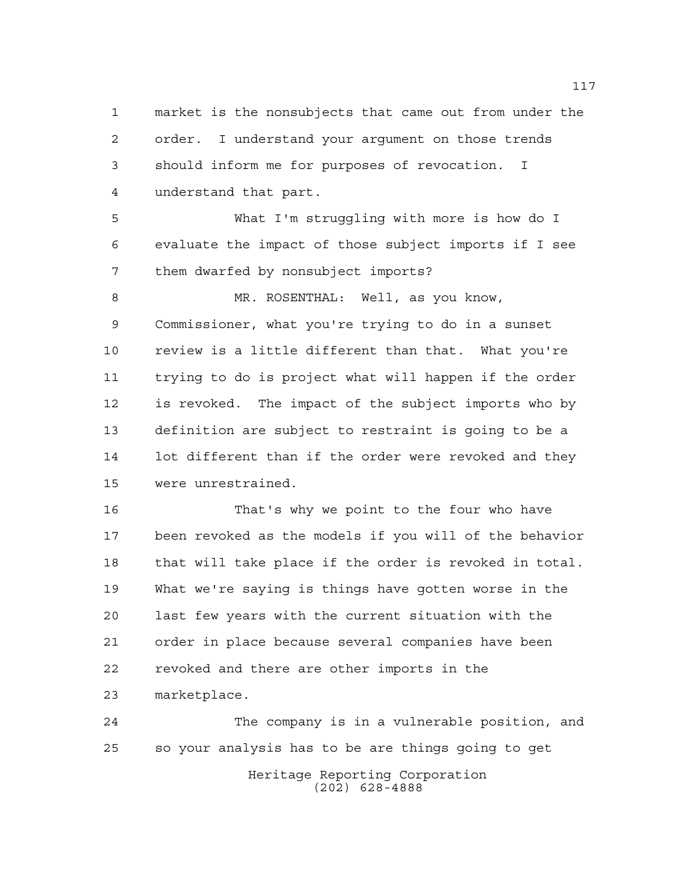market is the nonsubjects that came out from under the order. I understand your argument on those trends should inform me for purposes of revocation. I understand that part.

 What I'm struggling with more is how do I evaluate the impact of those subject imports if I see them dwarfed by nonsubject imports?

8 MR. ROSENTHAL: Well, as you know, Commissioner, what you're trying to do in a sunset review is a little different than that. What you're trying to do is project what will happen if the order is revoked. The impact of the subject imports who by definition are subject to restraint is going to be a lot different than if the order were revoked and they were unrestrained.

 That's why we point to the four who have been revoked as the models if you will of the behavior that will take place if the order is revoked in total. What we're saying is things have gotten worse in the last few years with the current situation with the order in place because several companies have been revoked and there are other imports in the marketplace.

Heritage Reporting Corporation (202) 628-4888 The company is in a vulnerable position, and so your analysis has to be are things going to get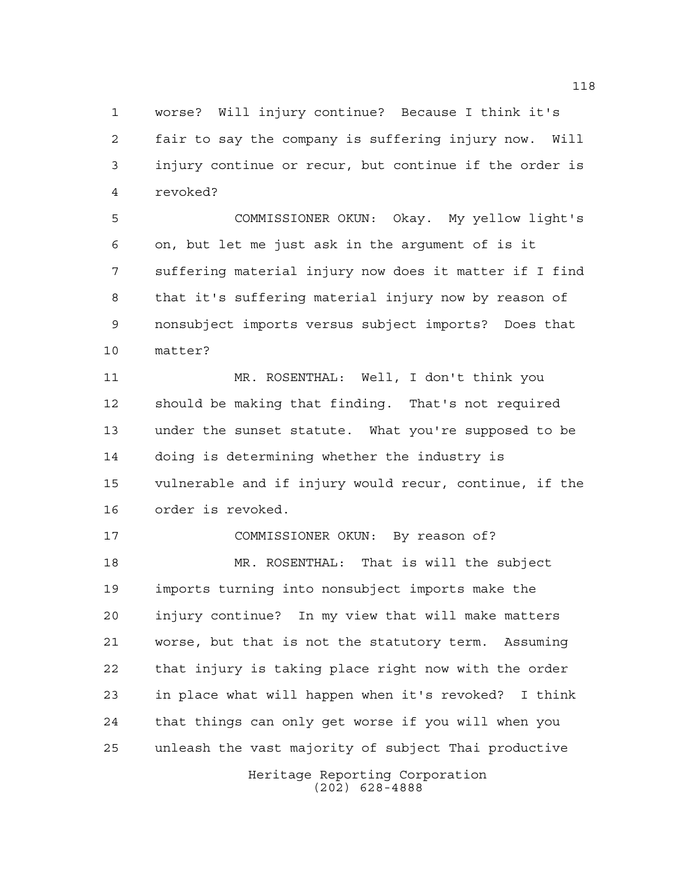worse? Will injury continue? Because I think it's fair to say the company is suffering injury now. Will injury continue or recur, but continue if the order is revoked?

 COMMISSIONER OKUN: Okay. My yellow light's on, but let me just ask in the argument of is it suffering material injury now does it matter if I find that it's suffering material injury now by reason of nonsubject imports versus subject imports? Does that matter?

 MR. ROSENTHAL: Well, I don't think you should be making that finding. That's not required under the sunset statute. What you're supposed to be doing is determining whether the industry is vulnerable and if injury would recur, continue, if the order is revoked.

 COMMISSIONER OKUN: By reason of? MR. ROSENTHAL: That is will the subject imports turning into nonsubject imports make the injury continue? In my view that will make matters worse, but that is not the statutory term. Assuming that injury is taking place right now with the order in place what will happen when it's revoked? I think that things can only get worse if you will when you unleash the vast majority of subject Thai productive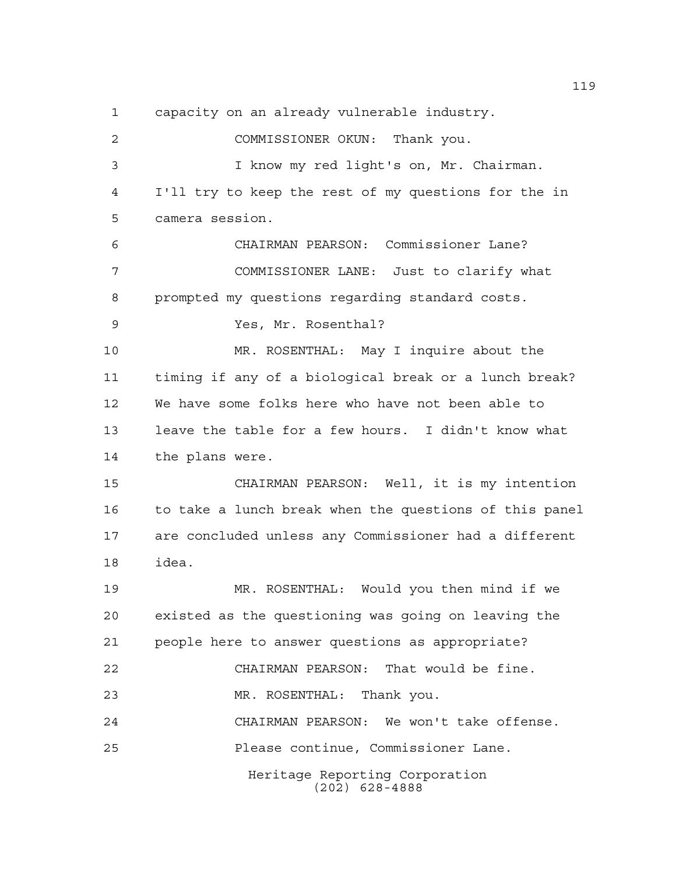Heritage Reporting Corporation (202) 628-4888 capacity on an already vulnerable industry. COMMISSIONER OKUN: Thank you. I know my red light's on, Mr. Chairman. I'll try to keep the rest of my questions for the in camera session. CHAIRMAN PEARSON: Commissioner Lane? COMMISSIONER LANE: Just to clarify what prompted my questions regarding standard costs. Yes, Mr. Rosenthal? MR. ROSENTHAL: May I inquire about the timing if any of a biological break or a lunch break? We have some folks here who have not been able to leave the table for a few hours. I didn't know what the plans were. CHAIRMAN PEARSON: Well, it is my intention to take a lunch break when the questions of this panel are concluded unless any Commissioner had a different idea. MR. ROSENTHAL: Would you then mind if we existed as the questioning was going on leaving the people here to answer questions as appropriate? CHAIRMAN PEARSON: That would be fine. MR. ROSENTHAL: Thank you. CHAIRMAN PEARSON: We won't take offense. Please continue, Commissioner Lane.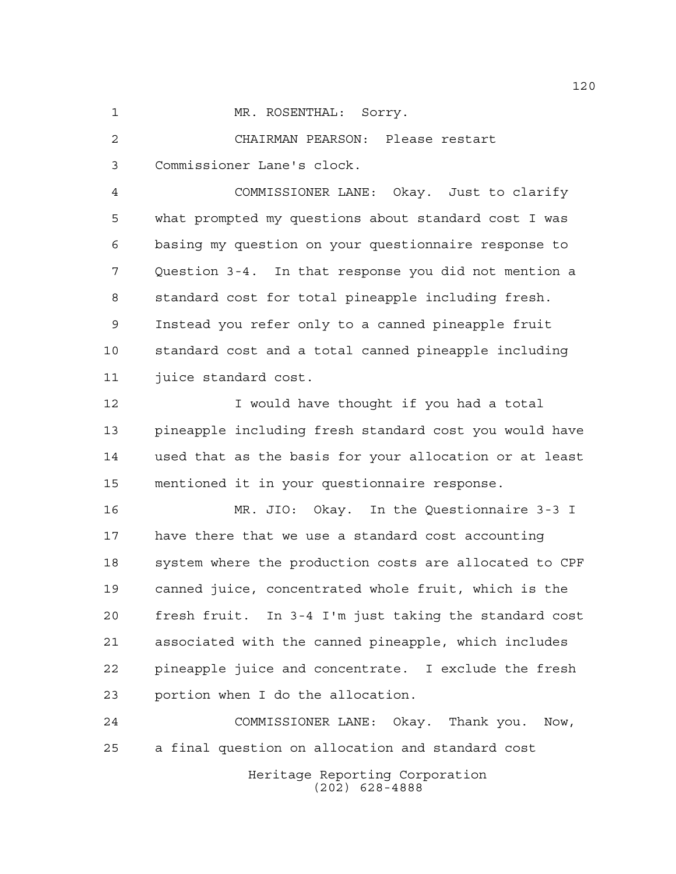1 MR. ROSENTHAL: Sorry.

CHAIRMAN PEARSON: Please restart

Commissioner Lane's clock.

 COMMISSIONER LANE: Okay. Just to clarify what prompted my questions about standard cost I was basing my question on your questionnaire response to Question 3-4. In that response you did not mention a standard cost for total pineapple including fresh. Instead you refer only to a canned pineapple fruit standard cost and a total canned pineapple including juice standard cost.

**I** would have thought if you had a total pineapple including fresh standard cost you would have used that as the basis for your allocation or at least mentioned it in your questionnaire response.

 MR. JIO: Okay. In the Questionnaire 3-3 I have there that we use a standard cost accounting system where the production costs are allocated to CPF canned juice, concentrated whole fruit, which is the fresh fruit. In 3-4 I'm just taking the standard cost associated with the canned pineapple, which includes pineapple juice and concentrate. I exclude the fresh portion when I do the allocation.

Heritage Reporting Corporation COMMISSIONER LANE: Okay. Thank you. Now, a final question on allocation and standard cost

(202) 628-4888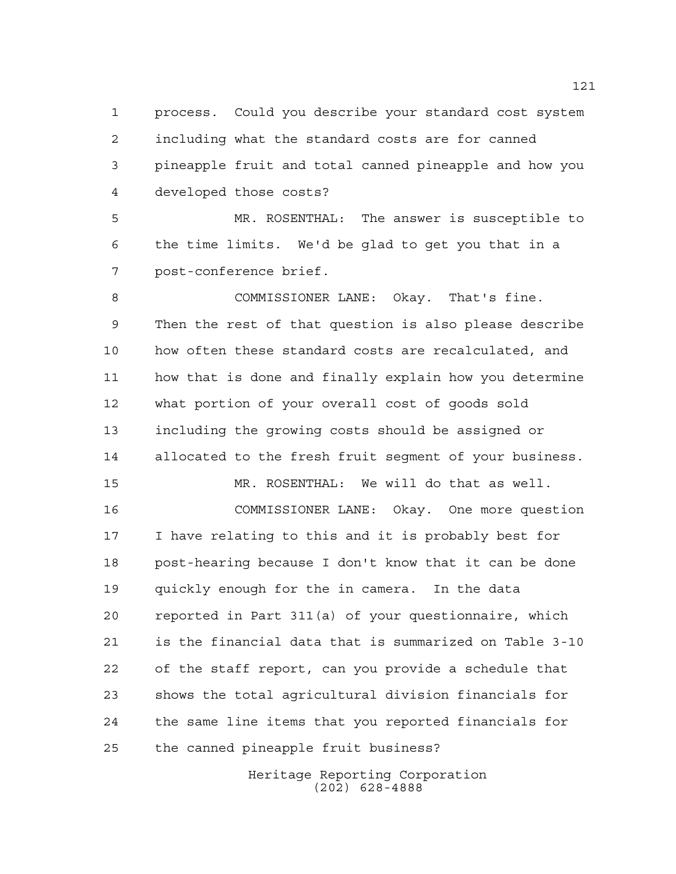process. Could you describe your standard cost system including what the standard costs are for canned pineapple fruit and total canned pineapple and how you developed those costs?

 MR. ROSENTHAL: The answer is susceptible to the time limits. We'd be glad to get you that in a post-conference brief.

 COMMISSIONER LANE: Okay. That's fine. Then the rest of that question is also please describe how often these standard costs are recalculated, and how that is done and finally explain how you determine what portion of your overall cost of goods sold including the growing costs should be assigned or allocated to the fresh fruit segment of your business.

 MR. ROSENTHAL: We will do that as well. COMMISSIONER LANE: Okay. One more question

 I have relating to this and it is probably best for post-hearing because I don't know that it can be done quickly enough for the in camera. In the data reported in Part 311(a) of your questionnaire, which is the financial data that is summarized on Table 3-10 of the staff report, can you provide a schedule that shows the total agricultural division financials for the same line items that you reported financials for the canned pineapple fruit business?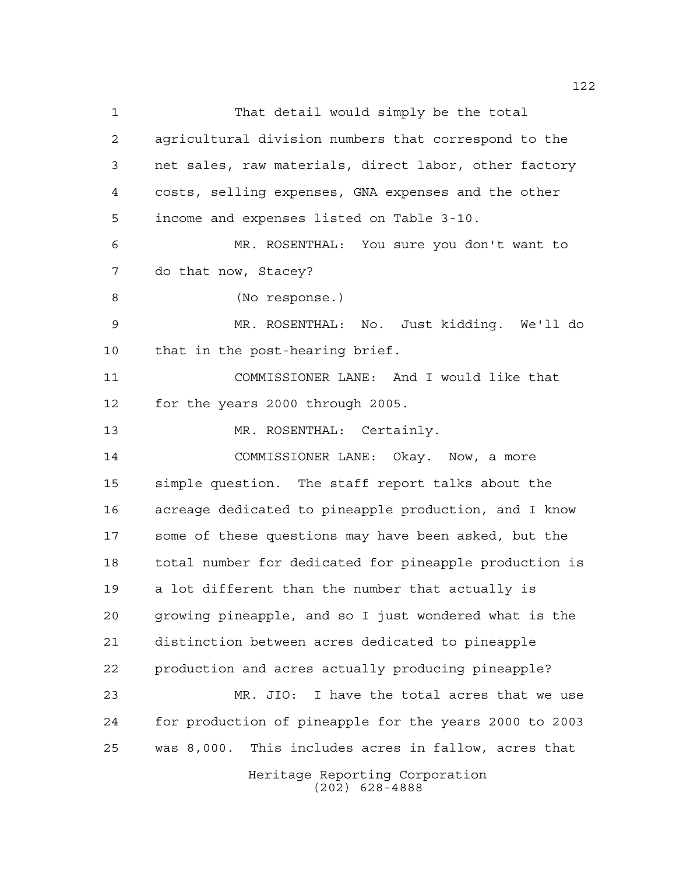Heritage Reporting Corporation That detail would simply be the total agricultural division numbers that correspond to the net sales, raw materials, direct labor, other factory costs, selling expenses, GNA expenses and the other income and expenses listed on Table 3-10. MR. ROSENTHAL: You sure you don't want to do that now, Stacey? (No response.) MR. ROSENTHAL: No. Just kidding. We'll do that in the post-hearing brief. COMMISSIONER LANE: And I would like that for the years 2000 through 2005. 13 MR. ROSENTHAL: Certainly. COMMISSIONER LANE: Okay. Now, a more simple question. The staff report talks about the acreage dedicated to pineapple production, and I know some of these questions may have been asked, but the total number for dedicated for pineapple production is a lot different than the number that actually is growing pineapple, and so I just wondered what is the distinction between acres dedicated to pineapple production and acres actually producing pineapple? MR. JIO: I have the total acres that we use for production of pineapple for the years 2000 to 2003 was 8,000. This includes acres in fallow, acres that

(202) 628-4888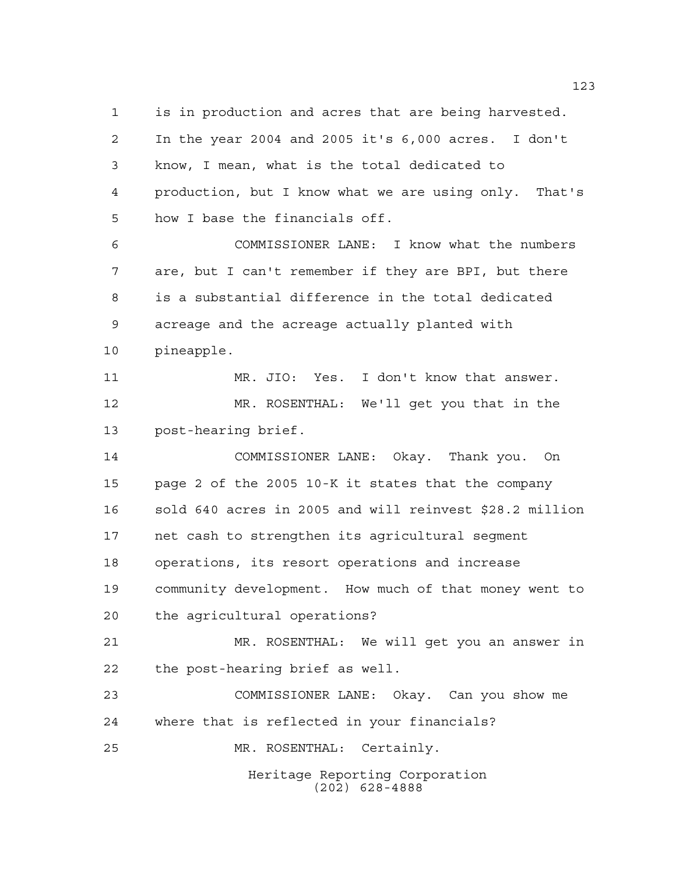Heritage Reporting Corporation is in production and acres that are being harvested. In the year 2004 and 2005 it's 6,000 acres. I don't know, I mean, what is the total dedicated to production, but I know what we are using only. That's how I base the financials off. COMMISSIONER LANE: I know what the numbers are, but I can't remember if they are BPI, but there is a substantial difference in the total dedicated acreage and the acreage actually planted with pineapple. MR. JIO: Yes. I don't know that answer. MR. ROSENTHAL: We'll get you that in the post-hearing brief. COMMISSIONER LANE: Okay. Thank you. On page 2 of the 2005 10-K it states that the company sold 640 acres in 2005 and will reinvest \$28.2 million net cash to strengthen its agricultural segment operations, its resort operations and increase community development. How much of that money went to the agricultural operations? MR. ROSENTHAL: We will get you an answer in the post-hearing brief as well. COMMISSIONER LANE: Okay. Can you show me where that is reflected in your financials? MR. ROSENTHAL: Certainly.

(202) 628-4888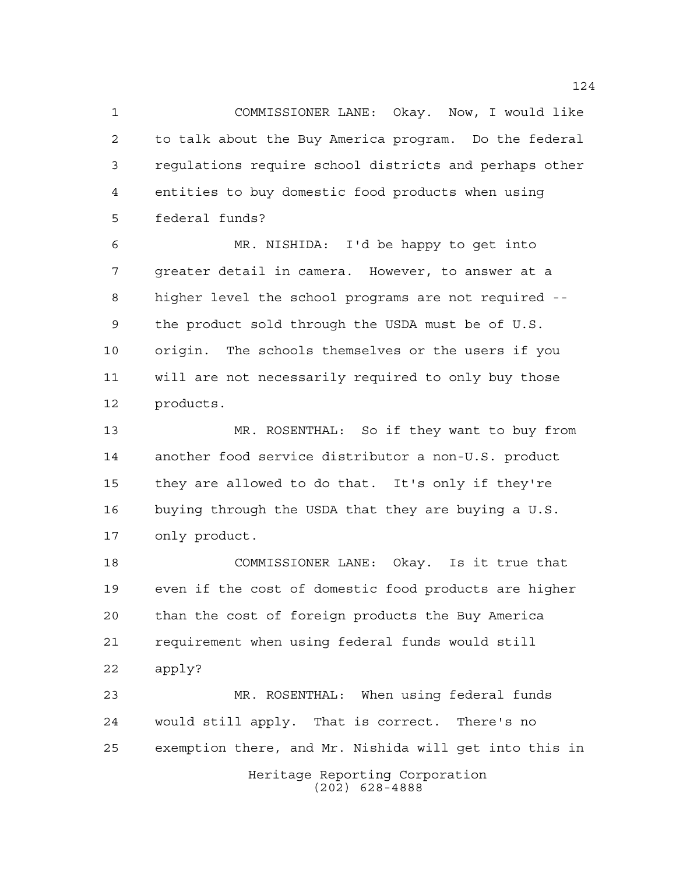COMMISSIONER LANE: Okay. Now, I would like to talk about the Buy America program. Do the federal regulations require school districts and perhaps other entities to buy domestic food products when using federal funds?

 MR. NISHIDA: I'd be happy to get into greater detail in camera. However, to answer at a higher level the school programs are not required -- the product sold through the USDA must be of U.S. origin. The schools themselves or the users if you will are not necessarily required to only buy those products.

 MR. ROSENTHAL: So if they want to buy from another food service distributor a non-U.S. product they are allowed to do that. It's only if they're buying through the USDA that they are buying a U.S. only product.

 COMMISSIONER LANE: Okay. Is it true that even if the cost of domestic food products are higher than the cost of foreign products the Buy America requirement when using federal funds would still apply?

Heritage Reporting Corporation MR. ROSENTHAL: When using federal funds would still apply. That is correct. There's no exemption there, and Mr. Nishida will get into this in

(202) 628-4888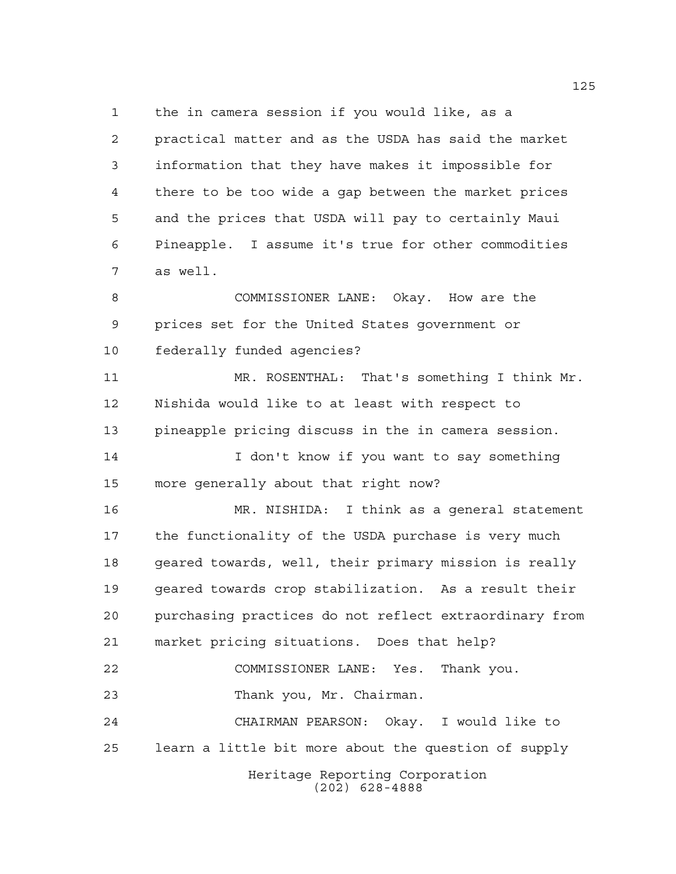the in camera session if you would like, as a practical matter and as the USDA has said the market information that they have makes it impossible for there to be too wide a gap between the market prices and the prices that USDA will pay to certainly Maui Pineapple. I assume it's true for other commodities as well.

 COMMISSIONER LANE: Okay. How are the prices set for the United States government or federally funded agencies?

 MR. ROSENTHAL: That's something I think Mr. Nishida would like to at least with respect to pineapple pricing discuss in the in camera session.

 I don't know if you want to say something more generally about that right now?

 MR. NISHIDA: I think as a general statement the functionality of the USDA purchase is very much geared towards, well, their primary mission is really geared towards crop stabilization. As a result their purchasing practices do not reflect extraordinary from market pricing situations. Does that help?

 COMMISSIONER LANE: Yes. Thank you. Thank you, Mr. Chairman.

Heritage Reporting Corporation CHAIRMAN PEARSON: Okay. I would like to learn a little bit more about the question of supply

(202) 628-4888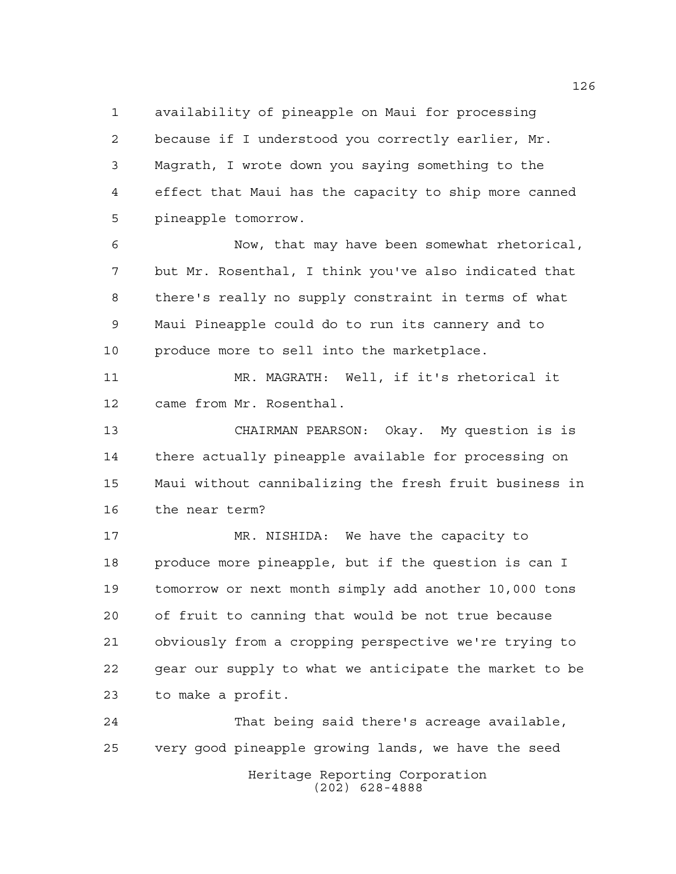availability of pineapple on Maui for processing because if I understood you correctly earlier, Mr. Magrath, I wrote down you saying something to the effect that Maui has the capacity to ship more canned pineapple tomorrow.

 Now, that may have been somewhat rhetorical, but Mr. Rosenthal, I think you've also indicated that there's really no supply constraint in terms of what Maui Pineapple could do to run its cannery and to produce more to sell into the marketplace.

 MR. MAGRATH: Well, if it's rhetorical it came from Mr. Rosenthal.

 CHAIRMAN PEARSON: Okay. My question is is there actually pineapple available for processing on Maui without cannibalizing the fresh fruit business in the near term?

 MR. NISHIDA: We have the capacity to produce more pineapple, but if the question is can I tomorrow or next month simply add another 10,000 tons of fruit to canning that would be not true because obviously from a cropping perspective we're trying to gear our supply to what we anticipate the market to be to make a profit.

Heritage Reporting Corporation (202) 628-4888 That being said there's acreage available, very good pineapple growing lands, we have the seed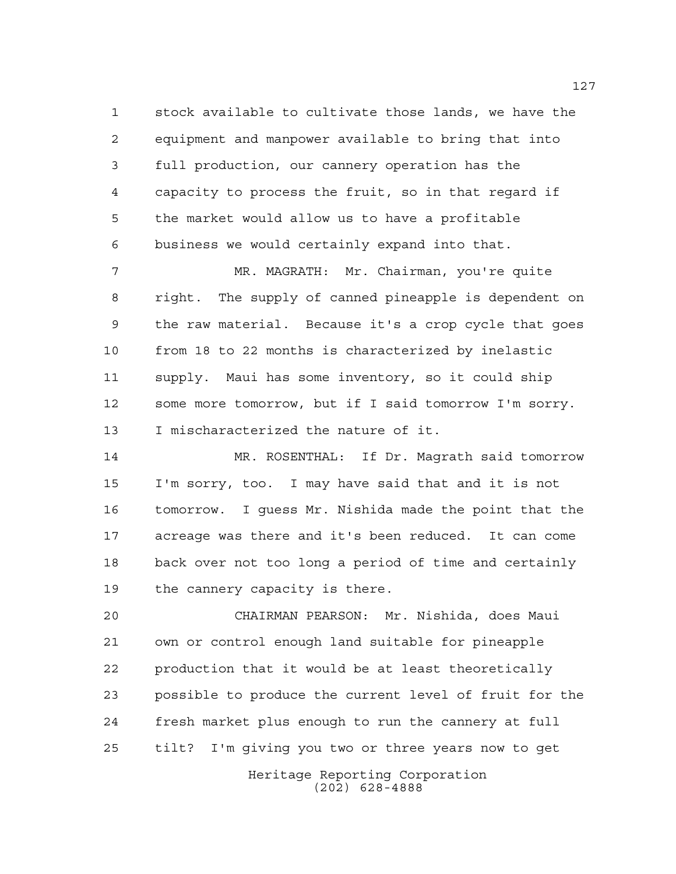stock available to cultivate those lands, we have the equipment and manpower available to bring that into full production, our cannery operation has the capacity to process the fruit, so in that regard if the market would allow us to have a profitable business we would certainly expand into that.

 MR. MAGRATH: Mr. Chairman, you're quite right. The supply of canned pineapple is dependent on the raw material. Because it's a crop cycle that goes from 18 to 22 months is characterized by inelastic supply. Maui has some inventory, so it could ship some more tomorrow, but if I said tomorrow I'm sorry. I mischaracterized the nature of it.

 MR. ROSENTHAL: If Dr. Magrath said tomorrow I'm sorry, too. I may have said that and it is not tomorrow. I guess Mr. Nishida made the point that the acreage was there and it's been reduced. It can come back over not too long a period of time and certainly the cannery capacity is there.

Heritage Reporting Corporation CHAIRMAN PEARSON: Mr. Nishida, does Maui own or control enough land suitable for pineapple production that it would be at least theoretically possible to produce the current level of fruit for the fresh market plus enough to run the cannery at full tilt? I'm giving you two or three years now to get

(202) 628-4888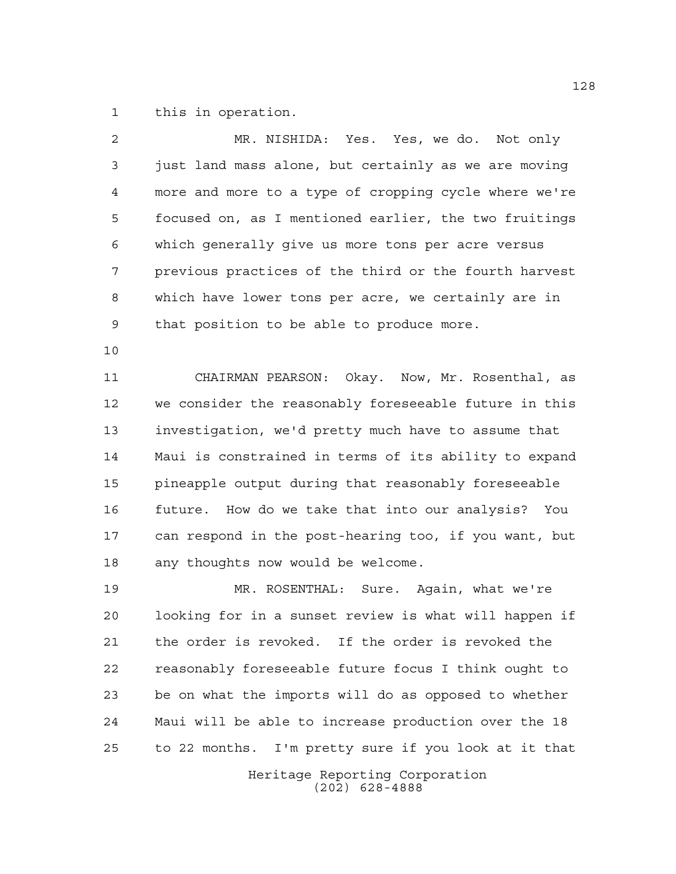this in operation.

 MR. NISHIDA: Yes. Yes, we do. Not only just land mass alone, but certainly as we are moving more and more to a type of cropping cycle where we're focused on, as I mentioned earlier, the two fruitings which generally give us more tons per acre versus previous practices of the third or the fourth harvest which have lower tons per acre, we certainly are in that position to be able to produce more.

 CHAIRMAN PEARSON: Okay. Now, Mr. Rosenthal, as we consider the reasonably foreseeable future in this investigation, we'd pretty much have to assume that Maui is constrained in terms of its ability to expand pineapple output during that reasonably foreseeable future. How do we take that into our analysis? You can respond in the post-hearing too, if you want, but any thoughts now would be welcome.

 MR. ROSENTHAL: Sure. Again, what we're looking for in a sunset review is what will happen if the order is revoked. If the order is revoked the reasonably foreseeable future focus I think ought to be on what the imports will do as opposed to whether Maui will be able to increase production over the 18 to 22 months. I'm pretty sure if you look at it that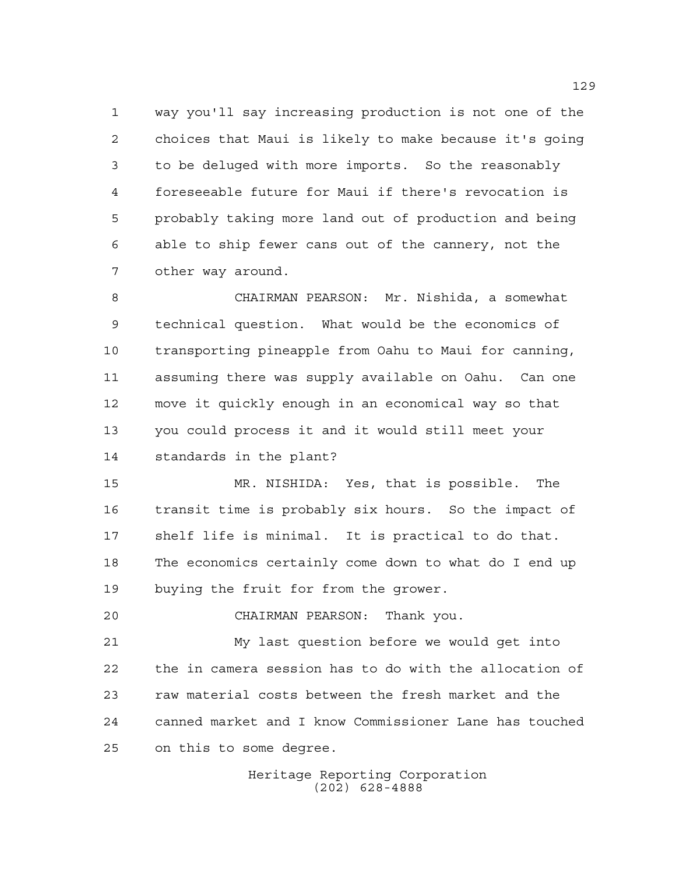way you'll say increasing production is not one of the choices that Maui is likely to make because it's going to be deluged with more imports. So the reasonably foreseeable future for Maui if there's revocation is probably taking more land out of production and being able to ship fewer cans out of the cannery, not the other way around.

 CHAIRMAN PEARSON: Mr. Nishida, a somewhat technical question. What would be the economics of transporting pineapple from Oahu to Maui for canning, assuming there was supply available on Oahu. Can one move it quickly enough in an economical way so that you could process it and it would still meet your standards in the plant?

 MR. NISHIDA: Yes, that is possible. The transit time is probably six hours. So the impact of shelf life is minimal. It is practical to do that. The economics certainly come down to what do I end up buying the fruit for from the grower.

CHAIRMAN PEARSON: Thank you.

 My last question before we would get into the in camera session has to do with the allocation of raw material costs between the fresh market and the canned market and I know Commissioner Lane has touched on this to some degree.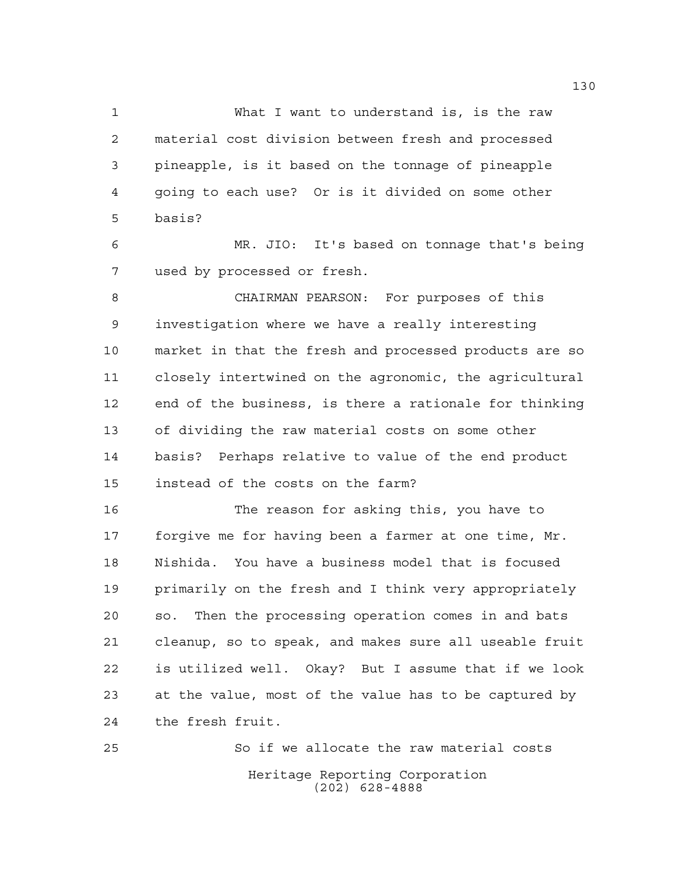What I want to understand is, is the raw material cost division between fresh and processed pineapple, is it based on the tonnage of pineapple going to each use? Or is it divided on some other basis?

 MR. JIO: It's based on tonnage that's being used by processed or fresh.

 CHAIRMAN PEARSON: For purposes of this investigation where we have a really interesting market in that the fresh and processed products are so closely intertwined on the agronomic, the agricultural end of the business, is there a rationale for thinking of dividing the raw material costs on some other basis? Perhaps relative to value of the end product instead of the costs on the farm?

 The reason for asking this, you have to forgive me for having been a farmer at one time, Mr. Nishida. You have a business model that is focused primarily on the fresh and I think very appropriately so. Then the processing operation comes in and bats cleanup, so to speak, and makes sure all useable fruit is utilized well. Okay? But I assume that if we look at the value, most of the value has to be captured by the fresh fruit.

Heritage Reporting Corporation (202) 628-4888 So if we allocate the raw material costs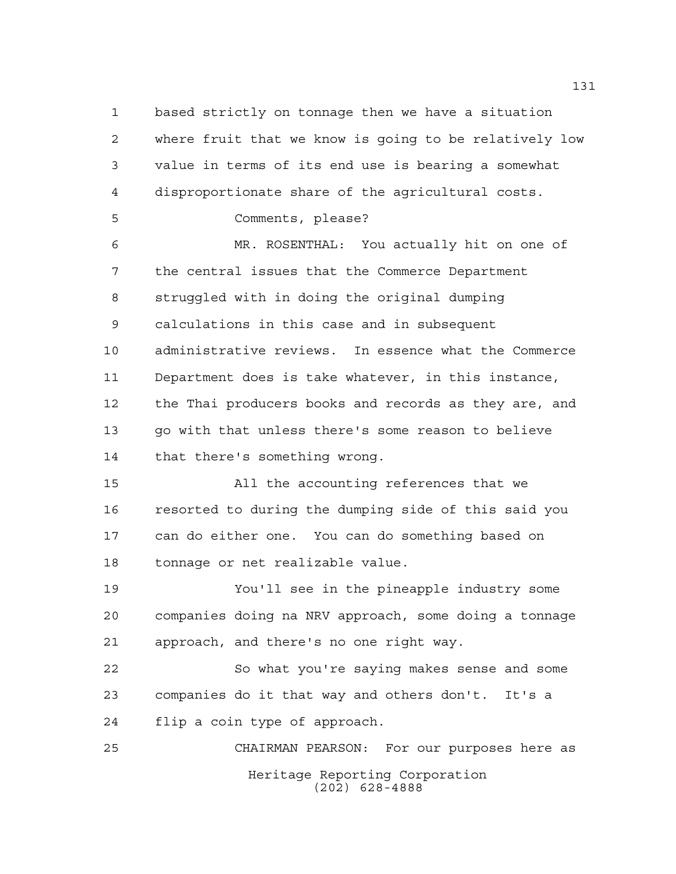based strictly on tonnage then we have a situation where fruit that we know is going to be relatively low value in terms of its end use is bearing a somewhat disproportionate share of the agricultural costs. Comments, please? MR. ROSENTHAL: You actually hit on one of the central issues that the Commerce Department struggled with in doing the original dumping calculations in this case and in subsequent administrative reviews. In essence what the Commerce Department does is take whatever, in this instance, the Thai producers books and records as they are, and go with that unless there's some reason to believe that there's something wrong. All the accounting references that we resorted to during the dumping side of this said you can do either one. You can do something based on tonnage or net realizable value. You'll see in the pineapple industry some companies doing na NRV approach, some doing a tonnage approach, and there's no one right way. So what you're saying makes sense and some companies do it that way and others don't. It's a

Heritage Reporting Corporation (202) 628-4888 CHAIRMAN PEARSON: For our purposes here as

flip a coin type of approach.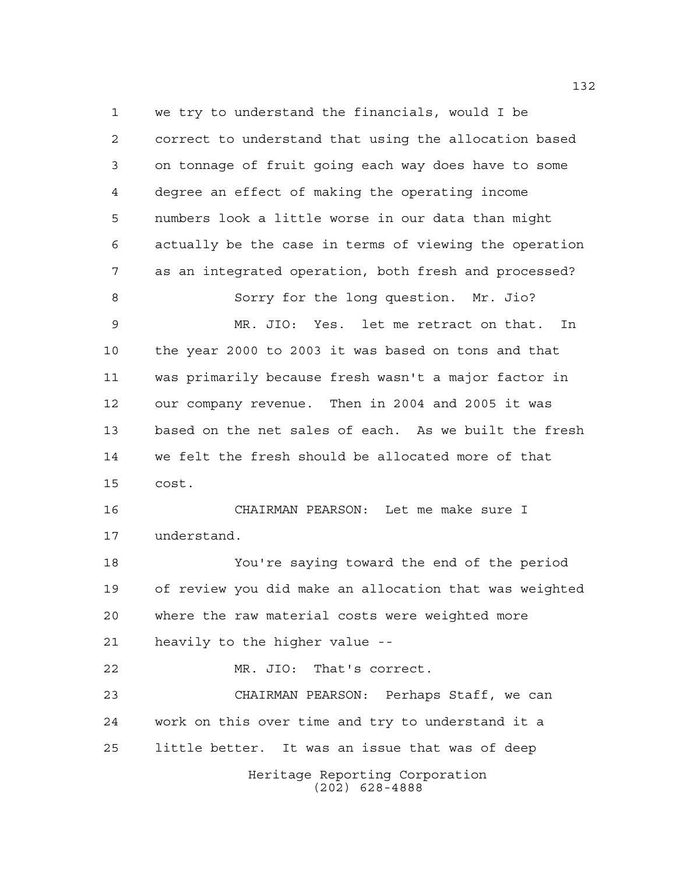Heritage Reporting Corporation we try to understand the financials, would I be correct to understand that using the allocation based on tonnage of fruit going each way does have to some degree an effect of making the operating income numbers look a little worse in our data than might actually be the case in terms of viewing the operation as an integrated operation, both fresh and processed? Sorry for the long question. Mr. Jio? MR. JIO: Yes. let me retract on that. In the year 2000 to 2003 it was based on tons and that was primarily because fresh wasn't a major factor in our company revenue. Then in 2004 and 2005 it was based on the net sales of each. As we built the fresh we felt the fresh should be allocated more of that cost. CHAIRMAN PEARSON: Let me make sure I understand. You're saying toward the end of the period of review you did make an allocation that was weighted where the raw material costs were weighted more heavily to the higher value -- MR. JIO: That's correct. CHAIRMAN PEARSON: Perhaps Staff, we can work on this over time and try to understand it a little better. It was an issue that was of deep

(202) 628-4888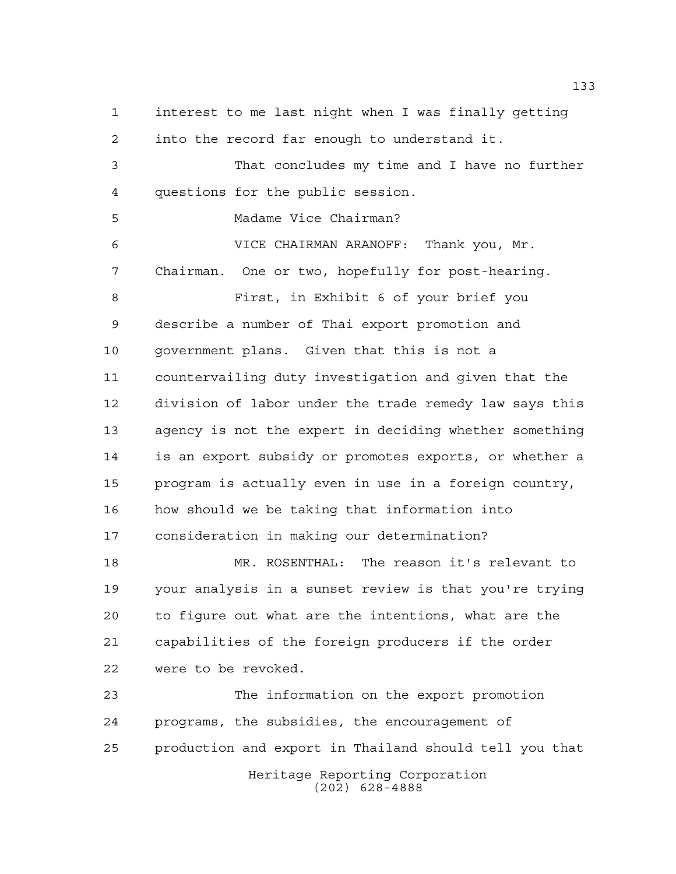interest to me last night when I was finally getting into the record far enough to understand it. That concludes my time and I have no further questions for the public session. Madame Vice Chairman? VICE CHAIRMAN ARANOFF: Thank you, Mr. Chairman. One or two, hopefully for post-hearing. First, in Exhibit 6 of your brief you describe a number of Thai export promotion and government plans. Given that this is not a countervailing duty investigation and given that the division of labor under the trade remedy law says this agency is not the expert in deciding whether something is an export subsidy or promotes exports, or whether a program is actually even in use in a foreign country, how should we be taking that information into consideration in making our determination? MR. ROSENTHAL: The reason it's relevant to your analysis in a sunset review is that you're trying to figure out what are the intentions, what are the capabilities of the foreign producers if the order were to be revoked. The information on the export promotion programs, the subsidies, the encouragement of production and export in Thailand should tell you that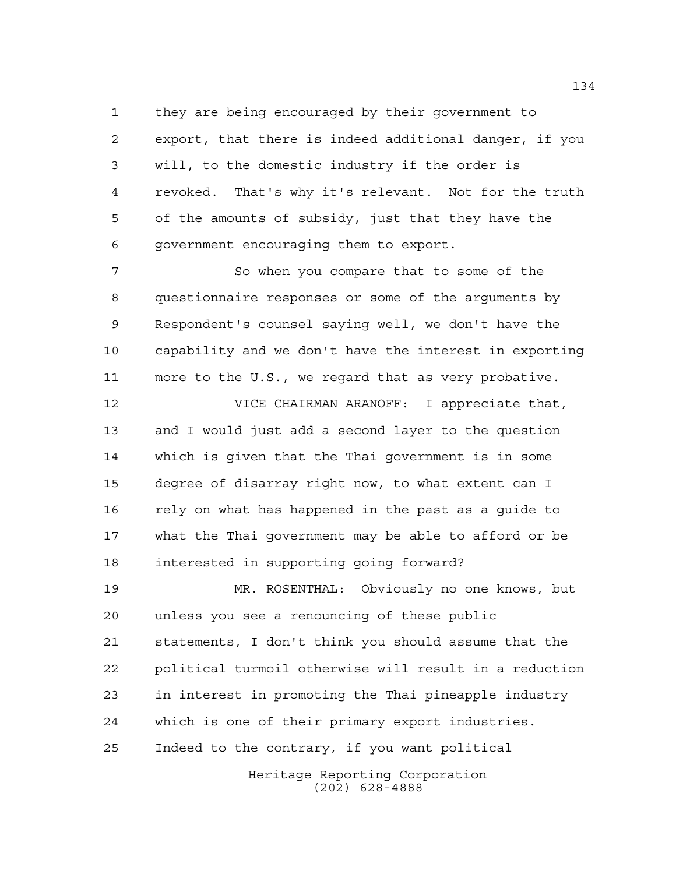they are being encouraged by their government to export, that there is indeed additional danger, if you will, to the domestic industry if the order is revoked. That's why it's relevant. Not for the truth of the amounts of subsidy, just that they have the government encouraging them to export.

 So when you compare that to some of the questionnaire responses or some of the arguments by Respondent's counsel saying well, we don't have the capability and we don't have the interest in exporting more to the U.S., we regard that as very probative.

 VICE CHAIRMAN ARANOFF: I appreciate that, and I would just add a second layer to the question which is given that the Thai government is in some degree of disarray right now, to what extent can I rely on what has happened in the past as a guide to what the Thai government may be able to afford or be interested in supporting going forward?

 MR. ROSENTHAL: Obviously no one knows, but unless you see a renouncing of these public statements, I don't think you should assume that the political turmoil otherwise will result in a reduction in interest in promoting the Thai pineapple industry which is one of their primary export industries. Indeed to the contrary, if you want political

> Heritage Reporting Corporation (202) 628-4888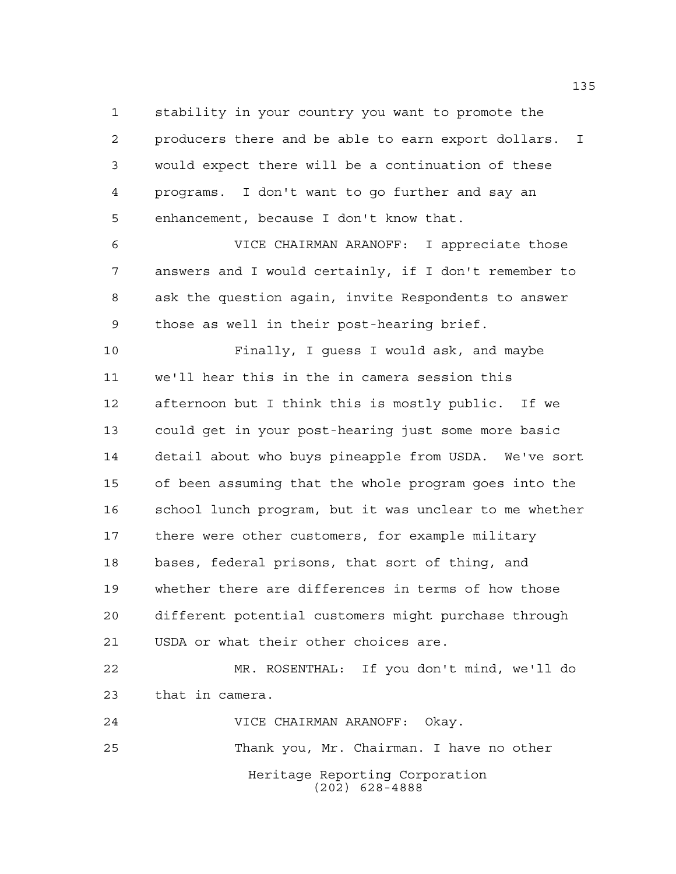stability in your country you want to promote the

 producers there and be able to earn export dollars. I would expect there will be a continuation of these programs. I don't want to go further and say an enhancement, because I don't know that.

 VICE CHAIRMAN ARANOFF: I appreciate those answers and I would certainly, if I don't remember to ask the question again, invite Respondents to answer those as well in their post-hearing brief.

 Finally, I guess I would ask, and maybe we'll hear this in the in camera session this afternoon but I think this is mostly public. If we could get in your post-hearing just some more basic detail about who buys pineapple from USDA. We've sort of been assuming that the whole program goes into the school lunch program, but it was unclear to me whether there were other customers, for example military bases, federal prisons, that sort of thing, and whether there are differences in terms of how those different potential customers might purchase through USDA or what their other choices are.

 MR. ROSENTHAL: If you don't mind, we'll do that in camera.

Heritage Reporting Corporation (202) 628-4888 VICE CHAIRMAN ARANOFF: Okay. Thank you, Mr. Chairman. I have no other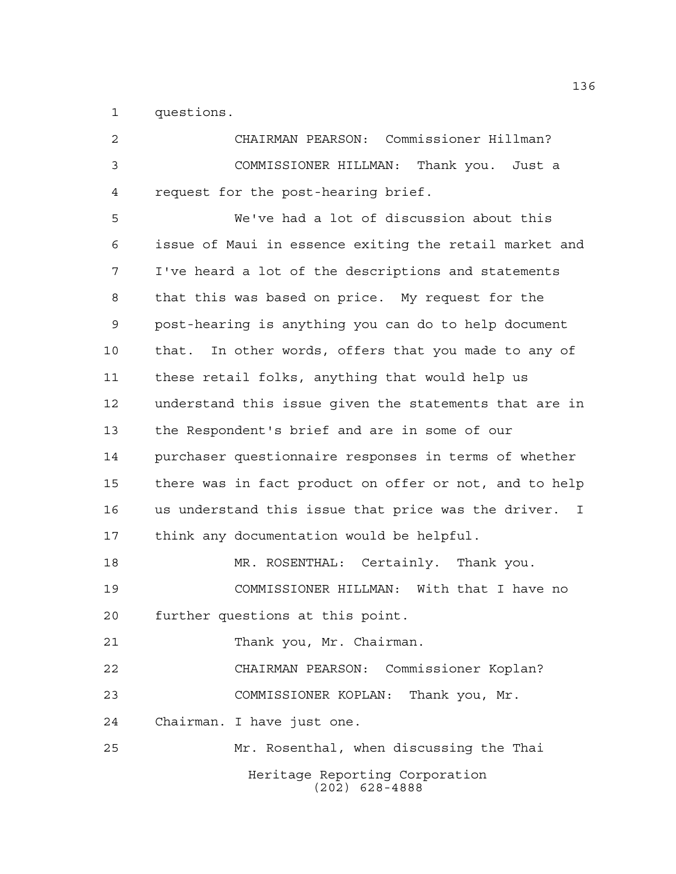questions.

Heritage Reporting Corporation (202) 628-4888 CHAIRMAN PEARSON: Commissioner Hillman? COMMISSIONER HILLMAN: Thank you. Just a request for the post-hearing brief. We've had a lot of discussion about this issue of Maui in essence exiting the retail market and I've heard a lot of the descriptions and statements that this was based on price. My request for the post-hearing is anything you can do to help document that. In other words, offers that you made to any of these retail folks, anything that would help us understand this issue given the statements that are in the Respondent's brief and are in some of our purchaser questionnaire responses in terms of whether there was in fact product on offer or not, and to help us understand this issue that price was the driver. I think any documentation would be helpful. MR. ROSENTHAL: Certainly. Thank you. COMMISSIONER HILLMAN: With that I have no further questions at this point. Thank you, Mr. Chairman. CHAIRMAN PEARSON: Commissioner Koplan? COMMISSIONER KOPLAN: Thank you, Mr. Chairman. I have just one. Mr. Rosenthal, when discussing the Thai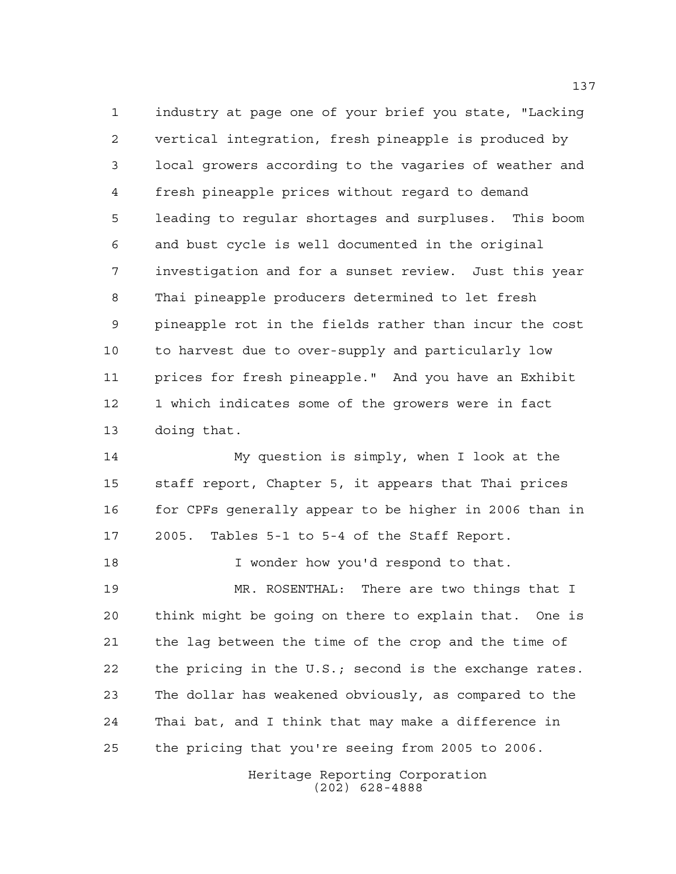industry at page one of your brief you state, "Lacking vertical integration, fresh pineapple is produced by local growers according to the vagaries of weather and fresh pineapple prices without regard to demand leading to regular shortages and surpluses. This boom and bust cycle is well documented in the original investigation and for a sunset review. Just this year Thai pineapple producers determined to let fresh pineapple rot in the fields rather than incur the cost to harvest due to over-supply and particularly low prices for fresh pineapple." And you have an Exhibit 12 1 1 which indicates some of the growers were in fact doing that.

 My question is simply, when I look at the staff report, Chapter 5, it appears that Thai prices for CPFs generally appear to be higher in 2006 than in 2005. Tables 5-1 to 5-4 of the Staff Report.

18 I wonder how you'd respond to that. MR. ROSENTHAL: There are two things that I think might be going on there to explain that. One is the lag between the time of the crop and the time of the pricing in the U.S.; second is the exchange rates. The dollar has weakened obviously, as compared to the Thai bat, and I think that may make a difference in the pricing that you're seeing from 2005 to 2006.

> Heritage Reporting Corporation (202) 628-4888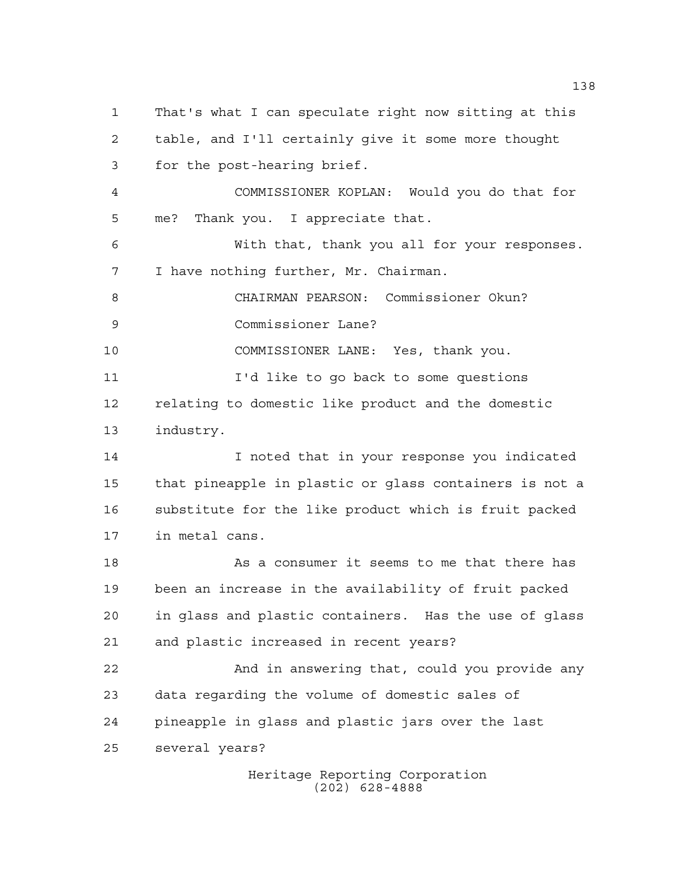Heritage Reporting Corporation That's what I can speculate right now sitting at this table, and I'll certainly give it some more thought for the post-hearing brief. COMMISSIONER KOPLAN: Would you do that for me? Thank you. I appreciate that. With that, thank you all for your responses. I have nothing further, Mr. Chairman. CHAIRMAN PEARSON: Commissioner Okun? Commissioner Lane? COMMISSIONER LANE: Yes, thank you. I'd like to go back to some questions relating to domestic like product and the domestic industry. I noted that in your response you indicated that pineapple in plastic or glass containers is not a substitute for the like product which is fruit packed in metal cans. 18 As a consumer it seems to me that there has been an increase in the availability of fruit packed in glass and plastic containers. Has the use of glass and plastic increased in recent years? And in answering that, could you provide any data regarding the volume of domestic sales of pineapple in glass and plastic jars over the last several years?

(202) 628-4888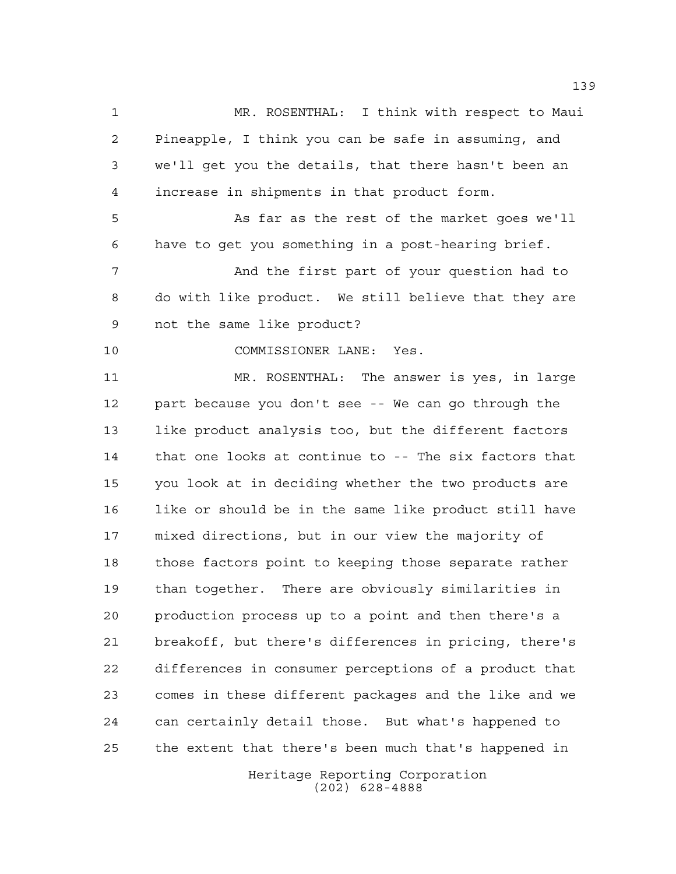MR. ROSENTHAL: I think with respect to Maui Pineapple, I think you can be safe in assuming, and we'll get you the details, that there hasn't been an increase in shipments in that product form. As far as the rest of the market goes we'll have to get you something in a post-hearing brief. And the first part of your question had to do with like product. We still believe that they are not the same like product? COMMISSIONER LANE: Yes. MR. ROSENTHAL: The answer is yes, in large part because you don't see -- We can go through the like product analysis too, but the different factors that one looks at continue to -- The six factors that you look at in deciding whether the two products are like or should be in the same like product still have mixed directions, but in our view the majority of those factors point to keeping those separate rather than together. There are obviously similarities in production process up to a point and then there's a breakoff, but there's differences in pricing, there's differences in consumer perceptions of a product that comes in these different packages and the like and we can certainly detail those. But what's happened to the extent that there's been much that's happened in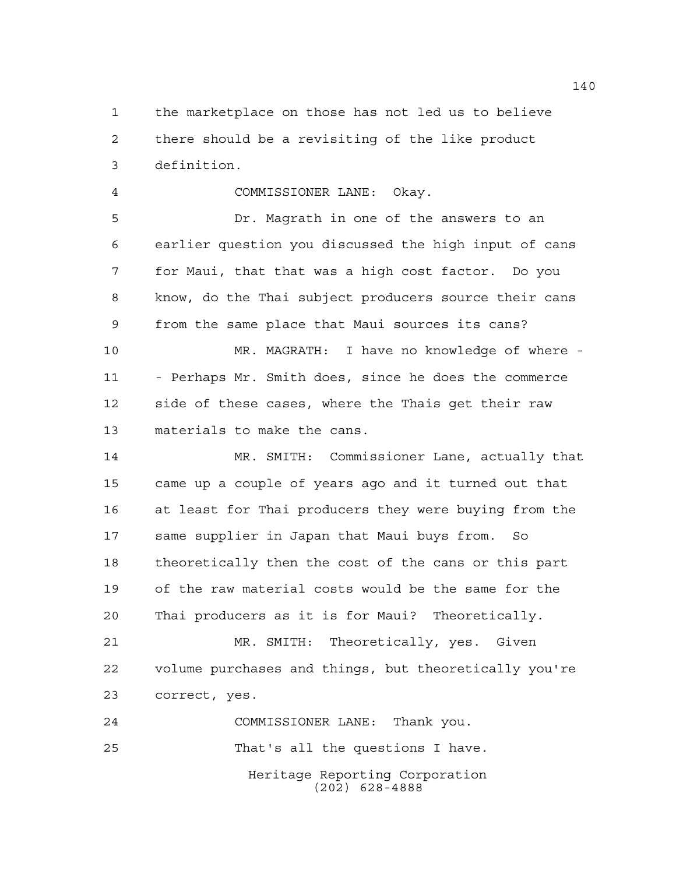the marketplace on those has not led us to believe there should be a revisiting of the like product definition.

COMMISSIONER LANE: Okay.

 Dr. Magrath in one of the answers to an earlier question you discussed the high input of cans for Maui, that that was a high cost factor. Do you know, do the Thai subject producers source their cans from the same place that Maui sources its cans?

 MR. MAGRATH: I have no knowledge of where - - Perhaps Mr. Smith does, since he does the commerce side of these cases, where the Thais get their raw materials to make the cans.

 MR. SMITH: Commissioner Lane, actually that came up a couple of years ago and it turned out that at least for Thai producers they were buying from the same supplier in Japan that Maui buys from. So theoretically then the cost of the cans or this part of the raw material costs would be the same for the Thai producers as it is for Maui? Theoretically.

 MR. SMITH: Theoretically, yes. Given volume purchases and things, but theoretically you're correct, yes.

Heritage Reporting Corporation (202) 628-4888 COMMISSIONER LANE: Thank you. That's all the questions I have.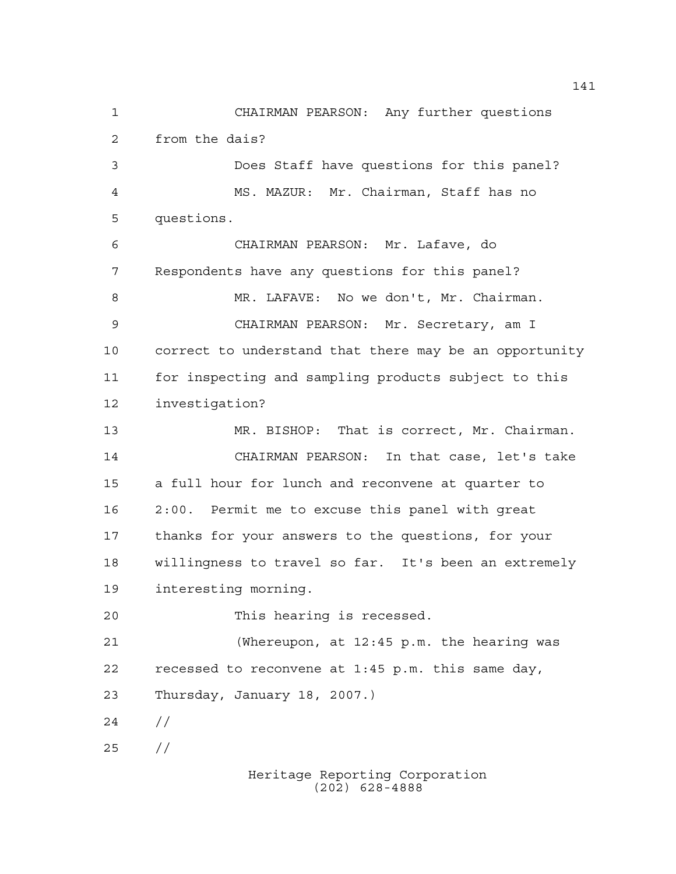CHAIRMAN PEARSON: Any further questions from the dais? Does Staff have questions for this panel? MS. MAZUR: Mr. Chairman, Staff has no questions. CHAIRMAN PEARSON: Mr. Lafave, do Respondents have any questions for this panel? MR. LAFAVE: No we don't, Mr. Chairman. CHAIRMAN PEARSON: Mr. Secretary, am I correct to understand that there may be an opportunity for inspecting and sampling products subject to this investigation? MR. BISHOP: That is correct, Mr. Chairman. CHAIRMAN PEARSON: In that case, let's take a full hour for lunch and reconvene at quarter to 2:00. Permit me to excuse this panel with great thanks for your answers to the questions, for your willingness to travel so far. It's been an extremely interesting morning. This hearing is recessed. (Whereupon, at 12:45 p.m. the hearing was recessed to reconvene at 1:45 p.m. this same day, Thursday, January 18, 2007.)  $24 /$ //

Heritage Reporting Corporation (202) 628-4888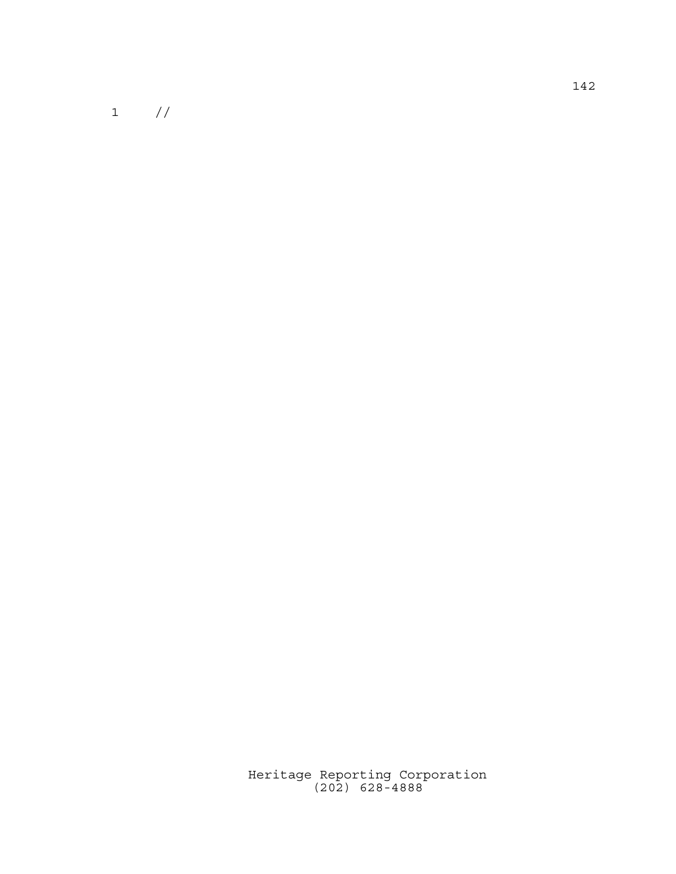$\begin{matrix} 1 & & \end{matrix} \begin{matrix} \end{matrix} \end{matrix}$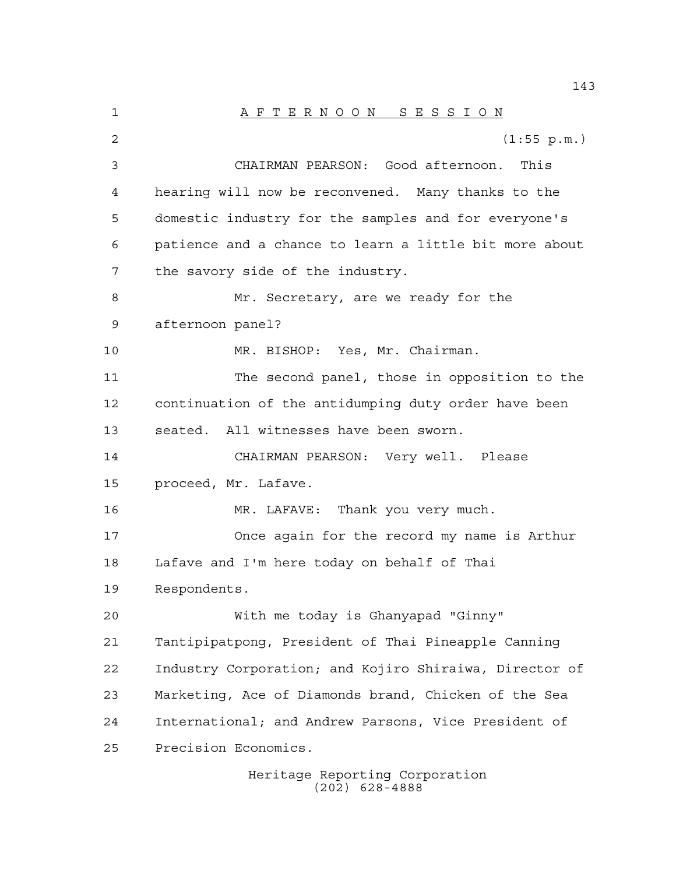A F T E R N O O N S E S S I O N (1:55 p.m.) CHAIRMAN PEARSON: Good afternoon. This hearing will now be reconvened. Many thanks to the domestic industry for the samples and for everyone's patience and a chance to learn a little bit more about the savory side of the industry. Mr. Secretary, are we ready for the afternoon panel? MR. BISHOP: Yes, Mr. Chairman. The second panel, those in opposition to the continuation of the antidumping duty order have been seated. All witnesses have been sworn. CHAIRMAN PEARSON: Very well. Please proceed, Mr. Lafave. MR. LAFAVE: Thank you very much. Once again for the record my name is Arthur Lafave and I'm here today on behalf of Thai Respondents. With me today is Ghanyapad "Ginny" Tantipipatpong, President of Thai Pineapple Canning Industry Corporation; and Kojiro Shiraiwa, Director of Marketing, Ace of Diamonds brand, Chicken of the Sea International; and Andrew Parsons, Vice President of Precision Economics.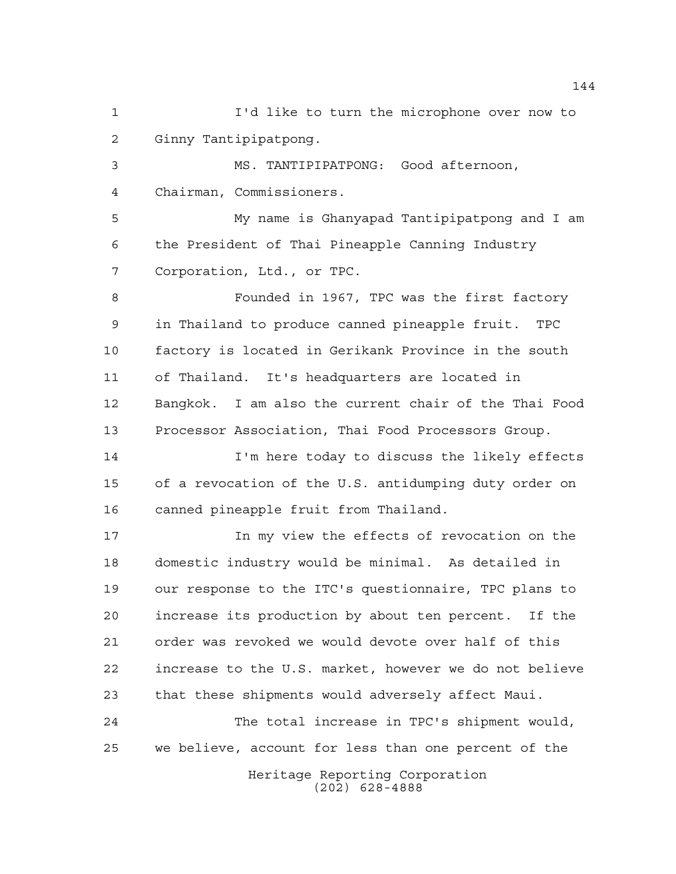I'd like to turn the microphone over now to Ginny Tantipipatpong.

 MS. TANTIPIPATPONG: Good afternoon, Chairman, Commissioners.

 My name is Ghanyapad Tantipipatpong and I am the President of Thai Pineapple Canning Industry Corporation, Ltd., or TPC.

 Founded in 1967, TPC was the first factory in Thailand to produce canned pineapple fruit. TPC factory is located in Gerikank Province in the south of Thailand. It's headquarters are located in Bangkok. I am also the current chair of the Thai Food Processor Association, Thai Food Processors Group.

 I'm here today to discuss the likely effects of a revocation of the U.S. antidumping duty order on canned pineapple fruit from Thailand.

 In my view the effects of revocation on the domestic industry would be minimal. As detailed in our response to the ITC's questionnaire, TPC plans to increase its production by about ten percent. If the order was revoked we would devote over half of this increase to the U.S. market, however we do not believe that these shipments would adversely affect Maui.

 The total increase in TPC's shipment would, we believe, account for less than one percent of the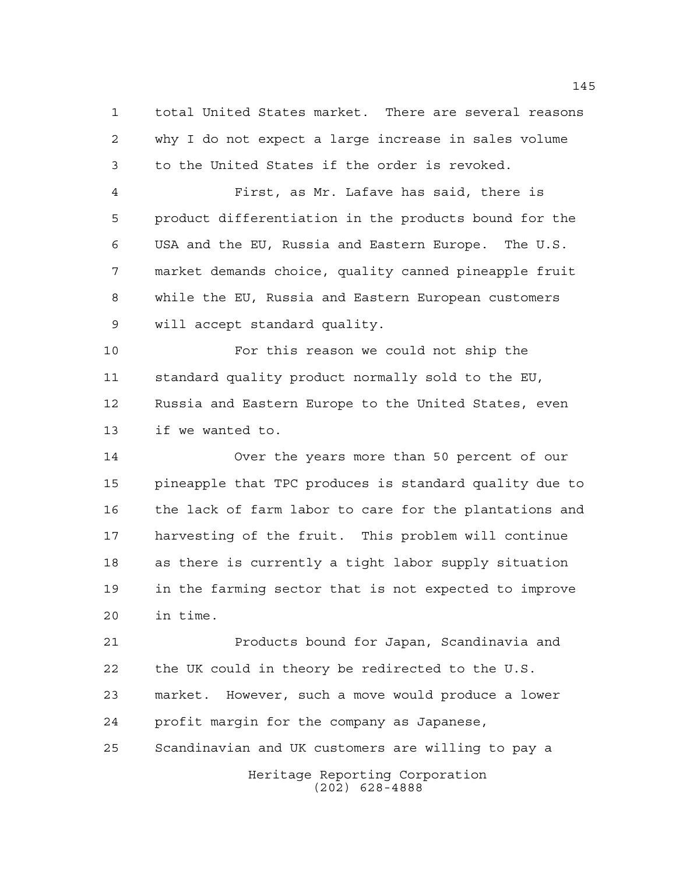total United States market. There are several reasons why I do not expect a large increase in sales volume to the United States if the order is revoked.

 First, as Mr. Lafave has said, there is product differentiation in the products bound for the USA and the EU, Russia and Eastern Europe. The U.S. market demands choice, quality canned pineapple fruit while the EU, Russia and Eastern European customers will accept standard quality.

 For this reason we could not ship the standard quality product normally sold to the EU, Russia and Eastern Europe to the United States, even if we wanted to.

 Over the years more than 50 percent of our pineapple that TPC produces is standard quality due to the lack of farm labor to care for the plantations and harvesting of the fruit. This problem will continue as there is currently a tight labor supply situation in the farming sector that is not expected to improve in time.

 Products bound for Japan, Scandinavia and the UK could in theory be redirected to the U.S. market. However, such a move would produce a lower profit margin for the company as Japanese, Scandinavian and UK customers are willing to pay a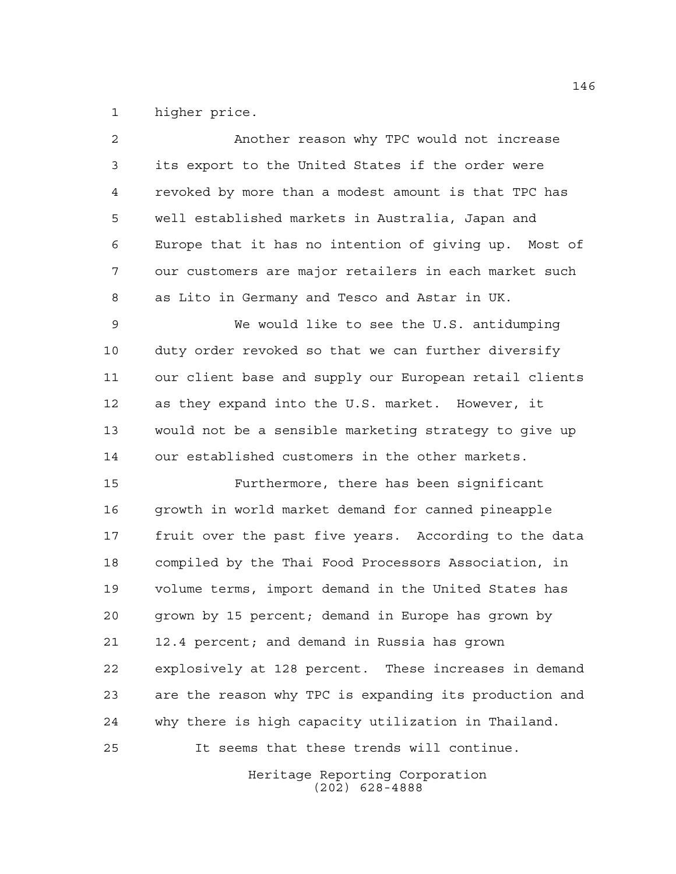higher price.

| 2  | Another reason why TPC would not increase              |
|----|--------------------------------------------------------|
| 3  | its export to the United States if the order were      |
| 4  | revoked by more than a modest amount is that TPC has   |
| 5  | well established markets in Australia, Japan and       |
| 6  | Europe that it has no intention of giving up. Most of  |
| 7  | our customers are major retailers in each market such  |
| 8  | as Lito in Germany and Tesco and Astar in UK.          |
| 9  | We would like to see the U.S. antidumping              |
| 10 | duty order revoked so that we can further diversify    |
| 11 | our client base and supply our European retail clients |
| 12 | as they expand into the U.S. market. However, it       |
| 13 | would not be a sensible marketing strategy to give up  |
| 14 | our established customers in the other markets.        |
| 15 | Furthermore, there has been significant                |
| 16 | growth in world market demand for canned pineapple     |
| 17 | fruit over the past five years. According to the data  |
| 18 | compiled by the Thai Food Processors Association, in   |
| 19 | volume terms, import demand in the United States has   |
| 20 | grown by 15 percent; demand in Europe has grown by     |
| 21 | 12.4 percent; and demand in Russia has grown           |
| 22 | explosively at 128 percent. These increases in demand  |
| 23 | are the reason why TPC is expanding its production and |
| 24 | why there is high capacity utilization in Thailand.    |
| 25 | It seems that these trends will continue.              |
|    |                                                        |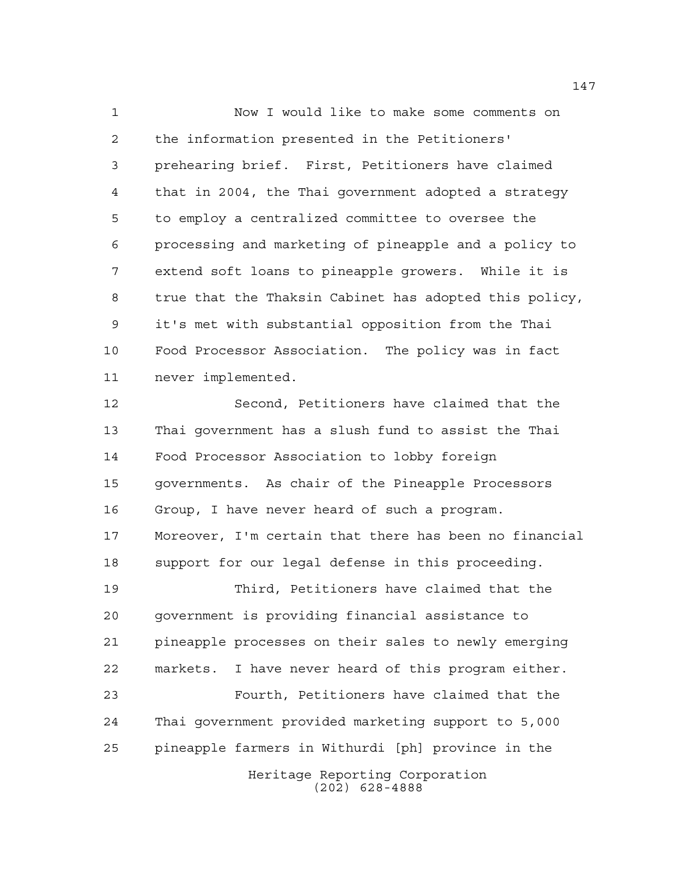Now I would like to make some comments on the information presented in the Petitioners' prehearing brief. First, Petitioners have claimed that in 2004, the Thai government adopted a strategy to employ a centralized committee to oversee the processing and marketing of pineapple and a policy to extend soft loans to pineapple growers. While it is true that the Thaksin Cabinet has adopted this policy, it's met with substantial opposition from the Thai Food Processor Association. The policy was in fact never implemented.

 Second, Petitioners have claimed that the Thai government has a slush fund to assist the Thai Food Processor Association to lobby foreign governments. As chair of the Pineapple Processors Group, I have never heard of such a program. Moreover, I'm certain that there has been no financial support for our legal defense in this proceeding.

Heritage Reporting Corporation Third, Petitioners have claimed that the government is providing financial assistance to pineapple processes on their sales to newly emerging markets. I have never heard of this program either. Fourth, Petitioners have claimed that the Thai government provided marketing support to 5,000 pineapple farmers in Withurdi [ph] province in the

(202) 628-4888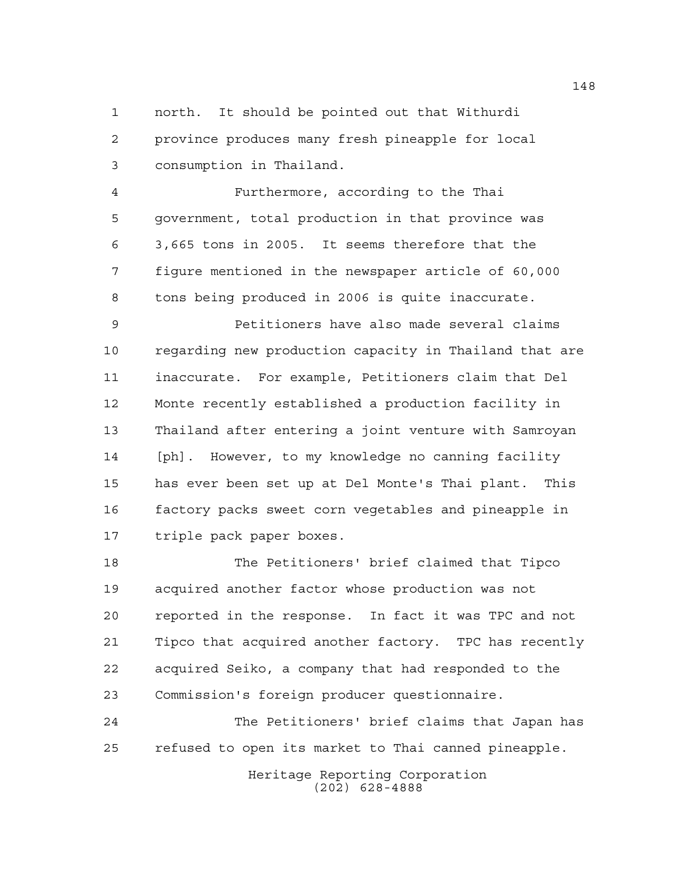north. It should be pointed out that Withurdi province produces many fresh pineapple for local consumption in Thailand.

 Furthermore, according to the Thai government, total production in that province was 3,665 tons in 2005. It seems therefore that the figure mentioned in the newspaper article of 60,000 tons being produced in 2006 is quite inaccurate.

 Petitioners have also made several claims regarding new production capacity in Thailand that are inaccurate. For example, Petitioners claim that Del Monte recently established a production facility in Thailand after entering a joint venture with Samroyan [ph]. However, to my knowledge no canning facility has ever been set up at Del Monte's Thai plant. This factory packs sweet corn vegetables and pineapple in triple pack paper boxes.

 The Petitioners' brief claimed that Tipco acquired another factor whose production was not reported in the response. In fact it was TPC and not Tipco that acquired another factory. TPC has recently acquired Seiko, a company that had responded to the Commission's foreign producer questionnaire.

 The Petitioners' brief claims that Japan has refused to open its market to Thai canned pineapple.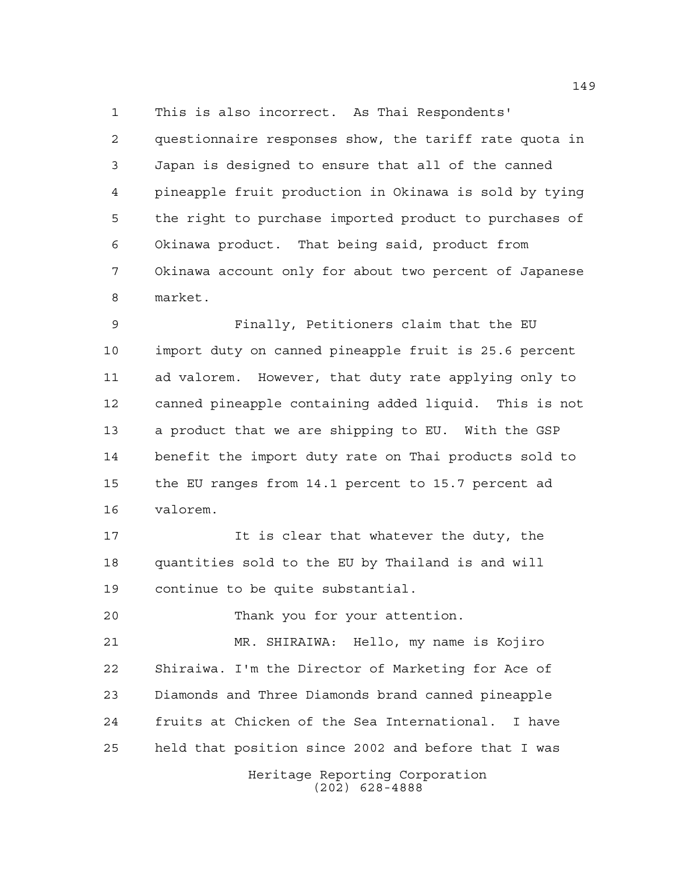This is also incorrect. As Thai Respondents'

 questionnaire responses show, the tariff rate quota in Japan is designed to ensure that all of the canned pineapple fruit production in Okinawa is sold by tying the right to purchase imported product to purchases of Okinawa product. That being said, product from Okinawa account only for about two percent of Japanese market.

 Finally, Petitioners claim that the EU import duty on canned pineapple fruit is 25.6 percent ad valorem. However, that duty rate applying only to canned pineapple containing added liquid. This is not a product that we are shipping to EU. With the GSP benefit the import duty rate on Thai products sold to the EU ranges from 14.1 percent to 15.7 percent ad valorem.

 It is clear that whatever the duty, the quantities sold to the EU by Thailand is and will continue to be quite substantial.

Thank you for your attention.

 MR. SHIRAIWA: Hello, my name is Kojiro Shiraiwa. I'm the Director of Marketing for Ace of Diamonds and Three Diamonds brand canned pineapple fruits at Chicken of the Sea International. I have held that position since 2002 and before that I was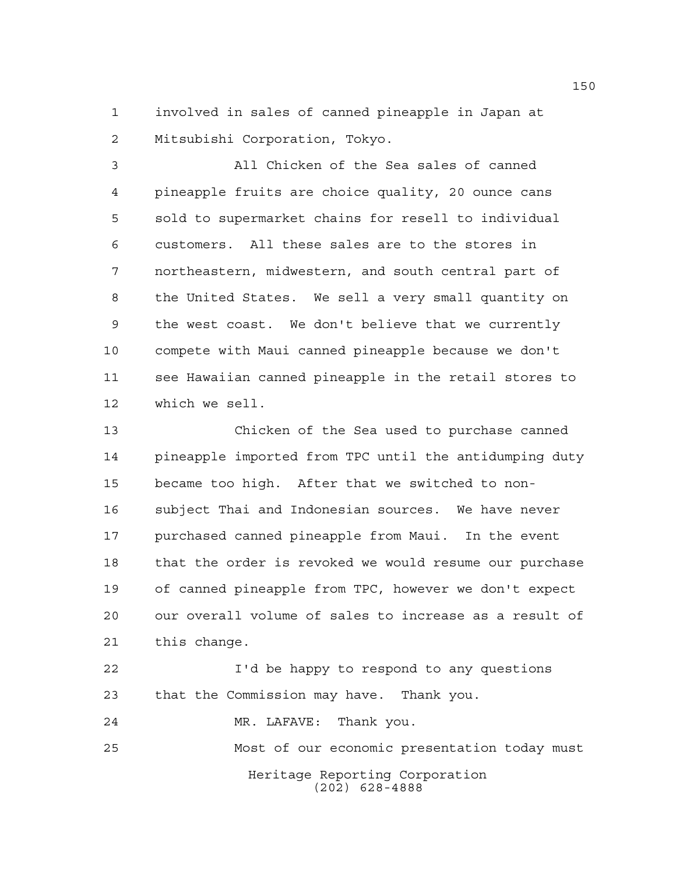involved in sales of canned pineapple in Japan at Mitsubishi Corporation, Tokyo.

 All Chicken of the Sea sales of canned pineapple fruits are choice quality, 20 ounce cans sold to supermarket chains for resell to individual customers. All these sales are to the stores in northeastern, midwestern, and south central part of the United States. We sell a very small quantity on the west coast. We don't believe that we currently compete with Maui canned pineapple because we don't see Hawaiian canned pineapple in the retail stores to which we sell.

 Chicken of the Sea used to purchase canned pineapple imported from TPC until the antidumping duty became too high. After that we switched to non- subject Thai and Indonesian sources. We have never purchased canned pineapple from Maui. In the event that the order is revoked we would resume our purchase of canned pineapple from TPC, however we don't expect our overall volume of sales to increase as a result of this change.

 I'd be happy to respond to any questions that the Commission may have. Thank you.

MR. LAFAVE: Thank you.

Most of our economic presentation today must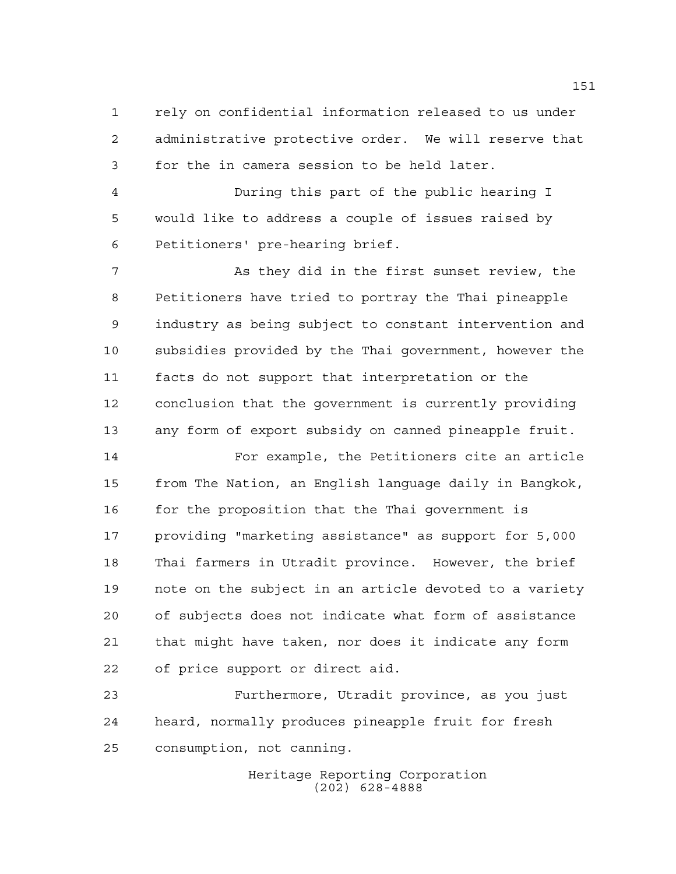rely on confidential information released to us under administrative protective order. We will reserve that for the in camera session to be held later.

 During this part of the public hearing I would like to address a couple of issues raised by Petitioners' pre-hearing brief.

 As they did in the first sunset review, the Petitioners have tried to portray the Thai pineapple industry as being subject to constant intervention and subsidies provided by the Thai government, however the facts do not support that interpretation or the conclusion that the government is currently providing any form of export subsidy on canned pineapple fruit.

 For example, the Petitioners cite an article from The Nation, an English language daily in Bangkok, for the proposition that the Thai government is providing "marketing assistance" as support for 5,000 Thai farmers in Utradit province. However, the brief note on the subject in an article devoted to a variety of subjects does not indicate what form of assistance that might have taken, nor does it indicate any form of price support or direct aid.

 Furthermore, Utradit province, as you just heard, normally produces pineapple fruit for fresh consumption, not canning.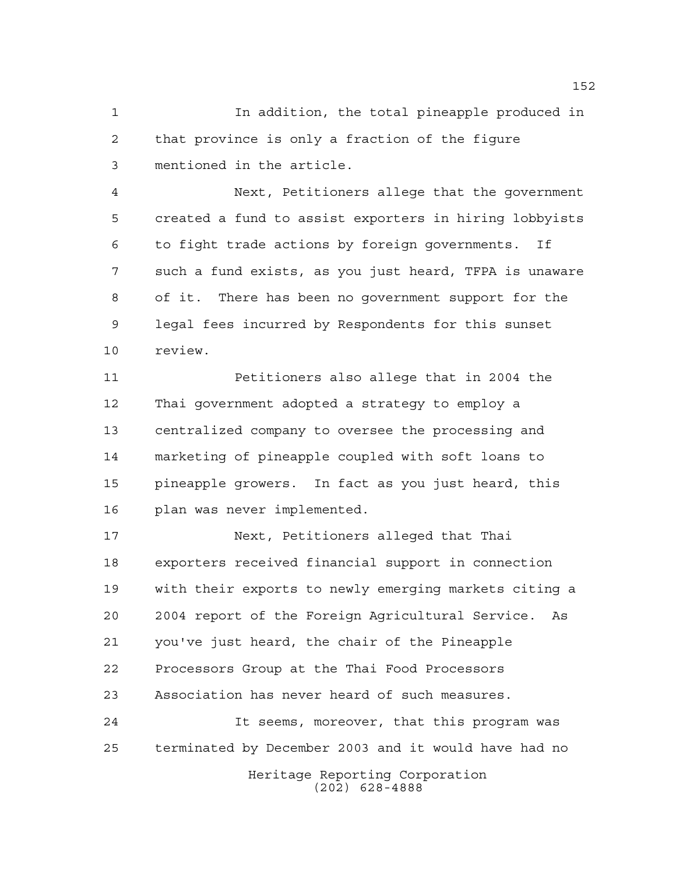In addition, the total pineapple produced in that province is only a fraction of the figure mentioned in the article.

 Next, Petitioners allege that the government created a fund to assist exporters in hiring lobbyists to fight trade actions by foreign governments. If such a fund exists, as you just heard, TFPA is unaware of it. There has been no government support for the legal fees incurred by Respondents for this sunset review.

 Petitioners also allege that in 2004 the Thai government adopted a strategy to employ a centralized company to oversee the processing and marketing of pineapple coupled with soft loans to pineapple growers. In fact as you just heard, this plan was never implemented.

 Next, Petitioners alleged that Thai exporters received financial support in connection with their exports to newly emerging markets citing a 2004 report of the Foreign Agricultural Service. As you've just heard, the chair of the Pineapple Processors Group at the Thai Food Processors Association has never heard of such measures.

 It seems, moreover, that this program was terminated by December 2003 and it would have had no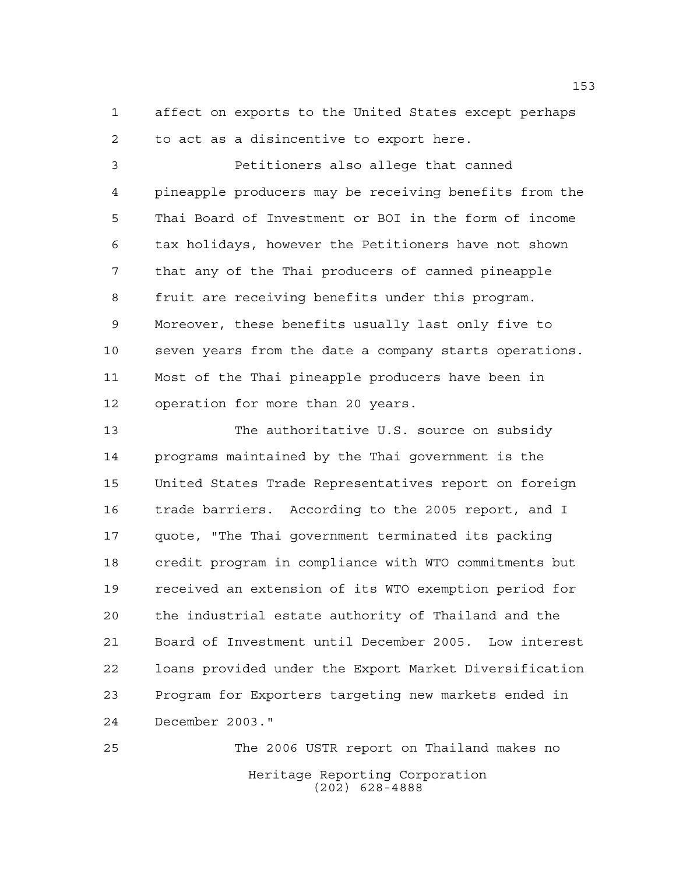affect on exports to the United States except perhaps to act as a disincentive to export here.

 Petitioners also allege that canned pineapple producers may be receiving benefits from the Thai Board of Investment or BOI in the form of income tax holidays, however the Petitioners have not shown that any of the Thai producers of canned pineapple fruit are receiving benefits under this program. Moreover, these benefits usually last only five to seven years from the date a company starts operations. Most of the Thai pineapple producers have been in operation for more than 20 years.

 The authoritative U.S. source on subsidy programs maintained by the Thai government is the United States Trade Representatives report on foreign trade barriers. According to the 2005 report, and I quote, "The Thai government terminated its packing credit program in compliance with WTO commitments but received an extension of its WTO exemption period for the industrial estate authority of Thailand and the Board of Investment until December 2005. Low interest loans provided under the Export Market Diversification Program for Exporters targeting new markets ended in December 2003."

Heritage Reporting Corporation (202) 628-4888 The 2006 USTR report on Thailand makes no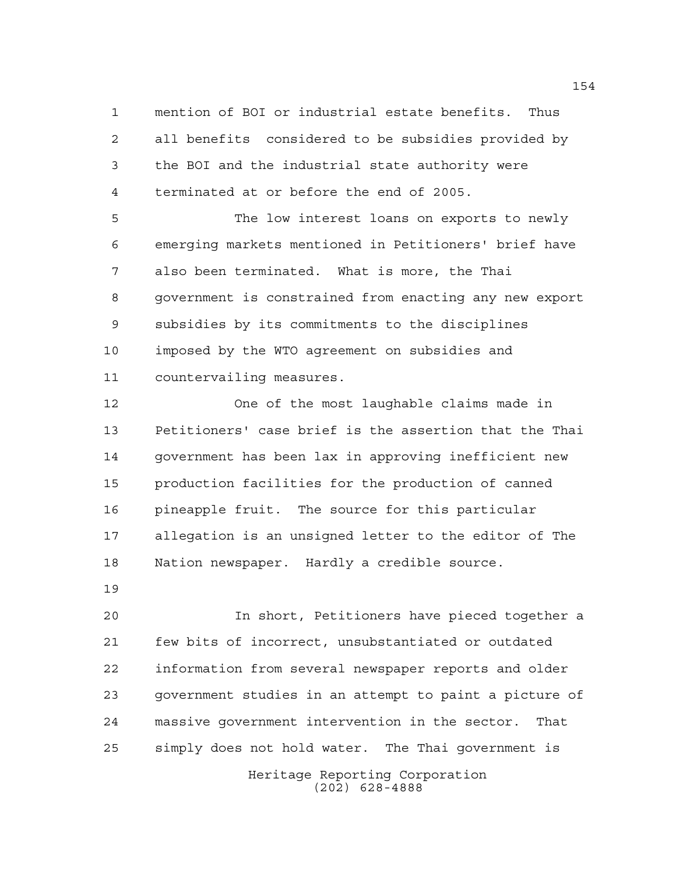mention of BOI or industrial estate benefits. Thus all benefits considered to be subsidies provided by the BOI and the industrial state authority were terminated at or before the end of 2005.

 The low interest loans on exports to newly emerging markets mentioned in Petitioners' brief have also been terminated. What is more, the Thai government is constrained from enacting any new export subsidies by its commitments to the disciplines imposed by the WTO agreement on subsidies and countervailing measures.

 One of the most laughable claims made in Petitioners' case brief is the assertion that the Thai government has been lax in approving inefficient new production facilities for the production of canned pineapple fruit. The source for this particular allegation is an unsigned letter to the editor of The Nation newspaper. Hardly a credible source.

 In short, Petitioners have pieced together a few bits of incorrect, unsubstantiated or outdated information from several newspaper reports and older government studies in an attempt to paint a picture of massive government intervention in the sector. That simply does not hold water. The Thai government is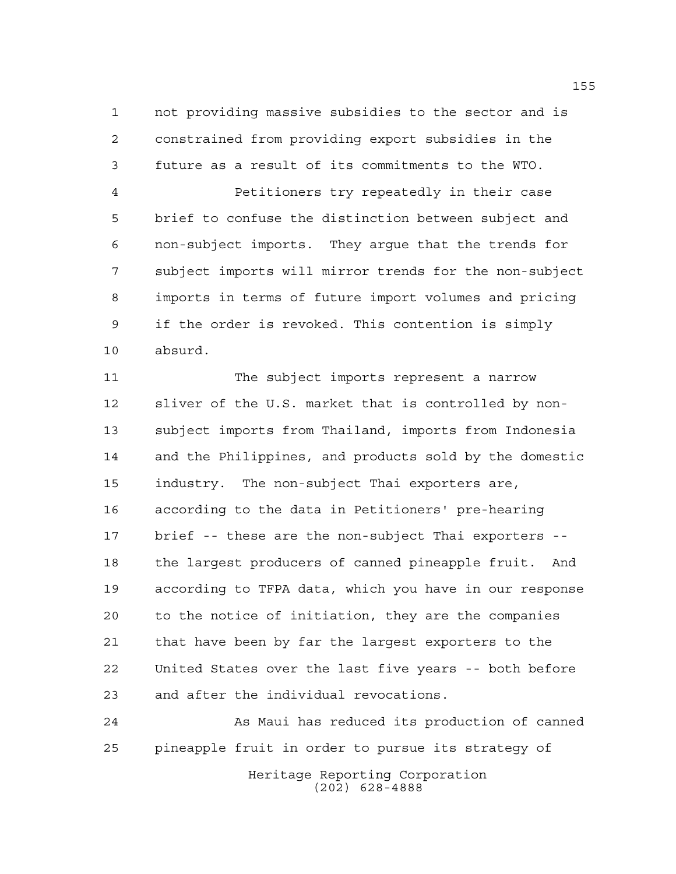not providing massive subsidies to the sector and is constrained from providing export subsidies in the future as a result of its commitments to the WTO.

 Petitioners try repeatedly in their case brief to confuse the distinction between subject and non-subject imports. They argue that the trends for subject imports will mirror trends for the non-subject imports in terms of future import volumes and pricing if the order is revoked. This contention is simply absurd.

 The subject imports represent a narrow sliver of the U.S. market that is controlled by non- subject imports from Thailand, imports from Indonesia and the Philippines, and products sold by the domestic industry. The non-subject Thai exporters are, according to the data in Petitioners' pre-hearing brief -- these are the non-subject Thai exporters -- the largest producers of canned pineapple fruit. And according to TFPA data, which you have in our response to the notice of initiation, they are the companies that have been by far the largest exporters to the United States over the last five years -- both before and after the individual revocations.

Heritage Reporting Corporation As Maui has reduced its production of canned pineapple fruit in order to pursue its strategy of

(202) 628-4888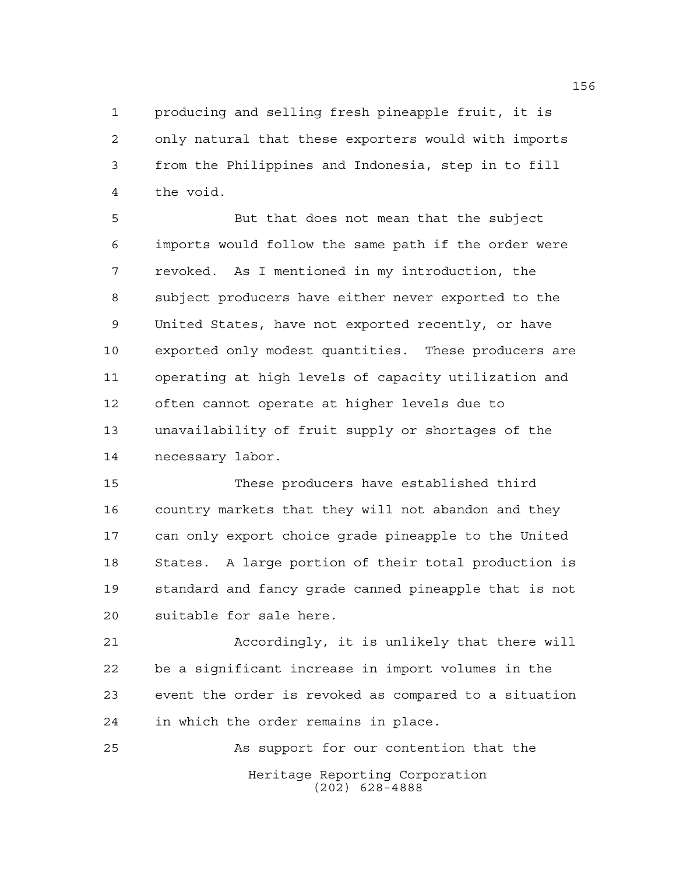producing and selling fresh pineapple fruit, it is only natural that these exporters would with imports from the Philippines and Indonesia, step in to fill the void.

 But that does not mean that the subject imports would follow the same path if the order were revoked. As I mentioned in my introduction, the subject producers have either never exported to the United States, have not exported recently, or have exported only modest quantities. These producers are operating at high levels of capacity utilization and often cannot operate at higher levels due to unavailability of fruit supply or shortages of the necessary labor.

 These producers have established third country markets that they will not abandon and they can only export choice grade pineapple to the United States. A large portion of their total production is standard and fancy grade canned pineapple that is not suitable for sale here.

 Accordingly, it is unlikely that there will be a significant increase in import volumes in the event the order is revoked as compared to a situation in which the order remains in place.

Heritage Reporting Corporation (202) 628-4888 As support for our contention that the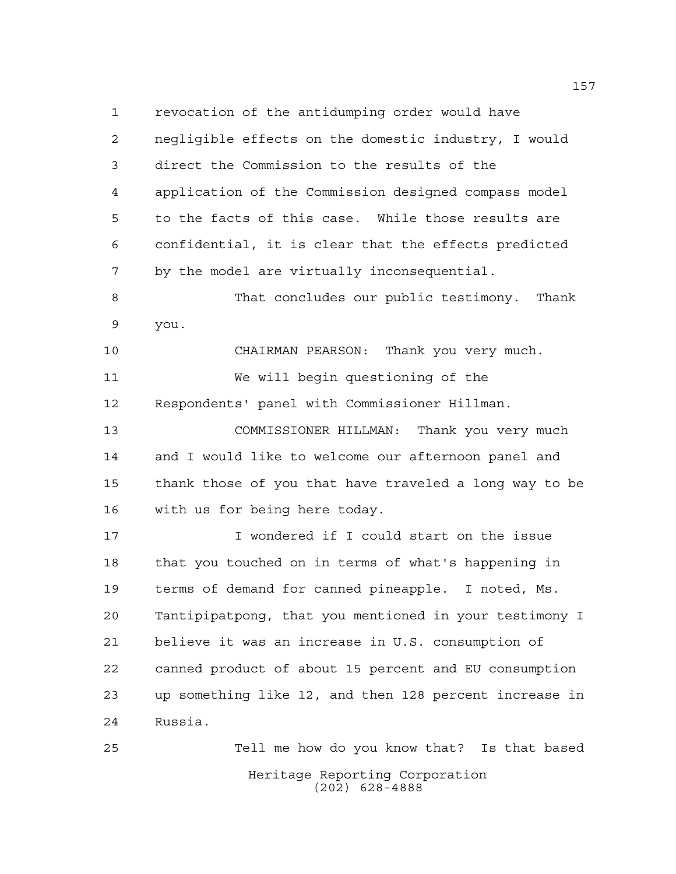revocation of the antidumping order would have negligible effects on the domestic industry, I would direct the Commission to the results of the application of the Commission designed compass model to the facts of this case. While those results are confidential, it is clear that the effects predicted by the model are virtually inconsequential. That concludes our public testimony. Thank

 you. CHAIRMAN PEARSON: Thank you very much.

 We will begin questioning of the Respondents' panel with Commissioner Hillman.

 COMMISSIONER HILLMAN: Thank you very much and I would like to welcome our afternoon panel and thank those of you that have traveled a long way to be with us for being here today.

 I wondered if I could start on the issue that you touched on in terms of what's happening in terms of demand for canned pineapple. I noted, Ms. Tantipipatpong, that you mentioned in your testimony I believe it was an increase in U.S. consumption of canned product of about 15 percent and EU consumption up something like 12, and then 128 percent increase in Russia.

Heritage Reporting Corporation (202) 628-4888 Tell me how do you know that? Is that based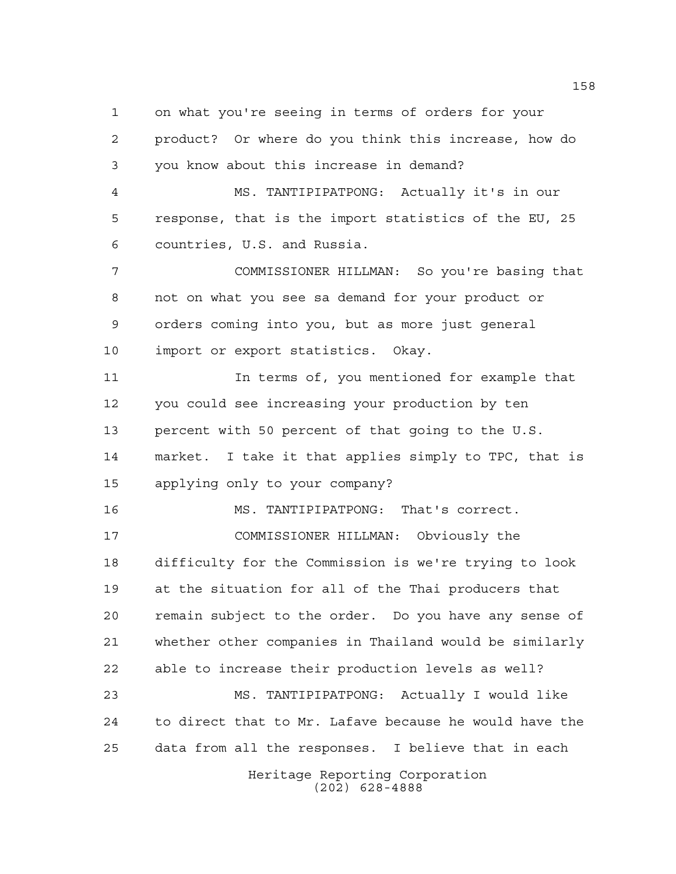on what you're seeing in terms of orders for your

 product? Or where do you think this increase, how do you know about this increase in demand?

 MS. TANTIPIPATPONG: Actually it's in our response, that is the import statistics of the EU, 25 countries, U.S. and Russia.

 COMMISSIONER HILLMAN: So you're basing that not on what you see sa demand for your product or orders coming into you, but as more just general import or export statistics. Okay.

 In terms of, you mentioned for example that you could see increasing your production by ten percent with 50 percent of that going to the U.S. market. I take it that applies simply to TPC, that is applying only to your company?

 MS. TANTIPIPATPONG: That's correct. COMMISSIONER HILLMAN: Obviously the difficulty for the Commission is we're trying to look at the situation for all of the Thai producers that remain subject to the order. Do you have any sense of whether other companies in Thailand would be similarly able to increase their production levels as well? MS. TANTIPIPATPONG: Actually I would like

 to direct that to Mr. Lafave because he would have the data from all the responses. I believe that in each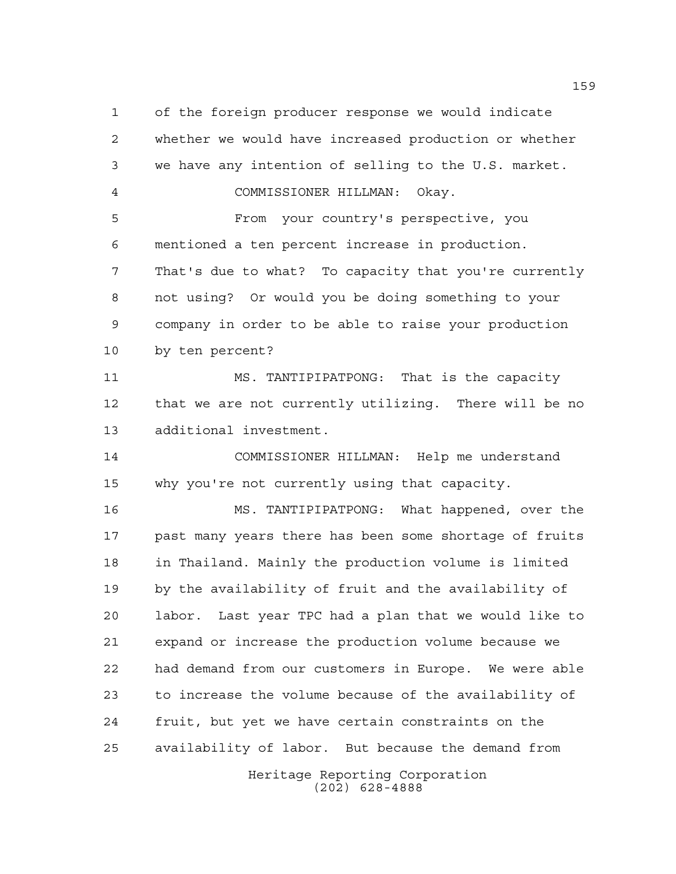Heritage Reporting Corporation of the foreign producer response we would indicate whether we would have increased production or whether we have any intention of selling to the U.S. market. COMMISSIONER HILLMAN: Okay. From your country's perspective, you mentioned a ten percent increase in production. That's due to what? To capacity that you're currently not using? Or would you be doing something to your company in order to be able to raise your production by ten percent? MS. TANTIPIPATPONG: That is the capacity that we are not currently utilizing. There will be no additional investment. COMMISSIONER HILLMAN: Help me understand why you're not currently using that capacity. MS. TANTIPIPATPONG: What happened, over the past many years there has been some shortage of fruits in Thailand. Mainly the production volume is limited by the availability of fruit and the availability of labor. Last year TPC had a plan that we would like to expand or increase the production volume because we had demand from our customers in Europe. We were able to increase the volume because of the availability of fruit, but yet we have certain constraints on the availability of labor. But because the demand from

(202) 628-4888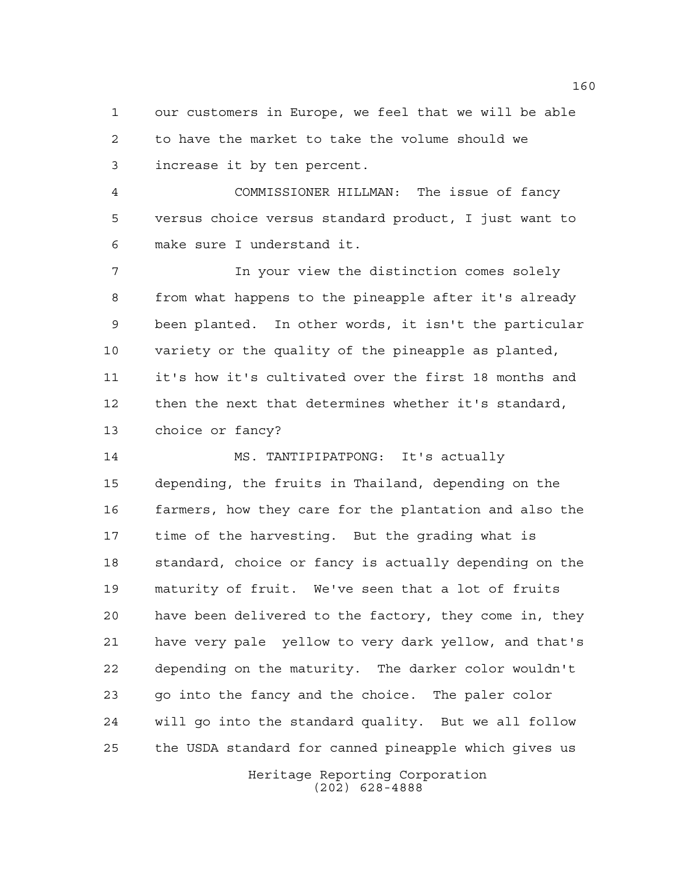our customers in Europe, we feel that we will be able to have the market to take the volume should we increase it by ten percent.

 COMMISSIONER HILLMAN: The issue of fancy versus choice versus standard product, I just want to make sure I understand it.

 In your view the distinction comes solely from what happens to the pineapple after it's already been planted. In other words, it isn't the particular variety or the quality of the pineapple as planted, it's how it's cultivated over the first 18 months and then the next that determines whether it's standard, choice or fancy?

 MS. TANTIPIPATPONG: It's actually depending, the fruits in Thailand, depending on the farmers, how they care for the plantation and also the time of the harvesting. But the grading what is standard, choice or fancy is actually depending on the maturity of fruit. We've seen that a lot of fruits have been delivered to the factory, they come in, they have very pale yellow to very dark yellow, and that's depending on the maturity. The darker color wouldn't go into the fancy and the choice. The paler color will go into the standard quality. But we all follow the USDA standard for canned pineapple which gives us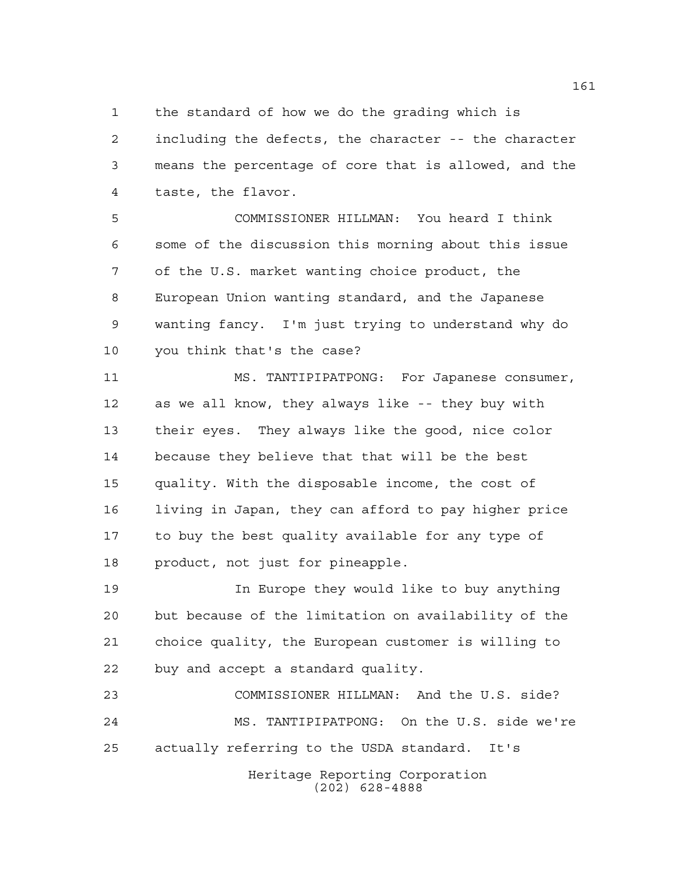the standard of how we do the grading which is

 including the defects, the character -- the character means the percentage of core that is allowed, and the taste, the flavor.

 COMMISSIONER HILLMAN: You heard I think some of the discussion this morning about this issue of the U.S. market wanting choice product, the European Union wanting standard, and the Japanese wanting fancy. I'm just trying to understand why do you think that's the case?

 MS. TANTIPIPATPONG: For Japanese consumer, as we all know, they always like -- they buy with their eyes. They always like the good, nice color because they believe that that will be the best quality. With the disposable income, the cost of living in Japan, they can afford to pay higher price to buy the best quality available for any type of product, not just for pineapple.

 In Europe they would like to buy anything but because of the limitation on availability of the choice quality, the European customer is willing to buy and accept a standard quality.

 COMMISSIONER HILLMAN: And the U.S. side? MS. TANTIPIPATPONG: On the U.S. side we're actually referring to the USDA standard. It's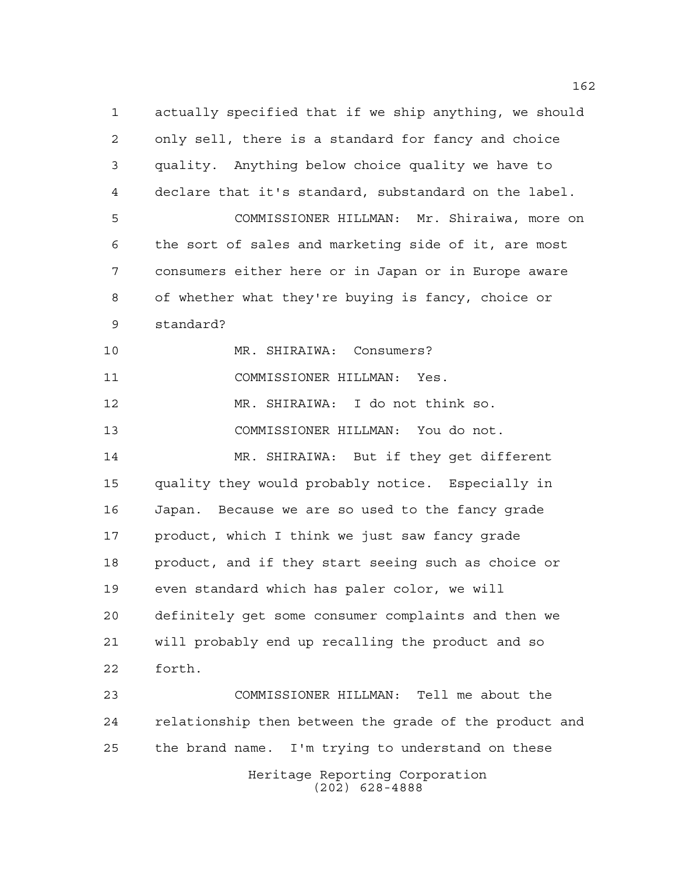actually specified that if we ship anything, we should only sell, there is a standard for fancy and choice quality. Anything below choice quality we have to declare that it's standard, substandard on the label. COMMISSIONER HILLMAN: Mr. Shiraiwa, more on the sort of sales and marketing side of it, are most consumers either here or in Japan or in Europe aware of whether what they're buying is fancy, choice or standard? MR. SHIRAIWA: Consumers? COMMISSIONER HILLMAN: Yes. MR. SHIRAIWA: I do not think so. COMMISSIONER HILLMAN: You do not. MR. SHIRAIWA: But if they get different quality they would probably notice. Especially in Japan. Because we are so used to the fancy grade product, which I think we just saw fancy grade product, and if they start seeing such as choice or even standard which has paler color, we will definitely get some consumer complaints and then we will probably end up recalling the product and so forth. COMMISSIONER HILLMAN: Tell me about the relationship then between the grade of the product and the brand name. I'm trying to understand on these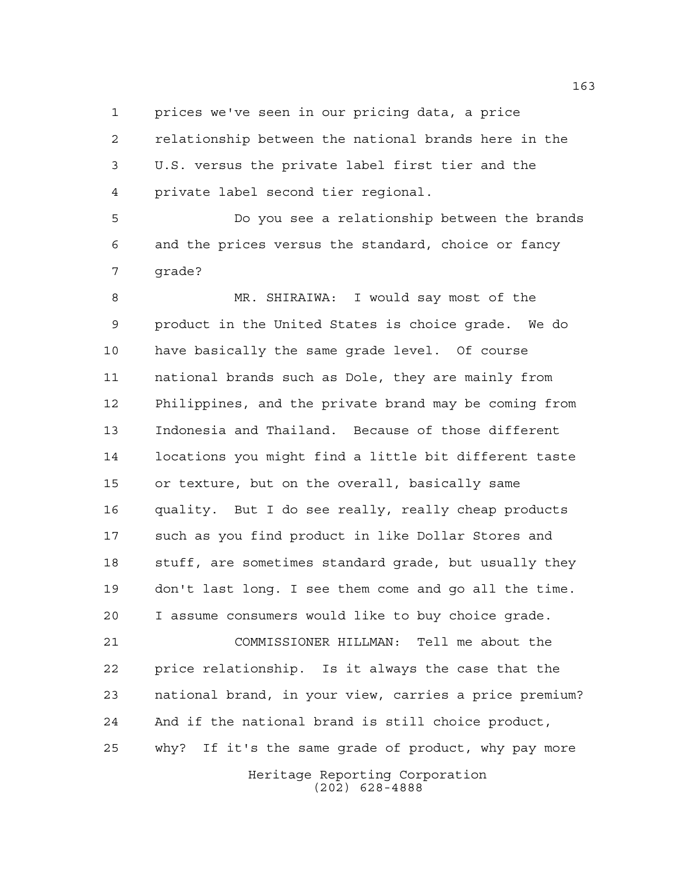prices we've seen in our pricing data, a price

 relationship between the national brands here in the U.S. versus the private label first tier and the private label second tier regional.

 Do you see a relationship between the brands and the prices versus the standard, choice or fancy grade?

 MR. SHIRAIWA: I would say most of the product in the United States is choice grade. We do have basically the same grade level. Of course national brands such as Dole, they are mainly from Philippines, and the private brand may be coming from Indonesia and Thailand. Because of those different locations you might find a little bit different taste or texture, but on the overall, basically same quality. But I do see really, really cheap products such as you find product in like Dollar Stores and stuff, are sometimes standard grade, but usually they don't last long. I see them come and go all the time. I assume consumers would like to buy choice grade. COMMISSIONER HILLMAN: Tell me about the price relationship. Is it always the case that the national brand, in your view, carries a price premium? And if the national brand is still choice product, why? If it's the same grade of product, why pay more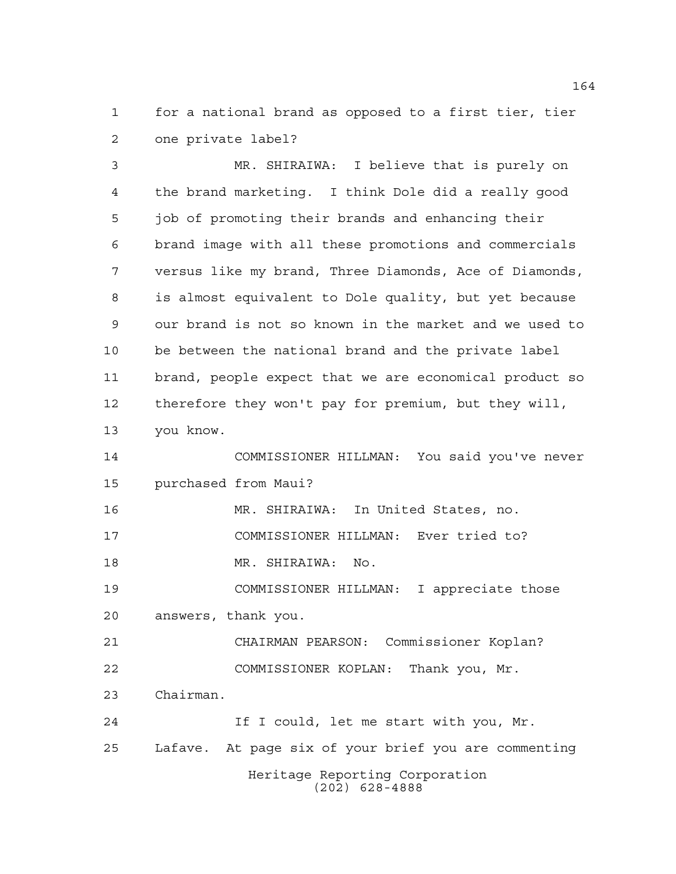for a national brand as opposed to a first tier, tier one private label?

Heritage Reporting Corporation (202) 628-4888 MR. SHIRAIWA: I believe that is purely on the brand marketing. I think Dole did a really good job of promoting their brands and enhancing their brand image with all these promotions and commercials versus like my brand, Three Diamonds, Ace of Diamonds, is almost equivalent to Dole quality, but yet because our brand is not so known in the market and we used to be between the national brand and the private label brand, people expect that we are economical product so therefore they won't pay for premium, but they will, you know. COMMISSIONER HILLMAN: You said you've never purchased from Maui? MR. SHIRAIWA: In United States, no. COMMISSIONER HILLMAN: Ever tried to? MR. SHIRAIWA: No. COMMISSIONER HILLMAN: I appreciate those answers, thank you. CHAIRMAN PEARSON: Commissioner Koplan? COMMISSIONER KOPLAN: Thank you, Mr. Chairman. If I could, let me start with you, Mr. Lafave. At page six of your brief you are commenting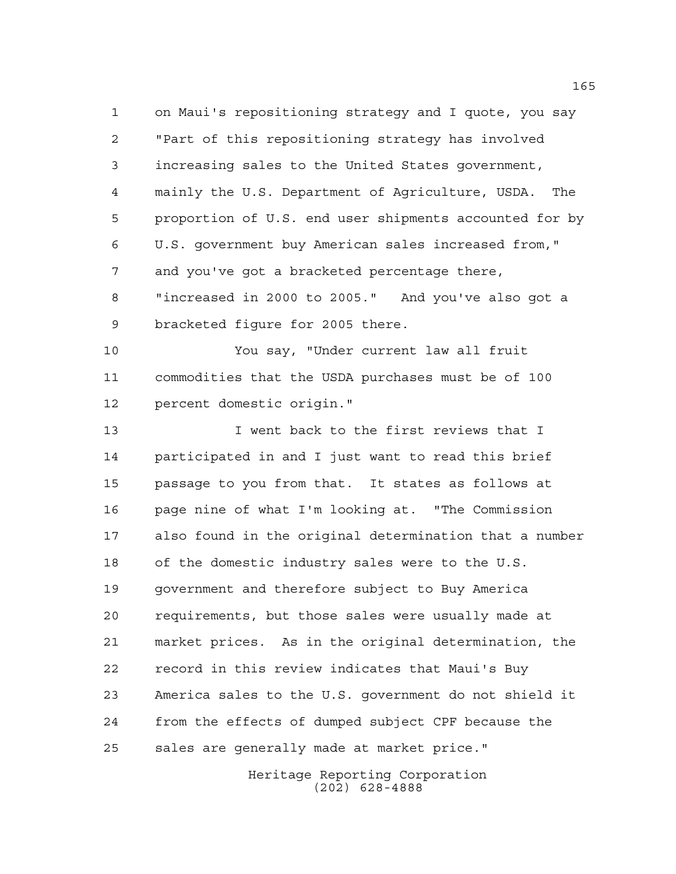on Maui's repositioning strategy and I quote, you say "Part of this repositioning strategy has involved increasing sales to the United States government, mainly the U.S. Department of Agriculture, USDA. The proportion of U.S. end user shipments accounted for by U.S. government buy American sales increased from," and you've got a bracketed percentage there, "increased in 2000 to 2005." And you've also got a bracketed figure for 2005 there.

 You say, "Under current law all fruit commodities that the USDA purchases must be of 100 percent domestic origin."

13 13 I went back to the first reviews that I participated in and I just want to read this brief passage to you from that. It states as follows at page nine of what I'm looking at. "The Commission also found in the original determination that a number of the domestic industry sales were to the U.S. government and therefore subject to Buy America requirements, but those sales were usually made at market prices. As in the original determination, the record in this review indicates that Maui's Buy America sales to the U.S. government do not shield it from the effects of dumped subject CPF because the sales are generally made at market price."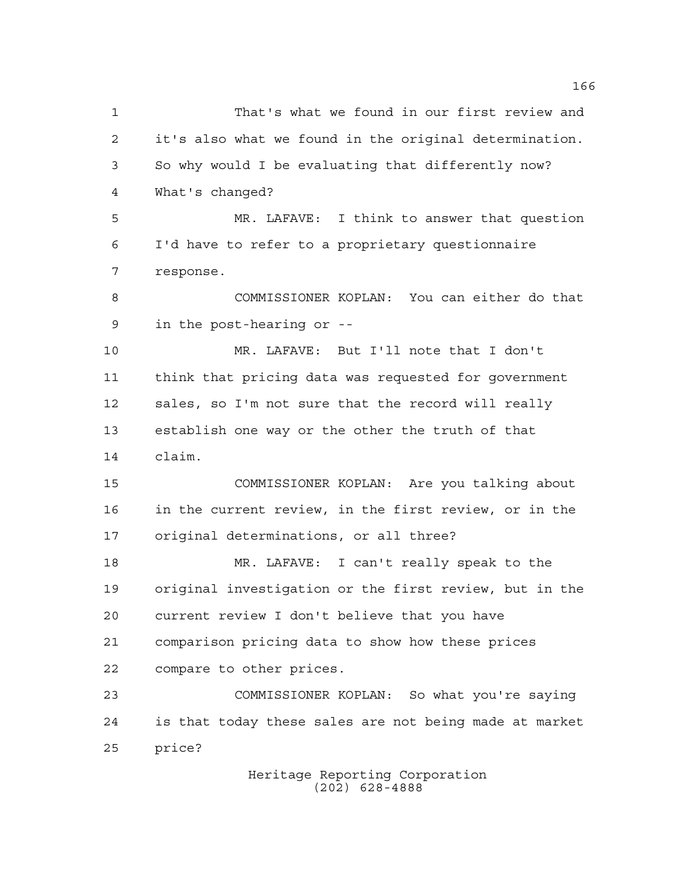Heritage Reporting Corporation That's what we found in our first review and it's also what we found in the original determination. So why would I be evaluating that differently now? What's changed? MR. LAFAVE: I think to answer that question I'd have to refer to a proprietary questionnaire response. COMMISSIONER KOPLAN: You can either do that in the post-hearing or -- MR. LAFAVE: But I'll note that I don't think that pricing data was requested for government sales, so I'm not sure that the record will really establish one way or the other the truth of that claim. COMMISSIONER KOPLAN: Are you talking about in the current review, in the first review, or in the original determinations, or all three? MR. LAFAVE: I can't really speak to the original investigation or the first review, but in the current review I don't believe that you have comparison pricing data to show how these prices compare to other prices. COMMISSIONER KOPLAN: So what you're saying is that today these sales are not being made at market price?

(202) 628-4888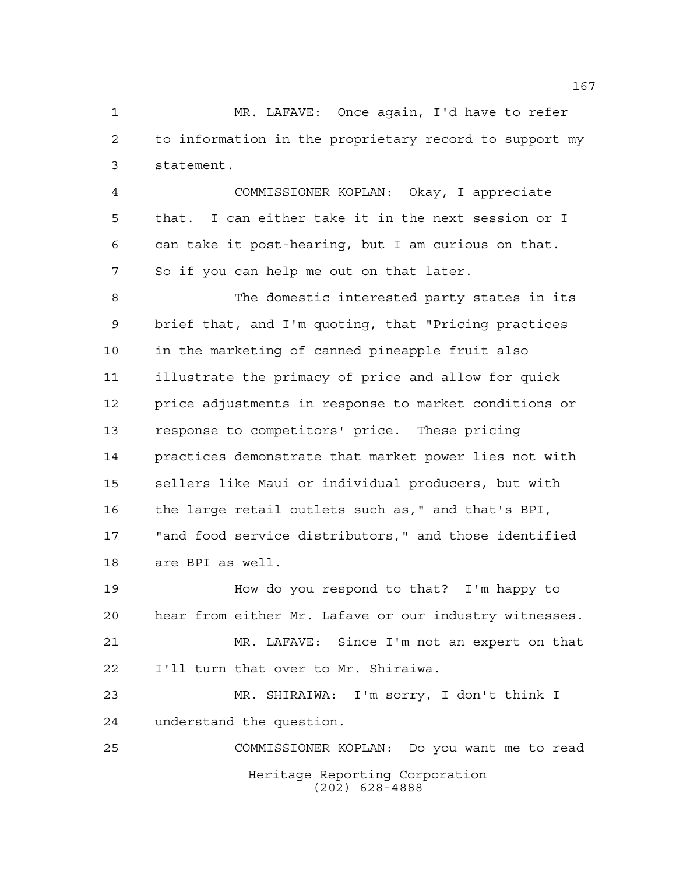MR. LAFAVE: Once again, I'd have to refer to information in the proprietary record to support my statement.

 COMMISSIONER KOPLAN: Okay, I appreciate that. I can either take it in the next session or I can take it post-hearing, but I am curious on that. So if you can help me out on that later.

 The domestic interested party states in its brief that, and I'm quoting, that "Pricing practices in the marketing of canned pineapple fruit also illustrate the primacy of price and allow for quick price adjustments in response to market conditions or response to competitors' price. These pricing practices demonstrate that market power lies not with sellers like Maui or individual producers, but with the large retail outlets such as," and that's BPI, "and food service distributors," and those identified are BPI as well.

 How do you respond to that? I'm happy to hear from either Mr. Lafave or our industry witnesses. MR. LAFAVE: Since I'm not an expert on that I'll turn that over to Mr. Shiraiwa.

 MR. SHIRAIWA: I'm sorry, I don't think I understand the question.

Heritage Reporting Corporation (202) 628-4888 COMMISSIONER KOPLAN: Do you want me to read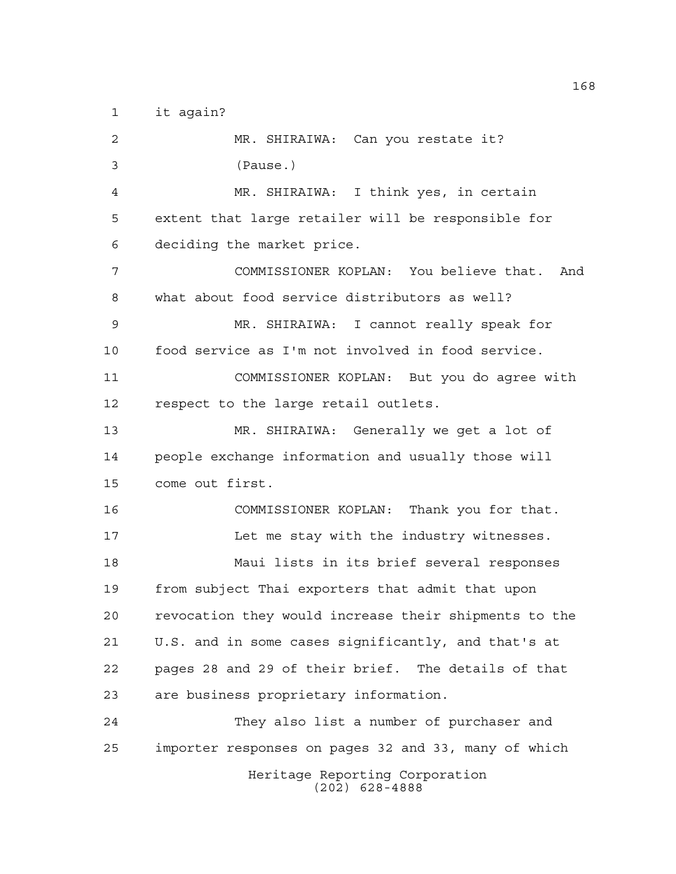it again?

Heritage Reporting Corporation (202) 628-4888 MR. SHIRAIWA: Can you restate it? (Pause.) MR. SHIRAIWA: I think yes, in certain extent that large retailer will be responsible for deciding the market price. COMMISSIONER KOPLAN: You believe that. And what about food service distributors as well? MR. SHIRAIWA: I cannot really speak for food service as I'm not involved in food service. COMMISSIONER KOPLAN: But you do agree with respect to the large retail outlets. MR. SHIRAIWA: Generally we get a lot of people exchange information and usually those will come out first. COMMISSIONER KOPLAN: Thank you for that. Let me stay with the industry witnesses. Maui lists in its brief several responses from subject Thai exporters that admit that upon revocation they would increase their shipments to the U.S. and in some cases significantly, and that's at pages 28 and 29 of their brief. The details of that are business proprietary information. They also list a number of purchaser and importer responses on pages 32 and 33, many of which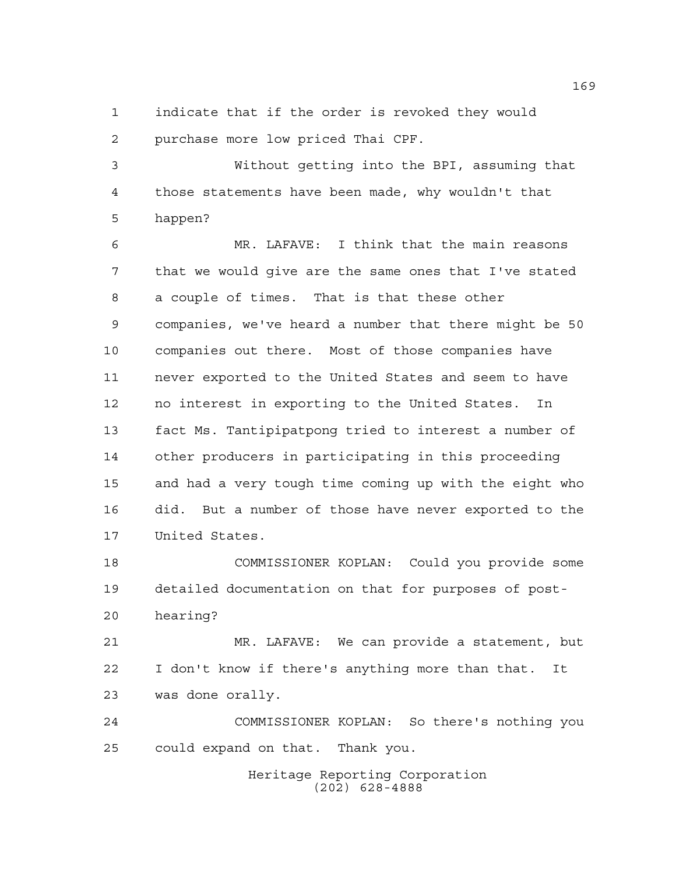indicate that if the order is revoked they would purchase more low priced Thai CPF.

 Without getting into the BPI, assuming that those statements have been made, why wouldn't that happen?

 MR. LAFAVE: I think that the main reasons that we would give are the same ones that I've stated a couple of times. That is that these other companies, we've heard a number that there might be 50 companies out there. Most of those companies have never exported to the United States and seem to have no interest in exporting to the United States. In fact Ms. Tantipipatpong tried to interest a number of other producers in participating in this proceeding and had a very tough time coming up with the eight who did. But a number of those have never exported to the United States.

 COMMISSIONER KOPLAN: Could you provide some detailed documentation on that for purposes of post-hearing?

 MR. LAFAVE: We can provide a statement, but I don't know if there's anything more than that. It was done orally.

 COMMISSIONER KOPLAN: So there's nothing you could expand on that. Thank you.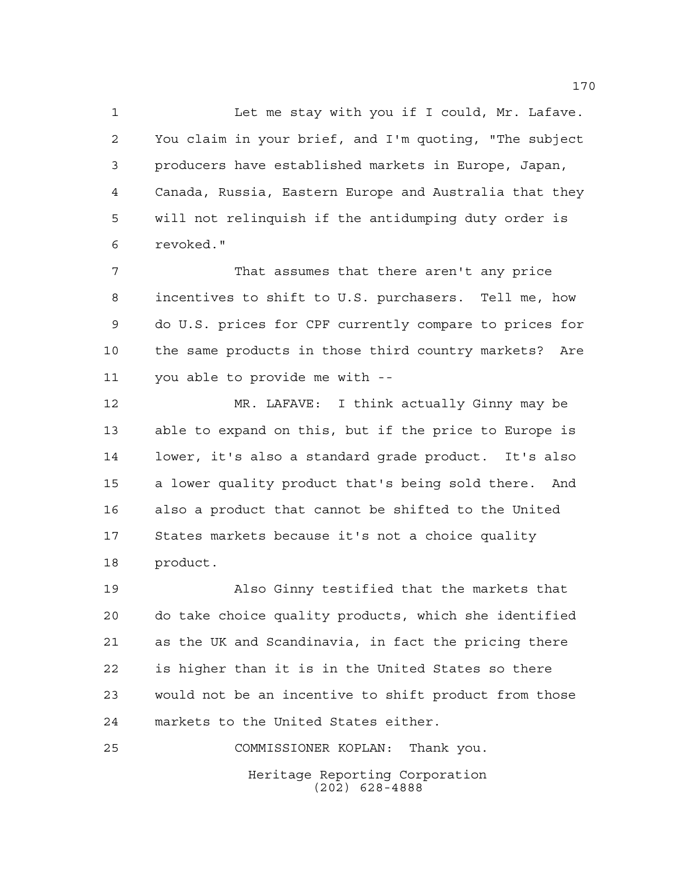1 Let me stay with you if I could, Mr. Lafave. You claim in your brief, and I'm quoting, "The subject producers have established markets in Europe, Japan, Canada, Russia, Eastern Europe and Australia that they will not relinquish if the antidumping duty order is revoked."

 That assumes that there aren't any price incentives to shift to U.S. purchasers. Tell me, how do U.S. prices for CPF currently compare to prices for the same products in those third country markets? Are you able to provide me with --

 MR. LAFAVE: I think actually Ginny may be able to expand on this, but if the price to Europe is lower, it's also a standard grade product. It's also a lower quality product that's being sold there. And also a product that cannot be shifted to the United States markets because it's not a choice quality product.

 Also Ginny testified that the markets that do take choice quality products, which she identified as the UK and Scandinavia, in fact the pricing there is higher than it is in the United States so there would not be an incentive to shift product from those markets to the United States either.

Heritage Reporting Corporation (202) 628-4888 COMMISSIONER KOPLAN: Thank you.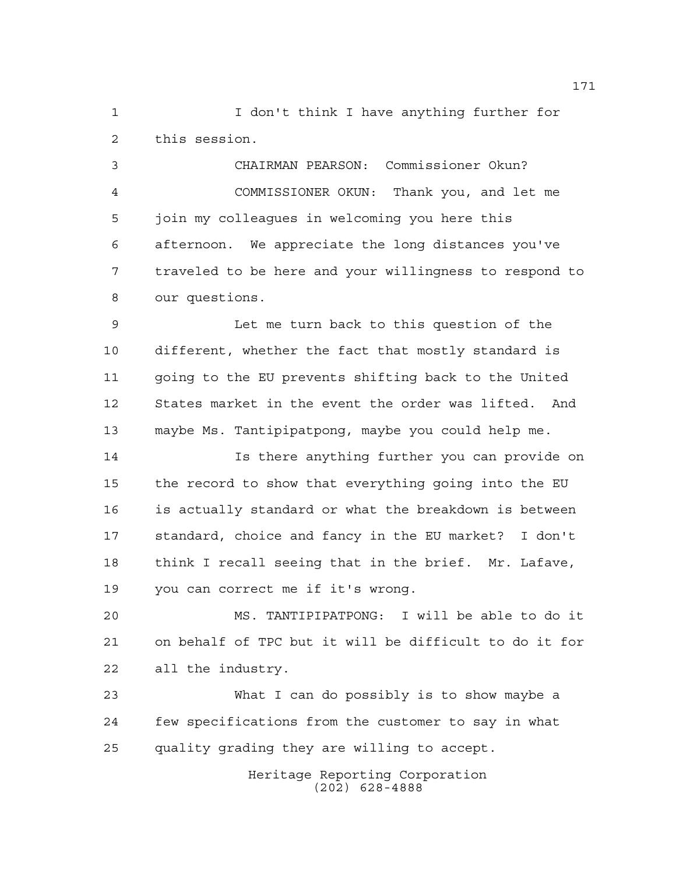I don't think I have anything further for this session.

 CHAIRMAN PEARSON: Commissioner Okun? COMMISSIONER OKUN: Thank you, and let me join my colleagues in welcoming you here this afternoon. We appreciate the long distances you've traveled to be here and your willingness to respond to our questions.

 Let me turn back to this question of the different, whether the fact that mostly standard is going to the EU prevents shifting back to the United States market in the event the order was lifted. And maybe Ms. Tantipipatpong, maybe you could help me.

 Is there anything further you can provide on the record to show that everything going into the EU is actually standard or what the breakdown is between standard, choice and fancy in the EU market? I don't think I recall seeing that in the brief. Mr. Lafave, you can correct me if it's wrong.

 MS. TANTIPIPATPONG: I will be able to do it on behalf of TPC but it will be difficult to do it for all the industry.

 What I can do possibly is to show maybe a few specifications from the customer to say in what quality grading they are willing to accept.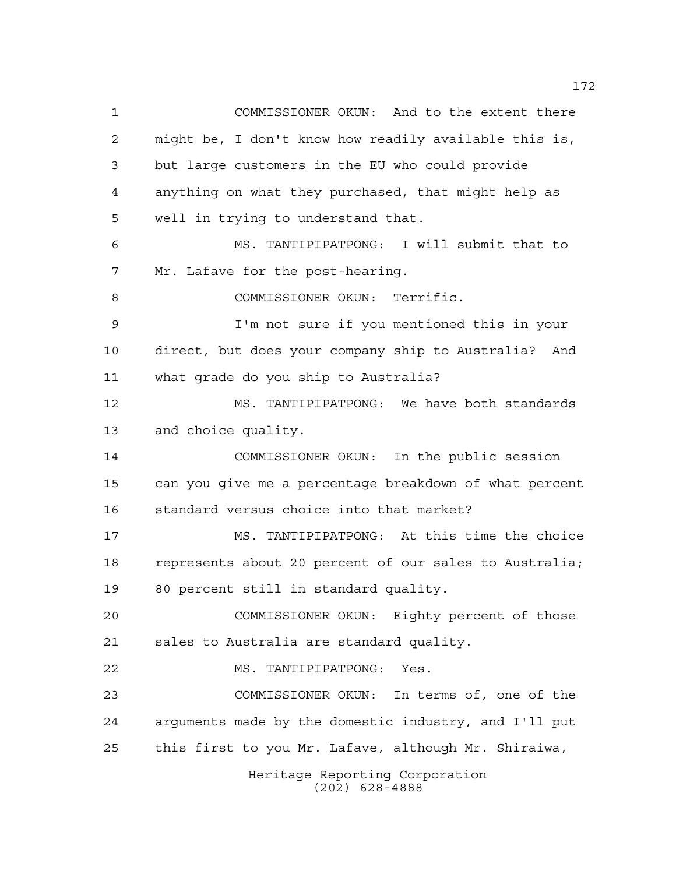Heritage Reporting Corporation (202) 628-4888 COMMISSIONER OKUN: And to the extent there might be, I don't know how readily available this is, but large customers in the EU who could provide anything on what they purchased, that might help as well in trying to understand that. MS. TANTIPIPATPONG: I will submit that to Mr. Lafave for the post-hearing. 8 COMMISSIONER OKUN: Terrific. I'm not sure if you mentioned this in your direct, but does your company ship to Australia? And what grade do you ship to Australia? MS. TANTIPIPATPONG: We have both standards and choice quality. COMMISSIONER OKUN: In the public session can you give me a percentage breakdown of what percent standard versus choice into that market? MS. TANTIPIPATPONG: At this time the choice represents about 20 percent of our sales to Australia; 80 percent still in standard quality. COMMISSIONER OKUN: Eighty percent of those sales to Australia are standard quality. MS. TANTIPIPATPONG: Yes. COMMISSIONER OKUN: In terms of, one of the arguments made by the domestic industry, and I'll put this first to you Mr. Lafave, although Mr. Shiraiwa,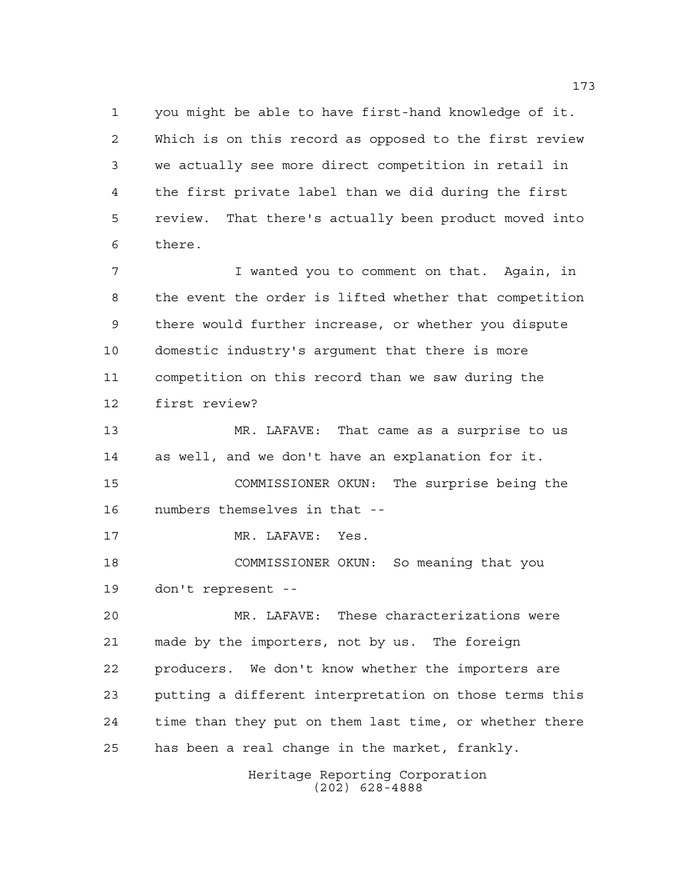you might be able to have first-hand knowledge of it. Which is on this record as opposed to the first review we actually see more direct competition in retail in the first private label than we did during the first review. That there's actually been product moved into there.

 I wanted you to comment on that. Again, in the event the order is lifted whether that competition there would further increase, or whether you dispute domestic industry's argument that there is more competition on this record than we saw during the first review?

 MR. LAFAVE: That came as a surprise to us as well, and we don't have an explanation for it.

 COMMISSIONER OKUN: The surprise being the numbers themselves in that --

MR. LAFAVE: Yes.

 COMMISSIONER OKUN: So meaning that you don't represent --

 MR. LAFAVE: These characterizations were made by the importers, not by us. The foreign producers. We don't know whether the importers are putting a different interpretation on those terms this time than they put on them last time, or whether there has been a real change in the market, frankly.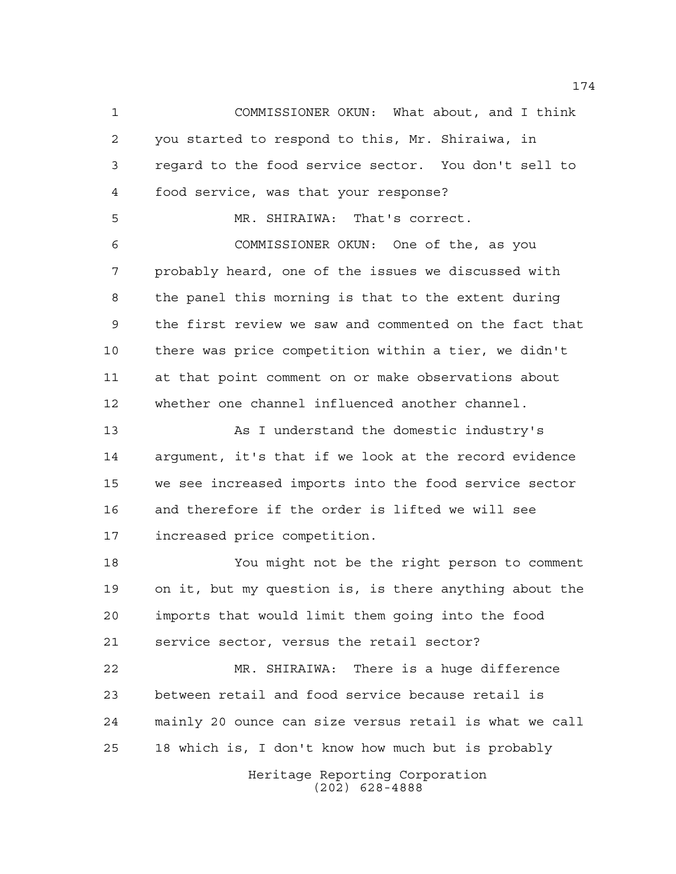COMMISSIONER OKUN: What about, and I think you started to respond to this, Mr. Shiraiwa, in regard to the food service sector. You don't sell to food service, was that your response? MR. SHIRAIWA: That's correct. COMMISSIONER OKUN: One of the, as you probably heard, one of the issues we discussed with the panel this morning is that to the extent during the first review we saw and commented on the fact that there was price competition within a tier, we didn't at that point comment on or make observations about whether one channel influenced another channel. As I understand the domestic industry's argument, it's that if we look at the record evidence we see increased imports into the food service sector and therefore if the order is lifted we will see increased price competition. You might not be the right person to comment on it, but my question is, is there anything about the imports that would limit them going into the food

 MR. SHIRAIWA: There is a huge difference between retail and food service because retail is mainly 20 ounce can size versus retail is what we call 18 which is, I don't know how much but is probably

service sector, versus the retail sector?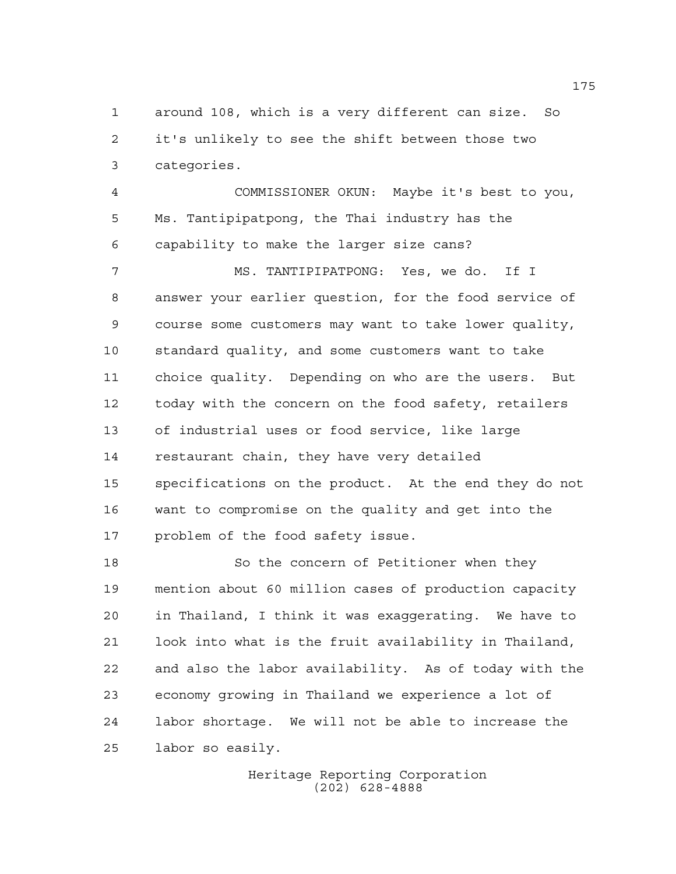around 108, which is a very different can size. So it's unlikely to see the shift between those two categories.

 COMMISSIONER OKUN: Maybe it's best to you, Ms. Tantipipatpong, the Thai industry has the capability to make the larger size cans?

 MS. TANTIPIPATPONG: Yes, we do. If I answer your earlier question, for the food service of course some customers may want to take lower quality, standard quality, and some customers want to take choice quality. Depending on who are the users. But today with the concern on the food safety, retailers of industrial uses or food service, like large restaurant chain, they have very detailed specifications on the product. At the end they do not want to compromise on the quality and get into the problem of the food safety issue.

 So the concern of Petitioner when they mention about 60 million cases of production capacity in Thailand, I think it was exaggerating. We have to look into what is the fruit availability in Thailand, and also the labor availability. As of today with the economy growing in Thailand we experience a lot of labor shortage. We will not be able to increase the labor so easily.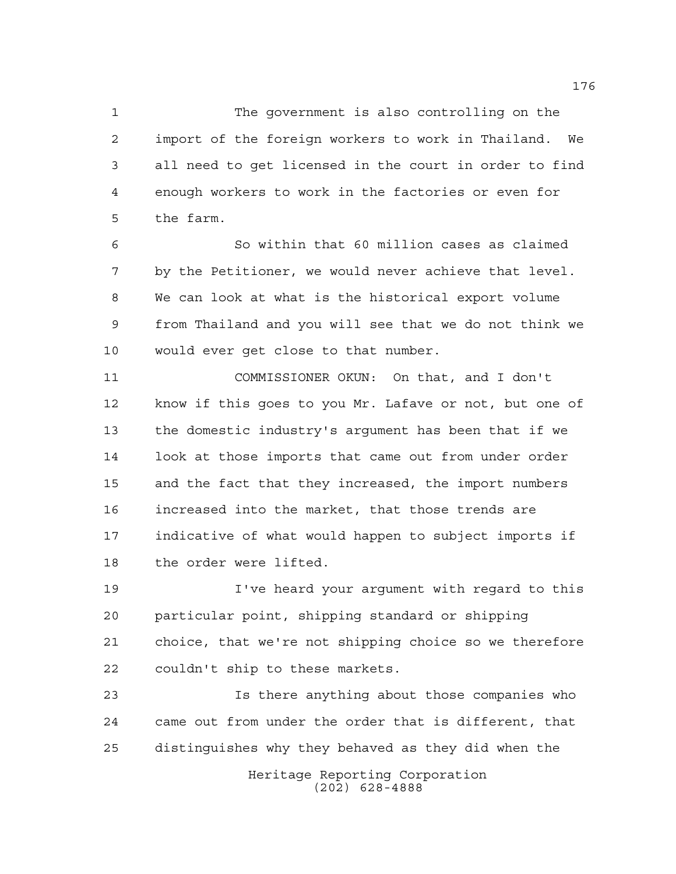The government is also controlling on the import of the foreign workers to work in Thailand. We all need to get licensed in the court in order to find enough workers to work in the factories or even for the farm.

 So within that 60 million cases as claimed by the Petitioner, we would never achieve that level. We can look at what is the historical export volume from Thailand and you will see that we do not think we would ever get close to that number.

 COMMISSIONER OKUN: On that, and I don't know if this goes to you Mr. Lafave or not, but one of the domestic industry's argument has been that if we look at those imports that came out from under order and the fact that they increased, the import numbers increased into the market, that those trends are indicative of what would happen to subject imports if the order were lifted.

 I've heard your argument with regard to this particular point, shipping standard or shipping choice, that we're not shipping choice so we therefore couldn't ship to these markets.

 Is there anything about those companies who came out from under the order that is different, that distinguishes why they behaved as they did when the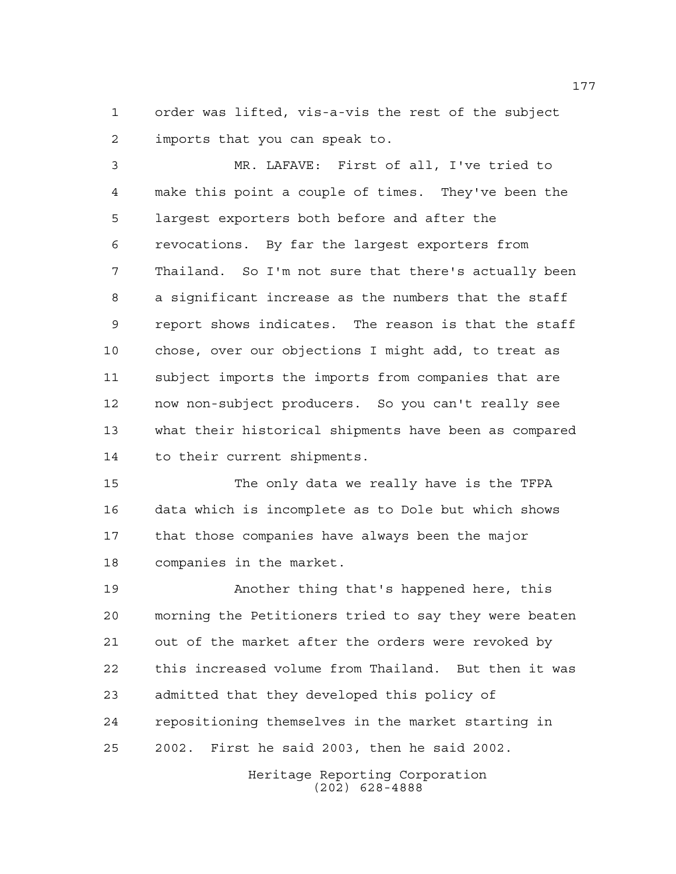order was lifted, vis-a-vis the rest of the subject imports that you can speak to.

 MR. LAFAVE: First of all, I've tried to make this point a couple of times. They've been the largest exporters both before and after the revocations. By far the largest exporters from Thailand. So I'm not sure that there's actually been a significant increase as the numbers that the staff report shows indicates. The reason is that the staff chose, over our objections I might add, to treat as subject imports the imports from companies that are now non-subject producers. So you can't really see what their historical shipments have been as compared to their current shipments.

 The only data we really have is the TFPA data which is incomplete as to Dole but which shows that those companies have always been the major companies in the market.

 Another thing that's happened here, this morning the Petitioners tried to say they were beaten out of the market after the orders were revoked by this increased volume from Thailand. But then it was admitted that they developed this policy of repositioning themselves in the market starting in 2002. First he said 2003, then he said 2002.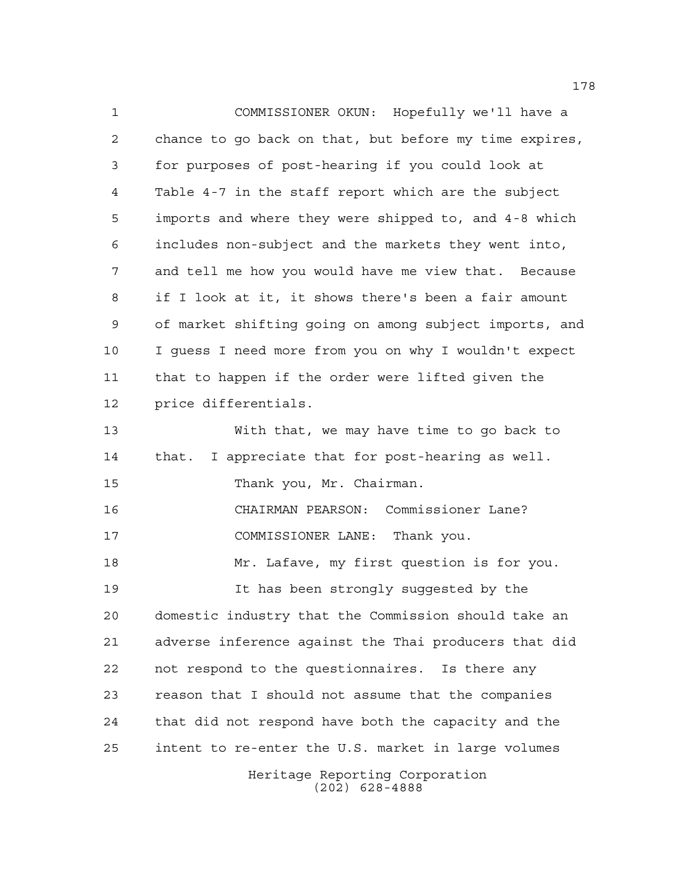Heritage Reporting Corporation (202) 628-4888 COMMISSIONER OKUN: Hopefully we'll have a chance to go back on that, but before my time expires, for purposes of post-hearing if you could look at Table 4-7 in the staff report which are the subject imports and where they were shipped to, and 4-8 which includes non-subject and the markets they went into, and tell me how you would have me view that. Because if I look at it, it shows there's been a fair amount of market shifting going on among subject imports, and I guess I need more from you on why I wouldn't expect that to happen if the order were lifted given the price differentials. With that, we may have time to go back to that. I appreciate that for post-hearing as well. Thank you, Mr. Chairman. CHAIRMAN PEARSON: Commissioner Lane? COMMISSIONER LANE: Thank you. Mr. Lafave, my first question is for you. It has been strongly suggested by the domestic industry that the Commission should take an adverse inference against the Thai producers that did not respond to the questionnaires. Is there any reason that I should not assume that the companies that did not respond have both the capacity and the intent to re-enter the U.S. market in large volumes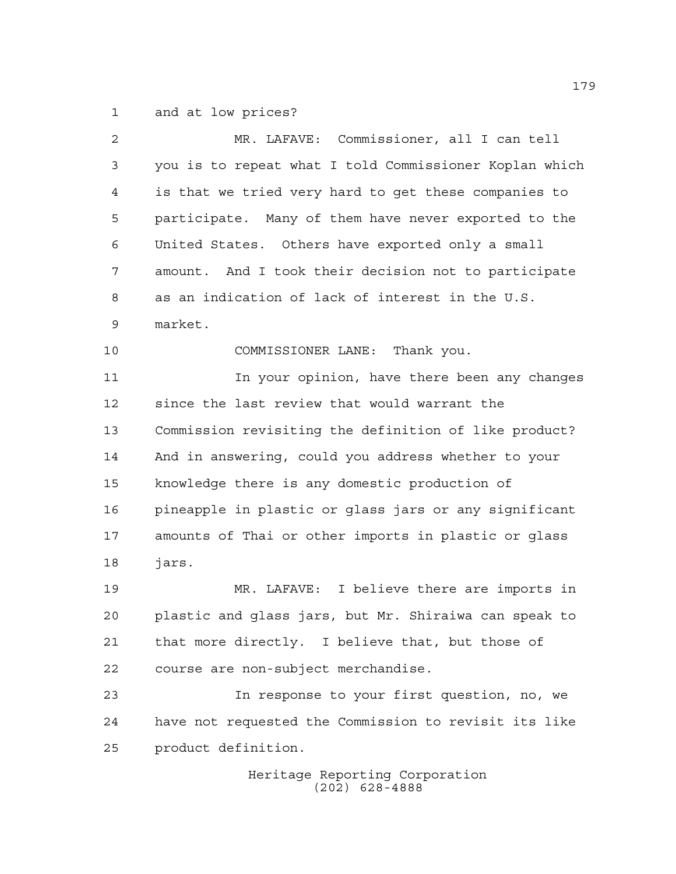and at low prices?

| $\overline{a}$ | MR. LAFAVE: Commissioner, all I can tell               |
|----------------|--------------------------------------------------------|
| 3              | you is to repeat what I told Commissioner Koplan which |
| 4              | is that we tried very hard to get these companies to   |
| 5              | participate. Many of them have never exported to the   |
| 6              | United States. Others have exported only a small       |
| 7              | amount. And I took their decision not to participate   |
| 8              | as an indication of lack of interest in the U.S.       |
| 9              | market.                                                |
| 10             | COMMISSIONER LANE: Thank you.                          |
| 11             | In your opinion, have there been any changes           |
| 12             | since the last review that would warrant the           |
| 13             | Commission revisiting the definition of like product?  |
| 14             | And in answering, could you address whether to your    |
| 15             | knowledge there is any domestic production of          |
| 16             | pineapple in plastic or glass jars or any significant  |
| 17             | amounts of Thai or other imports in plastic or glass   |
| 18             | jars.                                                  |
| 19             | MR. LAFAVE: I believe there are imports in             |
| 20             | plastic and glass jars, but Mr. Shiraiwa can speak to  |
| 21             | that more directly. I believe that, but those of       |
| 22             | course are non-subject merchandise.                    |
| 23             | In response to your first question, no, we             |
| 24             | have not requested the Commission to revisit its like  |
| 25             | product definition.                                    |
|                | Heritage Reporting Corporation<br>$(202)$ 628-4888     |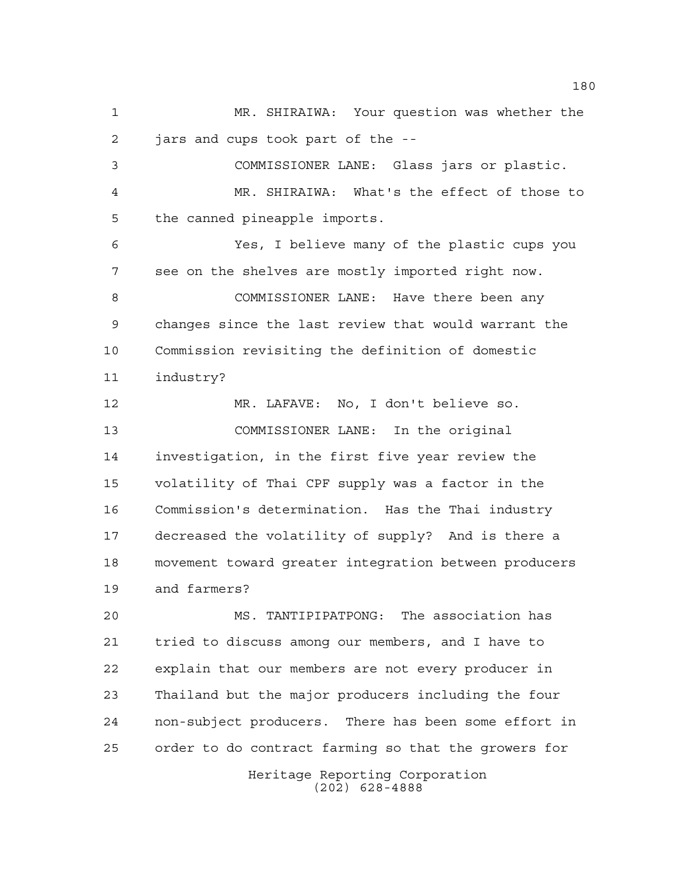MR. SHIRAIWA: Your question was whether the jars and cups took part of the -- COMMISSIONER LANE: Glass jars or plastic. MR. SHIRAIWA: What's the effect of those to the canned pineapple imports. Yes, I believe many of the plastic cups you see on the shelves are mostly imported right now. COMMISSIONER LANE: Have there been any changes since the last review that would warrant the Commission revisiting the definition of domestic industry? MR. LAFAVE: No, I don't believe so. COMMISSIONER LANE: In the original investigation, in the first five year review the volatility of Thai CPF supply was a factor in the Commission's determination. Has the Thai industry decreased the volatility of supply? And is there a movement toward greater integration between producers and farmers? MS. TANTIPIPATPONG: The association has tried to discuss among our members, and I have to explain that our members are not every producer in Thailand but the major producers including the four

order to do contract farming so that the growers for

non-subject producers. There has been some effort in

Heritage Reporting Corporation (202) 628-4888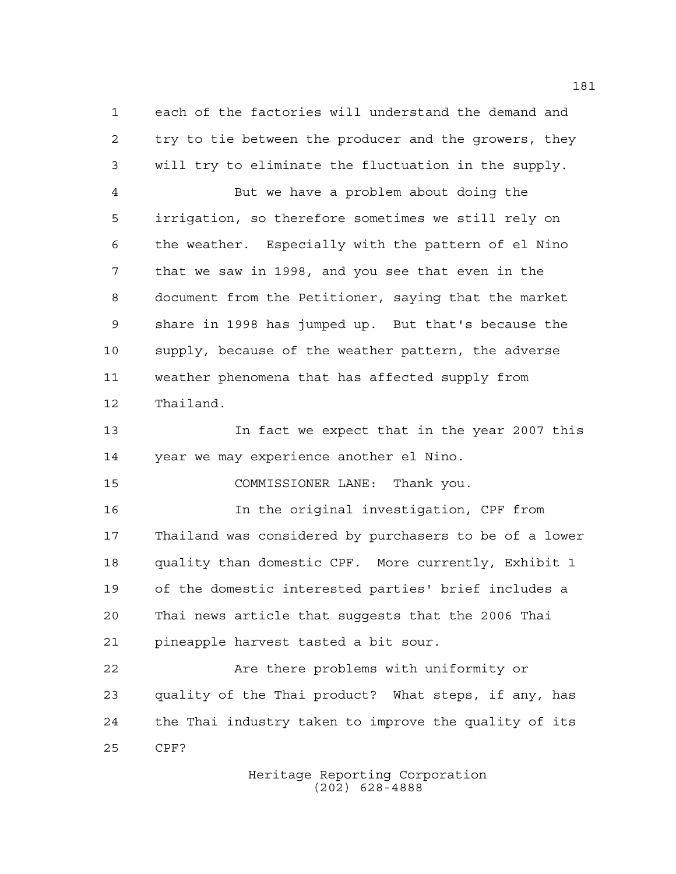each of the factories will understand the demand and try to tie between the producer and the growers, they will try to eliminate the fluctuation in the supply. But we have a problem about doing the irrigation, so therefore sometimes we still rely on the weather. Especially with the pattern of el Nino that we saw in 1998, and you see that even in the document from the Petitioner, saying that the market share in 1998 has jumped up. But that's because the supply, because of the weather pattern, the adverse weather phenomena that has affected supply from Thailand. In fact we expect that in the year 2007 this year we may experience another el Nino. COMMISSIONER LANE: Thank you. In the original investigation, CPF from Thailand was considered by purchasers to be of a lower quality than domestic CPF. More currently, Exhibit 1 of the domestic interested parties' brief includes a Thai news article that suggests that the 2006 Thai pineapple harvest tasted a bit sour. Are there problems with uniformity or quality of the Thai product? What steps, if any, has

 the Thai industry taken to improve the quality of its CPF?

> Heritage Reporting Corporation (202) 628-4888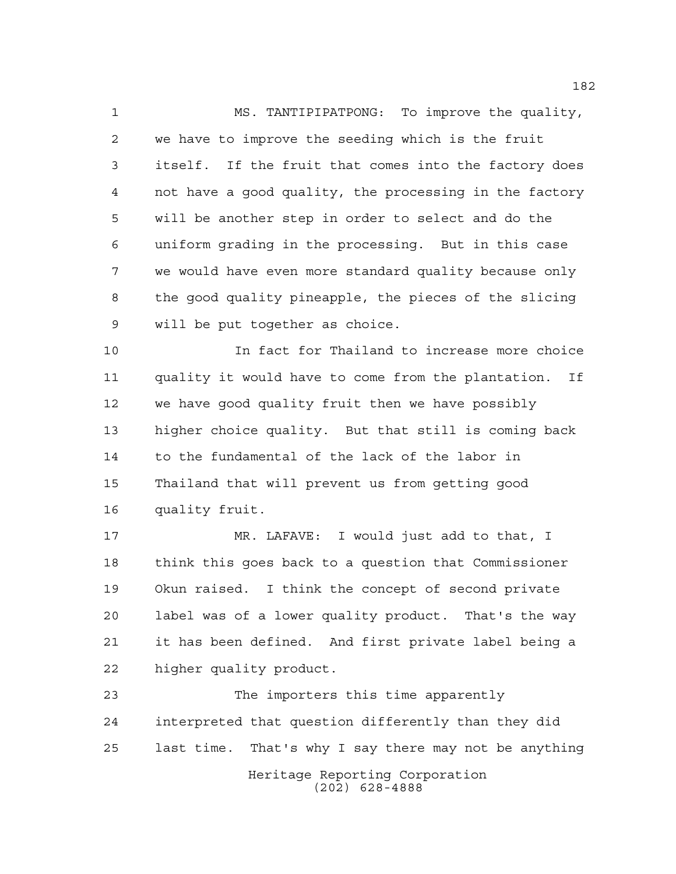MS. TANTIPIPATPONG: To improve the quality, we have to improve the seeding which is the fruit itself. If the fruit that comes into the factory does not have a good quality, the processing in the factory will be another step in order to select and do the uniform grading in the processing. But in this case we would have even more standard quality because only the good quality pineapple, the pieces of the slicing will be put together as choice.

 In fact for Thailand to increase more choice quality it would have to come from the plantation. If we have good quality fruit then we have possibly higher choice quality. But that still is coming back to the fundamental of the lack of the labor in Thailand that will prevent us from getting good quality fruit.

 MR. LAFAVE: I would just add to that, I think this goes back to a question that Commissioner Okun raised. I think the concept of second private label was of a lower quality product. That's the way it has been defined. And first private label being a higher quality product.

Heritage Reporting Corporation (202) 628-4888 The importers this time apparently interpreted that question differently than they did last time. That's why I say there may not be anything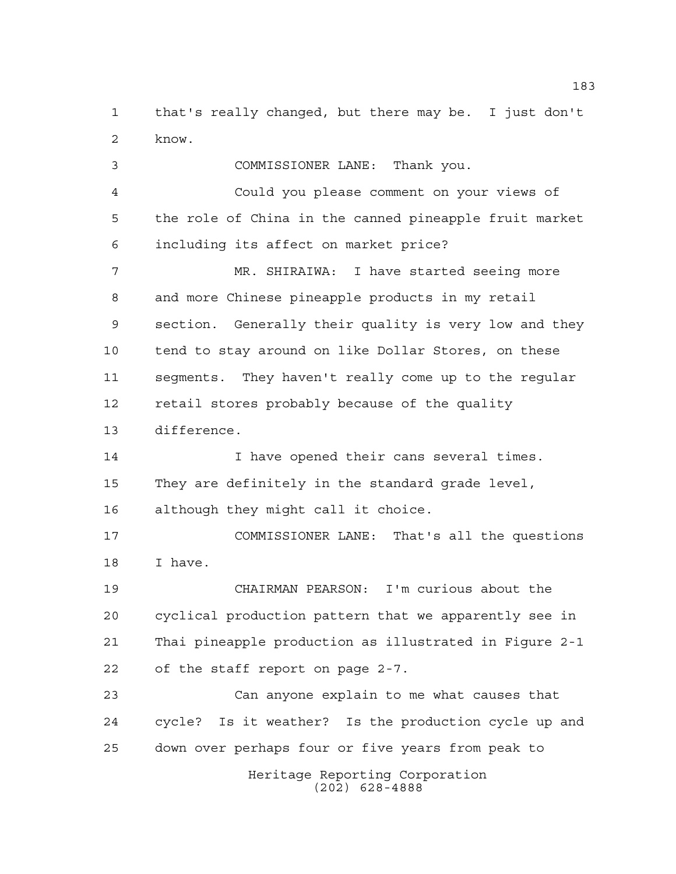that's really changed, but there may be. I just don't know.

 COMMISSIONER LANE: Thank you. Could you please comment on your views of the role of China in the canned pineapple fruit market including its affect on market price? MR. SHIRAIWA: I have started seeing more and more Chinese pineapple products in my retail section. Generally their quality is very low and they tend to stay around on like Dollar Stores, on these segments. They haven't really come up to the regular retail stores probably because of the quality difference. I have opened their cans several times. They are definitely in the standard grade level, although they might call it choice. COMMISSIONER LANE: That's all the questions I have. CHAIRMAN PEARSON: I'm curious about the cyclical production pattern that we apparently see in

 Thai pineapple production as illustrated in Figure 2-1 of the staff report on page 2-7.

Heritage Reporting Corporation Can anyone explain to me what causes that cycle? Is it weather? Is the production cycle up and down over perhaps four or five years from peak to

(202) 628-4888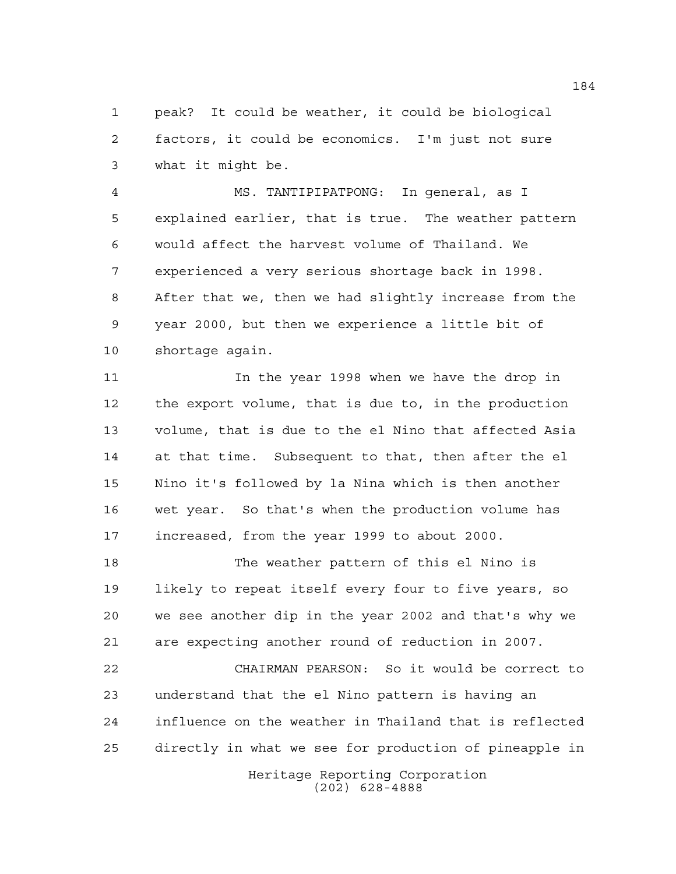peak? It could be weather, it could be biological factors, it could be economics. I'm just not sure what it might be.

 MS. TANTIPIPATPONG: In general, as I explained earlier, that is true. The weather pattern would affect the harvest volume of Thailand. We experienced a very serious shortage back in 1998. After that we, then we had slightly increase from the year 2000, but then we experience a little bit of shortage again.

 In the year 1998 when we have the drop in the export volume, that is due to, in the production volume, that is due to the el Nino that affected Asia at that time. Subsequent to that, then after the el Nino it's followed by la Nina which is then another wet year. So that's when the production volume has increased, from the year 1999 to about 2000.

 The weather pattern of this el Nino is likely to repeat itself every four to five years, so we see another dip in the year 2002 and that's why we are expecting another round of reduction in 2007.

 CHAIRMAN PEARSON: So it would be correct to understand that the el Nino pattern is having an influence on the weather in Thailand that is reflected directly in what we see for production of pineapple in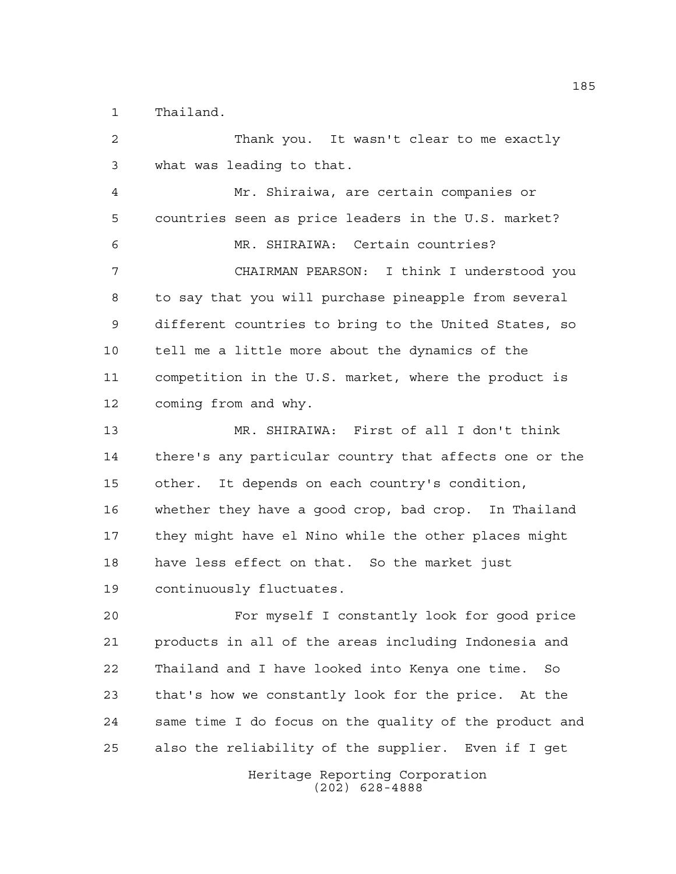Thailand.

 Thank you. It wasn't clear to me exactly what was leading to that. Mr. Shiraiwa, are certain companies or countries seen as price leaders in the U.S. market? MR. SHIRAIWA: Certain countries? CHAIRMAN PEARSON: I think I understood you to say that you will purchase pineapple from several different countries to bring to the United States, so tell me a little more about the dynamics of the competition in the U.S. market, where the product is coming from and why. MR. SHIRAIWA: First of all I don't think there's any particular country that affects one or the other. It depends on each country's condition, whether they have a good crop, bad crop. In Thailand they might have el Nino while the other places might have less effect on that. So the market just continuously fluctuates.

 For myself I constantly look for good price products in all of the areas including Indonesia and Thailand and I have looked into Kenya one time. So that's how we constantly look for the price. At the same time I do focus on the quality of the product and also the reliability of the supplier. Even if I get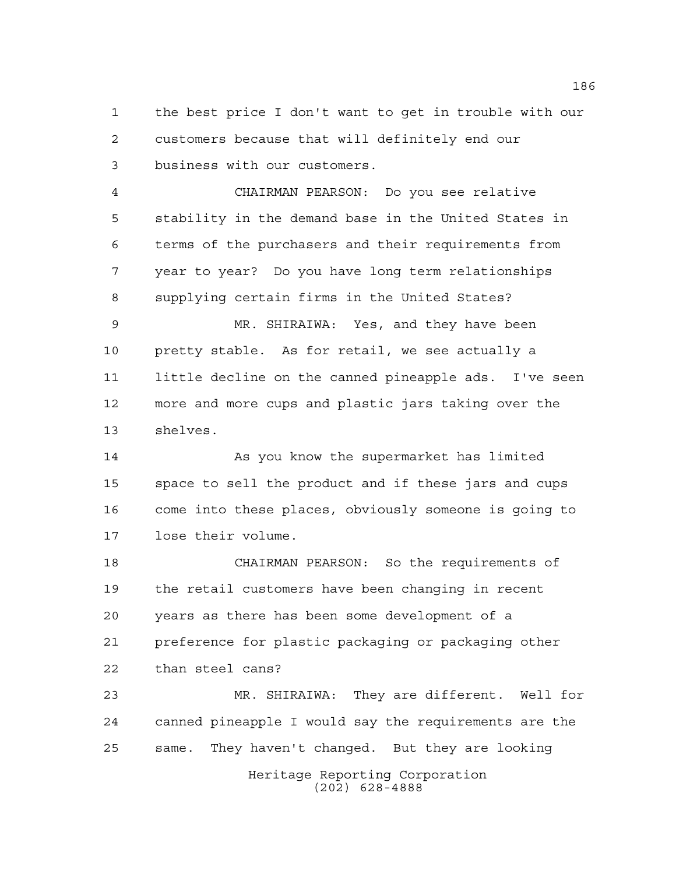the best price I don't want to get in trouble with our customers because that will definitely end our business with our customers.

 CHAIRMAN PEARSON: Do you see relative stability in the demand base in the United States in terms of the purchasers and their requirements from year to year? Do you have long term relationships supplying certain firms in the United States?

 MR. SHIRAIWA: Yes, and they have been pretty stable. As for retail, we see actually a little decline on the canned pineapple ads. I've seen more and more cups and plastic jars taking over the shelves.

14 As you know the supermarket has limited space to sell the product and if these jars and cups come into these places, obviously someone is going to lose their volume.

 CHAIRMAN PEARSON: So the requirements of the retail customers have been changing in recent years as there has been some development of a preference for plastic packaging or packaging other than steel cans?

Heritage Reporting Corporation (202) 628-4888 MR. SHIRAIWA: They are different. Well for canned pineapple I would say the requirements are the same. They haven't changed. But they are looking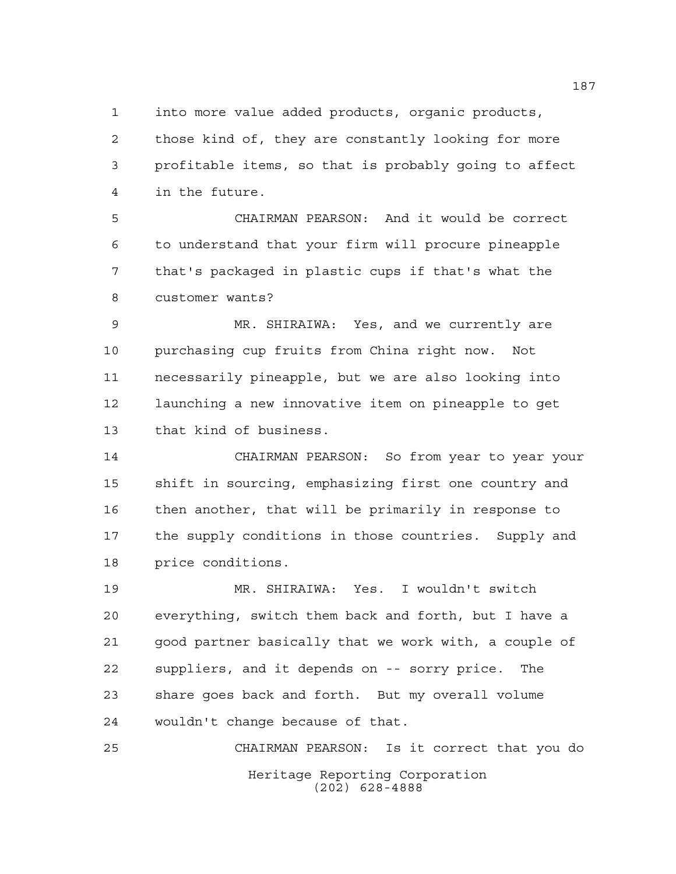into more value added products, organic products,

 those kind of, they are constantly looking for more profitable items, so that is probably going to affect in the future.

 CHAIRMAN PEARSON: And it would be correct to understand that your firm will procure pineapple that's packaged in plastic cups if that's what the customer wants?

 MR. SHIRAIWA: Yes, and we currently are purchasing cup fruits from China right now. Not necessarily pineapple, but we are also looking into launching a new innovative item on pineapple to get that kind of business.

 CHAIRMAN PEARSON: So from year to year your shift in sourcing, emphasizing first one country and then another, that will be primarily in response to the supply conditions in those countries. Supply and price conditions.

 MR. SHIRAIWA: Yes. I wouldn't switch everything, switch them back and forth, but I have a good partner basically that we work with, a couple of suppliers, and it depends on -- sorry price. The share goes back and forth. But my overall volume wouldn't change because of that.

Heritage Reporting Corporation (202) 628-4888 CHAIRMAN PEARSON: Is it correct that you do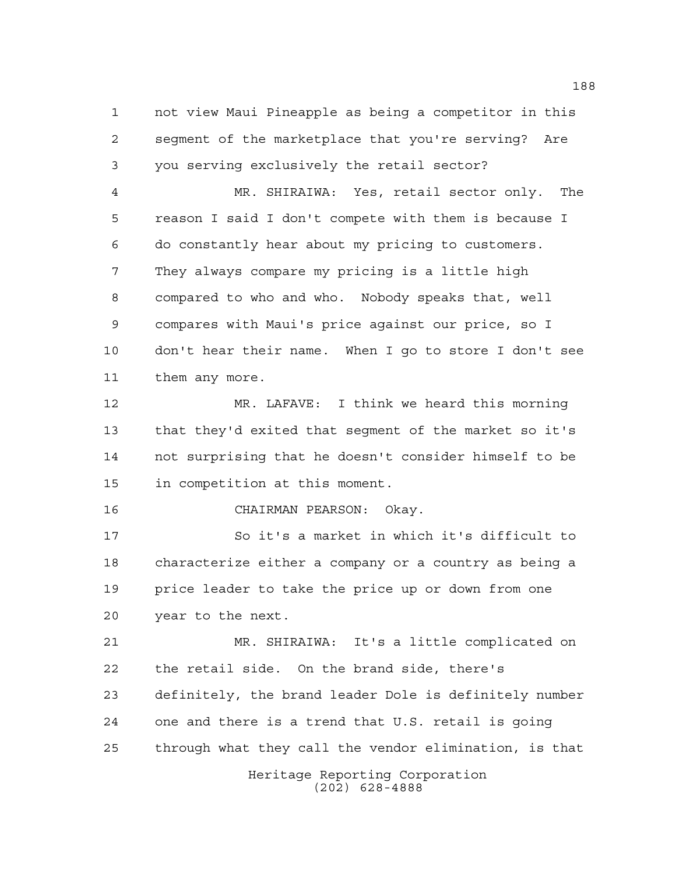not view Maui Pineapple as being a competitor in this segment of the marketplace that you're serving? Are you serving exclusively the retail sector?

 MR. SHIRAIWA: Yes, retail sector only. The reason I said I don't compete with them is because I do constantly hear about my pricing to customers. They always compare my pricing is a little high compared to who and who. Nobody speaks that, well compares with Maui's price against our price, so I don't hear their name. When I go to store I don't see them any more.

 MR. LAFAVE: I think we heard this morning that they'd exited that segment of the market so it's not surprising that he doesn't consider himself to be in competition at this moment.

CHAIRMAN PEARSON: Okay.

 So it's a market in which it's difficult to characterize either a company or a country as being a price leader to take the price up or down from one year to the next.

 MR. SHIRAIWA: It's a little complicated on the retail side. On the brand side, there's definitely, the brand leader Dole is definitely number one and there is a trend that U.S. retail is going through what they call the vendor elimination, is that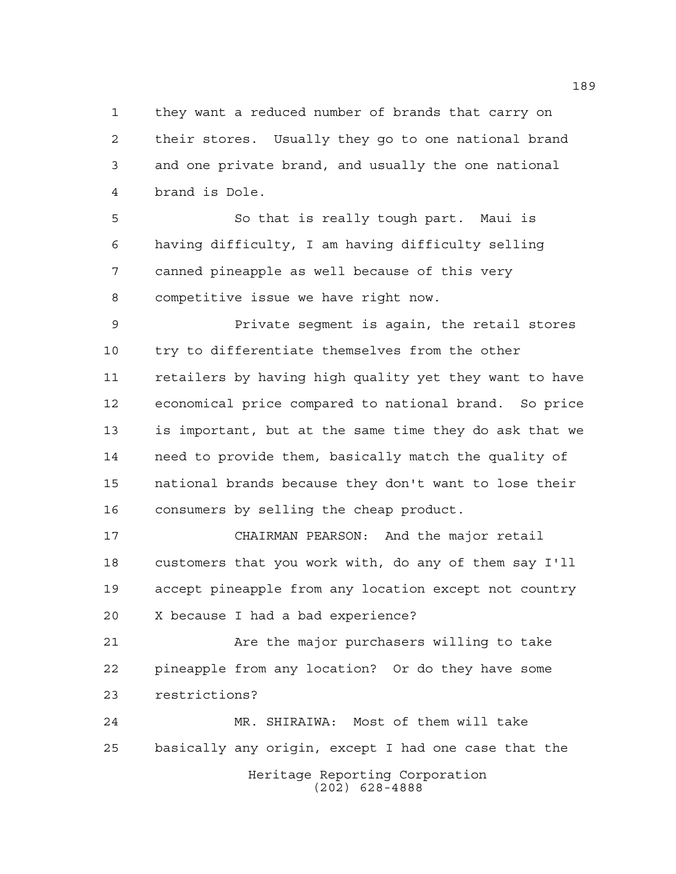they want a reduced number of brands that carry on their stores. Usually they go to one national brand and one private brand, and usually the one national brand is Dole.

 So that is really tough part. Maui is having difficulty, I am having difficulty selling canned pineapple as well because of this very competitive issue we have right now.

 Private segment is again, the retail stores try to differentiate themselves from the other retailers by having high quality yet they want to have economical price compared to national brand. So price is important, but at the same time they do ask that we need to provide them, basically match the quality of national brands because they don't want to lose their consumers by selling the cheap product.

 CHAIRMAN PEARSON: And the major retail customers that you work with, do any of them say I'll accept pineapple from any location except not country X because I had a bad experience?

 Are the major purchasers willing to take pineapple from any location? Or do they have some restrictions?

Heritage Reporting Corporation MR. SHIRAIWA: Most of them will take basically any origin, except I had one case that the

(202) 628-4888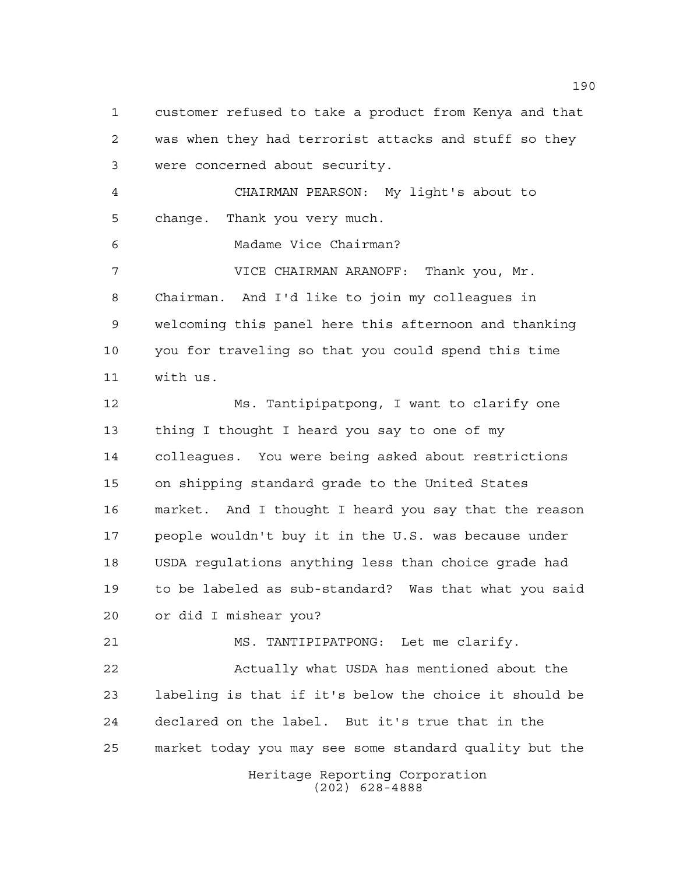Heritage Reporting Corporation (202) 628-4888 customer refused to take a product from Kenya and that was when they had terrorist attacks and stuff so they were concerned about security. CHAIRMAN PEARSON: My light's about to change. Thank you very much. Madame Vice Chairman? VICE CHAIRMAN ARANOFF: Thank you, Mr. Chairman. And I'd like to join my colleagues in welcoming this panel here this afternoon and thanking you for traveling so that you could spend this time with us. Ms. Tantipipatpong, I want to clarify one thing I thought I heard you say to one of my colleagues. You were being asked about restrictions on shipping standard grade to the United States market. And I thought I heard you say that the reason people wouldn't buy it in the U.S. was because under USDA regulations anything less than choice grade had to be labeled as sub-standard? Was that what you said or did I mishear you? MS. TANTIPIPATPONG: Let me clarify. Actually what USDA has mentioned about the labeling is that if it's below the choice it should be declared on the label. But it's true that in the market today you may see some standard quality but the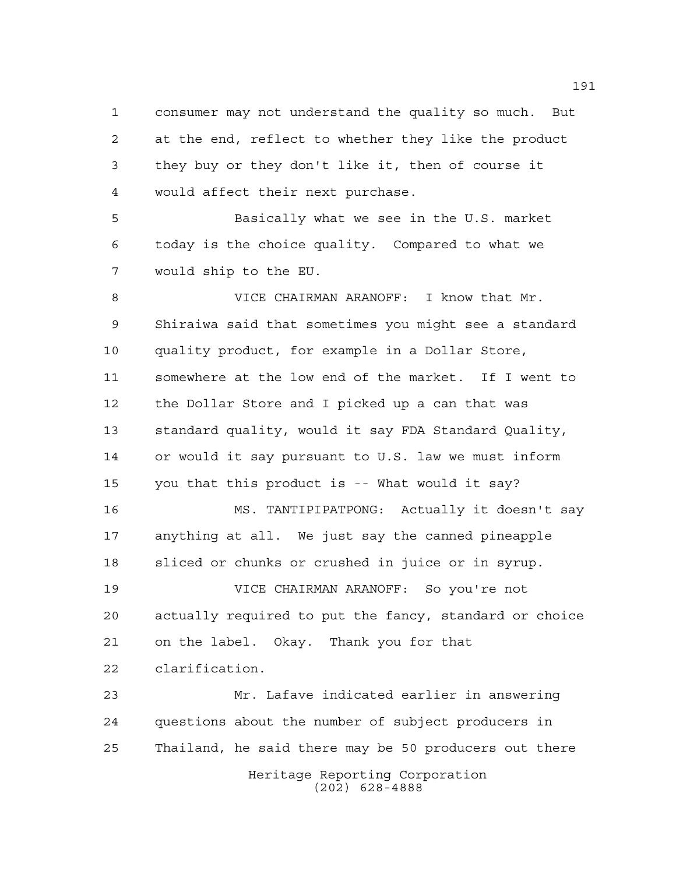consumer may not understand the quality so much. But at the end, reflect to whether they like the product they buy or they don't like it, then of course it would affect their next purchase.

 Basically what we see in the U.S. market today is the choice quality. Compared to what we would ship to the EU.

 VICE CHAIRMAN ARANOFF: I know that Mr. Shiraiwa said that sometimes you might see a standard quality product, for example in a Dollar Store, somewhere at the low end of the market. If I went to the Dollar Store and I picked up a can that was standard quality, would it say FDA Standard Quality, or would it say pursuant to U.S. law we must inform you that this product is -- What would it say?

 MS. TANTIPIPATPONG: Actually it doesn't say anything at all. We just say the canned pineapple sliced or chunks or crushed in juice or in syrup.

 VICE CHAIRMAN ARANOFF: So you're not actually required to put the fancy, standard or choice on the label. Okay. Thank you for that clarification.

 Mr. Lafave indicated earlier in answering questions about the number of subject producers in Thailand, he said there may be 50 producers out there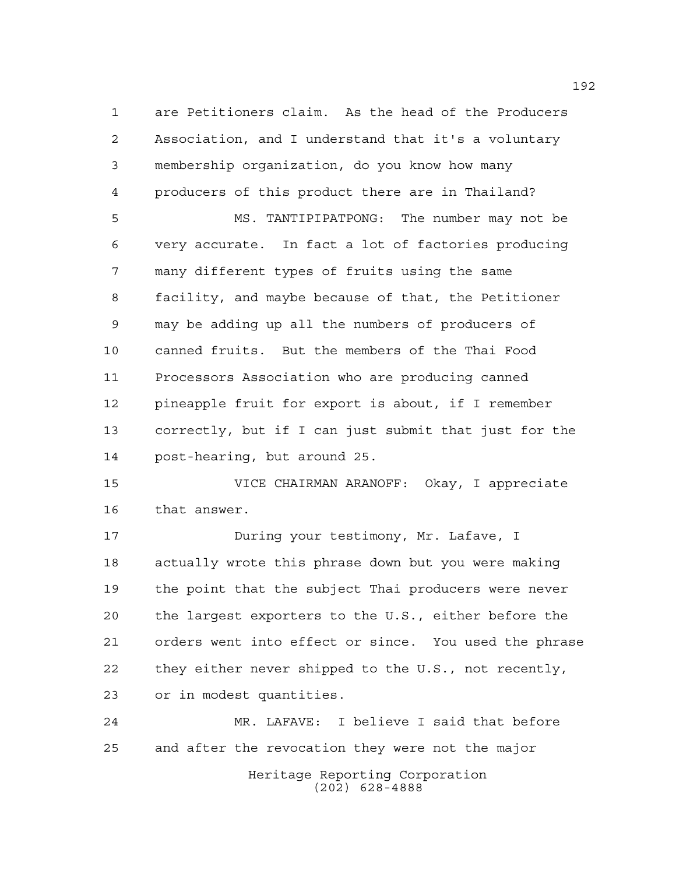are Petitioners claim. As the head of the Producers Association, and I understand that it's a voluntary membership organization, do you know how many producers of this product there are in Thailand? MS. TANTIPIPATPONG: The number may not be very accurate. In fact a lot of factories producing many different types of fruits using the same facility, and maybe because of that, the Petitioner may be adding up all the numbers of producers of

 canned fruits. But the members of the Thai Food Processors Association who are producing canned pineapple fruit for export is about, if I remember correctly, but if I can just submit that just for the post-hearing, but around 25.

 VICE CHAIRMAN ARANOFF: Okay, I appreciate that answer.

 During your testimony, Mr. Lafave, I actually wrote this phrase down but you were making the point that the subject Thai producers were never the largest exporters to the U.S., either before the orders went into effect or since. You used the phrase they either never shipped to the U.S., not recently, or in modest quantities.

 MR. LAFAVE: I believe I said that before and after the revocation they were not the major

Heritage Reporting Corporation (202) 628-4888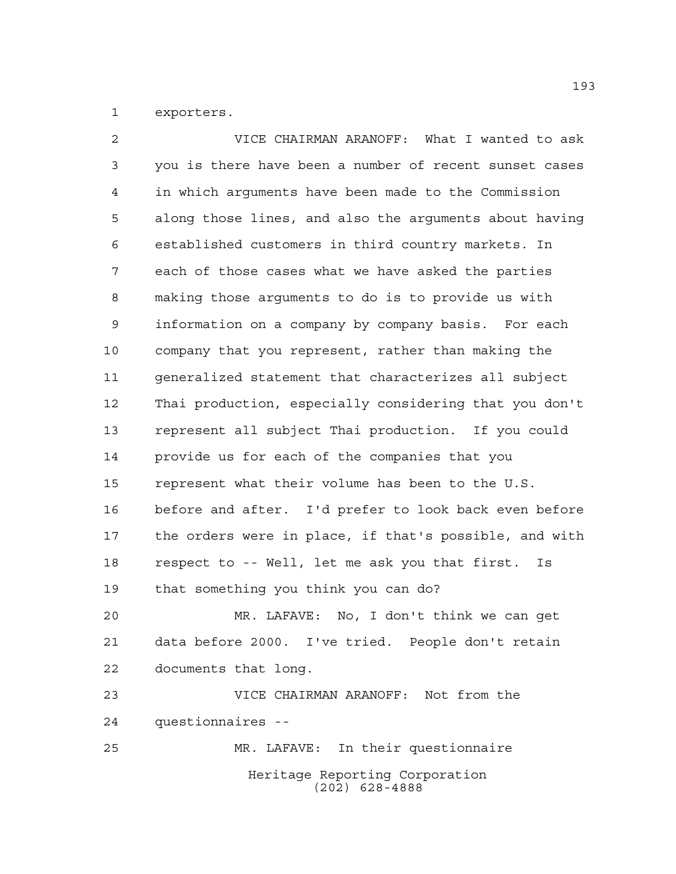exporters.

Heritage Reporting Corporation (202) 628-4888 VICE CHAIRMAN ARANOFF: What I wanted to ask you is there have been a number of recent sunset cases in which arguments have been made to the Commission along those lines, and also the arguments about having established customers in third country markets. In each of those cases what we have asked the parties making those arguments to do is to provide us with information on a company by company basis. For each company that you represent, rather than making the generalized statement that characterizes all subject Thai production, especially considering that you don't represent all subject Thai production. If you could provide us for each of the companies that you represent what their volume has been to the U.S. before and after. I'd prefer to look back even before the orders were in place, if that's possible, and with respect to -- Well, let me ask you that first. Is that something you think you can do? MR. LAFAVE: No, I don't think we can get data before 2000. I've tried. People don't retain documents that long. VICE CHAIRMAN ARANOFF: Not from the questionnaires -- MR. LAFAVE: In their questionnaire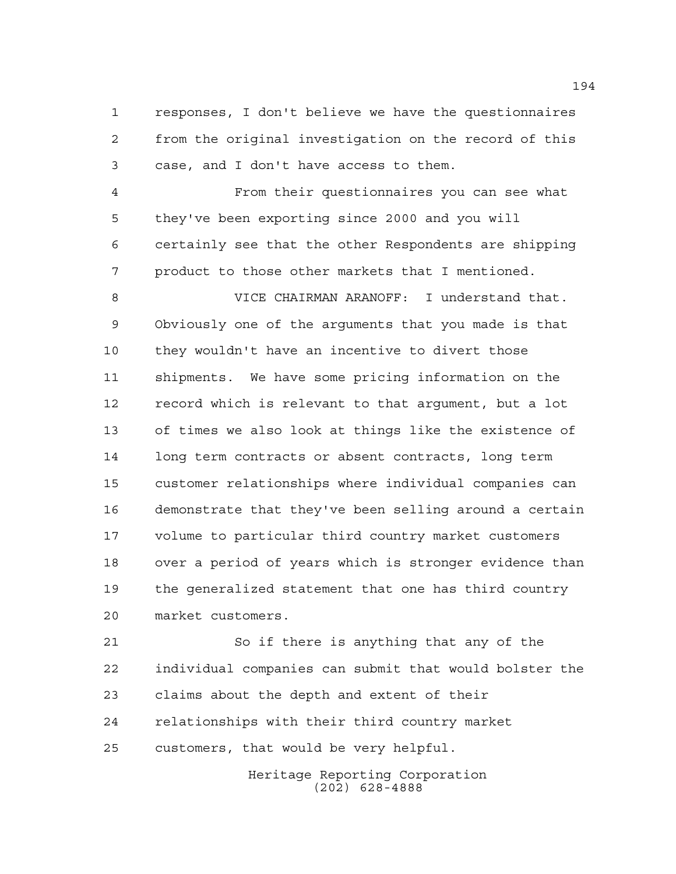responses, I don't believe we have the questionnaires from the original investigation on the record of this case, and I don't have access to them.

 From their questionnaires you can see what they've been exporting since 2000 and you will certainly see that the other Respondents are shipping product to those other markets that I mentioned.

 VICE CHAIRMAN ARANOFF: I understand that. Obviously one of the arguments that you made is that they wouldn't have an incentive to divert those shipments. We have some pricing information on the record which is relevant to that argument, but a lot of times we also look at things like the existence of long term contracts or absent contracts, long term customer relationships where individual companies can demonstrate that they've been selling around a certain volume to particular third country market customers over a period of years which is stronger evidence than the generalized statement that one has third country market customers.

 So if there is anything that any of the individual companies can submit that would bolster the claims about the depth and extent of their relationships with their third country market customers, that would be very helpful.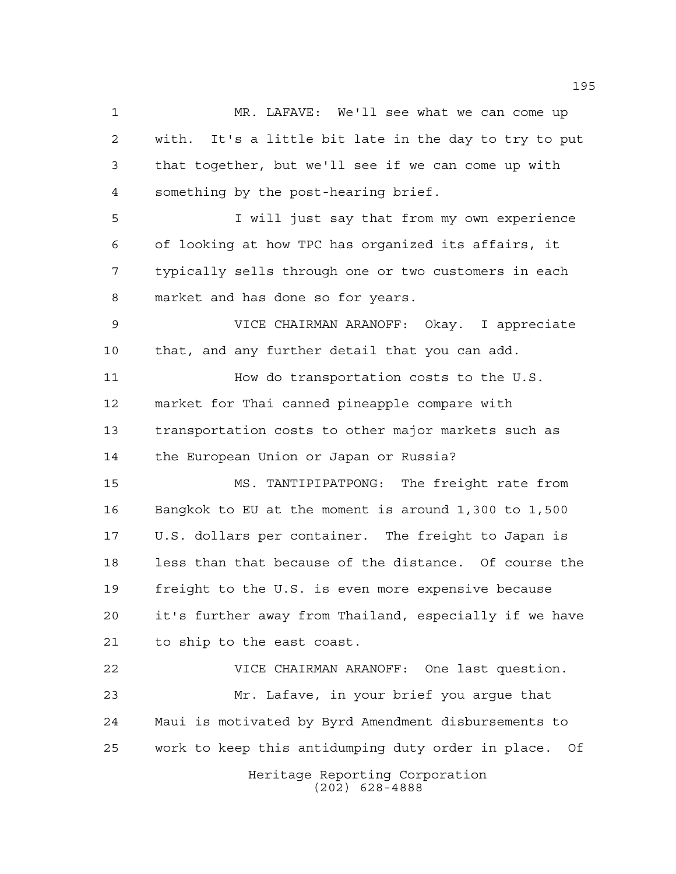MR. LAFAVE: We'll see what we can come up with. It's a little bit late in the day to try to put that together, but we'll see if we can come up with something by the post-hearing brief. I will just say that from my own experience of looking at how TPC has organized its affairs, it typically sells through one or two customers in each market and has done so for years. VICE CHAIRMAN ARANOFF: Okay. I appreciate that, and any further detail that you can add. How do transportation costs to the U.S. market for Thai canned pineapple compare with transportation costs to other major markets such as the European Union or Japan or Russia? MS. TANTIPIPATPONG: The freight rate from Bangkok to EU at the moment is around 1,300 to 1,500 U.S. dollars per container. The freight to Japan is less than that because of the distance. Of course the freight to the U.S. is even more expensive because it's further away from Thailand, especially if we have to ship to the east coast. VICE CHAIRMAN ARANOFF: One last question. Mr. Lafave, in your brief you argue that Maui is motivated by Byrd Amendment disbursements to work to keep this antidumping duty order in place. Of

Heritage Reporting Corporation (202) 628-4888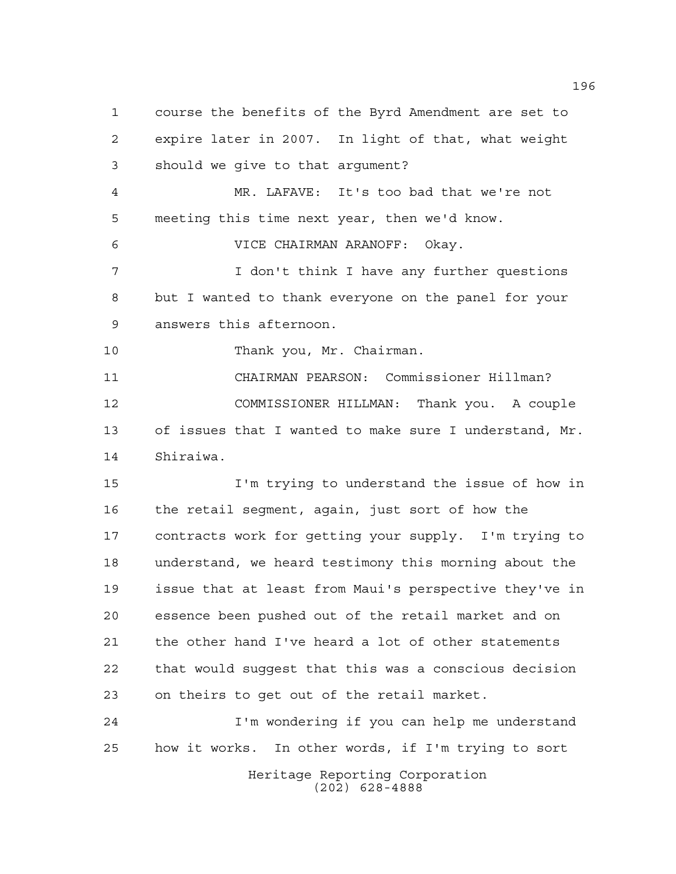course the benefits of the Byrd Amendment are set to expire later in 2007. In light of that, what weight should we give to that argument? MR. LAFAVE: It's too bad that we're not meeting this time next year, then we'd know. VICE CHAIRMAN ARANOFF: Okay. I don't think I have any further questions but I wanted to thank everyone on the panel for your answers this afternoon. Thank you, Mr. Chairman. CHAIRMAN PEARSON: Commissioner Hillman? COMMISSIONER HILLMAN: Thank you. A couple of issues that I wanted to make sure I understand, Mr. Shiraiwa. I'm trying to understand the issue of how in the retail segment, again, just sort of how the contracts work for getting your supply. I'm trying to understand, we heard testimony this morning about the issue that at least from Maui's perspective they've in essence been pushed out of the retail market and on the other hand I've heard a lot of other statements that would suggest that this was a conscious decision on theirs to get out of the retail market. I'm wondering if you can help me understand how it works. In other words, if I'm trying to sort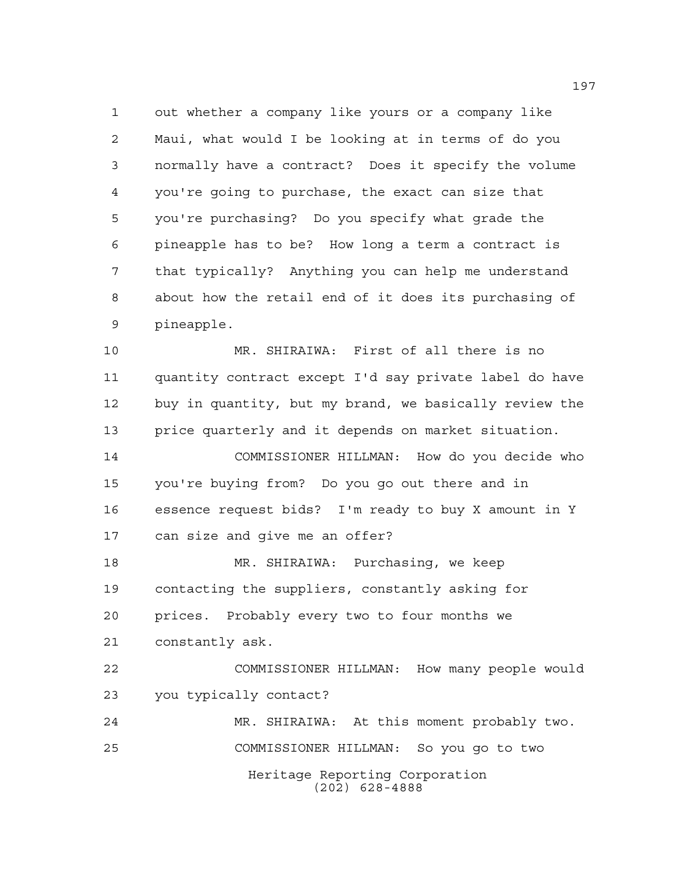out whether a company like yours or a company like Maui, what would I be looking at in terms of do you normally have a contract? Does it specify the volume you're going to purchase, the exact can size that you're purchasing? Do you specify what grade the pineapple has to be? How long a term a contract is that typically? Anything you can help me understand about how the retail end of it does its purchasing of pineapple.

 MR. SHIRAIWA: First of all there is no quantity contract except I'd say private label do have buy in quantity, but my brand, we basically review the price quarterly and it depends on market situation.

 COMMISSIONER HILLMAN: How do you decide who you're buying from? Do you go out there and in essence request bids? I'm ready to buy X amount in Y can size and give me an offer?

 MR. SHIRAIWA: Purchasing, we keep contacting the suppliers, constantly asking for prices. Probably every two to four months we constantly ask.

 COMMISSIONER HILLMAN: How many people would you typically contact?

Heritage Reporting Corporation (202) 628-4888 MR. SHIRAIWA: At this moment probably two. COMMISSIONER HILLMAN: So you go to two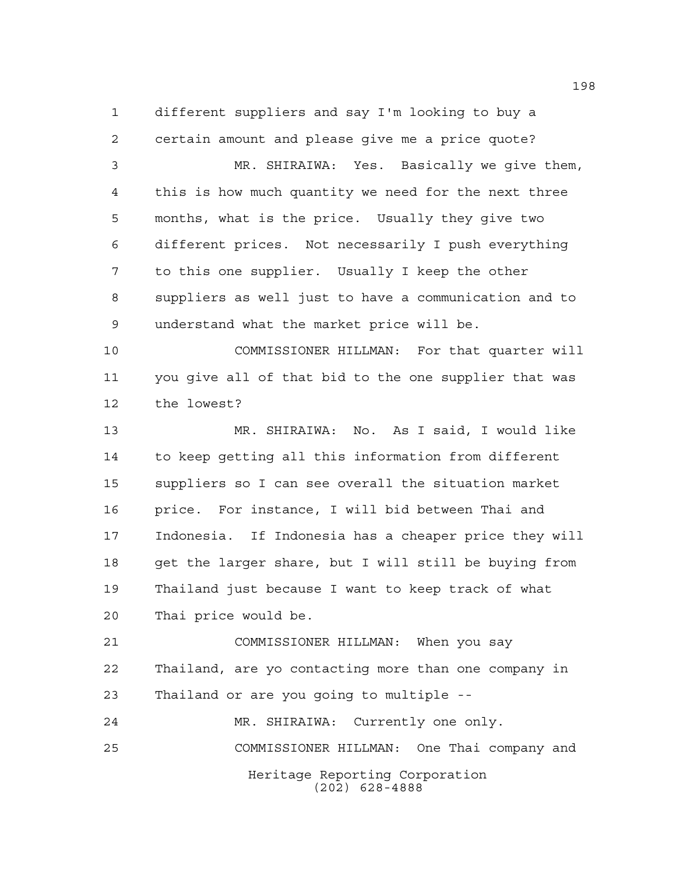different suppliers and say I'm looking to buy a certain amount and please give me a price quote?

 MR. SHIRAIWA: Yes. Basically we give them, this is how much quantity we need for the next three months, what is the price. Usually they give two different prices. Not necessarily I push everything to this one supplier. Usually I keep the other suppliers as well just to have a communication and to understand what the market price will be.

 COMMISSIONER HILLMAN: For that quarter will you give all of that bid to the one supplier that was the lowest?

 MR. SHIRAIWA: No. As I said, I would like to keep getting all this information from different suppliers so I can see overall the situation market price. For instance, I will bid between Thai and Indonesia. If Indonesia has a cheaper price they will get the larger share, but I will still be buying from Thailand just because I want to keep track of what Thai price would be.

 COMMISSIONER HILLMAN: When you say Thailand, are yo contacting more than one company in Thailand or are you going to multiple --

Heritage Reporting Corporation (202) 628-4888 MR. SHIRAIWA: Currently one only. COMMISSIONER HILLMAN: One Thai company and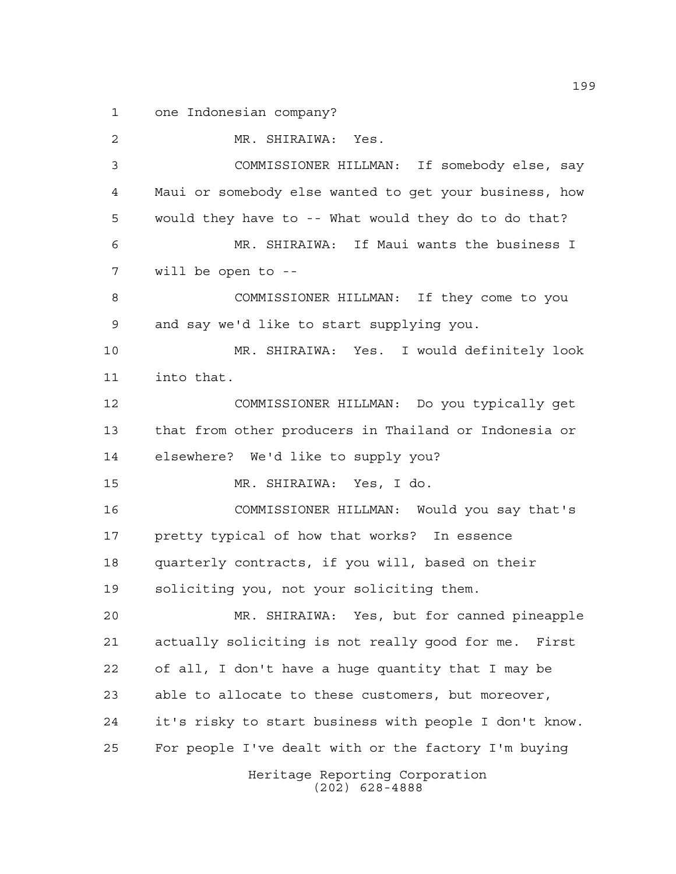one Indonesian company?

Heritage Reporting Corporation (202) 628-4888 MR. SHIRAIWA: Yes. COMMISSIONER HILLMAN: If somebody else, say Maui or somebody else wanted to get your business, how would they have to -- What would they do to do that? MR. SHIRAIWA: If Maui wants the business I will be open to -- COMMISSIONER HILLMAN: If they come to you and say we'd like to start supplying you. MR. SHIRAIWA: Yes. I would definitely look into that. COMMISSIONER HILLMAN: Do you typically get that from other producers in Thailand or Indonesia or elsewhere? We'd like to supply you? MR. SHIRAIWA: Yes, I do. COMMISSIONER HILLMAN: Would you say that's pretty typical of how that works? In essence quarterly contracts, if you will, based on their soliciting you, not your soliciting them. MR. SHIRAIWA: Yes, but for canned pineapple actually soliciting is not really good for me. First of all, I don't have a huge quantity that I may be able to allocate to these customers, but moreover, it's risky to start business with people I don't know. For people I've dealt with or the factory I'm buying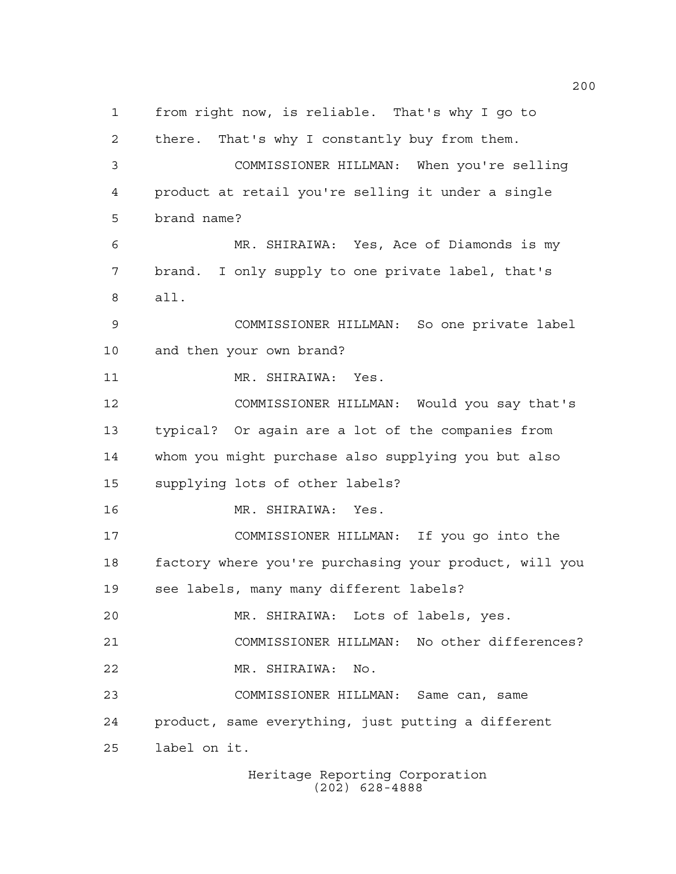from right now, is reliable. That's why I go to there. That's why I constantly buy from them. COMMISSIONER HILLMAN: When you're selling product at retail you're selling it under a single brand name? MR. SHIRAIWA: Yes, Ace of Diamonds is my brand. I only supply to one private label, that's all. COMMISSIONER HILLMAN: So one private label and then your own brand? 11 MR. SHIRAIWA: Yes. COMMISSIONER HILLMAN: Would you say that's typical? Or again are a lot of the companies from whom you might purchase also supplying you but also supplying lots of other labels? MR. SHIRAIWA: Yes. COMMISSIONER HILLMAN: If you go into the factory where you're purchasing your product, will you see labels, many many different labels? MR. SHIRAIWA: Lots of labels, yes. COMMISSIONER HILLMAN: No other differences? MR. SHIRAIWA: No. COMMISSIONER HILLMAN: Same can, same product, same everything, just putting a different label on it.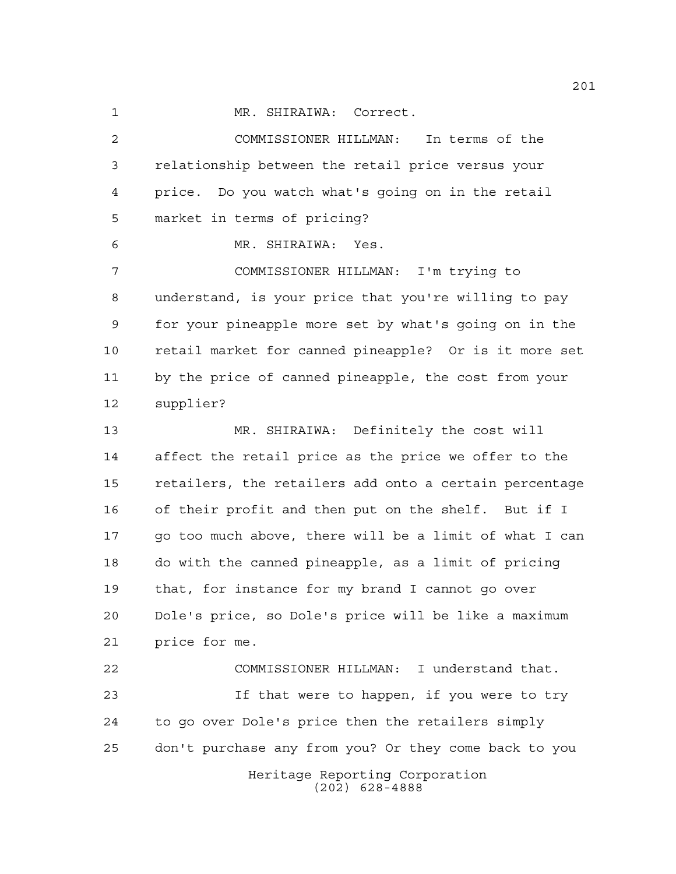MR. SHIRAIWA: Correct.

Heritage Reporting Corporation (202) 628-4888 COMMISSIONER HILLMAN: In terms of the relationship between the retail price versus your price. Do you watch what's going on in the retail market in terms of pricing? MR. SHIRAIWA: Yes. COMMISSIONER HILLMAN: I'm trying to understand, is your price that you're willing to pay for your pineapple more set by what's going on in the retail market for canned pineapple? Or is it more set by the price of canned pineapple, the cost from your supplier? MR. SHIRAIWA: Definitely the cost will affect the retail price as the price we offer to the retailers, the retailers add onto a certain percentage of their profit and then put on the shelf. But if I go too much above, there will be a limit of what I can do with the canned pineapple, as a limit of pricing that, for instance for my brand I cannot go over Dole's price, so Dole's price will be like a maximum price for me. COMMISSIONER HILLMAN: I understand that. If that were to happen, if you were to try to go over Dole's price then the retailers simply don't purchase any from you? Or they come back to you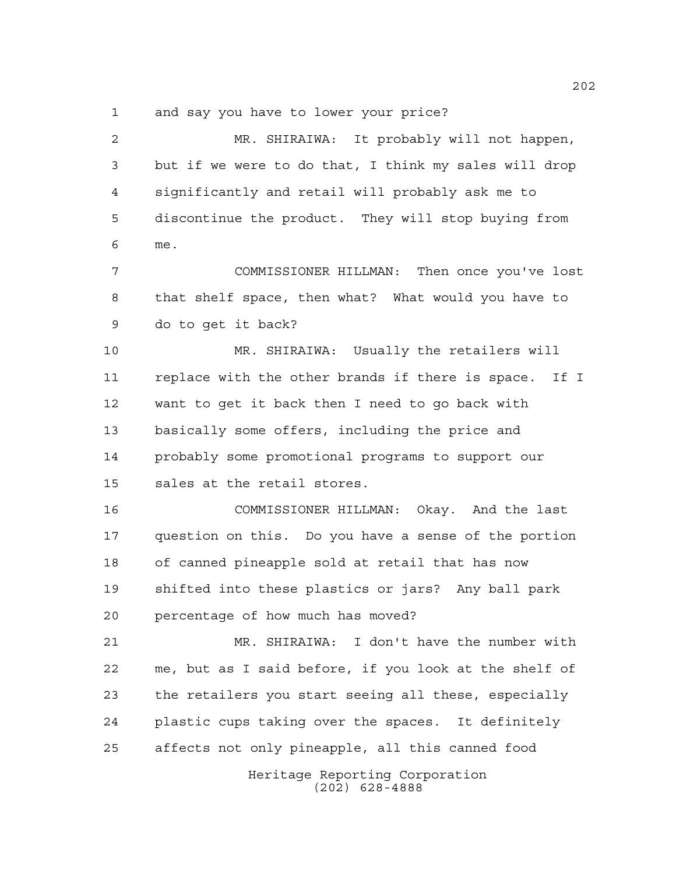and say you have to lower your price?

 MR. SHIRAIWA: It probably will not happen, but if we were to do that, I think my sales will drop significantly and retail will probably ask me to discontinue the product. They will stop buying from me.

 COMMISSIONER HILLMAN: Then once you've lost that shelf space, then what? What would you have to do to get it back?

 MR. SHIRAIWA: Usually the retailers will replace with the other brands if there is space. If I want to get it back then I need to go back with basically some offers, including the price and probably some promotional programs to support our sales at the retail stores.

 COMMISSIONER HILLMAN: Okay. And the last question on this. Do you have a sense of the portion of canned pineapple sold at retail that has now shifted into these plastics or jars? Any ball park percentage of how much has moved?

 MR. SHIRAIWA: I don't have the number with me, but as I said before, if you look at the shelf of the retailers you start seeing all these, especially plastic cups taking over the spaces. It definitely affects not only pineapple, all this canned food

> Heritage Reporting Corporation (202) 628-4888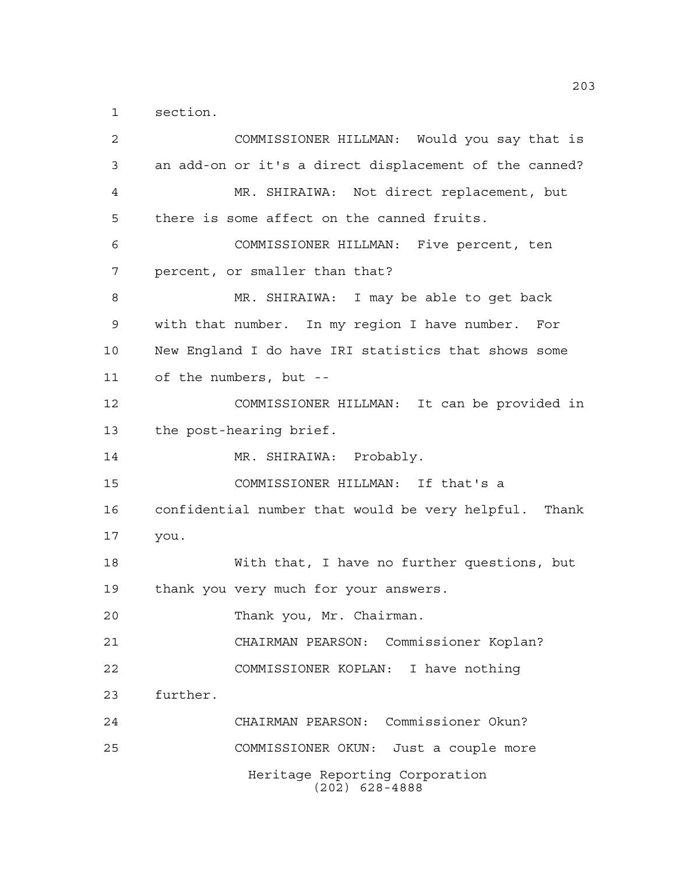section.

Heritage Reporting Corporation (202) 628-4888 COMMISSIONER HILLMAN: Would you say that is an add-on or it's a direct displacement of the canned? MR. SHIRAIWA: Not direct replacement, but there is some affect on the canned fruits. COMMISSIONER HILLMAN: Five percent, ten percent, or smaller than that? MR. SHIRAIWA: I may be able to get back with that number. In my region I have number. For New England I do have IRI statistics that shows some of the numbers, but -- COMMISSIONER HILLMAN: It can be provided in the post-hearing brief. MR. SHIRAIWA: Probably. COMMISSIONER HILLMAN: If that's a confidential number that would be very helpful. Thank you. With that, I have no further questions, but thank you very much for your answers. Thank you, Mr. Chairman. CHAIRMAN PEARSON: Commissioner Koplan? COMMISSIONER KOPLAN: I have nothing further. CHAIRMAN PEARSON: Commissioner Okun? COMMISSIONER OKUN: Just a couple more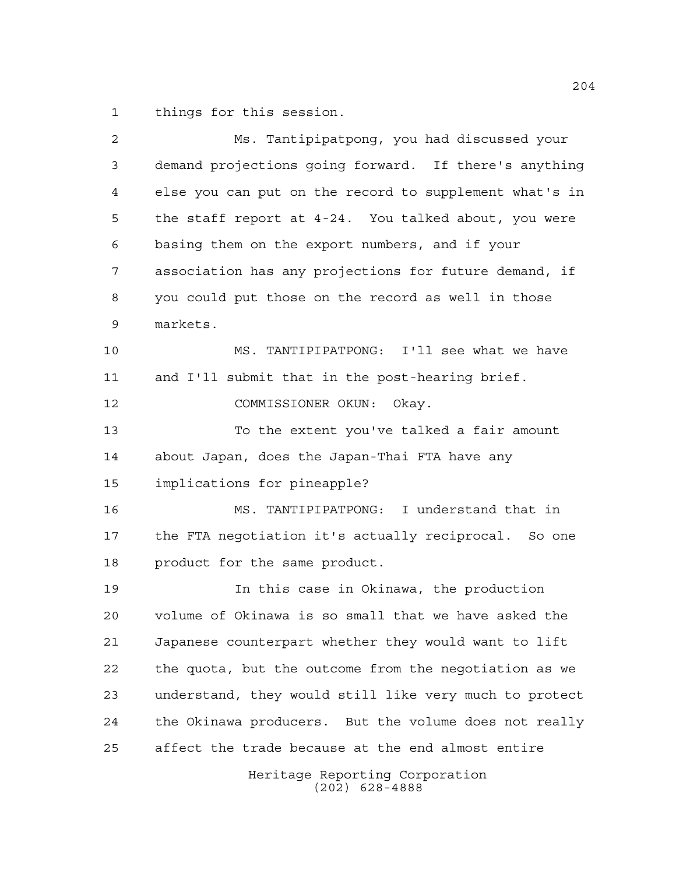things for this session.

| $\overline{a}$ | Ms. Tantipipatpong, you had discussed your             |
|----------------|--------------------------------------------------------|
| 3              | demand projections going forward. If there's anything  |
| 4              | else you can put on the record to supplement what's in |
| 5              | the staff report at 4-24. You talked about, you were   |
| 6              | basing them on the export numbers, and if your         |
| 7              | association has any projections for future demand, if  |
| 8              | you could put those on the record as well in those     |
| 9              | markets.                                               |
| 10             | MS. TANTIPIPATPONG: I'll see what we have              |
| 11             | and I'll submit that in the post-hearing brief.        |
| 12             | COMMISSIONER OKUN: Okay.                               |
| 13             | To the extent you've talked a fair amount              |
| 14             | about Japan, does the Japan-Thai FTA have any          |
| 15             | implications for pineapple?                            |
| 16             | MS. TANTIPIPATPONG: I understand that in               |
| 17             | the FTA negotiation it's actually reciprocal. So one   |
| 18             | product for the same product.                          |
| 19             | In this case in Okinawa, the production                |
| 20             | volume of Okinawa is so small that we have asked the   |
| 21             | Japanese counterpart whether they would want to lift   |
| 22             | the quota, but the outcome from the negotiation as we  |
| 23             | understand, they would still like very much to protect |
| 24             | the Okinawa producers. But the volume does not really  |
| 25             | affect the trade because at the end almost entire      |
|                | Heritage Reporting Corporation<br>$(202)$ 628-4888     |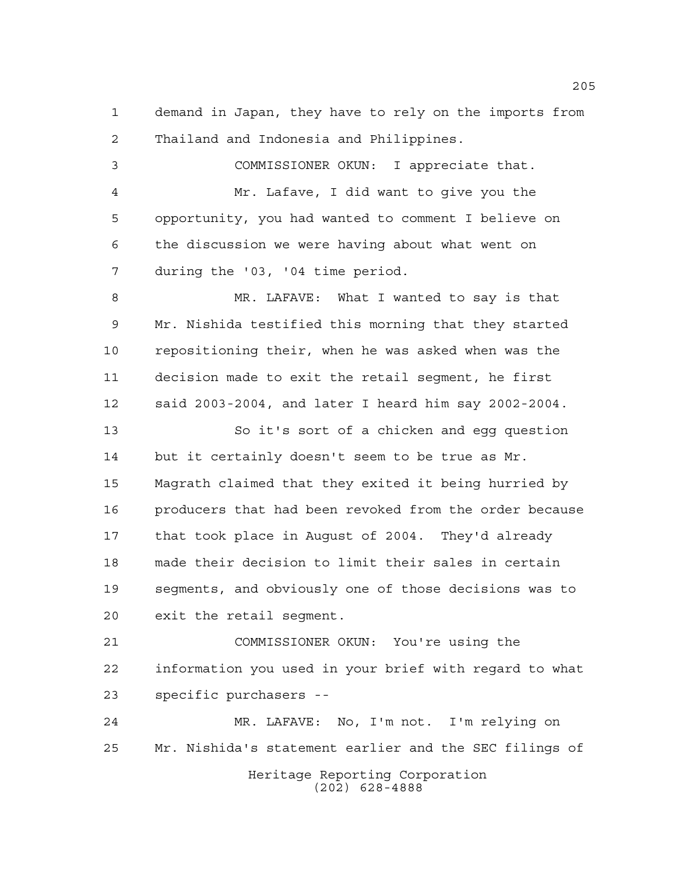demand in Japan, they have to rely on the imports from Thailand and Indonesia and Philippines.

 COMMISSIONER OKUN: I appreciate that. Mr. Lafave, I did want to give you the opportunity, you had wanted to comment I believe on the discussion we were having about what went on during the '03, '04 time period.

 MR. LAFAVE: What I wanted to say is that Mr. Nishida testified this morning that they started repositioning their, when he was asked when was the decision made to exit the retail segment, he first said 2003-2004, and later I heard him say 2002-2004.

 So it's sort of a chicken and egg question but it certainly doesn't seem to be true as Mr. Magrath claimed that they exited it being hurried by producers that had been revoked from the order because that took place in August of 2004. They'd already made their decision to limit their sales in certain segments, and obviously one of those decisions was to exit the retail segment.

 COMMISSIONER OKUN: You're using the information you used in your brief with regard to what specific purchasers --

Heritage Reporting Corporation (202) 628-4888 MR. LAFAVE: No, I'm not. I'm relying on Mr. Nishida's statement earlier and the SEC filings of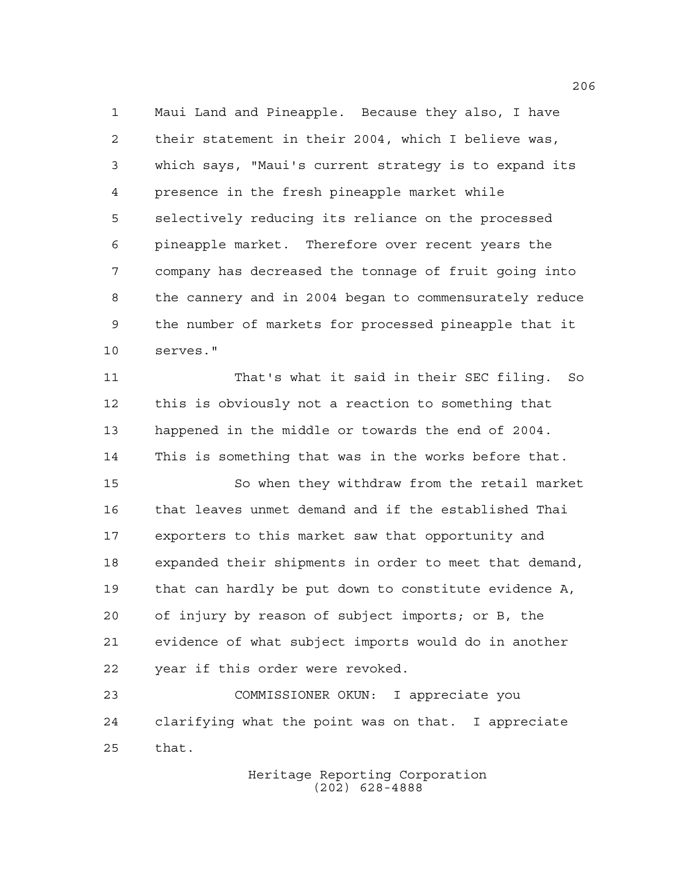Maui Land and Pineapple. Because they also, I have their statement in their 2004, which I believe was, which says, "Maui's current strategy is to expand its presence in the fresh pineapple market while selectively reducing its reliance on the processed pineapple market. Therefore over recent years the company has decreased the tonnage of fruit going into the cannery and in 2004 began to commensurately reduce the number of markets for processed pineapple that it serves."

 That's what it said in their SEC filing. So this is obviously not a reaction to something that happened in the middle or towards the end of 2004. This is something that was in the works before that.

 So when they withdraw from the retail market that leaves unmet demand and if the established Thai exporters to this market saw that opportunity and expanded their shipments in order to meet that demand, that can hardly be put down to constitute evidence A, of injury by reason of subject imports; or B, the evidence of what subject imports would do in another year if this order were revoked.

 COMMISSIONER OKUN: I appreciate you clarifying what the point was on that. I appreciate that.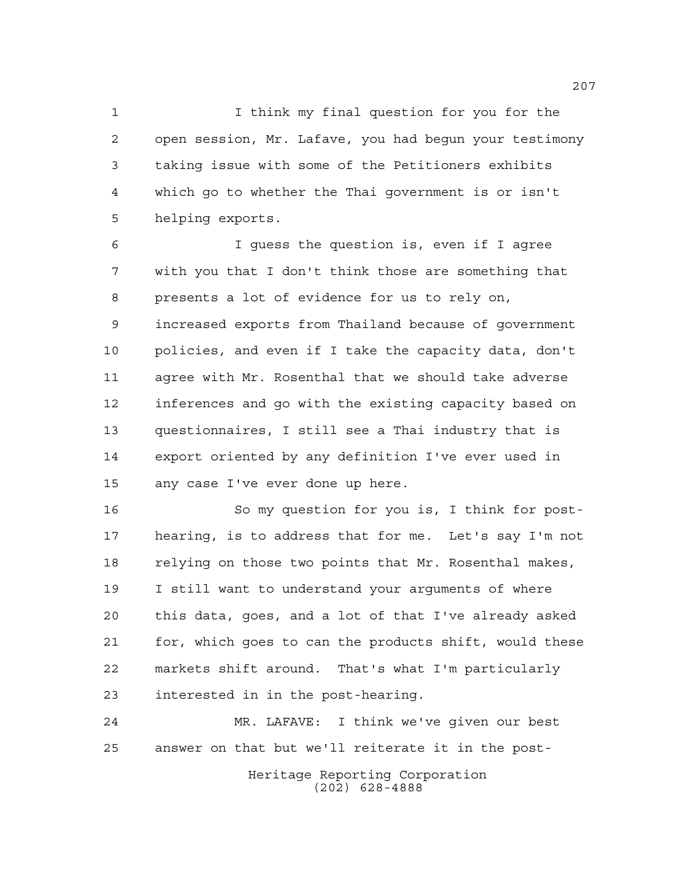I think my final question for you for the open session, Mr. Lafave, you had begun your testimony taking issue with some of the Petitioners exhibits which go to whether the Thai government is or isn't helping exports.

 I guess the question is, even if I agree with you that I don't think those are something that presents a lot of evidence for us to rely on, increased exports from Thailand because of government policies, and even if I take the capacity data, don't agree with Mr. Rosenthal that we should take adverse inferences and go with the existing capacity based on questionnaires, I still see a Thai industry that is export oriented by any definition I've ever used in any case I've ever done up here.

 So my question for you is, I think for post- hearing, is to address that for me. Let's say I'm not relying on those two points that Mr. Rosenthal makes, I still want to understand your arguments of where this data, goes, and a lot of that I've already asked for, which goes to can the products shift, would these markets shift around. That's what I'm particularly interested in in the post-hearing.

 MR. LAFAVE: I think we've given our best answer on that but we'll reiterate it in the post-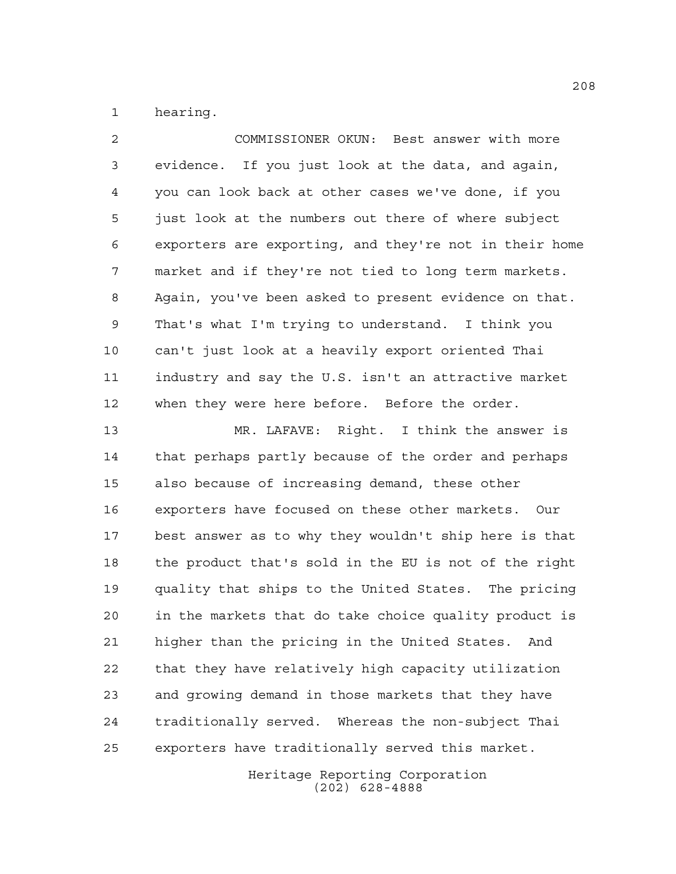hearing.

 COMMISSIONER OKUN: Best answer with more evidence. If you just look at the data, and again, you can look back at other cases we've done, if you just look at the numbers out there of where subject exporters are exporting, and they're not in their home market and if they're not tied to long term markets. Again, you've been asked to present evidence on that. That's what I'm trying to understand. I think you can't just look at a heavily export oriented Thai industry and say the U.S. isn't an attractive market when they were here before. Before the order. MR. LAFAVE: Right. I think the answer is that perhaps partly because of the order and perhaps also because of increasing demand, these other exporters have focused on these other markets. Our best answer as to why they wouldn't ship here is that the product that's sold in the EU is not of the right quality that ships to the United States. The pricing in the markets that do take choice quality product is higher than the pricing in the United States. And that they have relatively high capacity utilization and growing demand in those markets that they have traditionally served. Whereas the non-subject Thai exporters have traditionally served this market.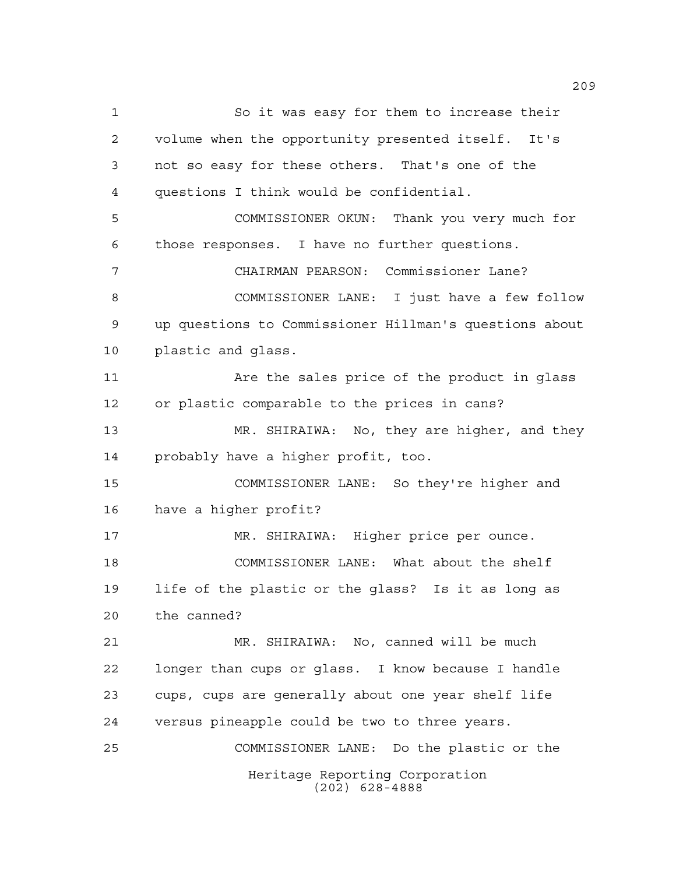Heritage Reporting Corporation (202) 628-4888 So it was easy for them to increase their volume when the opportunity presented itself. It's not so easy for these others. That's one of the questions I think would be confidential. COMMISSIONER OKUN: Thank you very much for those responses. I have no further questions. CHAIRMAN PEARSON: Commissioner Lane? COMMISSIONER LANE: I just have a few follow up questions to Commissioner Hillman's questions about plastic and glass. 11 Are the sales price of the product in glass or plastic comparable to the prices in cans? MR. SHIRAIWA: No, they are higher, and they probably have a higher profit, too. COMMISSIONER LANE: So they're higher and have a higher profit? MR. SHIRAIWA: Higher price per ounce. COMMISSIONER LANE: What about the shelf life of the plastic or the glass? Is it as long as the canned? MR. SHIRAIWA: No, canned will be much longer than cups or glass. I know because I handle cups, cups are generally about one year shelf life versus pineapple could be two to three years. COMMISSIONER LANE: Do the plastic or the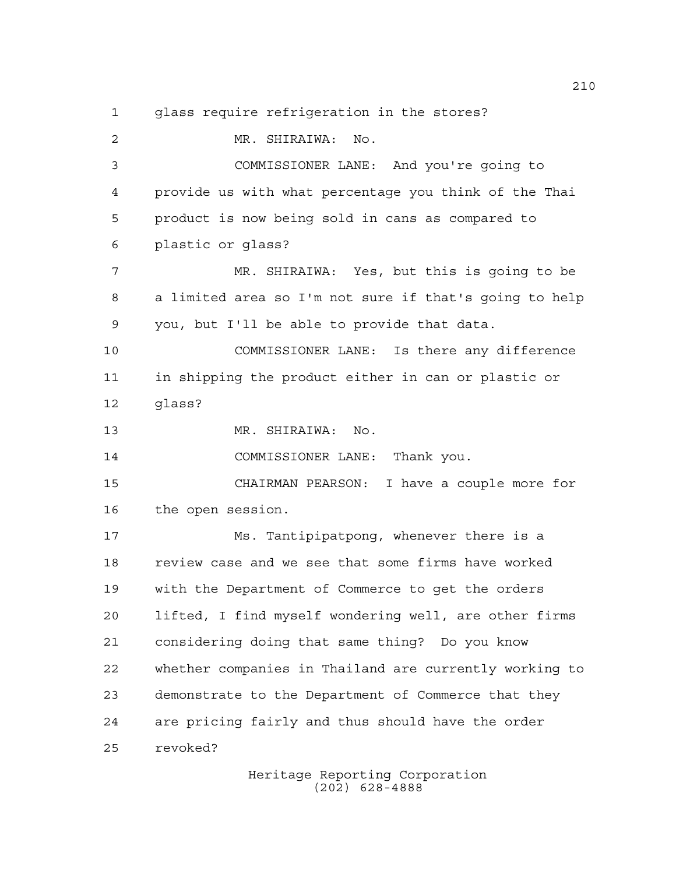glass require refrigeration in the stores?

 MR. SHIRAIWA: No. COMMISSIONER LANE: And you're going to provide us with what percentage you think of the Thai product is now being sold in cans as compared to plastic or glass? MR. SHIRAIWA: Yes, but this is going to be a limited area so I'm not sure if that's going to help you, but I'll be able to provide that data. COMMISSIONER LANE: Is there any difference in shipping the product either in can or plastic or glass? MR. SHIRAIWA: No. COMMISSIONER LANE: Thank you. CHAIRMAN PEARSON: I have a couple more for the open session. Ms. Tantipipatpong, whenever there is a review case and we see that some firms have worked with the Department of Commerce to get the orders lifted, I find myself wondering well, are other firms considering doing that same thing? Do you know whether companies in Thailand are currently working to demonstrate to the Department of Commerce that they are pricing fairly and thus should have the order revoked?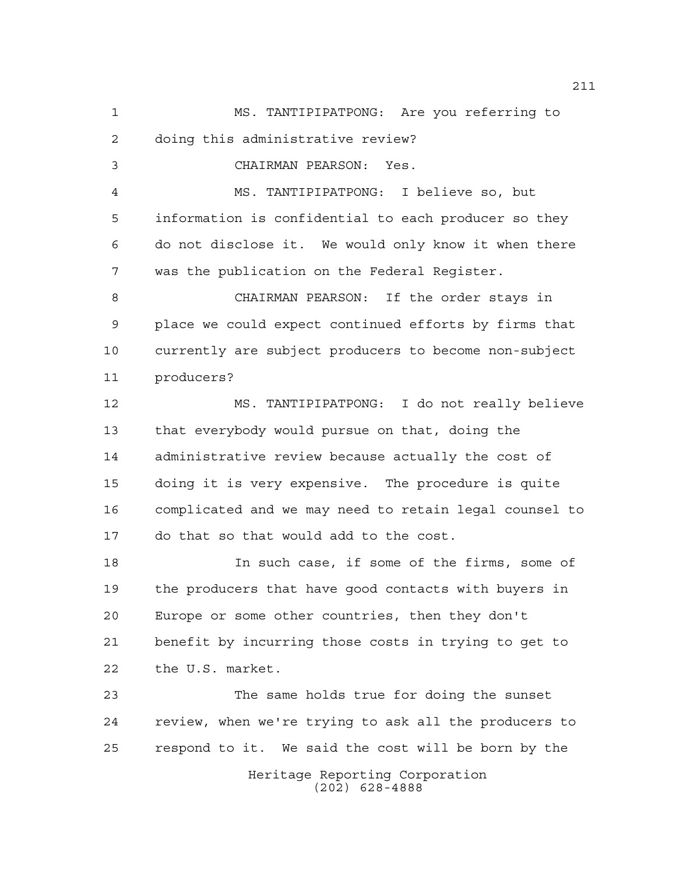MS. TANTIPIPATPONG: Are you referring to doing this administrative review? CHAIRMAN PEARSON: Yes. MS. TANTIPIPATPONG: I believe so, but information is confidential to each producer so they do not disclose it. We would only know it when there was the publication on the Federal Register. CHAIRMAN PEARSON: If the order stays in place we could expect continued efforts by firms that currently are subject producers to become non-subject producers? MS. TANTIPIPATPONG: I do not really believe that everybody would pursue on that, doing the administrative review because actually the cost of doing it is very expensive. The procedure is quite complicated and we may need to retain legal counsel to do that so that would add to the cost. In such case, if some of the firms, some of the producers that have good contacts with buyers in Europe or some other countries, then they don't benefit by incurring those costs in trying to get to

the U.S. market.

 The same holds true for doing the sunset review, when we're trying to ask all the producers to respond to it. We said the cost will be born by the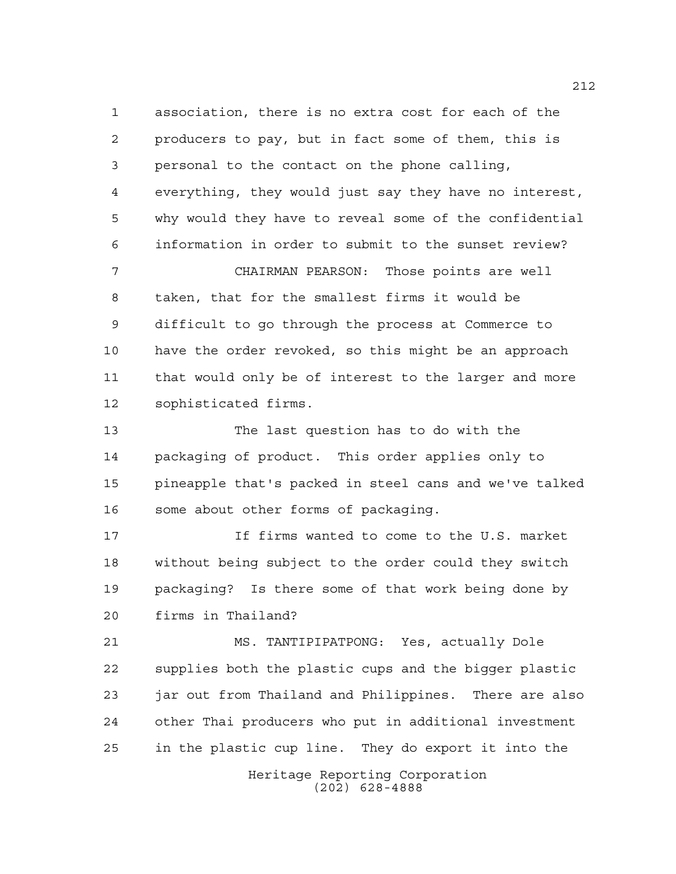association, there is no extra cost for each of the producers to pay, but in fact some of them, this is personal to the contact on the phone calling, everything, they would just say they have no interest, why would they have to reveal some of the confidential information in order to submit to the sunset review?

 CHAIRMAN PEARSON: Those points are well taken, that for the smallest firms it would be difficult to go through the process at Commerce to have the order revoked, so this might be an approach that would only be of interest to the larger and more sophisticated firms.

 The last question has to do with the packaging of product. This order applies only to pineapple that's packed in steel cans and we've talked some about other forms of packaging.

 If firms wanted to come to the U.S. market without being subject to the order could they switch packaging? Is there some of that work being done by firms in Thailand?

 MS. TANTIPIPATPONG: Yes, actually Dole supplies both the plastic cups and the bigger plastic jar out from Thailand and Philippines. There are also other Thai producers who put in additional investment in the plastic cup line. They do export it into the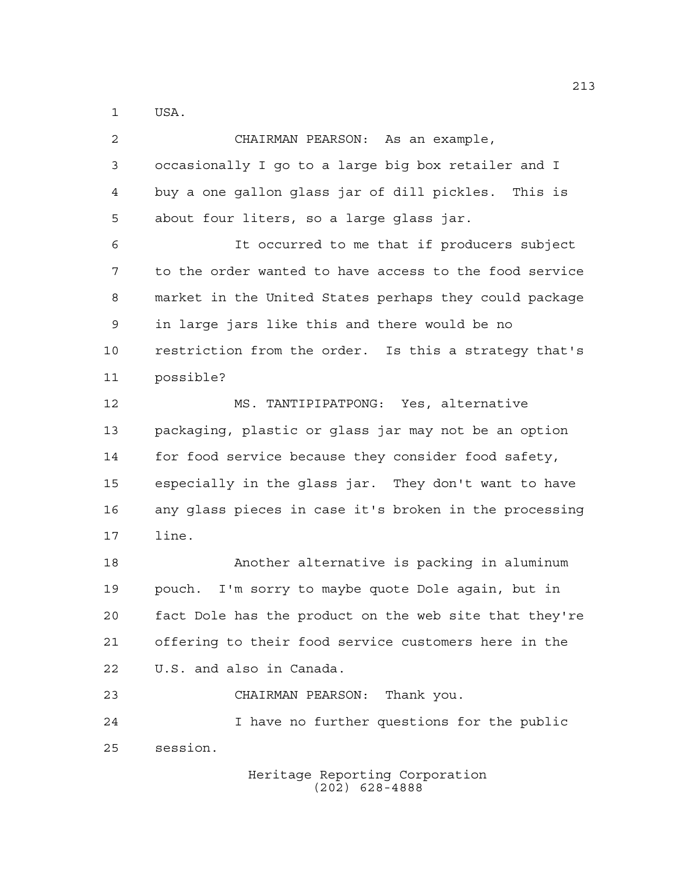USA.

Heritage Reporting Corporation (202) 628-4888 CHAIRMAN PEARSON: As an example, occasionally I go to a large big box retailer and I buy a one gallon glass jar of dill pickles. This is about four liters, so a large glass jar. It occurred to me that if producers subject to the order wanted to have access to the food service market in the United States perhaps they could package in large jars like this and there would be no restriction from the order. Is this a strategy that's possible? MS. TANTIPIPATPONG: Yes, alternative packaging, plastic or glass jar may not be an option for food service because they consider food safety, especially in the glass jar. They don't want to have any glass pieces in case it's broken in the processing line. Another alternative is packing in aluminum pouch. I'm sorry to maybe quote Dole again, but in fact Dole has the product on the web site that they're offering to their food service customers here in the U.S. and also in Canada. CHAIRMAN PEARSON: Thank you. I have no further questions for the public session.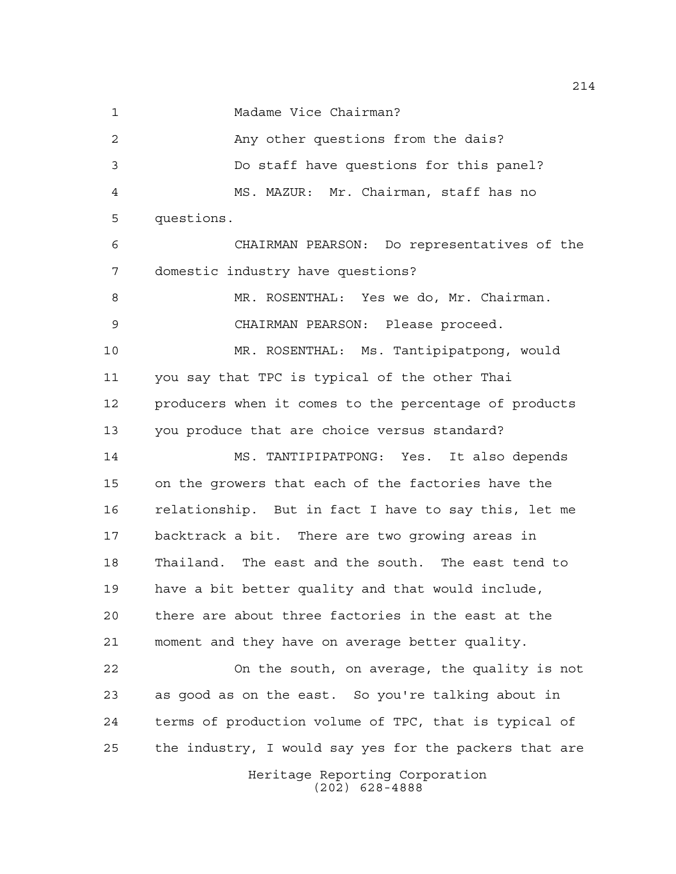Madame Vice Chairman?

2 Any other questions from the dais? Do staff have questions for this panel? MS. MAZUR: Mr. Chairman, staff has no questions. CHAIRMAN PEARSON: Do representatives of the domestic industry have questions? MR. ROSENTHAL: Yes we do, Mr. Chairman. CHAIRMAN PEARSON: Please proceed. MR. ROSENTHAL: Ms. Tantipipatpong, would you say that TPC is typical of the other Thai producers when it comes to the percentage of products you produce that are choice versus standard? MS. TANTIPIPATPONG: Yes. It also depends on the growers that each of the factories have the relationship. But in fact I have to say this, let me backtrack a bit. There are two growing areas in Thailand. The east and the south. The east tend to have a bit better quality and that would include, there are about three factories in the east at the moment and they have on average better quality. On the south, on average, the quality is not as good as on the east. So you're talking about in terms of production volume of TPC, that is typical of

Heritage Reporting Corporation

the industry, I would say yes for the packers that are

(202) 628-4888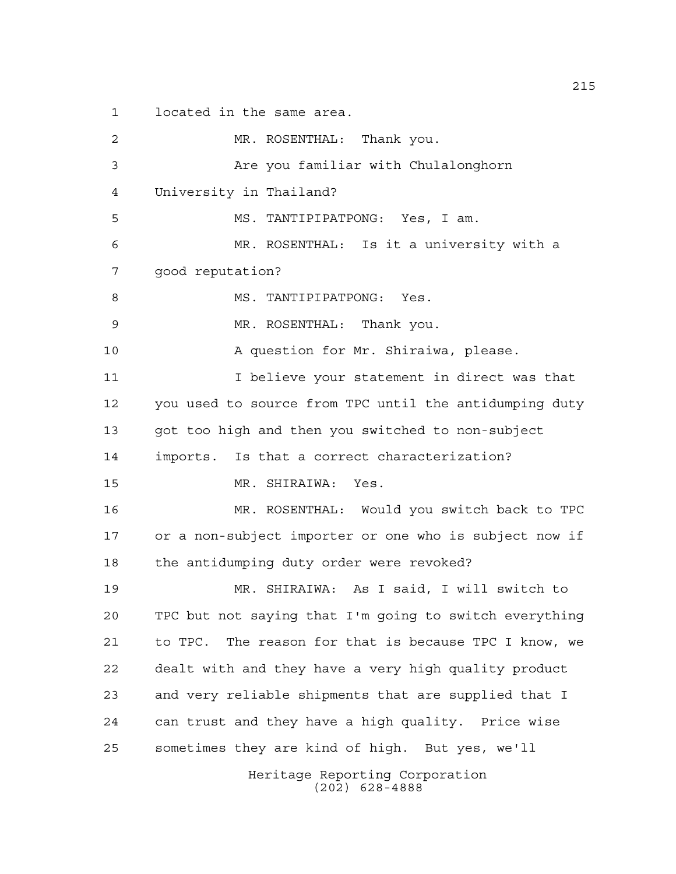located in the same area.

Heritage Reporting Corporation MR. ROSENTHAL: Thank you. Are you familiar with Chulalonghorn University in Thailand? MS. TANTIPIPATPONG: Yes, I am. MR. ROSENTHAL: Is it a university with a good reputation? 8 MS. TANTIPIPATPONG: Yes. MR. ROSENTHAL: Thank you. 10 A question for Mr. Shiraiwa, please. I believe your statement in direct was that you used to source from TPC until the antidumping duty got too high and then you switched to non-subject imports. Is that a correct characterization? MR. SHIRAIWA: Yes. MR. ROSENTHAL: Would you switch back to TPC or a non-subject importer or one who is subject now if the antidumping duty order were revoked? MR. SHIRAIWA: As I said, I will switch to TPC but not saying that I'm going to switch everything to TPC. The reason for that is because TPC I know, we dealt with and they have a very high quality product and very reliable shipments that are supplied that I can trust and they have a high quality. Price wise sometimes they are kind of high. But yes, we'll

(202) 628-4888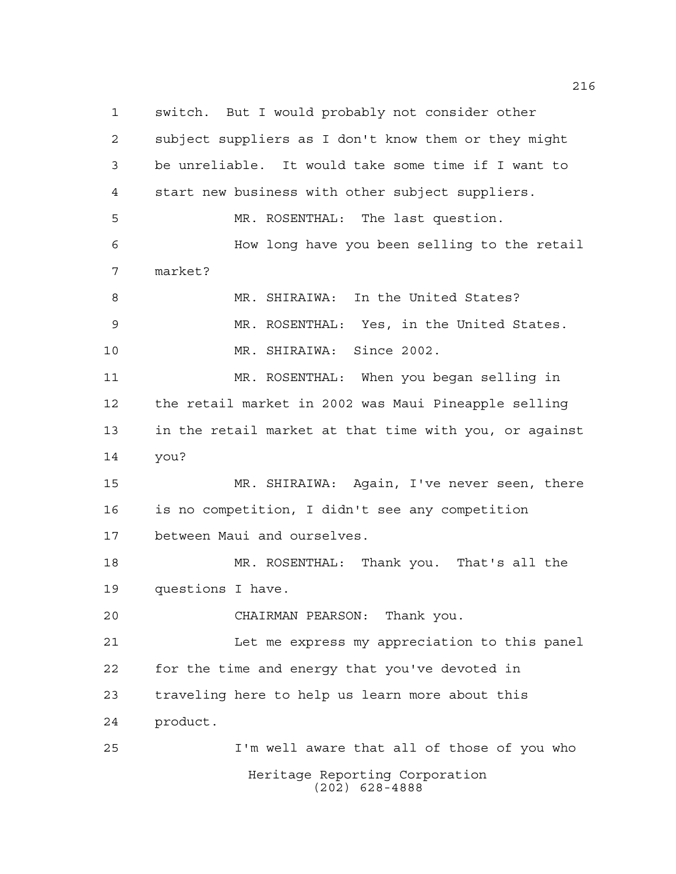Heritage Reporting Corporation (202) 628-4888 switch. But I would probably not consider other subject suppliers as I don't know them or they might be unreliable. It would take some time if I want to start new business with other subject suppliers. MR. ROSENTHAL: The last question. How long have you been selling to the retail market? 8 MR. SHIRAIWA: In the United States? MR. ROSENTHAL: Yes, in the United States. MR. SHIRAIWA: Since 2002. MR. ROSENTHAL: When you began selling in the retail market in 2002 was Maui Pineapple selling in the retail market at that time with you, or against you? MR. SHIRAIWA: Again, I've never seen, there is no competition, I didn't see any competition between Maui and ourselves. MR. ROSENTHAL: Thank you. That's all the questions I have. CHAIRMAN PEARSON: Thank you. Let me express my appreciation to this panel for the time and energy that you've devoted in traveling here to help us learn more about this product. I'm well aware that all of those of you who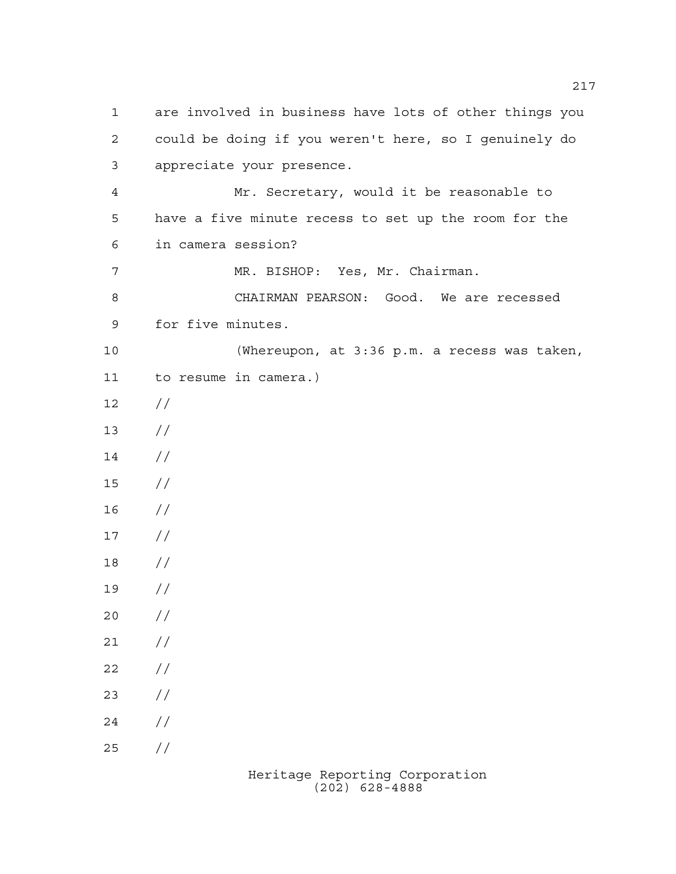1 are involved in business have lots of other things you 2 could be doing if you weren't here, so I genuinely do 3 appreciate your presence. 4 Mr. Secretary, would it be reasonable to 5 have a five minute recess to set up the room for the 6 in camera session? 7 MR. BISHOP: Yes, Mr. Chairman. 8 CHAIRMAN PEARSON: Good. We are recessed 9 for five minutes. 10 (Whereupon, at 3:36 p.m. a recess was taken, 11 to resume in camera.)  $12 /$  $13 / /$  $14 /$ 15 // 16 //  $17 /$ 18 // 19 //  $20 /$  $21 /$  $22 / /$  $23 / /$  $24 /$  $25 / /$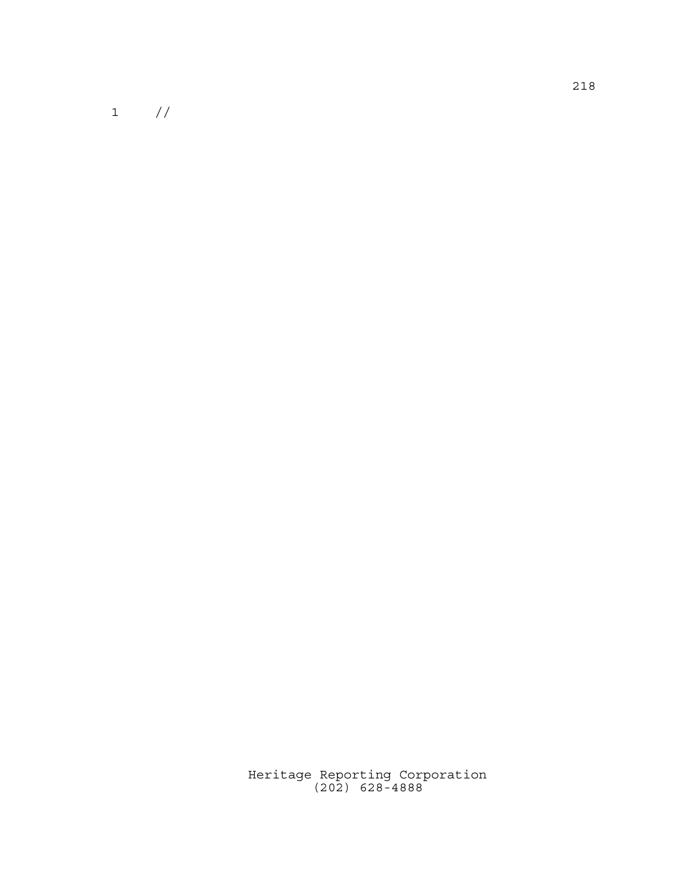$\begin{matrix} 1 & & \end{matrix} \begin{matrix} \end{matrix} \end{matrix}$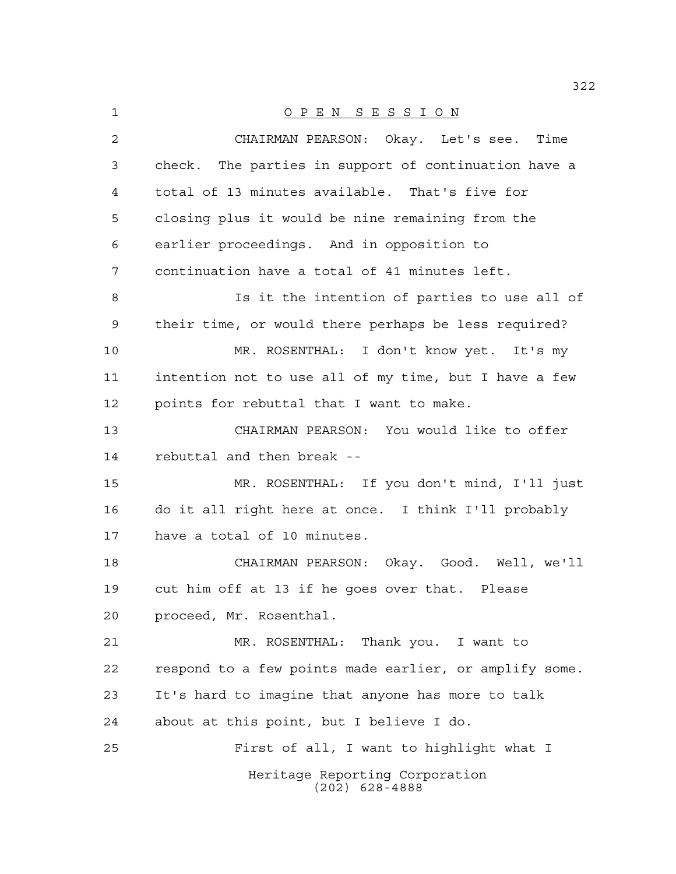Heritage Reporting Corporation (202) 628-4888 O P E N S E S S I O N CHAIRMAN PEARSON: Okay. Let's see. Time check. The parties in support of continuation have a total of 13 minutes available. That's five for closing plus it would be nine remaining from the earlier proceedings. And in opposition to continuation have a total of 41 minutes left. Is it the intention of parties to use all of their time, or would there perhaps be less required? MR. ROSENTHAL: I don't know yet. It's my intention not to use all of my time, but I have a few points for rebuttal that I want to make. CHAIRMAN PEARSON: You would like to offer rebuttal and then break -- MR. ROSENTHAL: If you don't mind, I'll just do it all right here at once. I think I'll probably have a total of 10 minutes. CHAIRMAN PEARSON: Okay. Good. Well, we'll cut him off at 13 if he goes over that. Please proceed, Mr. Rosenthal. MR. ROSENTHAL: Thank you. I want to respond to a few points made earlier, or amplify some. It's hard to imagine that anyone has more to talk about at this point, but I believe I do. First of all, I want to highlight what I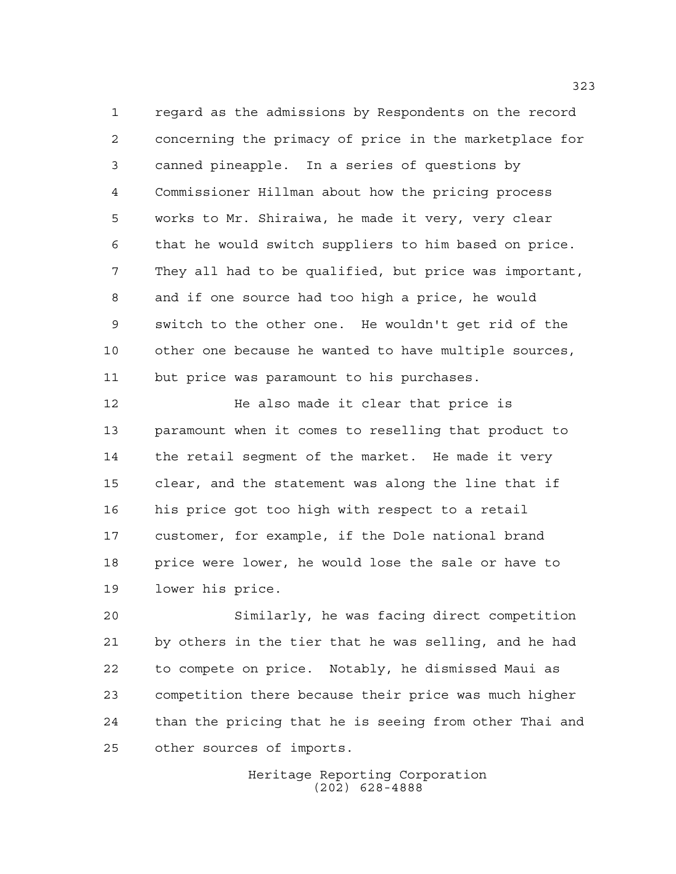regard as the admissions by Respondents on the record concerning the primacy of price in the marketplace for canned pineapple. In a series of questions by Commissioner Hillman about how the pricing process works to Mr. Shiraiwa, he made it very, very clear that he would switch suppliers to him based on price. They all had to be qualified, but price was important, and if one source had too high a price, he would switch to the other one. He wouldn't get rid of the other one because he wanted to have multiple sources, but price was paramount to his purchases.

 He also made it clear that price is paramount when it comes to reselling that product to the retail segment of the market. He made it very clear, and the statement was along the line that if his price got too high with respect to a retail customer, for example, if the Dole national brand price were lower, he would lose the sale or have to lower his price.

 Similarly, he was facing direct competition by others in the tier that he was selling, and he had to compete on price. Notably, he dismissed Maui as competition there because their price was much higher than the pricing that he is seeing from other Thai and other sources of imports.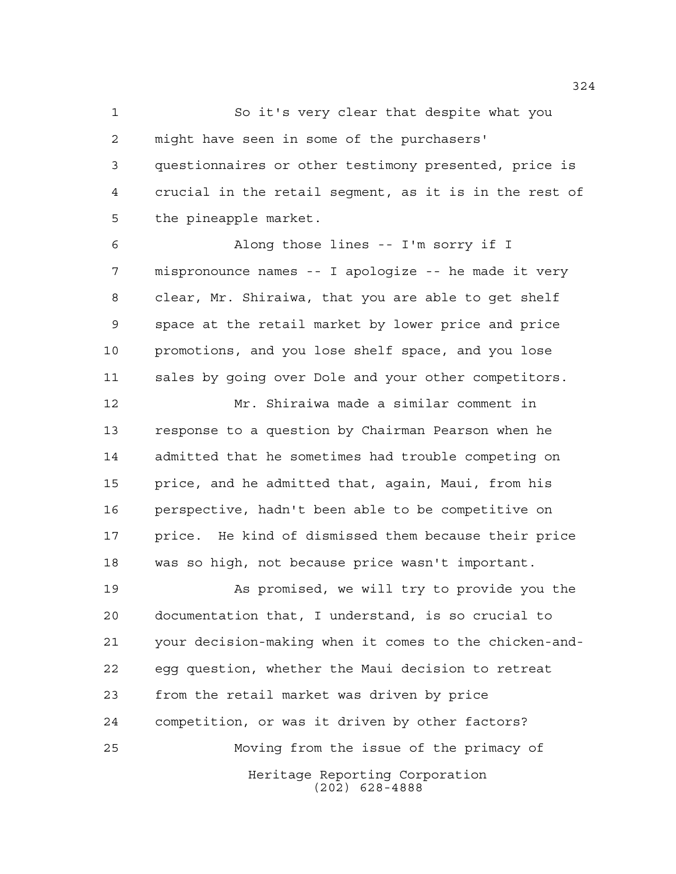So it's very clear that despite what you might have seen in some of the purchasers' questionnaires or other testimony presented, price is crucial in the retail segment, as it is in the rest of the pineapple market.

 Along those lines -- I'm sorry if I mispronounce names -- I apologize -- he made it very clear, Mr. Shiraiwa, that you are able to get shelf space at the retail market by lower price and price promotions, and you lose shelf space, and you lose sales by going over Dole and your other competitors.

 Mr. Shiraiwa made a similar comment in response to a question by Chairman Pearson when he admitted that he sometimes had trouble competing on price, and he admitted that, again, Maui, from his perspective, hadn't been able to be competitive on price. He kind of dismissed them because their price was so high, not because price wasn't important.

Heritage Reporting Corporation (202) 628-4888 As promised, we will try to provide you the documentation that, I understand, is so crucial to your decision-making when it comes to the chicken-and- egg question, whether the Maui decision to retreat from the retail market was driven by price competition, or was it driven by other factors? Moving from the issue of the primacy of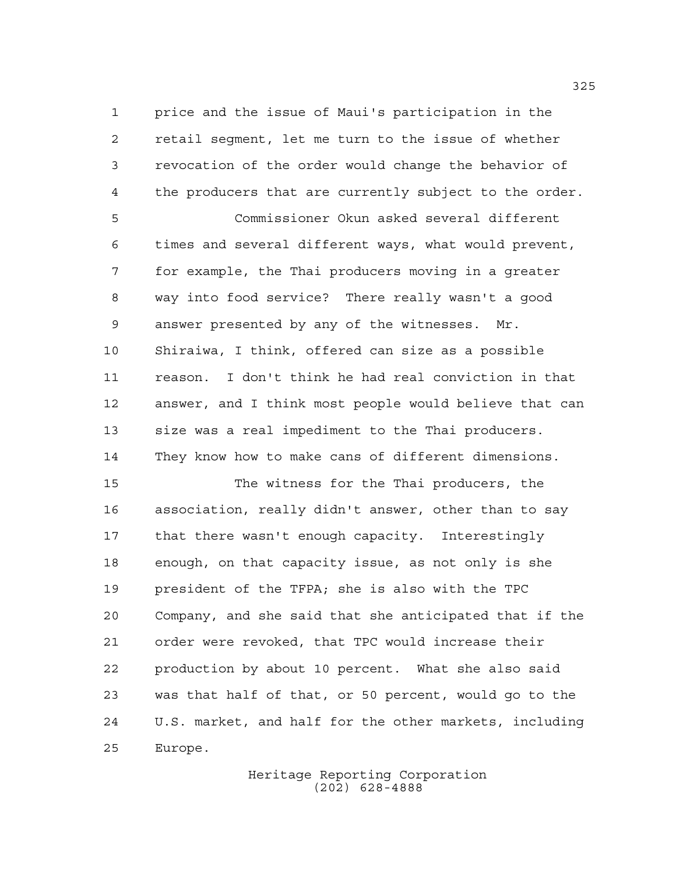price and the issue of Maui's participation in the retail segment, let me turn to the issue of whether revocation of the order would change the behavior of the producers that are currently subject to the order.

 Commissioner Okun asked several different times and several different ways, what would prevent, for example, the Thai producers moving in a greater way into food service? There really wasn't a good answer presented by any of the witnesses. Mr. Shiraiwa, I think, offered can size as a possible reason. I don't think he had real conviction in that answer, and I think most people would believe that can size was a real impediment to the Thai producers. They know how to make cans of different dimensions.

 The witness for the Thai producers, the association, really didn't answer, other than to say that there wasn't enough capacity. Interestingly enough, on that capacity issue, as not only is she president of the TFPA; she is also with the TPC Company, and she said that she anticipated that if the order were revoked, that TPC would increase their production by about 10 percent. What she also said was that half of that, or 50 percent, would go to the U.S. market, and half for the other markets, including Europe.

> Heritage Reporting Corporation (202) 628-4888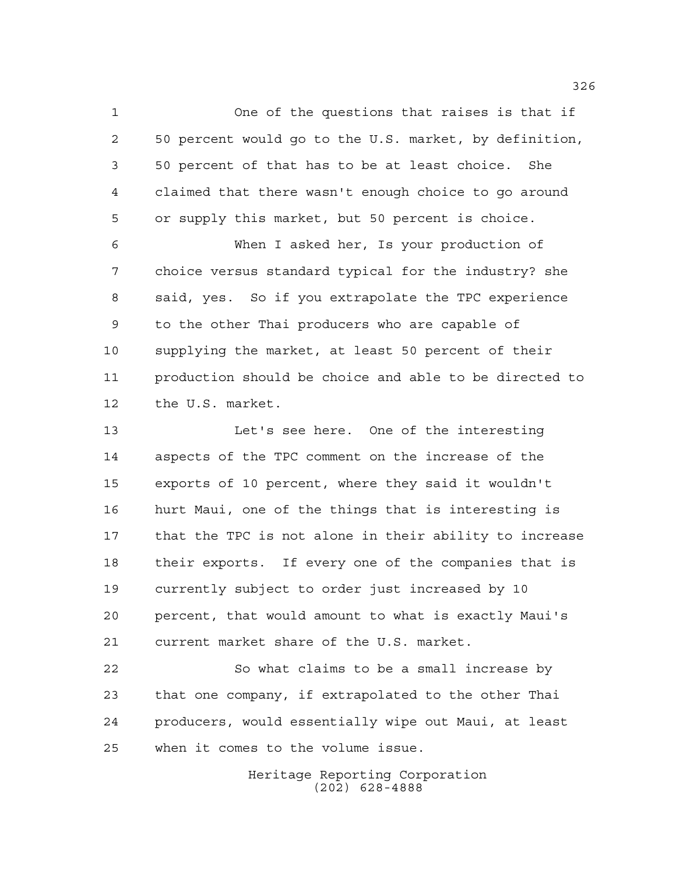One of the questions that raises is that if 50 percent would go to the U.S. market, by definition, 50 percent of that has to be at least choice. She claimed that there wasn't enough choice to go around or supply this market, but 50 percent is choice.

 When I asked her, Is your production of choice versus standard typical for the industry? she said, yes. So if you extrapolate the TPC experience to the other Thai producers who are capable of supplying the market, at least 50 percent of their production should be choice and able to be directed to the U.S. market.

 Let's see here. One of the interesting aspects of the TPC comment on the increase of the exports of 10 percent, where they said it wouldn't hurt Maui, one of the things that is interesting is that the TPC is not alone in their ability to increase their exports. If every one of the companies that is currently subject to order just increased by 10 percent, that would amount to what is exactly Maui's current market share of the U.S. market.

 So what claims to be a small increase by that one company, if extrapolated to the other Thai producers, would essentially wipe out Maui, at least when it comes to the volume issue.

> Heritage Reporting Corporation (202) 628-4888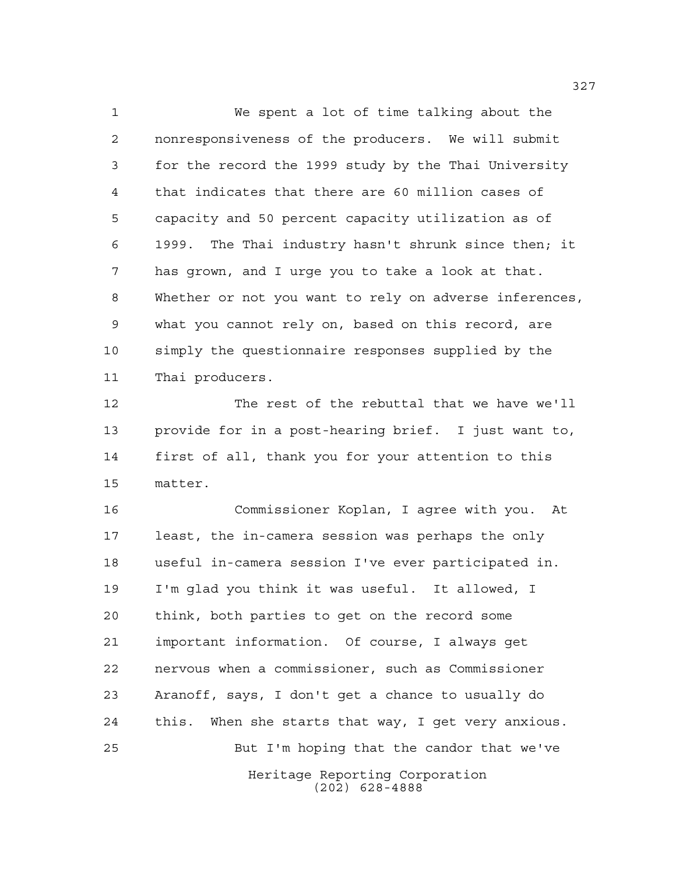We spent a lot of time talking about the nonresponsiveness of the producers. We will submit for the record the 1999 study by the Thai University that indicates that there are 60 million cases of capacity and 50 percent capacity utilization as of 1999. The Thai industry hasn't shrunk since then; it has grown, and I urge you to take a look at that. Whether or not you want to rely on adverse inferences, what you cannot rely on, based on this record, are simply the questionnaire responses supplied by the Thai producers.

 The rest of the rebuttal that we have we'll provide for in a post-hearing brief. I just want to, first of all, thank you for your attention to this matter.

Heritage Reporting Corporation (202) 628-4888 Commissioner Koplan, I agree with you. At least, the in-camera session was perhaps the only useful in-camera session I've ever participated in. I'm glad you think it was useful. It allowed, I think, both parties to get on the record some important information. Of course, I always get nervous when a commissioner, such as Commissioner Aranoff, says, I don't get a chance to usually do this. When she starts that way, I get very anxious. But I'm hoping that the candor that we've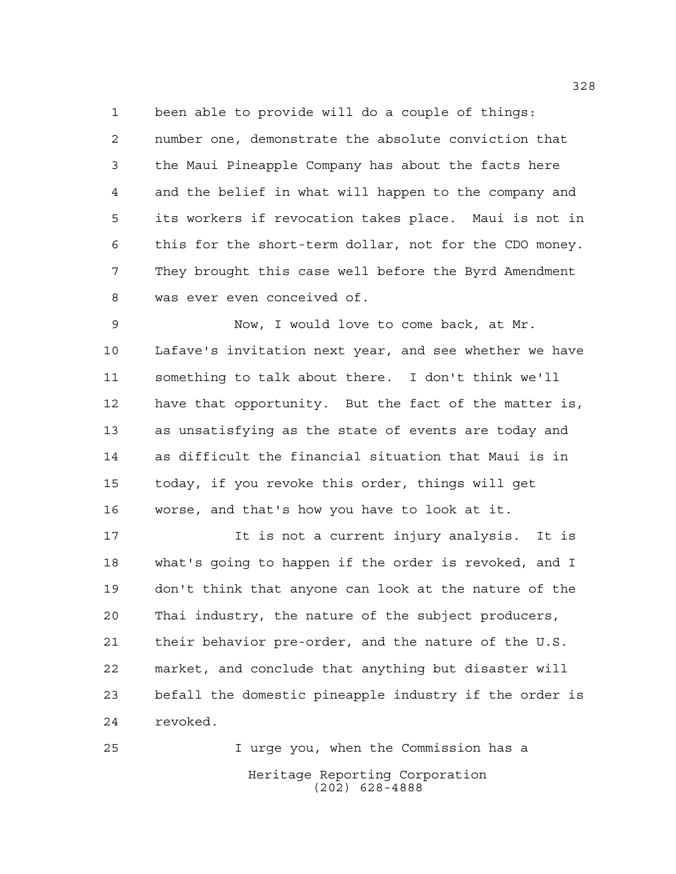been able to provide will do a couple of things: number one, demonstrate the absolute conviction that the Maui Pineapple Company has about the facts here and the belief in what will happen to the company and its workers if revocation takes place. Maui is not in this for the short-term dollar, not for the CDO money. They brought this case well before the Byrd Amendment was ever even conceived of.

 Now, I would love to come back, at Mr. Lafave's invitation next year, and see whether we have something to talk about there. I don't think we'll have that opportunity. But the fact of the matter is, as unsatisfying as the state of events are today and as difficult the financial situation that Maui is in today, if you revoke this order, things will get worse, and that's how you have to look at it.

 It is not a current injury analysis. It is what's going to happen if the order is revoked, and I don't think that anyone can look at the nature of the Thai industry, the nature of the subject producers, their behavior pre-order, and the nature of the U.S. market, and conclude that anything but disaster will befall the domestic pineapple industry if the order is revoked.

Heritage Reporting Corporation (202) 628-4888 I urge you, when the Commission has a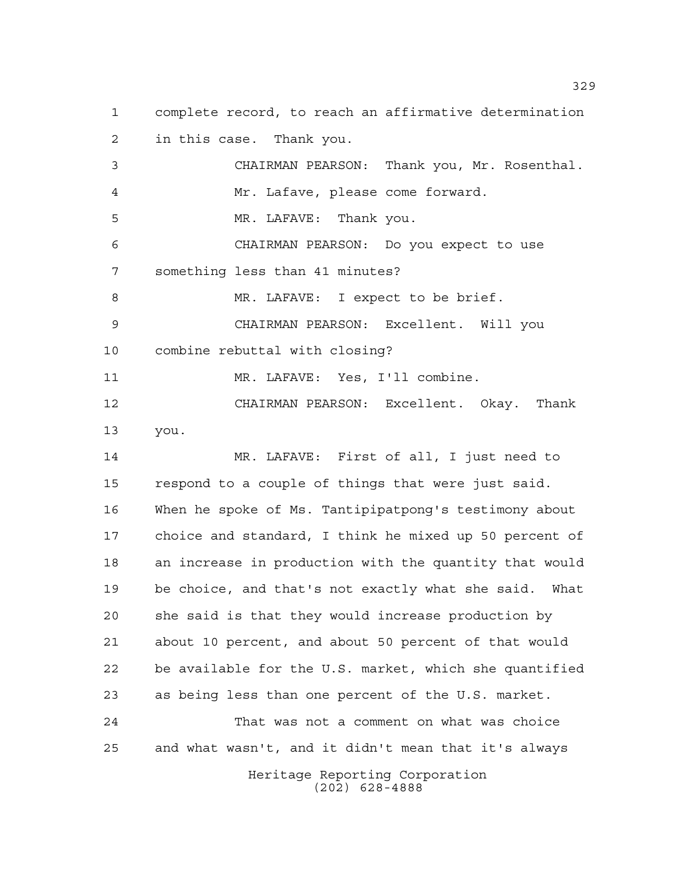Heritage Reporting Corporation complete record, to reach an affirmative determination in this case. Thank you. CHAIRMAN PEARSON: Thank you, Mr. Rosenthal. Mr. Lafave, please come forward. MR. LAFAVE: Thank you. CHAIRMAN PEARSON: Do you expect to use something less than 41 minutes? 8 MR. LAFAVE: I expect to be brief. CHAIRMAN PEARSON: Excellent. Will you combine rebuttal with closing? MR. LAFAVE: Yes, I'll combine. CHAIRMAN PEARSON: Excellent. Okay. Thank you. MR. LAFAVE: First of all, I just need to respond to a couple of things that were just said. When he spoke of Ms. Tantipipatpong's testimony about choice and standard, I think he mixed up 50 percent of an increase in production with the quantity that would be choice, and that's not exactly what she said. What she said is that they would increase production by about 10 percent, and about 50 percent of that would be available for the U.S. market, which she quantified as being less than one percent of the U.S. market. That was not a comment on what was choice and what wasn't, and it didn't mean that it's always

(202) 628-4888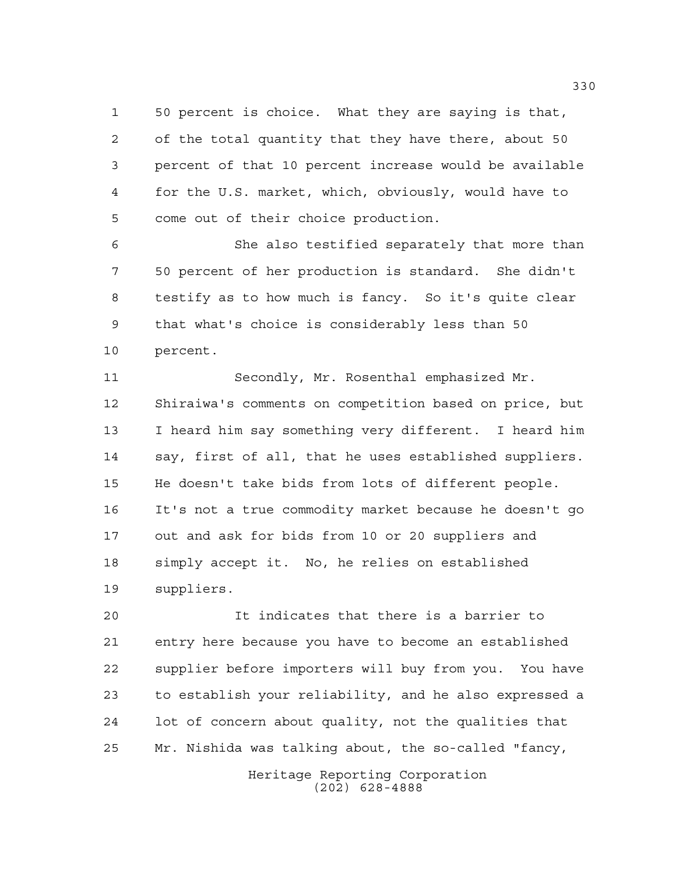50 percent is choice. What they are saying is that, of the total quantity that they have there, about 50 percent of that 10 percent increase would be available for the U.S. market, which, obviously, would have to come out of their choice production.

 She also testified separately that more than 50 percent of her production is standard. She didn't testify as to how much is fancy. So it's quite clear that what's choice is considerably less than 50 percent.

 Secondly, Mr. Rosenthal emphasized Mr. Shiraiwa's comments on competition based on price, but I heard him say something very different. I heard him say, first of all, that he uses established suppliers. He doesn't take bids from lots of different people. It's not a true commodity market because he doesn't go out and ask for bids from 10 or 20 suppliers and simply accept it. No, he relies on established suppliers.

 It indicates that there is a barrier to entry here because you have to become an established supplier before importers will buy from you. You have to establish your reliability, and he also expressed a lot of concern about quality, not the qualities that Mr. Nishida was talking about, the so-called "fancy,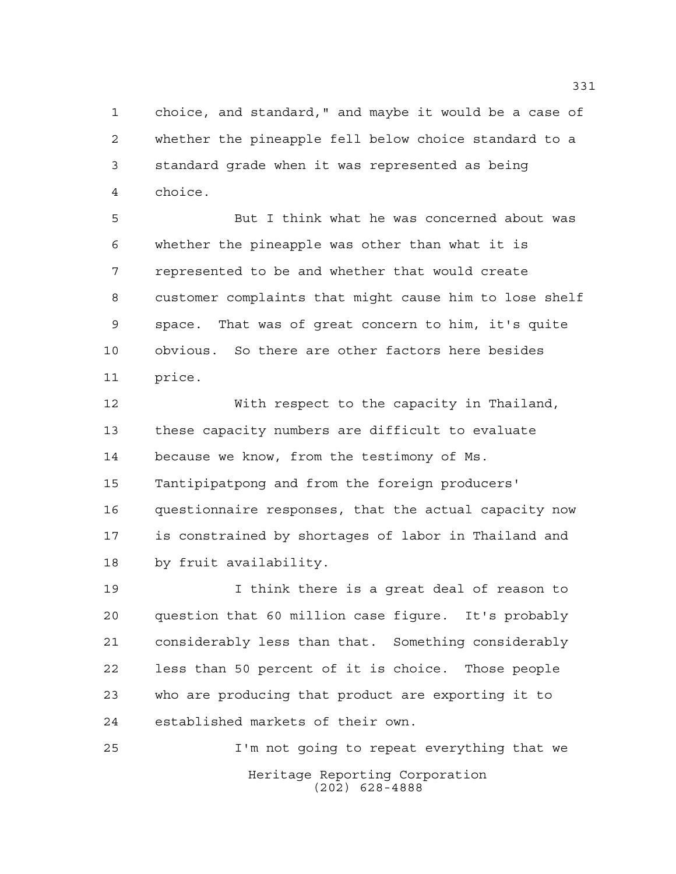choice, and standard," and maybe it would be a case of whether the pineapple fell below choice standard to a standard grade when it was represented as being choice.

 But I think what he was concerned about was whether the pineapple was other than what it is represented to be and whether that would create customer complaints that might cause him to lose shelf space. That was of great concern to him, it's quite obvious. So there are other factors here besides price.

 With respect to the capacity in Thailand, these capacity numbers are difficult to evaluate because we know, from the testimony of Ms. Tantipipatpong and from the foreign producers' questionnaire responses, that the actual capacity now is constrained by shortages of labor in Thailand and by fruit availability.

 I think there is a great deal of reason to question that 60 million case figure. It's probably considerably less than that. Something considerably less than 50 percent of it is choice. Those people who are producing that product are exporting it to established markets of their own.

Heritage Reporting Corporation (202) 628-4888 I'm not going to repeat everything that we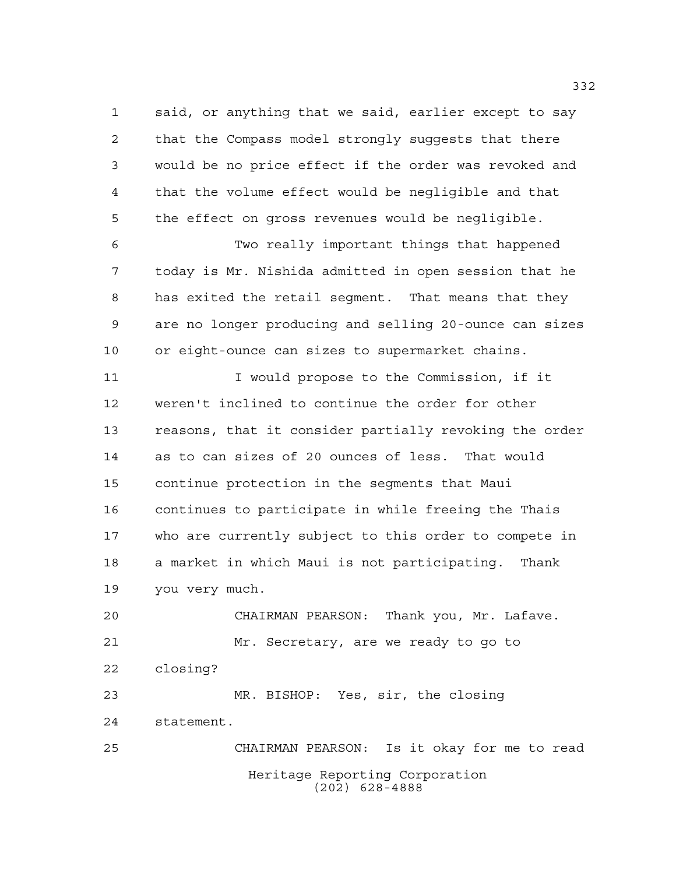said, or anything that we said, earlier except to say that the Compass model strongly suggests that there would be no price effect if the order was revoked and that the volume effect would be negligible and that the effect on gross revenues would be negligible.

 Two really important things that happened today is Mr. Nishida admitted in open session that he has exited the retail segment. That means that they are no longer producing and selling 20-ounce can sizes or eight-ounce can sizes to supermarket chains.

 I would propose to the Commission, if it weren't inclined to continue the order for other reasons, that it consider partially revoking the order as to can sizes of 20 ounces of less. That would continue protection in the segments that Maui continues to participate in while freeing the Thais who are currently subject to this order to compete in a market in which Maui is not participating. Thank you very much.

 CHAIRMAN PEARSON: Thank you, Mr. Lafave. Mr. Secretary, are we ready to go to closing? MR. BISHOP: Yes, sir, the closing statement.

Heritage Reporting Corporation (202) 628-4888 CHAIRMAN PEARSON: Is it okay for me to read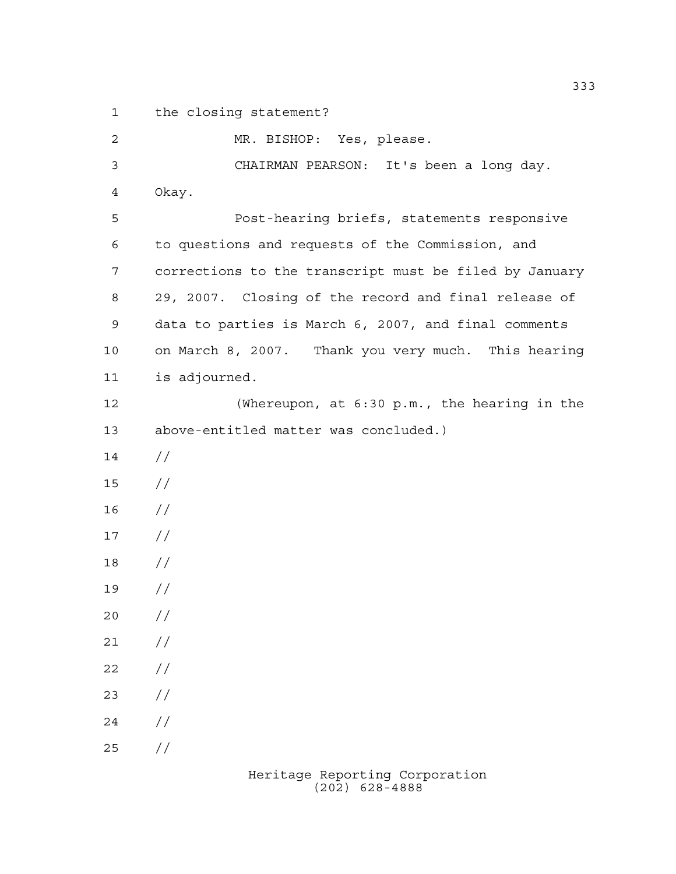the closing statement?

 MR. BISHOP: Yes, please. CHAIRMAN PEARSON: It's been a long day. Okay. Post-hearing briefs, statements responsive to questions and requests of the Commission, and corrections to the transcript must be filed by January 29, 2007. Closing of the record and final release of data to parties is March 6, 2007, and final comments on March 8, 2007. Thank you very much. This hearing is adjourned. (Whereupon, at 6:30 p.m., the hearing in the above-entitled matter was concluded.) // // //  $17 /$  // //  $20 /$  $21 /$  $22 / /$  $23 / /$  $24 /$  $25 / /$